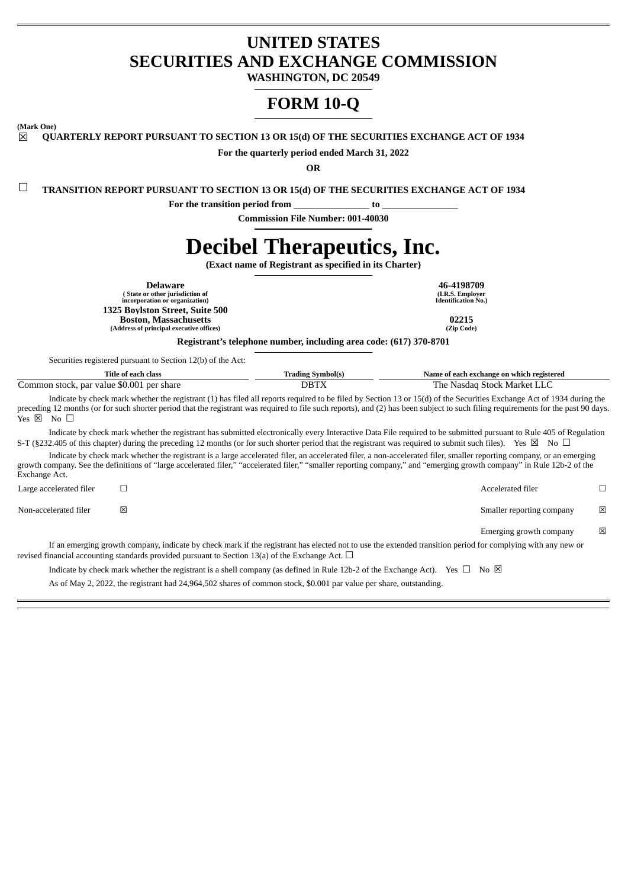# **UNITED STATES SECURITIES AND EXCHANGE COMMISSION**

**WASHINGTON, DC 20549**

# **FORM 10-Q**

**(Mark One)**

☒ **QUARTERLY REPORT PURSUANT TO SECTION 13 OR 15(d) OF THE SECURITIES EXCHANGE ACT OF 1934**

**For the quarterly period ended March 31, 2022**

**OR**

☐ **TRANSITION REPORT PURSUANT TO SECTION 13 OR 15(d) OF THE SECURITIES EXCHANGE ACT OF 1934**

**For the transition period from \_\_\_\_\_\_\_\_\_\_\_\_\_\_\_\_ to \_\_\_\_\_\_\_\_\_\_\_\_\_\_\_\_**

**Commission File Number: 001-40030**

# **Decibel Therapeutics, Inc.**

**(Exact name of Registrant as specified in its Charter)**

| Delaware<br>(State or other jurisdiction of<br>incorporation or organization)                                  | 46-4198709<br>(I.R.S. Employer<br>Identification No.) |
|----------------------------------------------------------------------------------------------------------------|-------------------------------------------------------|
| <b>1325 Boylston Street, Suite 500</b><br><b>Boston, Massachusetts</b>                                         | 02215                                                 |
| (Address of principal executive offices)<br>Registrant's telephone number, including area code: (617) 370-8701 | (Zip Code)                                            |
|                                                                                                                |                                                       |

Securities registered pursuant to Section 12(b) of the Act:

| Title of each class                       | Trading Svmbol(s) | Name of each exchange on which registered |
|-------------------------------------------|-------------------|-------------------------------------------|
| Common stock, par value \$0.001 per share | DBTX              | The Nasdag Stock Market LLC               |

Indicate by check mark whether the registrant (1) has filed all reports required to be filed by Section 13 or 15(d) of the Securities Exchange Act of 1934 during the preceding 12 months (or for such shorter period that the registrant was required to file such reports), and (2) has been subject to such filing requirements for the past 90 days. Yes ⊠ No

Indicate by check mark whether the registrant has submitted electronically every Interactive Data File required to be submitted pursuant to Rule 405 of Regulation S-T (§232.405 of this chapter) during the preceding 12 months (or for such shorter period that the registrant was required to submit such files). Yes ⊠ No □

Indicate by check mark whether the registrant is a large accelerated filer, an accelerated filer, a non-accelerated filer, smaller reporting company, or an emerging growth company. See the definitions of "large accelerated filer," "accelerated filer," "smaller reporting company," and "emerging growth company" in Rule 12b-2 of the Exchange Act.

| Large accelerated filer |                                                                                                                                                                                                                                                                      | Accelerated filer         |   |
|-------------------------|----------------------------------------------------------------------------------------------------------------------------------------------------------------------------------------------------------------------------------------------------------------------|---------------------------|---|
| Non-accelerated filer   | ⊠                                                                                                                                                                                                                                                                    | Smaller reporting company | ⊠ |
|                         |                                                                                                                                                                                                                                                                      | Emerging growth company   | 区 |
|                         | If an emerging growth company, indicate by check mark if the registrant has elected not to use the extended transition period for complying with any new or<br>revised financial accounting standards provided pursuant to Section 13(a) of the Exchange Act. $\Box$ |                           |   |
|                         |                                                                                                                                                                                                                                                                      |                           |   |

Indicate by check mark whether the registrant is a shell company (as defined in Rule 12b-2 of the Exchange Act). Yes  $\Box$  No  $\boxtimes$ 

As of May 2, 2022, the registrant had 24,964,502 shares of common stock, \$0.001 par value per share, outstanding.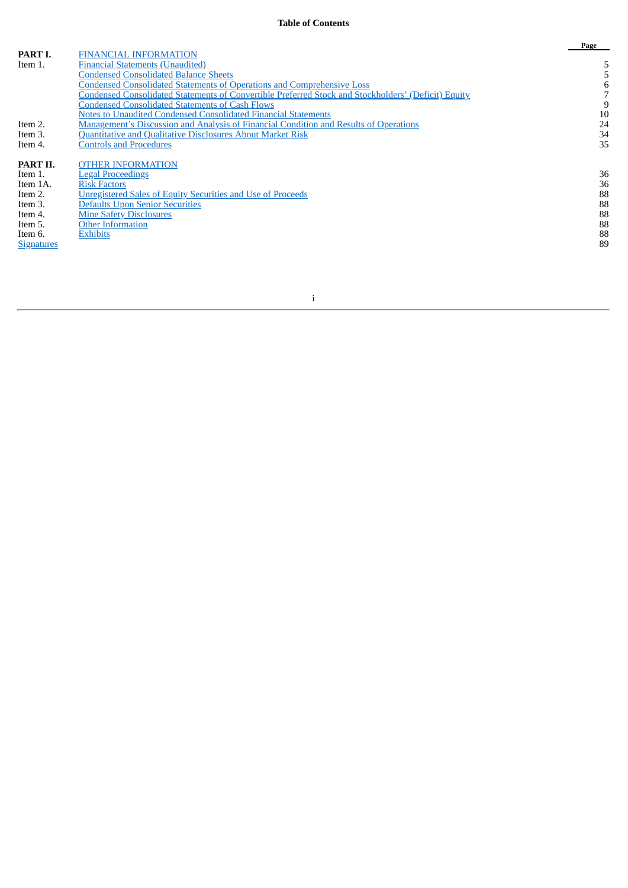# **Table of Contents**

|                   |                                                                                                     | Page |
|-------------------|-----------------------------------------------------------------------------------------------------|------|
| PART I.           | <b>FINANCIAL INFORMATION</b>                                                                        |      |
| Item 1.           | <b>Financial Statements (Unaudited)</b>                                                             |      |
|                   | <b>Condensed Consolidated Balance Sheets</b>                                                        |      |
|                   | <b>Condensed Consolidated Statements of Operations and Comprehensive Loss</b>                       |      |
|                   | Condensed Consolidated Statements of Convertible Preferred Stock and Stockholders' (Deficit) Equity |      |
|                   | <b>Condensed Consolidated Statements of Cash Flows</b>                                              | 9    |
|                   | Notes to Unaudited Condensed Consolidated Financial Statements                                      | 10   |
| Item 2.           | Management's Discussion and Analysis of Financial Condition and Results of Operations               | 24   |
| Item 3.           | <b>Quantitative and Qualitative Disclosures About Market Risk</b>                                   | 34   |
| Item 4.           | <b>Controls and Procedures</b>                                                                      | 35   |
| PART II.          | <b>OTHER INFORMATION</b>                                                                            |      |
| Item 1.           | <b>Legal Proceedings</b>                                                                            | 36   |
| Item 1A.          | <b>Risk Factors</b>                                                                                 | 36   |
| Item 2.           | <b>Unregistered Sales of Equity Securities and Use of Proceeds</b>                                  | 88   |
| Item 3.           | <b>Defaults Upon Senior Securities</b>                                                              | 88   |
| Item 4.           | <b>Mine Safety Disclosures</b>                                                                      | 88   |
| Item 5.           | <b>Other Information</b>                                                                            | 88   |
| Item 6.           | <b>Exhibits</b>                                                                                     | 88   |
| <b>Signatures</b> |                                                                                                     | 89   |
|                   |                                                                                                     |      |

i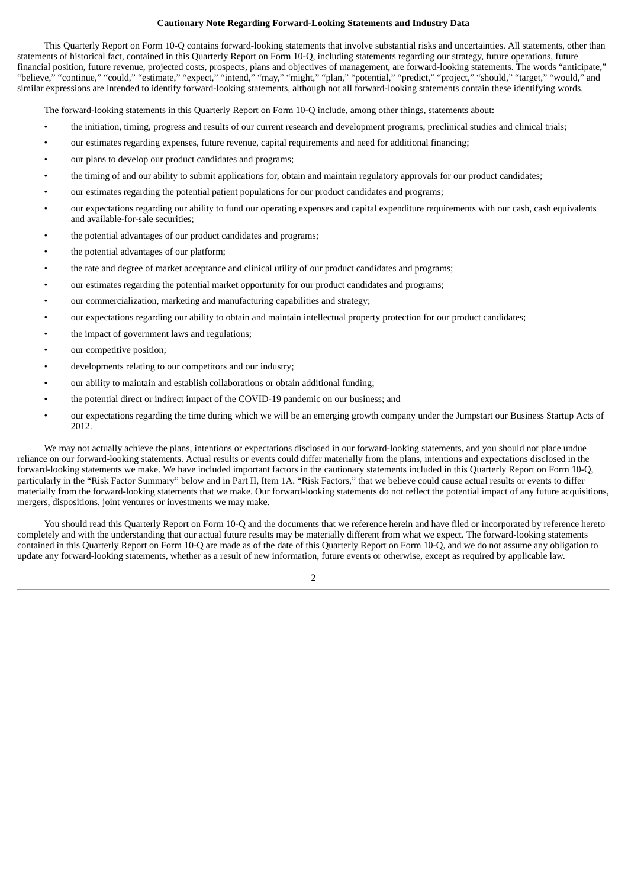# **Cautionary Note Regarding Forward-Looking Statements and Industry Data**

This Quarterly Report on Form 10-Q contains forward-looking statements that involve substantial risks and uncertainties. All statements, other than statements of historical fact, contained in this Quarterly Report on Form 10-Q, including statements regarding our strategy, future operations, future financial position, future revenue, projected costs, prospects, plans and objectives of management, are forward-looking statements. The words "anticipate," "believe," "continue," "could," "estimate," "expect," "intend," "may," "might," "plan," "potential," "predict," "project," "should," "target," "would," and similar expressions are intended to identify forward-looking statements, although not all forward-looking statements contain these identifying words.

The forward-looking statements in this Quarterly Report on Form 10-Q include, among other things, statements about:

- the initiation, timing, progress and results of our current research and development programs, preclinical studies and clinical trials;
- our estimates regarding expenses, future revenue, capital requirements and need for additional financing;
- our plans to develop our product candidates and programs;
- the timing of and our ability to submit applications for, obtain and maintain regulatory approvals for our product candidates;
- our estimates regarding the potential patient populations for our product candidates and programs;
- our expectations regarding our ability to fund our operating expenses and capital expenditure requirements with our cash, cash equivalents and available-for-sale securities;
- the potential advantages of our product candidates and programs;
- the potential advantages of our platform;
- the rate and degree of market acceptance and clinical utility of our product candidates and programs;
- our estimates regarding the potential market opportunity for our product candidates and programs;
- our commercialization, marketing and manufacturing capabilities and strategy;
- our expectations regarding our ability to obtain and maintain intellectual property protection for our product candidates;
- the impact of government laws and regulations;
- our competitive position;
- developments relating to our competitors and our industry;
- our ability to maintain and establish collaborations or obtain additional funding;
- the potential direct or indirect impact of the COVID-19 pandemic on our business; and
- our expectations regarding the time during which we will be an emerging growth company under the Jumpstart our Business Startup Acts of 2012.

We may not actually achieve the plans, intentions or expectations disclosed in our forward-looking statements, and you should not place undue reliance on our forward-looking statements. Actual results or events could differ materially from the plans, intentions and expectations disclosed in the forward-looking statements we make. We have included important factors in the cautionary statements included in this Quarterly Report on Form 10-Q, particularly in the "Risk Factor Summary" below and in Part II, Item 1A. "Risk Factors," that we believe could cause actual results or events to differ materially from the forward-looking statements that we make. Our forward-looking statements do not reflect the potential impact of any future acquisitions, mergers, dispositions, joint ventures or investments we may make.

You should read this Quarterly Report on Form 10-Q and the documents that we reference herein and have filed or incorporated by reference hereto completely and with the understanding that our actual future results may be materially different from what we expect. The forward-looking statements contained in this Quarterly Report on Form 10-Q are made as of the date of this Quarterly Report on Form 10-Q, and we do not assume any obligation to update any forward-looking statements, whether as a result of new information, future events or otherwise, except as required by applicable law.

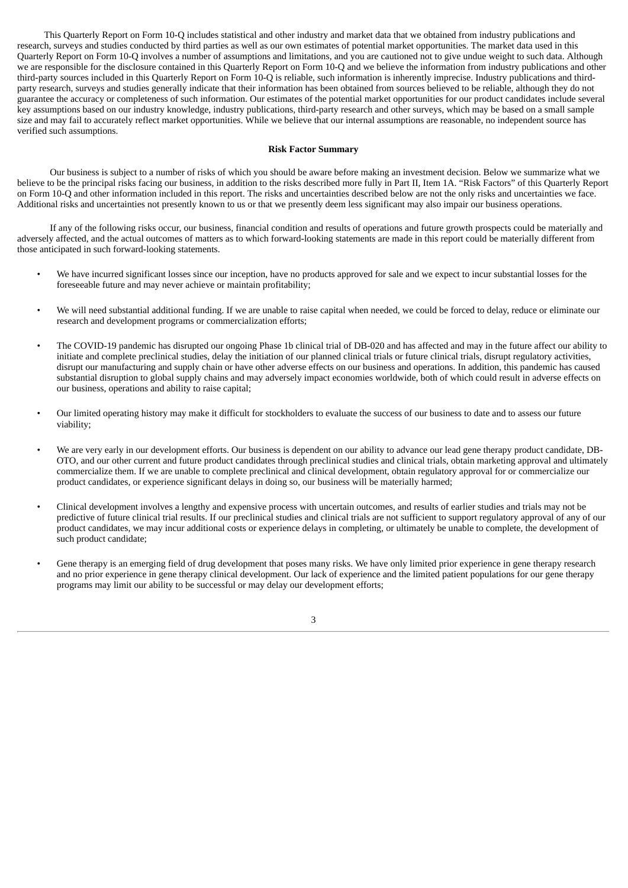This Quarterly Report on Form 10-Q includes statistical and other industry and market data that we obtained from industry publications and research, surveys and studies conducted by third parties as well as our own estimates of potential market opportunities. The market data used in this Quarterly Report on Form 10-Q involves a number of assumptions and limitations, and you are cautioned not to give undue weight to such data. Although we are responsible for the disclosure contained in this Quarterly Report on Form 10-Q and we believe the information from industry publications and other third-party sources included in this Quarterly Report on Form 10-Q is reliable, such information is inherently imprecise. Industry publications and thirdparty research, surveys and studies generally indicate that their information has been obtained from sources believed to be reliable, although they do not guarantee the accuracy or completeness of such information. Our estimates of the potential market opportunities for our product candidates include several key assumptions based on our industry knowledge, industry publications, third-party research and other surveys, which may be based on a small sample size and may fail to accurately reflect market opportunities. While we believe that our internal assumptions are reasonable, no independent source has verified such assumptions.

#### **Risk Factor Summary**

Our business is subject to a number of risks of which you should be aware before making an investment decision. Below we summarize what we believe to be the principal risks facing our business, in addition to the risks described more fully in Part II, Item 1A. "Risk Factors" of this Quarterly Report on Form 10-Q and other information included in this report. The risks and uncertainties described below are not the only risks and uncertainties we face. Additional risks and uncertainties not presently known to us or that we presently deem less significant may also impair our business operations.

If any of the following risks occur, our business, financial condition and results of operations and future growth prospects could be materially and adversely affected, and the actual outcomes of matters as to which forward-looking statements are made in this report could be materially different from those anticipated in such forward-looking statements.

- We have incurred significant losses since our inception, have no products approved for sale and we expect to incur substantial losses for the foreseeable future and may never achieve or maintain profitability;
- We will need substantial additional funding. If we are unable to raise capital when needed, we could be forced to delay, reduce or eliminate our research and development programs or commercialization efforts;
- The COVID-19 pandemic has disrupted our ongoing Phase 1b clinical trial of DB-020 and has affected and may in the future affect our ability to initiate and complete preclinical studies, delay the initiation of our planned clinical trials or future clinical trials, disrupt regulatory activities, disrupt our manufacturing and supply chain or have other adverse effects on our business and operations. In addition, this pandemic has caused substantial disruption to global supply chains and may adversely impact economies worldwide, both of which could result in adverse effects on our business, operations and ability to raise capital;
- Our limited operating history may make it difficult for stockholders to evaluate the success of our business to date and to assess our future viability;
- We are very early in our development efforts. Our business is dependent on our ability to advance our lead gene therapy product candidate, DB-OTO, and our other current and future product candidates through preclinical studies and clinical trials, obtain marketing approval and ultimately commercialize them. If we are unable to complete preclinical and clinical development, obtain regulatory approval for or commercialize our product candidates, or experience significant delays in doing so, our business will be materially harmed;
- Clinical development involves a lengthy and expensive process with uncertain outcomes, and results of earlier studies and trials may not be predictive of future clinical trial results. If our preclinical studies and clinical trials are not sufficient to support regulatory approval of any of our product candidates, we may incur additional costs or experience delays in completing, or ultimately be unable to complete, the development of such product candidate;
- Gene therapy is an emerging field of drug development that poses many risks. We have only limited prior experience in gene therapy research and no prior experience in gene therapy clinical development. Our lack of experience and the limited patient populations for our gene therapy programs may limit our ability to be successful or may delay our development efforts;

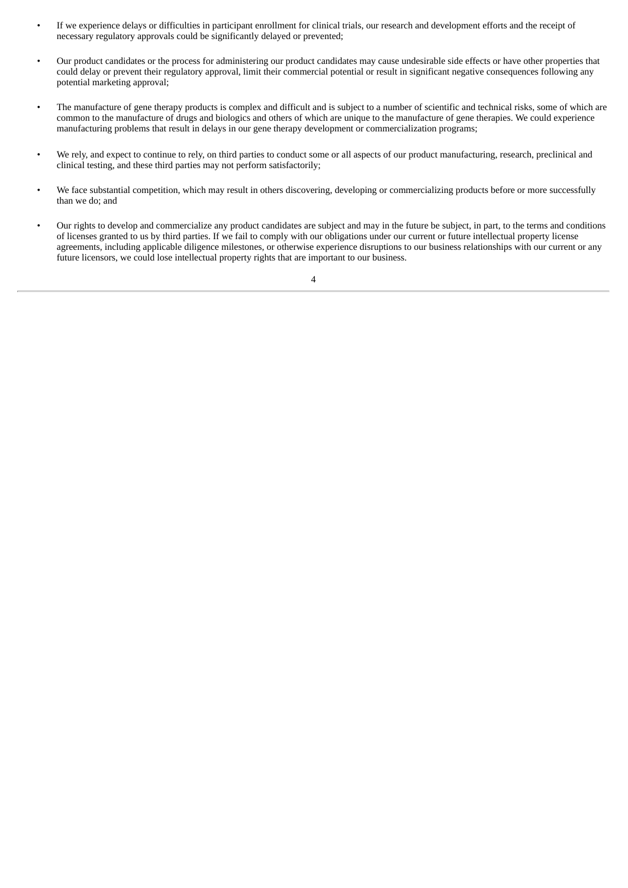- If we experience delays or difficulties in participant enrollment for clinical trials, our research and development efforts and the receipt of necessary regulatory approvals could be significantly delayed or prevented;
- Our product candidates or the process for administering our product candidates may cause undesirable side effects or have other properties that could delay or prevent their regulatory approval, limit their commercial potential or result in significant negative consequences following any potential marketing approval;
- The manufacture of gene therapy products is complex and difficult and is subject to a number of scientific and technical risks, some of which are common to the manufacture of drugs and biologics and others of which are unique to the manufacture of gene therapies. We could experience manufacturing problems that result in delays in our gene therapy development or commercialization programs;
- We rely, and expect to continue to rely, on third parties to conduct some or all aspects of our product manufacturing, research, preclinical and clinical testing, and these third parties may not perform satisfactorily;
- We face substantial competition, which may result in others discovering, developing or commercializing products before or more successfully than we do; and
- Our rights to develop and commercialize any product candidates are subject and may in the future be subject, in part, to the terms and conditions of licenses granted to us by third parties. If we fail to comply with our obligations under our current or future intellectual property license agreements, including applicable diligence milestones, or otherwise experience disruptions to our business relationships with our current or any future licensors, we could lose intellectual property rights that are important to our business.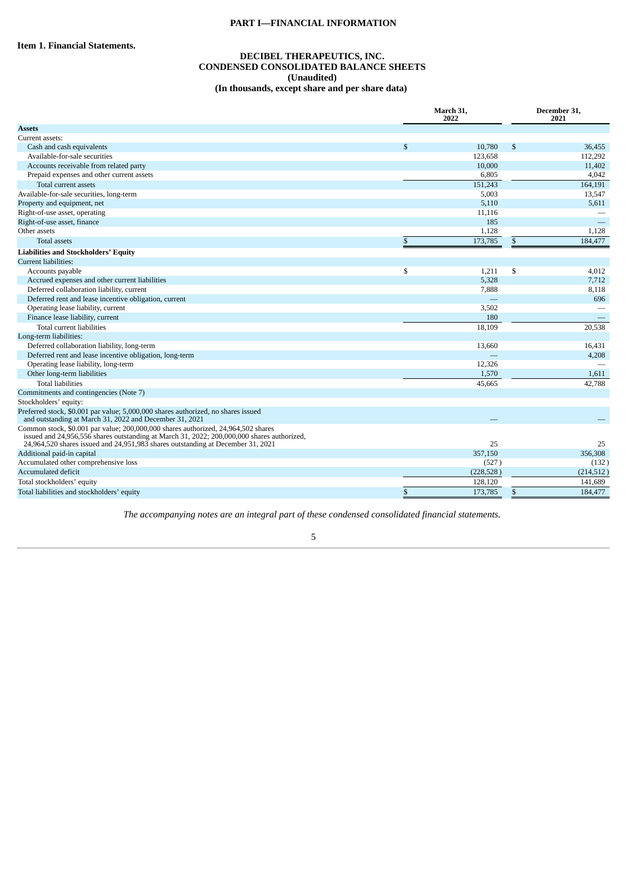# **PART I—FINANCIAL INFORMATION**

# **DECIBEL THERAPEUTICS, INC. CONDENSED CONSOLIDATED BALANCE SHEETS (Unaudited) (In thousands, except share and per share data)**

<span id="page-5-2"></span><span id="page-5-1"></span><span id="page-5-0"></span>

|                                                                                                                                                                                                                                                                    | March 31,<br>2022       | December 31,<br>2021 |
|--------------------------------------------------------------------------------------------------------------------------------------------------------------------------------------------------------------------------------------------------------------------|-------------------------|----------------------|
| <b>Assets</b>                                                                                                                                                                                                                                                      |                         |                      |
| Current assets:                                                                                                                                                                                                                                                    |                         |                      |
| Cash and cash equivalents                                                                                                                                                                                                                                          | $\mathbb{S}$<br>10,780  | \$<br>36,455         |
| Available-for-sale securities                                                                                                                                                                                                                                      | 123,658                 | 112,292              |
| Accounts receivable from related party                                                                                                                                                                                                                             | 10,000                  | 11,402               |
| Prepaid expenses and other current assets                                                                                                                                                                                                                          | 6,805                   | 4,042                |
| Total current assets                                                                                                                                                                                                                                               | 151,243                 | 164,191              |
| Available-for-sale securities, long-term                                                                                                                                                                                                                           | 5,003                   | 13,547               |
| Property and equipment, net                                                                                                                                                                                                                                        | 5,110                   | 5,611                |
| Right-of-use asset, operating                                                                                                                                                                                                                                      | 11,116                  |                      |
| Right-of-use asset, finance                                                                                                                                                                                                                                        | 185                     |                      |
| Other assets                                                                                                                                                                                                                                                       | 1,128                   | 1,128                |
| <b>Total assets</b>                                                                                                                                                                                                                                                | $\mathbb{S}$<br>173,785 | 184,477<br>\$        |
| <b>Liabilities and Stockholders' Equity</b>                                                                                                                                                                                                                        |                         |                      |
| Current liabilities:                                                                                                                                                                                                                                               |                         |                      |
| Accounts payable                                                                                                                                                                                                                                                   | \$<br>1,211             | \$<br>4,012          |
| Accrued expenses and other current liabilities                                                                                                                                                                                                                     | 5,328                   | 7,712                |
| Deferred collaboration liability, current                                                                                                                                                                                                                          | 7,888                   | 8,118                |
| Deferred rent and lease incentive obligation, current                                                                                                                                                                                                              |                         | 696                  |
| Operating lease liability, current                                                                                                                                                                                                                                 | 3,502                   |                      |
| Finance lease liability, current                                                                                                                                                                                                                                   | 180                     |                      |
| Total current liabilities                                                                                                                                                                                                                                          | 18.109                  | 20,538               |
| Long-term liabilities:                                                                                                                                                                                                                                             |                         |                      |
| Deferred collaboration liability, long-term                                                                                                                                                                                                                        | 13,660                  | 16,431               |
| Deferred rent and lease incentive obligation, long-term                                                                                                                                                                                                            |                         | 4,208                |
| Operating lease liability, long-term                                                                                                                                                                                                                               | 12,326                  |                      |
| Other long-term liabilities                                                                                                                                                                                                                                        | 1,570                   | 1.611                |
| <b>Total liabilities</b>                                                                                                                                                                                                                                           | 45,665                  | 42,788               |
| Commitments and contingencies (Note 7)                                                                                                                                                                                                                             |                         |                      |
| Stockholders' equity:                                                                                                                                                                                                                                              |                         |                      |
| Preferred stock, \$0.001 par value; 5,000,000 shares authorized, no shares issued<br>and outstanding at March 31, 2022 and December 31, 2021                                                                                                                       |                         |                      |
| Common stock, \$0.001 par value; 200,000,000 shares authorized, 24,964,502 shares<br>issued and 24,956,556 shares outstanding at March 31, 2022; 200,000,000 shares authorized,<br>24,964,520 shares issued and 24,951,983 shares outstanding at December 31, 2021 | 25                      | 25                   |
| Additional paid-in capital                                                                                                                                                                                                                                         | 357,150                 | 356,308              |
| Accumulated other comprehensive loss                                                                                                                                                                                                                               | (527)                   | (132)                |
| <b>Accumulated deficit</b>                                                                                                                                                                                                                                         | (228, 528)              | (214, 512)           |
| Total stockholders' equity                                                                                                                                                                                                                                         | 128,120                 | 141,689              |
| Total liabilities and stockholders' equity                                                                                                                                                                                                                         | \$<br>173,785           | \$<br>184,477        |

*The accompanying notes are an integral part of these condensed consolidated financial statements.*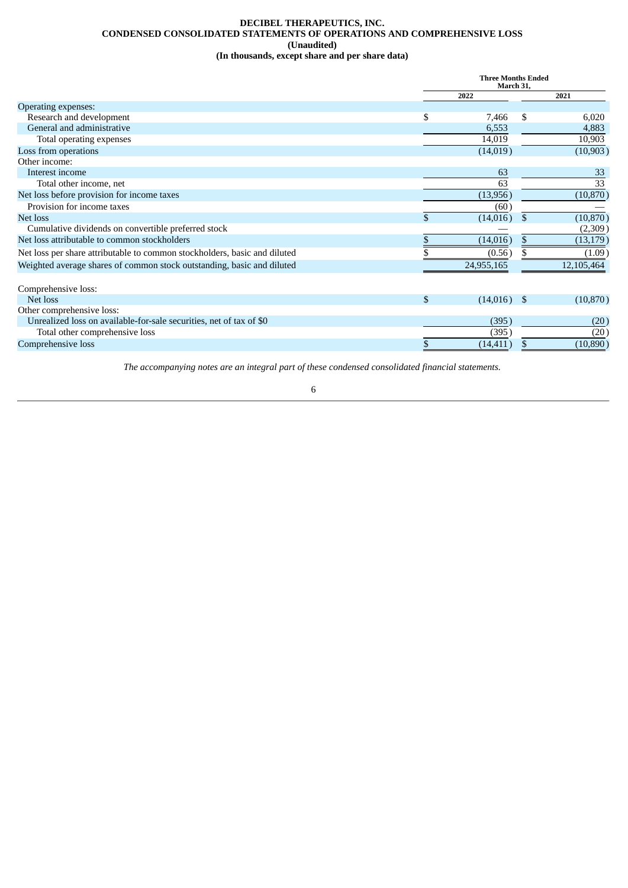# **DECIBEL THERAPEUTICS, INC. CONDENSED CONSOLIDATED STATEMENTS OF OPERATIONS AND COMPREHENSIVE LOSS (Unaudited) (In thousands, except share and per share data)**

<span id="page-6-0"></span>

|                                                                           |    | <b>Three Months Ended</b><br>March 31, |     |                 |  |  |  |
|---------------------------------------------------------------------------|----|----------------------------------------|-----|-----------------|--|--|--|
|                                                                           |    | 2022                                   |     | 2021            |  |  |  |
| Operating expenses:                                                       |    |                                        |     |                 |  |  |  |
| Research and development                                                  | S  | 7,466                                  | \$  | 6,020           |  |  |  |
| General and administrative                                                |    | 6,553                                  |     | 4,883           |  |  |  |
| Total operating expenses                                                  |    | 14,019                                 |     | 10,903          |  |  |  |
| Loss from operations                                                      |    | (14, 019)                              |     | (10, 903)       |  |  |  |
| Other income:                                                             |    |                                        |     |                 |  |  |  |
| Interest income                                                           |    | 63                                     |     | 33              |  |  |  |
| Total other income, net                                                   |    | 63                                     |     | $\overline{33}$ |  |  |  |
| Net loss before provision for income taxes                                |    | (13, 956)                              |     | (10, 870)       |  |  |  |
| Provision for income taxes                                                |    | (60)                                   |     |                 |  |  |  |
| Net loss                                                                  | \$ | (14, 016)                              | \$. | (10, 870)       |  |  |  |
| Cumulative dividends on convertible preferred stock                       |    |                                        |     | (2,309)         |  |  |  |
| Net loss attributable to common stockholders                              |    | (14, 016)                              | \$  | (13, 179)       |  |  |  |
| Net loss per share attributable to common stockholders, basic and diluted |    | (0.56)                                 |     | (1.09)          |  |  |  |
| Weighted average shares of common stock outstanding, basic and diluted    |    | 24,955,165                             |     | 12,105,464      |  |  |  |
| Comprehensive loss:                                                       |    |                                        |     |                 |  |  |  |
| Net loss                                                                  | \$ | $(14,016)$ \$                          |     | (10, 870)       |  |  |  |
| Other comprehensive loss:                                                 |    |                                        |     |                 |  |  |  |
| Unrealized loss on available-for-sale securities, net of tax of \$0       |    | (395)                                  |     | (20)            |  |  |  |
| Total other comprehensive loss                                            |    | (395)                                  |     | (20)            |  |  |  |
| Comprehensive loss                                                        |    | (14,411)                               |     | (10, 890)       |  |  |  |

*The accompanying notes are an integral part of these condensed consolidated financial statements.*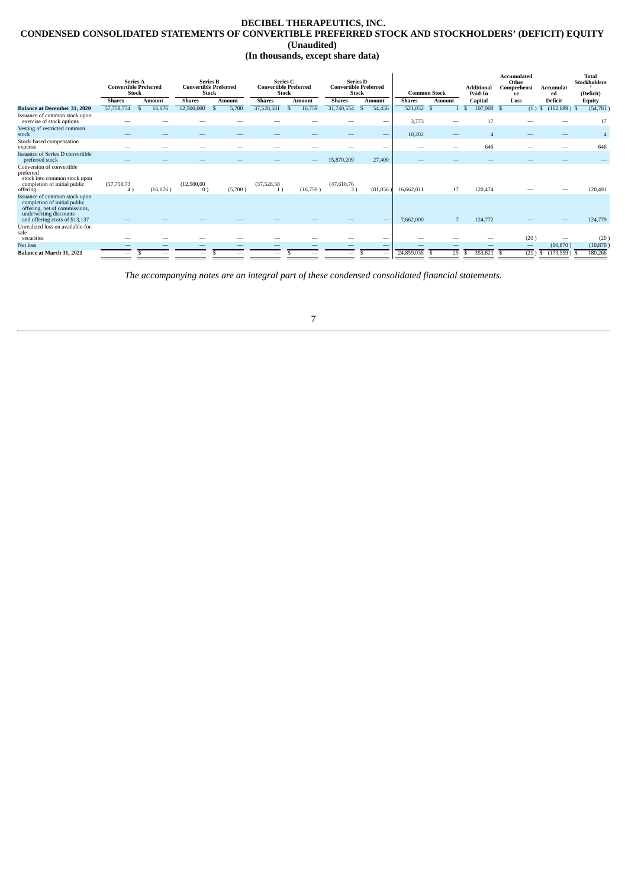# <span id="page-7-0"></span>**DECIBEL THERAPEUTICS, INC. CONDENSED CONSOLIDATED STATEMENTS OF CONVERTIBLE PREFERRED STOCK AND STOCKHOLDERS' (DEFICIT) EQUITY (Unaudited) (In thousands, except share data)**

|                                                                                                                                                            | <b>Series A</b><br><b>Convertible Preferred</b> | Stock     | <b>Convertible Preferred</b> | <b>Series B</b><br>Stock |         |                  | Series C<br><b>Convertible Preferred</b><br>Stock |               |                   | <b>Series D</b><br><b>Convertible Preferred</b><br>Stock |                          |               | <b>Common Stock</b> |         | <b>Additional</b><br>Paid-In | <b>Accumulated</b><br>Other<br>Comprehensi<br>ve | <b>Accumulat</b><br>ed | <b>Total</b><br><b>Stockholders</b><br>(Deficit) |  |
|------------------------------------------------------------------------------------------------------------------------------------------------------------|-------------------------------------------------|-----------|------------------------------|--------------------------|---------|------------------|---------------------------------------------------|---------------|-------------------|----------------------------------------------------------|--------------------------|---------------|---------------------|---------|------------------------------|--------------------------------------------------|------------------------|--------------------------------------------------|--|
|                                                                                                                                                            | <b>Shares</b>                                   | Amount    | <b>Shares</b>                | Amount                   |         | <b>Shares</b>    |                                                   | <b>Amount</b> | <b>Shares</b>     |                                                          | Amount                   | <b>Shares</b> | Amount              | Capital |                              | Loss                                             | Deficit                | Equity                                           |  |
| <b>Balance at December 31, 2020</b>                                                                                                                        | 57,758,734                                      | 16,176    | 12,500,000                   |                          | 5,700   | 37,528,581       |                                                   | 16,759        | 31,740,554        |                                                          | 54,456                   | 521,052       |                     |         | 107,908 \$                   | (1)                                              | $(162, 689)$ \$<br>\$  | (54, 781)                                        |  |
| Issuance of common stock upon<br>exercise of stock options                                                                                                 |                                                 |           |                              |                          |         |                  |                                                   |               |                   |                                                          |                          | 3,773         |                     |         | 17                           |                                                  |                        | 17                                               |  |
| Vesting of restricted common<br>stock                                                                                                                      |                                                 |           |                              |                          |         |                  |                                                   |               |                   |                                                          | $\qquad \qquad -$        | 10,202        |                     |         |                              |                                                  |                        |                                                  |  |
| Stock-based compensation<br>expense                                                                                                                        |                                                 |           |                              |                          |         |                  |                                                   |               |                   |                                                          | --                       |               |                     |         | 646                          |                                                  |                        | 646                                              |  |
| <b>Issuance of Series D convertible</b><br>preferred stock                                                                                                 |                                                 |           |                              |                          |         |                  |                                                   |               | 15,870,209        |                                                          | 27,400                   |               |                     |         |                              |                                                  |                        |                                                  |  |
| Conversion of convertible<br>preferred<br>stock into common stock upon<br>completion of initial public<br>offering                                         | (57, 758, 73)<br>4)                             | (16, 176) | (12,500,00)<br>$\mathbf{0}$  |                          | (5,700) | (37,528,58)<br>1 |                                                   | (16,759)      | (47,610,76)<br>3) |                                                          | (81, 856)                | 16,662,011    | 17                  |         | 120,474                      |                                                  |                        | 120,491                                          |  |
| Issuance of common stock upon<br>completion of initial public<br>offering, net of commissions,<br>underwriting discounts<br>and offering costs of \$13,137 |                                                 |           |                              |                          |         |                  |                                                   |               |                   |                                                          | $\overline{\phantom{a}}$ | 7,662,000     |                     |         | 124,772                      |                                                  |                        | 124,779                                          |  |
| Unrealized loss on available-for-<br>sale                                                                                                                  |                                                 |           |                              |                          |         |                  |                                                   |               |                   |                                                          |                          |               |                     |         |                              |                                                  |                        |                                                  |  |
| securities                                                                                                                                                 |                                                 |           |                              |                          |         |                  |                                                   |               |                   |                                                          |                          |               |                     |         |                              | (20)                                             |                        | (20)                                             |  |
| Net loss                                                                                                                                                   |                                                 |           |                              |                          |         |                  |                                                   |               |                   |                                                          | $\qquad \qquad - \qquad$ |               |                     |         |                              | $\qquad \qquad - \qquad$                         | (10, 870)              | (10, 870)                                        |  |
| Balance at March 31, 2021                                                                                                                                  |                                                 |           |                              |                          |         |                  |                                                   |               |                   |                                                          |                          | 24,859,038    | 25                  |         | 353,821                      | (21)<br>-S                                       | $(173,559)$ \$<br>S.   | 180,266                                          |  |

*The accompanying notes are an integral part of these condensed consolidated financial statements.*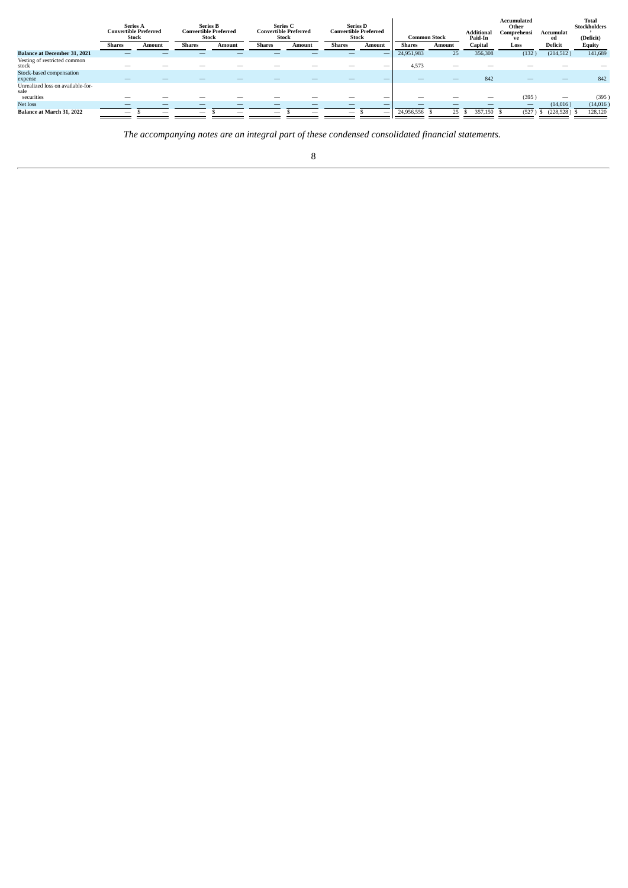|                                           | <b>Series A</b><br><b>Convertible Preferred</b><br><b>Stock</b> |        | <b>Series B</b><br><b>Convertible Preferred</b><br><b>Stock</b> |        | Series C<br><b>Convertible Preferred</b><br><b>Stock</b> |        | <b>Series D</b><br><b>Convertible Preferred</b><br>Stock |                          | <b>Common Stock</b> |                          | <b>Additional</b><br>Paid-In | <b>Accumulated</b><br>Other<br>Comprehensi<br>ve | Accumulat<br>ed | <b>Total</b><br><b>Stockholders</b><br>(Deficit) |
|-------------------------------------------|-----------------------------------------------------------------|--------|-----------------------------------------------------------------|--------|----------------------------------------------------------|--------|----------------------------------------------------------|--------------------------|---------------------|--------------------------|------------------------------|--------------------------------------------------|-----------------|--------------------------------------------------|
|                                           | <b>Shares</b>                                                   | Amount | <b>Shares</b>                                                   | Amount | <b>Shares</b>                                            | Amount | <b>Shares</b>                                            | Amount                   | <b>Shares</b>       | Amount                   | Capital                      | Loss                                             | Deficit         | Equity                                           |
| <b>Balance at December 31, 2021</b>       |                                                                 |        |                                                                 |        |                                                          |        |                                                          | $\overline{\phantom{a}}$ | 24,951,983          | 25                       | 356,308                      | (132)                                            | (214, 512)      | 141,689                                          |
| Vesting of restricted common<br>stock     |                                                                 |        |                                                                 |        |                                                          |        |                                                          |                          | 4,573               | $-$                      |                              |                                                  |                 |                                                  |
| Stock-based compensation<br>expense       |                                                                 |        |                                                                 |        |                                                          |        |                                                          |                          |                     |                          | 842                          |                                                  |                 | 842                                              |
| Unrealized loss on available-for-<br>sale |                                                                 |        |                                                                 |        |                                                          |        |                                                          |                          |                     |                          |                              |                                                  |                 |                                                  |
| securities                                | _                                                               |        |                                                                 |        |                                                          |        |                                                          |                          |                     | $\overline{\phantom{a}}$ |                              | (395)                                            |                 | (395)                                            |
| Net loss                                  |                                                                 |        |                                                                 |        |                                                          |        |                                                          |                          |                     |                          |                              |                                                  | (14,016)        | (14,016)                                         |
| Balance at March 31, 2022                 | $\overline{\phantom{0}}$                                        |        |                                                                 |        | $\overline{\phantom{m}}$                                 | $-$    | $\overline{\phantom{a}}$                                 | $\overline{\phantom{m}}$ | 24,956,556 \$       | 25                       | 357,150 \$<br>-55            | (527)                                            | $(228,528)$ \$  | 128,120                                          |

*The accompanying notes are an integral part of these condensed consolidated financial statements.*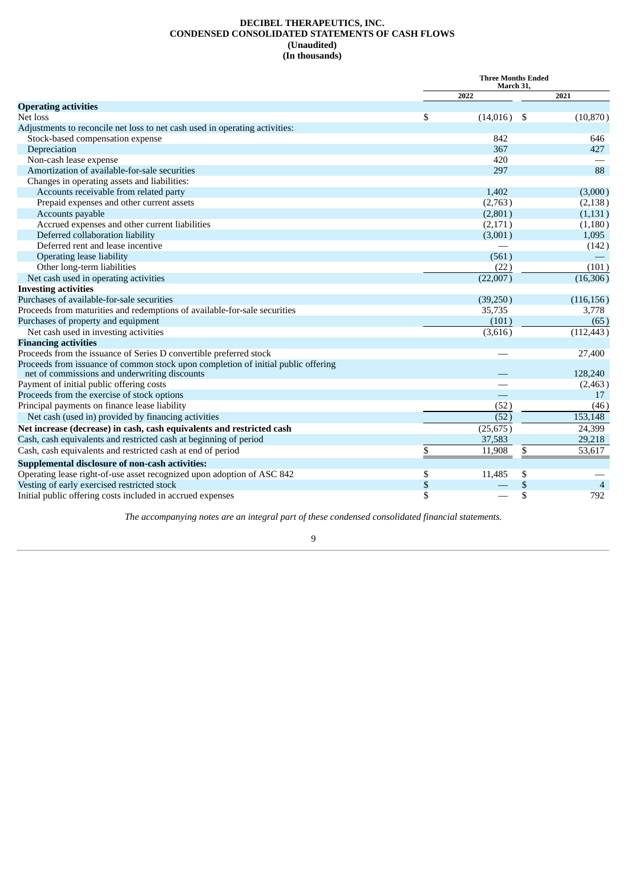# **DECIBEL THERAPEUTICS, INC. CONDENSED CONSOLIDATED STATEMENTS OF CASH FLOWS (Unaudited) (In thousands)**

<span id="page-9-0"></span>

|                                                                                                                                    | <b>Three Months Ended</b><br>March 31, |                      |
|------------------------------------------------------------------------------------------------------------------------------------|----------------------------------------|----------------------|
|                                                                                                                                    | 2022                                   | 2021                 |
| <b>Operating activities</b>                                                                                                        |                                        |                      |
| Net loss                                                                                                                           | \$<br>$(14,016)$ \$                    | (10, 870)            |
| Adjustments to reconcile net loss to net cash used in operating activities:                                                        |                                        |                      |
| Stock-based compensation expense                                                                                                   | 842                                    | 646                  |
| Depreciation                                                                                                                       | 367                                    | 427                  |
| Non-cash lease expense                                                                                                             | 420                                    |                      |
| Amortization of available-for-sale securities                                                                                      | 297                                    | 88                   |
| Changes in operating assets and liabilities:                                                                                       |                                        |                      |
| Accounts receivable from related party                                                                                             | 1,402                                  | (3,000)              |
| Prepaid expenses and other current assets                                                                                          | (2,763)                                | (2, 138)             |
| Accounts payable                                                                                                                   | (2,801)                                | (1, 131)             |
| Accrued expenses and other current liabilities                                                                                     | (2,171)                                | (1,180)              |
| Deferred collaboration liability                                                                                                   | (3,001)                                | 1,095                |
| Deferred rent and lease incentive                                                                                                  |                                        | (142)                |
| <b>Operating lease liability</b>                                                                                                   | (561)                                  |                      |
| Other long-term liabilities                                                                                                        | (22)                                   | (101)                |
| Net cash used in operating activities                                                                                              | (22,007)                               | (16, 306)            |
| <b>Investing activities</b>                                                                                                        |                                        |                      |
| Purchases of available-for-sale securities                                                                                         | (39,250)                               | (116, 156)           |
| Proceeds from maturities and redemptions of available-for-sale securities                                                          | 35,735                                 | 3,778                |
| Purchases of property and equipment                                                                                                | (101)                                  | (65)                 |
| Net cash used in investing activities                                                                                              | (3,616)                                | (112, 443)           |
| <b>Financing activities</b>                                                                                                        |                                        |                      |
| Proceeds from the issuance of Series D convertible preferred stock                                                                 |                                        | 27,400               |
| Proceeds from issuance of common stock upon completion of initial public offering<br>net of commissions and underwriting discounts |                                        | 128,240              |
| Payment of initial public offering costs                                                                                           |                                        | (2,463)              |
| Proceeds from the exercise of stock options                                                                                        |                                        | 17                   |
| Principal payments on finance lease liability                                                                                      | (52)                                   | (46)                 |
| Net cash (used in) provided by financing activities                                                                                | (52)                                   | 153,148              |
| Net increase (decrease) in cash, cash equivalents and restricted cash                                                              | (25, 675)                              | 24,399               |
| Cash, cash equivalents and restricted cash at beginning of period                                                                  | 37,583                                 | 29,218               |
| Cash, cash equivalents and restricted cash at end of period                                                                        | \$<br>11,908                           | \$<br>53,617         |
|                                                                                                                                    |                                        |                      |
| Supplemental disclosure of non-cash activities:                                                                                    |                                        |                      |
| Operating lease right-of-use asset recognized upon adoption of ASC 842                                                             | \$<br>11,485                           | \$                   |
| Vesting of early exercised restricted stock                                                                                        | \$                                     | \$<br>$\overline{4}$ |
| Initial public offering costs included in accrued expenses                                                                         | \$                                     | \$<br>792            |

*The accompanying notes are an integral part of these condensed consolidated financial statements.*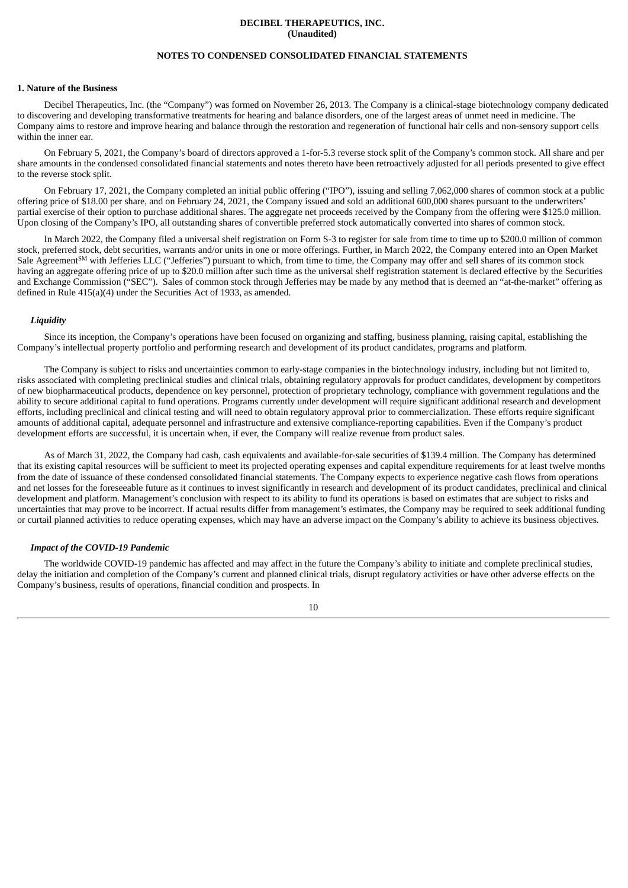# **DECIBEL THERAPEUTICS, INC. (Unaudited)**

# **NOTES TO CONDENSED CONSOLIDATED FINANCIAL STATEMENTS**

#### <span id="page-10-0"></span>**1. Nature of the Business**

Decibel Therapeutics, Inc. (the "Company") was formed on November 26, 2013. The Company is a clinical-stage biotechnology company dedicated to discovering and developing transformative treatments for hearing and balance disorders, one of the largest areas of unmet need in medicine. The Company aims to restore and improve hearing and balance through the restoration and regeneration of functional hair cells and non-sensory support cells within the inner ear.

On February 5, 2021, the Company's board of directors approved a 1-for-5.3 reverse stock split of the Company's common stock. All share and per share amounts in the condensed consolidated financial statements and notes thereto have been retroactively adjusted for all periods presented to give effect to the reverse stock split.

On February 17, 2021, the Company completed an initial public offering ("IPO"), issuing and selling 7,062,000 shares of common stock at a public offering price of \$18.00 per share, and on February 24, 2021, the Company issued and sold an additional 600,000 shares pursuant to the underwriters' partial exercise of their option to purchase additional shares. The aggregate net proceeds received by the Company from the offering were \$125.0 million. Upon closing of the Company's IPO, all outstanding shares of convertible preferred stock automatically converted into shares of common stock.

In March 2022, the Company filed a universal shelf registration on Form S-3 to register for sale from time to time up to \$200.0 million of common stock, preferred stock, debt securities, warrants and/or units in one or more offerings. Further, in March 2022, the Company entered into an Open Market Sale Agreement<sup>SM</sup> with Jefferies LLC ("Jefferies") pursuant to which, from time to time, the Company may offer and sell shares of its common stock having an aggregate offering price of up to \$20.0 million after such time as the universal shelf registration statement is declared effective by the Securities and Exchange Commission ("SEC"). Sales of common stock through Jefferies may be made by any method that is deemed an "at-the-market" offering as defined in Rule 415(a)(4) under the Securities Act of 1933, as amended.

# *Liquidity*

Since its inception, the Company's operations have been focused on organizing and staffing, business planning, raising capital, establishing the Company's intellectual property portfolio and performing research and development of its product candidates, programs and platform.

The Company is subject to risks and uncertainties common to early-stage companies in the biotechnology industry, including but not limited to, risks associated with completing preclinical studies and clinical trials, obtaining regulatory approvals for product candidates, development by competitors of new biopharmaceutical products, dependence on key personnel, protection of proprietary technology, compliance with government regulations and the ability to secure additional capital to fund operations. Programs currently under development will require significant additional research and development efforts, including preclinical and clinical testing and will need to obtain regulatory approval prior to commercialization. These efforts require significant amounts of additional capital, adequate personnel and infrastructure and extensive compliance-reporting capabilities. Even if the Company's product development efforts are successful, it is uncertain when, if ever, the Company will realize revenue from product sales.

As of March 31, 2022, the Company had cash, cash equivalents and available-for-sale securities of \$139.4 million. The Company has determined that its existing capital resources will be sufficient to meet its projected operating expenses and capital expenditure requirements for at least twelve months from the date of issuance of these condensed consolidated financial statements. The Company expects to experience negative cash flows from operations and net losses for the foreseeable future as it continues to invest significantly in research and development of its product candidates, preclinical and clinical development and platform. Management's conclusion with respect to its ability to fund its operations is based on estimates that are subject to risks and uncertainties that may prove to be incorrect. If actual results differ from management's estimates, the Company may be required to seek additional funding or curtail planned activities to reduce operating expenses, which may have an adverse impact on the Company's ability to achieve its business objectives.

# *Impact of the COVID-19 Pandemic*

The worldwide COVID-19 pandemic has affected and may affect in the future the Company's ability to initiate and complete preclinical studies, delay the initiation and completion of the Company's current and planned clinical trials, disrupt regulatory activities or have other adverse effects on the Company's business, results of operations, financial condition and prospects. In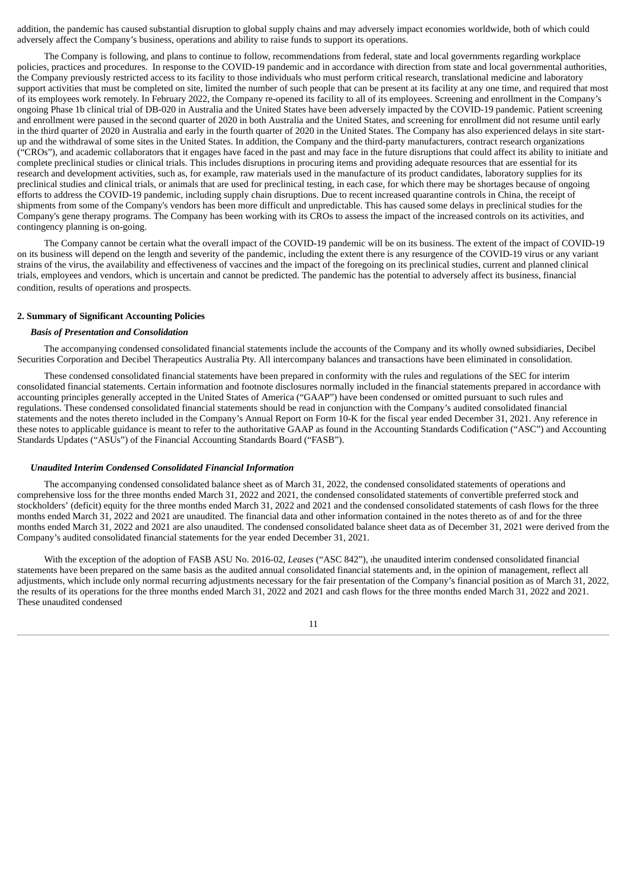addition, the pandemic has caused substantial disruption to global supply chains and may adversely impact economies worldwide, both of which could adversely affect the Company's business, operations and ability to raise funds to support its operations.

The Company is following, and plans to continue to follow, recommendations from federal, state and local governments regarding workplace policies, practices and procedures. In response to the COVID-19 pandemic and in accordance with direction from state and local governmental authorities, the Company previously restricted access to its facility to those individuals who must perform critical research, translational medicine and laboratory support activities that must be completed on site, limited the number of such people that can be present at its facility at any one time, and required that most of its employees work remotely. In February 2022, the Company re-opened its facility to all of its employees. Screening and enrollment in the Company's ongoing Phase 1b clinical trial of DB-020 in Australia and the United States have been adversely impacted by the COVID-19 pandemic. Patient screening and enrollment were paused in the second quarter of 2020 in both Australia and the United States, and screening for enrollment did not resume until early in the third quarter of 2020 in Australia and early in the fourth quarter of 2020 in the United States. The Company has also experienced delays in site startup and the withdrawal of some sites in the United States. In addition, the Company and the third-party manufacturers, contract research organizations ("CROs"), and academic collaborators that it engages have faced in the past and may face in the future disruptions that could affect its ability to initiate and complete preclinical studies or clinical trials. This includes disruptions in procuring items and providing adequate resources that are essential for its research and development activities, such as, for example, raw materials used in the manufacture of its product candidates, laboratory supplies for its preclinical studies and clinical trials, or animals that are used for preclinical testing, in each case, for which there may be shortages because of ongoing efforts to address the COVID-19 pandemic, including supply chain disruptions. Due to recent increased quarantine controls in China, the receipt of shipments from some of the Company's vendors has been more difficult and unpredictable. This has caused some delays in preclinical studies for the Company's gene therapy programs. The Company has been working with its CROs to assess the impact of the increased controls on its activities, and contingency planning is on-going.

The Company cannot be certain what the overall impact of the COVID-19 pandemic will be on its business. The extent of the impact of COVID-19 on its business will depend on the length and severity of the pandemic, including the extent there is any resurgence of the COVID-19 virus or any variant strains of the virus, the availability and effectiveness of vaccines and the impact of the foregoing on its preclinical studies, current and planned clinical trials, employees and vendors, which is uncertain and cannot be predicted. The pandemic has the potential to adversely affect its business, financial condition, results of operations and prospects.

# **2. Summary of Significant Accounting Policies**

# *Basis of Presentation and Consolidation*

The accompanying condensed consolidated financial statements include the accounts of the Company and its wholly owned subsidiaries, Decibel Securities Corporation and Decibel Therapeutics Australia Pty. All intercompany balances and transactions have been eliminated in consolidation.

These condensed consolidated financial statements have been prepared in conformity with the rules and regulations of the SEC for interim consolidated financial statements. Certain information and footnote disclosures normally included in the financial statements prepared in accordance with accounting principles generally accepted in the United States of America ("GAAP") have been condensed or omitted pursuant to such rules and regulations. These condensed consolidated financial statements should be read in conjunction with the Company's audited consolidated financial statements and the notes thereto included in the Company's Annual Report on Form 10-K for the fiscal year ended December 31, 2021. Any reference in these notes to applicable guidance is meant to refer to the authoritative GAAP as found in the Accounting Standards Codification ("ASC") and Accounting Standards Updates ("ASUs") of the Financial Accounting Standards Board ("FASB").

# *Unaudited Interim Condensed Consolidated Financial Information*

The accompanying condensed consolidated balance sheet as of March 31, 2022, the condensed consolidated statements of operations and comprehensive loss for the three months ended March 31, 2022 and 2021, the condensed consolidated statements of convertible preferred stock and stockholders' (deficit) equity for the three months ended March 31, 2022 and 2021 and the condensed consolidated statements of cash flows for the three months ended March 31, 2022 and 2021 are unaudited. The financial data and other information contained in the notes thereto as of and for the three months ended March 31, 2022 and 2021 are also unaudited. The condensed consolidated balance sheet data as of December 31, 2021 were derived from the Company's audited consolidated financial statements for the year ended December 31, 2021.

With the exception of the adoption of FASB ASU No. 2016-02, *Leases* ("ASC 842"), the unaudited interim condensed consolidated financial statements have been prepared on the same basis as the audited annual consolidated financial statements and, in the opinion of management, reflect all adjustments, which include only normal recurring adjustments necessary for the fair presentation of the Company's financial position as of March 31, 2022, the results of its operations for the three months ended March 31, 2022 and 2021 and cash flows for the three months ended March 31, 2022 and 2021. These unaudited condensed

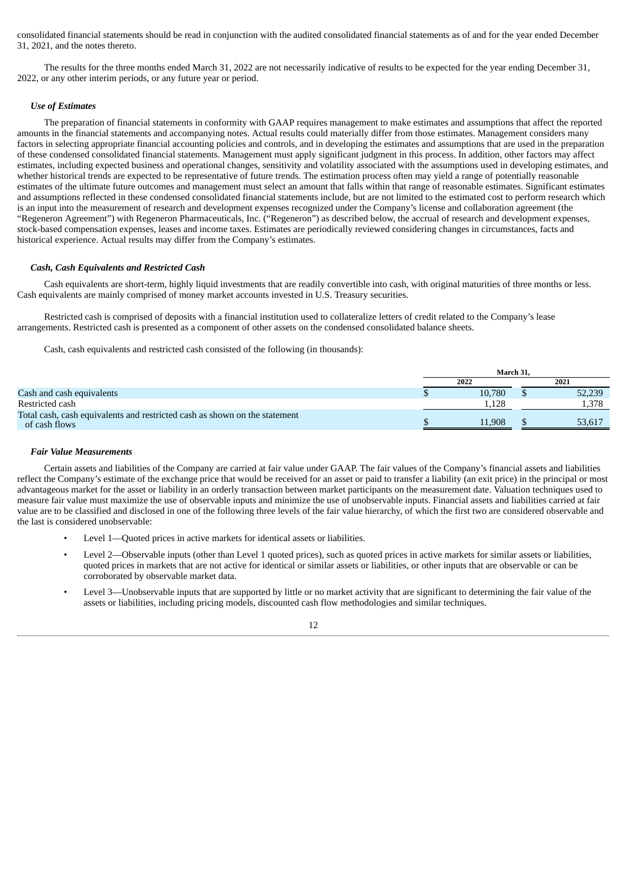consolidated financial statements should be read in conjunction with the audited consolidated financial statements as of and for the year ended December 31, 2021, and the notes thereto.

The results for the three months ended March 31, 2022 are not necessarily indicative of results to be expected for the year ending December 31, 2022, or any other interim periods, or any future year or period.

# *Use of Estimates*

The preparation of financial statements in conformity with GAAP requires management to make estimates and assumptions that affect the reported amounts in the financial statements and accompanying notes. Actual results could materially differ from those estimates. Management considers many factors in selecting appropriate financial accounting policies and controls, and in developing the estimates and assumptions that are used in the preparation of these condensed consolidated financial statements. Management must apply significant judgment in this process. In addition, other factors may affect estimates, including expected business and operational changes, sensitivity and volatility associated with the assumptions used in developing estimates, and whether historical trends are expected to be representative of future trends. The estimation process often may yield a range of potentially reasonable estimates of the ultimate future outcomes and management must select an amount that falls within that range of reasonable estimates. Significant estimates and assumptions reflected in these condensed consolidated financial statements include, but are not limited to the estimated cost to perform research which is an input into the measurement of research and development expenses recognized under the Company's license and collaboration agreement (the "Regeneron Agreement") with Regeneron Pharmaceuticals, Inc. ("Regeneron") as described below, the accrual of research and development expenses, stock-based compensation expenses, leases and income taxes. Estimates are periodically reviewed considering changes in circumstances, facts and historical experience. Actual results may differ from the Company's estimates.

# *Cash, Cash Equivalents and Restricted Cash*

Cash equivalents are short-term, highly liquid investments that are readily convertible into cash, with original maturities of three months or less. Cash equivalents are mainly comprised of money market accounts invested in U.S. Treasury securities.

Restricted cash is comprised of deposits with a financial institution used to collateralize letters of credit related to the Company's lease arrangements. Restricted cash is presented as a component of other assets on the condensed consolidated balance sheets.

Cash, cash equivalents and restricted cash consisted of the following (in thousands):

|                                                                                             | March 31. |        |
|---------------------------------------------------------------------------------------------|-----------|--------|
|                                                                                             | 2022      | 2021   |
| Cash and cash equivalents                                                                   | 10.780    | 52,239 |
| Restricted cash                                                                             | l.128     | 1,378  |
| Total cash, cash equivalents and restricted cash as shown on the statement<br>of cash flows | 11.908    | 53.617 |

# *Fair Value Measurements*

Certain assets and liabilities of the Company are carried at fair value under GAAP. The fair values of the Company's financial assets and liabilities reflect the Company's estimate of the exchange price that would be received for an asset or paid to transfer a liability (an exit price) in the principal or most advantageous market for the asset or liability in an orderly transaction between market participants on the measurement date. Valuation techniques used to measure fair value must maximize the use of observable inputs and minimize the use of unobservable inputs. Financial assets and liabilities carried at fair value are to be classified and disclosed in one of the following three levels of the fair value hierarchy, of which the first two are considered observable and the last is considered unobservable:

- Level 1—Quoted prices in active markets for identical assets or liabilities.
- Level 2—Observable inputs (other than Level 1 quoted prices), such as quoted prices in active markets for similar assets or liabilities, quoted prices in markets that are not active for identical or similar assets or liabilities, or other inputs that are observable or can be corroborated by observable market data.
- Level 3—Unobservable inputs that are supported by little or no market activity that are significant to determining the fair value of the assets or liabilities, including pricing models, discounted cash flow methodologies and similar techniques.

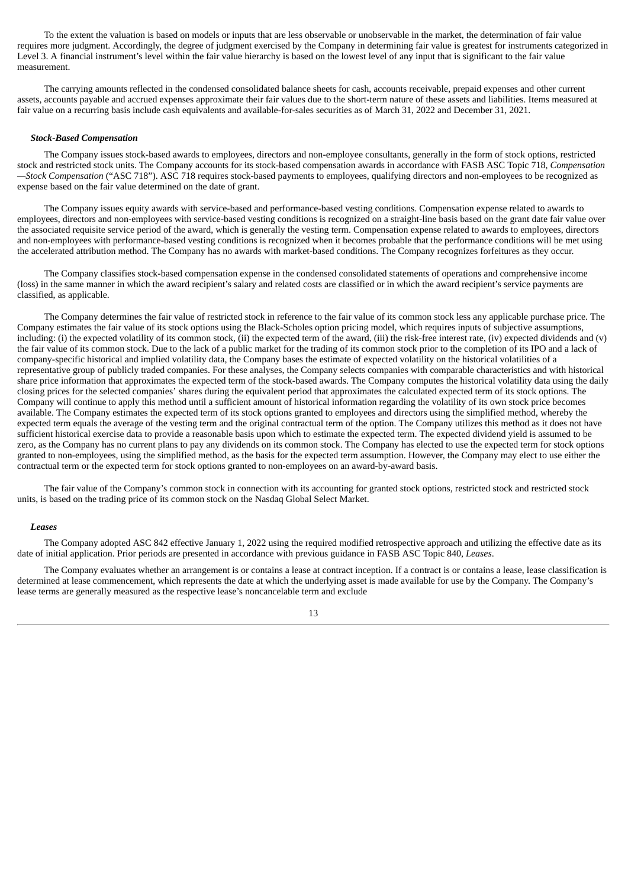To the extent the valuation is based on models or inputs that are less observable or unobservable in the market, the determination of fair value requires more judgment. Accordingly, the degree of judgment exercised by the Company in determining fair value is greatest for instruments categorized in Level 3. A financial instrument's level within the fair value hierarchy is based on the lowest level of any input that is significant to the fair value measurement.

The carrying amounts reflected in the condensed consolidated balance sheets for cash, accounts receivable, prepaid expenses and other current assets, accounts payable and accrued expenses approximate their fair values due to the short-term nature of these assets and liabilities. Items measured at fair value on a recurring basis include cash equivalents and available-for-sales securities as of March 31, 2022 and December 31, 2021.

#### *Stock-Based Compensation*

The Company issues stock-based awards to employees, directors and non-employee consultants, generally in the form of stock options, restricted stock and restricted stock units. The Company accounts for its stock-based compensation awards in accordance with FASB ASC Topic 718, *Compensation —Stock Compensation* ("ASC 718"). ASC 718 requires stock-based payments to employees, qualifying directors and non-employees to be recognized as expense based on the fair value determined on the date of grant.

The Company issues equity awards with service-based and performance-based vesting conditions. Compensation expense related to awards to employees, directors and non-employees with service-based vesting conditions is recognized on a straight-line basis based on the grant date fair value over the associated requisite service period of the award, which is generally the vesting term. Compensation expense related to awards to employees, directors and non-employees with performance-based vesting conditions is recognized when it becomes probable that the performance conditions will be met using the accelerated attribution method. The Company has no awards with market-based conditions. The Company recognizes forfeitures as they occur.

The Company classifies stock-based compensation expense in the condensed consolidated statements of operations and comprehensive income (loss) in the same manner in which the award recipient's salary and related costs are classified or in which the award recipient's service payments are classified, as applicable.

The Company determines the fair value of restricted stock in reference to the fair value of its common stock less any applicable purchase price. The Company estimates the fair value of its stock options using the Black-Scholes option pricing model, which requires inputs of subjective assumptions, including: (i) the expected volatility of its common stock, (ii) the expected term of the award, (iii) the risk-free interest rate, (iv) expected dividends and (v) the fair value of its common stock. Due to the lack of a public market for the trading of its common stock prior to the completion of its IPO and a lack of company-specific historical and implied volatility data, the Company bases the estimate of expected volatility on the historical volatilities of a representative group of publicly traded companies. For these analyses, the Company selects companies with comparable characteristics and with historical share price information that approximates the expected term of the stock-based awards. The Company computes the historical volatility data using the daily closing prices for the selected companies' shares during the equivalent period that approximates the calculated expected term of its stock options. The Company will continue to apply this method until a sufficient amount of historical information regarding the volatility of its own stock price becomes available. The Company estimates the expected term of its stock options granted to employees and directors using the simplified method, whereby the expected term equals the average of the vesting term and the original contractual term of the option. The Company utilizes this method as it does not have sufficient historical exercise data to provide a reasonable basis upon which to estimate the expected term. The expected dividend yield is assumed to be zero, as the Company has no current plans to pay any dividends on its common stock. The Company has elected to use the expected term for stock options granted to non-employees, using the simplified method, as the basis for the expected term assumption. However, the Company may elect to use either the contractual term or the expected term for stock options granted to non-employees on an award-by-award basis.

The fair value of the Company's common stock in connection with its accounting for granted stock options, restricted stock and restricted stock units, is based on the trading price of its common stock on the Nasdaq Global Select Market.

# *Leases*

The Company adopted ASC 842 effective January 1, 2022 using the required modified retrospective approach and utilizing the effective date as its date of initial application. Prior periods are presented in accordance with previous guidance in FASB ASC Topic 840, *Leases*.

The Company evaluates whether an arrangement is or contains a lease at contract inception. If a contract is or contains a lease, lease classification is determined at lease commencement, which represents the date at which the underlying asset is made available for use by the Company. The Company's lease terms are generally measured as the respective lease's noncancelable term and exclude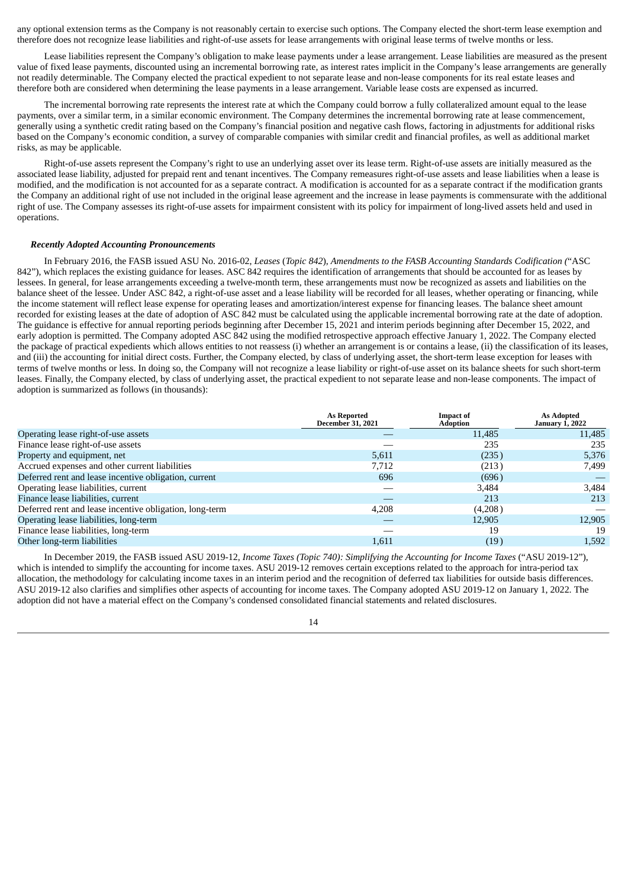any optional extension terms as the Company is not reasonably certain to exercise such options. The Company elected the short-term lease exemption and therefore does not recognize lease liabilities and right-of-use assets for lease arrangements with original lease terms of twelve months or less.

Lease liabilities represent the Company's obligation to make lease payments under a lease arrangement. Lease liabilities are measured as the present value of fixed lease payments, discounted using an incremental borrowing rate, as interest rates implicit in the Company's lease arrangements are generally not readily determinable. The Company elected the practical expedient to not separate lease and non-lease components for its real estate leases and therefore both are considered when determining the lease payments in a lease arrangement. Variable lease costs are expensed as incurred.

The incremental borrowing rate represents the interest rate at which the Company could borrow a fully collateralized amount equal to the lease payments, over a similar term, in a similar economic environment. The Company determines the incremental borrowing rate at lease commencement, generally using a synthetic credit rating based on the Company's financial position and negative cash flows, factoring in adjustments for additional risks based on the Company's economic condition, a survey of comparable companies with similar credit and financial profiles, as well as additional market risks, as may be applicable.

Right-of-use assets represent the Company's right to use an underlying asset over its lease term. Right-of-use assets are initially measured as the associated lease liability, adjusted for prepaid rent and tenant incentives. The Company remeasures right-of-use assets and lease liabilities when a lease is modified, and the modification is not accounted for as a separate contract. A modification is accounted for as a separate contract if the modification grants the Company an additional right of use not included in the original lease agreement and the increase in lease payments is commensurate with the additional right of use. The Company assesses its right-of-use assets for impairment consistent with its policy for impairment of long-lived assets held and used in operations.

#### *Recently Adopted Accounting Pronouncements*

In February 2016, the FASB issued ASU No. 2016-02, *Leases* (*Topic 842*), *Amendments to the FASB Accounting Standards Codification (*"ASC 842"), which replaces the existing guidance for leases. ASC 842 requires the identification of arrangements that should be accounted for as leases by lessees. In general, for lease arrangements exceeding a twelve-month term, these arrangements must now be recognized as assets and liabilities on the balance sheet of the lessee. Under ASC 842, a right-of-use asset and a lease liability will be recorded for all leases, whether operating or financing, while the income statement will reflect lease expense for operating leases and amortization/interest expense for financing leases. The balance sheet amount recorded for existing leases at the date of adoption of ASC 842 must be calculated using the applicable incremental borrowing rate at the date of adoption. The guidance is effective for annual reporting periods beginning after December 15, 2021 and interim periods beginning after December 15, 2022, and early adoption is permitted. The Company adopted ASC 842 using the modified retrospective approach effective January 1, 2022. The Company elected the package of practical expedients which allows entities to not reassess (i) whether an arrangement is or contains a lease, (ii) the classification of its leases, and (iii) the accounting for initial direct costs. Further, the Company elected, by class of underlying asset, the short-term lease exception for leases with terms of twelve months or less. In doing so, the Company will not recognize a lease liability or right-of-use asset on its balance sheets for such short-term leases. Finally, the Company elected, by class of underlying asset, the practical expedient to not separate lease and non-lease components. The impact of adoption is summarized as follows (in thousands):

|                                                         | <b>As Reported</b><br><b>December 31, 2021</b> | <b>Impact of</b><br><b>Adoption</b> | <b>As Adopted</b><br><b>January 1, 2022</b> |
|---------------------------------------------------------|------------------------------------------------|-------------------------------------|---------------------------------------------|
| Operating lease right-of-use assets                     |                                                | 11,485                              | 11,485                                      |
| Finance lease right-of-use assets                       |                                                | 235                                 | 235                                         |
| Property and equipment, net                             | 5,611                                          | (235)                               | 5,376                                       |
| Accrued expenses and other current liabilities          | 7,712                                          | (213)                               | 7,499                                       |
| Deferred rent and lease incentive obligation, current   | 696                                            | (696)                               |                                             |
| Operating lease liabilities, current                    |                                                | 3,484                               | 3,484                                       |
| Finance lease liabilities, current                      |                                                | 213                                 | 213                                         |
| Deferred rent and lease incentive obligation, long-term | 4,208                                          | (4,208)                             |                                             |
| Operating lease liabilities, long-term                  |                                                | 12,905                              | 12,905                                      |
| Finance lease liabilities, long-term                    |                                                | 19                                  | 19                                          |
| Other long-term liabilities                             | 1,611                                          | (19)                                | 1,592                                       |

In December 2019, the FASB issued ASU 2019-12, *Income Taxes (Topic 740): Simplifying the Accounting for Income Taxes* ("ASU 2019-12"), which is intended to simplify the accounting for income taxes. ASU 2019-12 removes certain exceptions related to the approach for intra-period tax allocation, the methodology for calculating income taxes in an interim period and the recognition of deferred tax liabilities for outside basis differences. ASU 2019-12 also clarifies and simplifies other aspects of accounting for income taxes. The Company adopted ASU 2019-12 on January 1, 2022. The adoption did not have a material effect on the Company's condensed consolidated financial statements and related disclosures.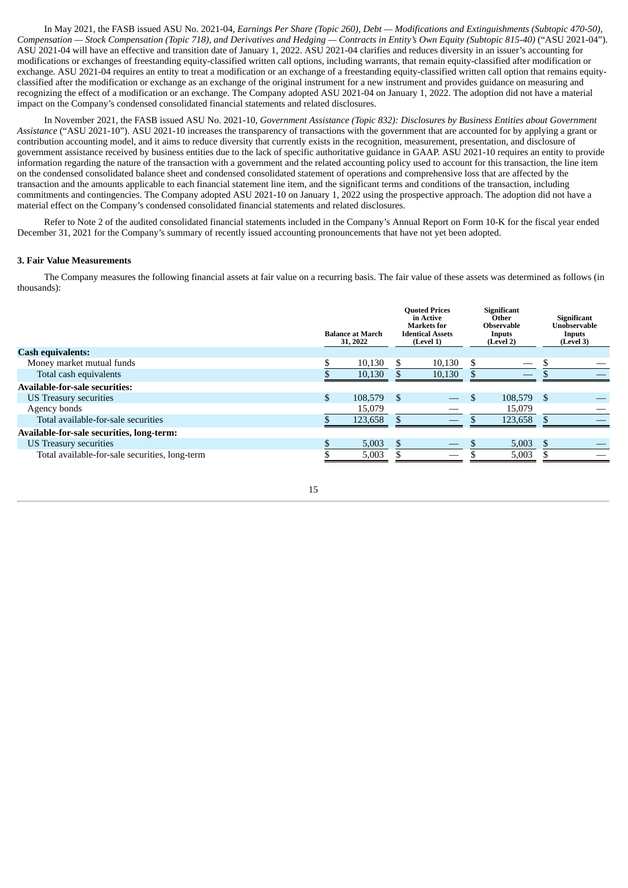In May 2021, the FASB issued ASU No. 2021-04, *Earnings Per Share (Topic 260), Debt — Modifications and Extinguishments (Subtopic 470-50),* Compensation - Stock Compensation (Topic 718), and Derivatives and Hedging - Contracts in Entity's Own Equity (Subtopic 815-40) ("ASU 2021-04"). ASU 2021-04 will have an effective and transition date of January 1, 2022. ASU 2021-04 clarifies and reduces diversity in an issuer's accounting for modifications or exchanges of freestanding equity-classified written call options, including warrants, that remain equity-classified after modification or exchange. ASU 2021-04 requires an entity to treat a modification or an exchange of a freestanding equity-classified written call option that remains equityclassified after the modification or exchange as an exchange of the original instrument for a new instrument and provides guidance on measuring and recognizing the effect of a modification or an exchange. The Company adopted ASU 2021-04 on January 1, 2022. The adoption did not have a material impact on the Company's condensed consolidated financial statements and related disclosures.

In November 2021, the FASB issued ASU No. 2021-10, *Government Assistance (Topic 832): Disclosures by Business Entities about Government Assistance* ("ASU 2021-10"). ASU 2021-10 increases the transparency of transactions with the government that are accounted for by applying a grant or contribution accounting model, and it aims to reduce diversity that currently exists in the recognition, measurement, presentation, and disclosure of government assistance received by business entities due to the lack of specific authoritative guidance in GAAP. ASU 2021-10 requires an entity to provide information regarding the nature of the transaction with a government and the related accounting policy used to account for this transaction, the line item on the condensed consolidated balance sheet and condensed consolidated statement of operations and comprehensive loss that are affected by the transaction and the amounts applicable to each financial statement line item, and the significant terms and conditions of the transaction, including commitments and contingencies. The Company adopted ASU 2021-10 on January 1, 2022 using the prospective approach. The adoption did not have a material effect on the Company's condensed consolidated financial statements and related disclosures.

Refer to Note 2 of the audited consolidated financial statements included in the Company's Annual Report on Form 10-K for the fiscal year ended December 31, 2021 for the Company's summary of recently issued accounting pronouncements that have not yet been adopted.

# **3. Fair Value Measurements**

The Company measures the following financial assets at fair value on a recurring basis. The fair value of these assets was determined as follows (in thousands):

|                                                | <b>Balance at March</b><br>31, 2022 |     | <b>Quoted Prices</b><br>in Active<br><b>Markets</b> for<br><b>Identical Assets</b><br>(Level 1) | Significant<br>Other<br>Observable<br>Inputs<br>(Level 2) |  | <b>Significant</b><br><b>Unobservable</b><br><b>Inputs</b><br>(Level 3) |
|------------------------------------------------|-------------------------------------|-----|-------------------------------------------------------------------------------------------------|-----------------------------------------------------------|--|-------------------------------------------------------------------------|
| <b>Cash equivalents:</b>                       |                                     |     |                                                                                                 |                                                           |  |                                                                         |
| Money market mutual funds                      | 10,130                              |     | 10,130                                                                                          | \$                                                        |  |                                                                         |
| Total cash equivalents                         | 10,130                              |     | 10,130                                                                                          |                                                           |  |                                                                         |
| <b>Available-for-sale securities:</b>          |                                     |     |                                                                                                 |                                                           |  |                                                                         |
| US Treasury securities                         | 108.579                             | \$. |                                                                                                 | \$<br>108,579 \$                                          |  |                                                                         |
| Agency bonds                                   | 15,079                              |     |                                                                                                 | 15,079                                                    |  |                                                                         |
| Total available-for-sale securities            | 123,658                             |     |                                                                                                 | 123,658                                                   |  |                                                                         |
| Available-for-sale securities, long-term:      |                                     |     |                                                                                                 |                                                           |  |                                                                         |
| US Treasury securities                         | 5,003                               |     |                                                                                                 | 5,003                                                     |  |                                                                         |
| Total available-for-sale securities, long-term | 5,003                               |     |                                                                                                 | 5,003                                                     |  |                                                                         |

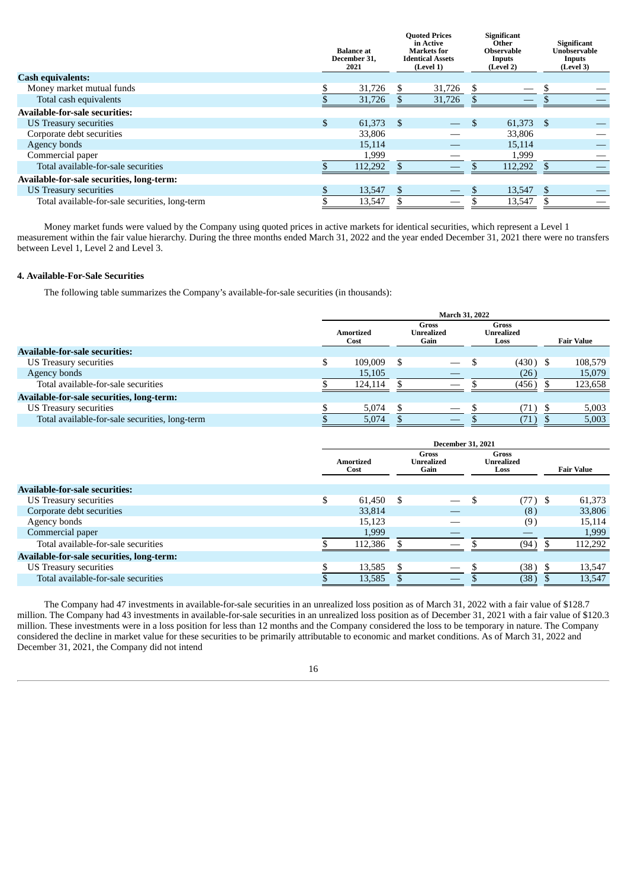| in Active<br><b>Markets</b> for<br><b>Balance</b> at<br><b>Identical Assets</b><br>December 31,<br>2021<br>(Level 1) |  | Other<br><b>Observable</b><br>Inputs<br>(Level 2) |  | <b>Significant</b> |  |  |  |  |  |  |  |  |  |  |  | <b>Significant</b><br>Unobservable<br>Inputs<br>(Level 3) |
|----------------------------------------------------------------------------------------------------------------------|--|---------------------------------------------------|--|--------------------|--|--|--|--|--|--|--|--|--|--|--|-----------------------------------------------------------|
| <b>Cash equivalents:</b>                                                                                             |  |                                                   |  |                    |  |  |  |  |  |  |  |  |  |  |  |                                                           |
| Money market mutual funds<br>31,726<br>31,726<br>\$.                                                                 |  |                                                   |  |                    |  |  |  |  |  |  |  |  |  |  |  |                                                           |
| Total cash equivalents<br>31,726<br>31,726                                                                           |  |                                                   |  |                    |  |  |  |  |  |  |  |  |  |  |  |                                                           |
| <b>Available-for-sale securities:</b>                                                                                |  |                                                   |  |                    |  |  |  |  |  |  |  |  |  |  |  |                                                           |
| \$<br>61,373 \$<br>US Treasury securities                                                                            |  | 61,373 \$                                         |  |                    |  |  |  |  |  |  |  |  |  |  |  |                                                           |
| Corporate debt securities<br>33,806                                                                                  |  | 33,806                                            |  |                    |  |  |  |  |  |  |  |  |  |  |  |                                                           |
| Agency bonds<br>15,114                                                                                               |  | 15,114                                            |  |                    |  |  |  |  |  |  |  |  |  |  |  |                                                           |
| Commercial paper<br>1,999                                                                                            |  | 1,999                                             |  |                    |  |  |  |  |  |  |  |  |  |  |  |                                                           |
| Total available-for-sale securities<br>112,292                                                                       |  | 112,292                                           |  |                    |  |  |  |  |  |  |  |  |  |  |  |                                                           |
| Available-for-sale securities, long-term:                                                                            |  |                                                   |  |                    |  |  |  |  |  |  |  |  |  |  |  |                                                           |
| 13,547<br><b>US Treasury securities</b><br>\$.                                                                       |  | 13,547                                            |  |                    |  |  |  |  |  |  |  |  |  |  |  |                                                           |
| Total available-for-sale securities, long-term<br>13,547                                                             |  | 13,547                                            |  |                    |  |  |  |  |  |  |  |  |  |  |  |                                                           |

Money market funds were valued by the Company using quoted prices in active markets for identical securities, which represent a Level 1 measurement within the fair value hierarchy. During the three months ended March 31, 2022 and the year ended December 31, 2021 there were no transfers between Level 1, Level 2 and Level 3.

# **4. Available-For-Sale Securities**

The following table summarizes the Company's available-for-sale securities (in thousands):

|                                                | March 31, 2022 |                   |   |                             |  |                                           |  |                   |  |
|------------------------------------------------|----------------|-------------------|---|-----------------------------|--|-------------------------------------------|--|-------------------|--|
|                                                |                | Amortized<br>Cost |   | Gross<br>Unrealized<br>Gain |  | <b>Gross</b><br><b>Unrealized</b><br>Loss |  | <b>Fair Value</b> |  |
| <b>Available-for-sale securities:</b>          |                |                   |   |                             |  |                                           |  |                   |  |
| US Treasury securities                         |                | 109.009           | S |                             |  | $(430)$ \$                                |  | 108,579           |  |
| Agency bonds                                   |                | 15,105            |   |                             |  | (26)                                      |  | 15,079            |  |
| Total available-for-sale securities            |                | 124,114           |   |                             |  | (456)                                     |  | 123,658           |  |
| Available-for-sale securities, long-term:      |                |                   |   |                             |  |                                           |  |                   |  |
| US Treasury securities                         |                | 5.074             |   |                             |  | 71`                                       |  | 5,003             |  |
| Total available-for-sale securities, long-term |                | 5.074             |   |                             |  | (71)                                      |  | 5,003             |  |

|                                           | <b>December 31, 2021</b> |      |                                    |  |                             |  |                   |  |
|-------------------------------------------|--------------------------|------|------------------------------------|--|-----------------------------|--|-------------------|--|
|                                           | Amortized<br>Cost        |      | <b>Gross</b><br>Unrealized<br>Gain |  | Gross<br>Unrealized<br>Loss |  | <b>Fair Value</b> |  |
| <b>Available-for-sale securities:</b>     |                          |      |                                    |  |                             |  |                   |  |
| <b>US Treasury securities</b>             | \$<br>61,450             | - \$ |                                    |  | (77) \$                     |  | 61,373            |  |
| Corporate debt securities                 | 33,814                   |      |                                    |  | (8)                         |  | 33,806            |  |
| Agency bonds                              | 15,123                   |      |                                    |  | (9)                         |  | 15,114            |  |
| Commercial paper                          | 1,999                    |      |                                    |  |                             |  | 1,999             |  |
| Total available-for-sale securities       | 112,386                  |      |                                    |  | (94)                        |  | 112,292           |  |
| Available-for-sale securities, long-term: |                          |      |                                    |  |                             |  |                   |  |
| US Treasury securities                    | 13,585                   | \$   |                                    |  | (38)                        |  | 13,547            |  |
| Total available-for-sale securities       | 13,585                   |      |                                    |  | (38)                        |  | 13,547            |  |

The Company had 47 investments in available-for-sale securities in an unrealized loss position as of March 31, 2022 with a fair value of \$128.7 million. The Company had 43 investments in available-for-sale securities in an unrealized loss position as of December 31, 2021 with a fair value of \$120.3 million. These investments were in a loss position for less than 12 months and the Company considered the loss to be temporary in nature. The Company million. considered the decline in market value for these securities to be primarily attributable to economic and market conditions. As of March 31, 2022 and December 31, 2021, the Company did not intend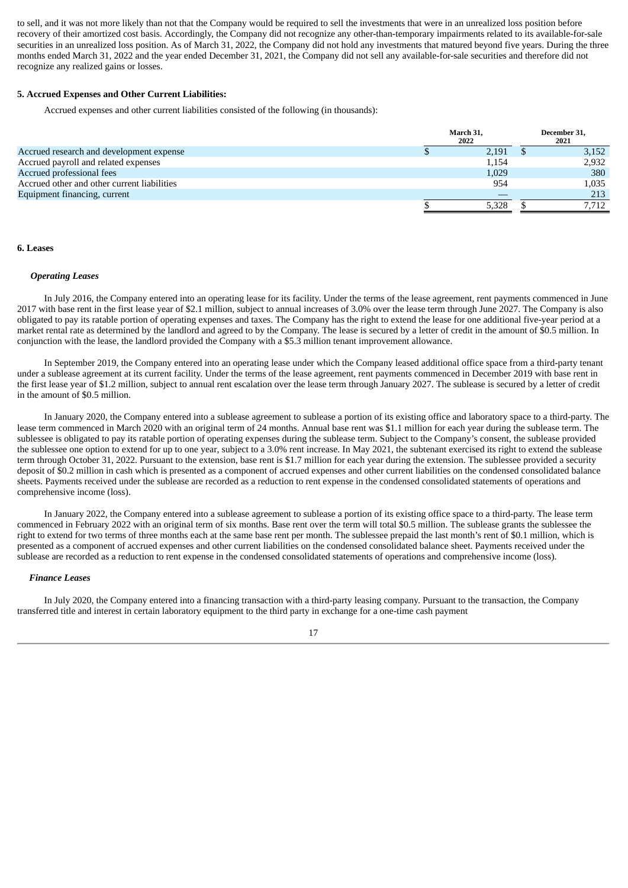to sell, and it was not more likely than not that the Company would be required to sell the investments that were in an unrealized loss position before recovery of their amortized cost basis. Accordingly, the Company did not recognize any other-than-temporary impairments related to its available-for-sale securities in an unrealized loss position. As of March 31, 2022, the Company did not hold any investments that matured beyond five years. During the three months ended March 31, 2022 and the year ended December 31, 2021, the Company did not sell any available-for-sale securities and therefore did not recognize any realized gains or losses.

# **5. Accrued Expenses and Other Current Liabilities:**

Accrued expenses and other current liabilities consisted of the following (in thousands):

|                                             | March 31.<br>2022 | December 31,<br>2021 |       |  |
|---------------------------------------------|-------------------|----------------------|-------|--|
| Accrued research and development expense    | 2,191             |                      | 3,152 |  |
| Accrued payroll and related expenses        | 1.154             |                      | 2,932 |  |
| Accrued professional fees                   | 1,029             |                      | 380   |  |
| Accrued other and other current liabilities | 954               |                      | 1,035 |  |
| Equipment financing, current                |                   |                      | 213   |  |
|                                             | 5,328             |                      | 7.712 |  |

# **6. Leases**

# *Operating Leases*

In July 2016, the Company entered into an operating lease for its facility. Under the terms of the lease agreement, rent payments commenced in June 2017 with base rent in the first lease year of \$2.1 million, subject to annual increases of 3.0% over the lease term through June 2027. The Company is also obligated to pay its ratable portion of operating expenses and taxes. The Company has the right to extend the lease for one additional five-year period at a market rental rate as determined by the landlord and agreed to by the Company. The lease is secured by a letter of credit in the amount of \$0.5 million. In conjunction with the lease, the landlord provided the Company with a \$5.3 million tenant improvement allowance.

In September 2019, the Company entered into an operating lease under which the Company leased additional office space from a third-party tenant under a sublease agreement at its current facility. Under the terms of the lease agreement, rent payments commenced in December 2019 with base rent in the first lease year of \$1.2 million, subject to annual rent escalation over the lease term through January 2027. The sublease is secured by a letter of credit in the amount of \$0.5 million.

In January 2020, the Company entered into a sublease agreement to sublease a portion of its existing office and laboratory space to a third-party. The lease term commenced in March 2020 with an original term of 24 months. Annual base rent was \$1.1 million for each year during the sublease term. The sublessee is obligated to pay its ratable portion of operating expenses during the sublease term. Subject to the Company's consent, the sublease provided the sublessee one option to extend for up to one year, subject to a 3.0% rent increase. In May 2021, the subtenant exercised its right to extend the sublease term through October 31, 2022. Pursuant to the extension, base rent is \$1.7 million for each year during the extension. The sublessee provided a security deposit of \$0.2 million in cash which is presented as a component of accrued expenses and other current liabilities on the condensed consolidated balance sheets. Payments received under the sublease are recorded as a reduction to rent expense in the condensed consolidated statements of operations and comprehensive income (loss).

In January 2022, the Company entered into a sublease agreement to sublease a portion of its existing office space to a third-party. The lease term commenced in February 2022 with an original term of six months. Base rent over the term will total \$0.5 million. The sublease grants the sublessee the right to extend for two terms of three months each at the same base rent per month. The sublessee prepaid the last month's rent of \$0.1 million, which is presented as a component of accrued expenses and other current liabilities on the condensed consolidated balance sheet. Payments received under the sublease are recorded as a reduction to rent expense in the condensed consolidated statements of operations and comprehensive income (loss).

## *Finance Leases*

In July 2020, the Company entered into a financing transaction with a third-party leasing company. Pursuant to the transaction, the Company transferred title and interest in certain laboratory equipment to the third party in exchange for a one-time cash payment

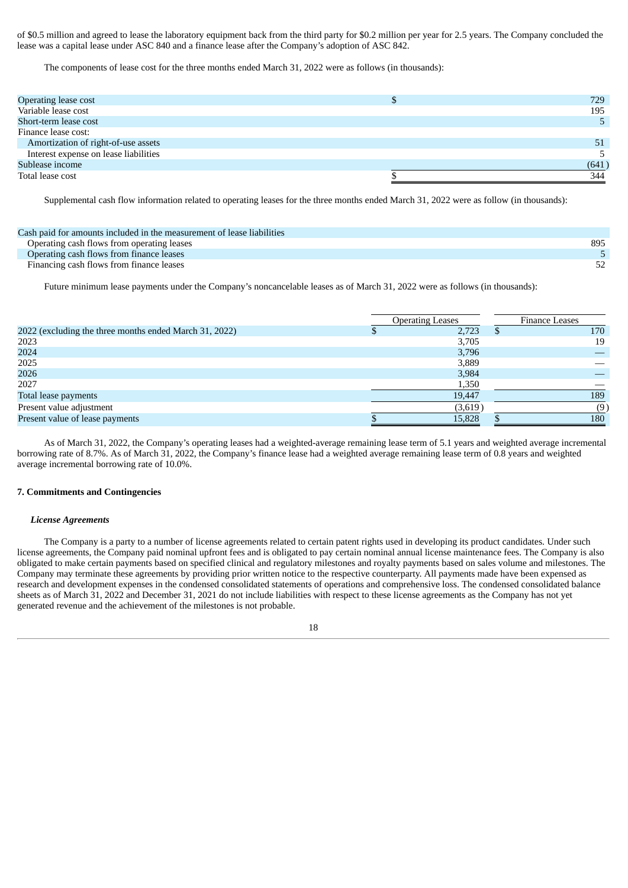of \$0.5 million and agreed to lease the laboratory equipment back from the third party for \$0.2 million per year for 2.5 years. The Company concluded the lease was a capital lease under ASC 840 and a finance lease after the Company's adoption of ASC 842.

The components of lease cost for the three months ended March 31, 2022 were as follows (in thousands):

| Operating lease cost                  | 729   |
|---------------------------------------|-------|
| Variable lease cost                   | 195   |
| Short-term lease cost                 |       |
| Finance lease cost:                   |       |
| Amortization of right-of-use assets   | 51    |
| Interest expense on lease liabilities |       |
| Sublease income                       | (641) |
| Total lease cost                      | 344   |

Supplemental cash flow information related to operating leases for the three months ended March 31, 2022 were as follow (in thousands):

| Cash paid for amounts included in the measurement of lease liabilities |     |
|------------------------------------------------------------------------|-----|
| Operating cash flows from operating leases                             | 895 |
| Operating cash flows from finance leases                               |     |
| Financing cash flows from finance leases                               | 52  |

Future minimum lease payments under the Company's noncancelable leases as of March 31, 2022 were as follows (in thousands):

|                                                        | <b>Operating Leases</b> |         |          | <b>Finance Leases</b> |
|--------------------------------------------------------|-------------------------|---------|----------|-----------------------|
| 2022 (excluding the three months ended March 31, 2022) |                         | 2,723   | <b>S</b> | 170                   |
| 2023                                                   |                         | 3,705   |          | 19                    |
| 2024                                                   |                         | 3,796   |          |                       |
| 2025                                                   |                         | 3,889   |          |                       |
| 2026                                                   |                         | 3,984   |          |                       |
| 2027                                                   |                         | 1,350   |          |                       |
| Total lease payments                                   |                         | 19,447  |          | 189                   |
| Present value adjustment                               |                         | (3,619) |          | (9)                   |
| Present value of lease payments                        |                         | 15,828  |          | 180                   |

As of March 31, 2022, the Company's operating leases had a weighted-average remaining lease term of 5.1 years and weighted average incremental borrowing rate of 8.7%. As of March 31, 2022, the Company's finance lease had a weighted average remaining lease term of 0.8 years and weighted average incremental borrowing rate of 10.0%.

# **7. Commitments and Contingencies**

## *License Agreements*

The Company is a party to a number of license agreements related to certain patent rights used in developing its product candidates. Under such license agreements, the Company paid nominal upfront fees and is obligated to pay certain nominal annual license maintenance fees. The Company is also obligated to make certain payments based on specified clinical and regulatory milestones and royalty payments based on sales volume and milestones. The Company may terminate these agreements by providing prior written notice to the respective counterparty. All payments made have been expensed as research and development expenses in the condensed consolidated statements of operations and comprehensive loss. The condensed consolidated balance sheets as of March 31, 2022 and December 31, 2021 do not include liabilities with respect to these license agreements as the Company has not yet generated revenue and the achievement of the milestones is not probable.

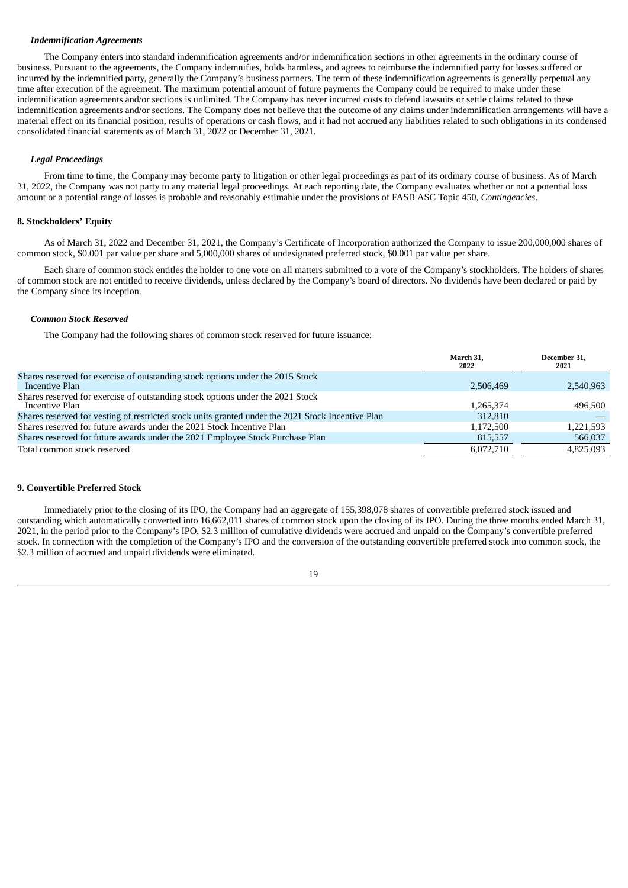# *Indemnification Agreements*

The Company enters into standard indemnification agreements and/or indemnification sections in other agreements in the ordinary course of business. Pursuant to the agreements, the Company indemnifies, holds harmless, and agrees to reimburse the indemnified party for losses suffered or incurred by the indemnified party, generally the Company's business partners. The term of these indemnification agreements is generally perpetual any time after execution of the agreement. The maximum potential amount of future payments the Company could be required to make under these indemnification agreements and/or sections is unlimited. The Company has never incurred costs to defend lawsuits or settle claims related to these indemnification agreements and/or sections. The Company does not believe that the outcome of any claims under indemnification arrangements will have a material effect on its financial position, results of operations or cash flows, and it had not accrued any liabilities related to such obligations in its condensed consolidated financial statements as of March 31, 2022 or December 31, 2021.

# *Legal Proceedings*

From time to time, the Company may become party to litigation or other legal proceedings as part of its ordinary course of business. As of March 31, 2022, the Company was not party to any material legal proceedings. At each reporting date, the Company evaluates whether or not a potential loss amount or a potential range of losses is probable and reasonably estimable under the provisions of FASB ASC Topic 450, *Contingencies*.

## **8. Stockholders' Equity**

As of March 31, 2022 and December 31, 2021, the Company's Certificate of Incorporation authorized the Company to issue 200,000,000 shares of common stock, \$0.001 par value per share and 5,000,000 shares of undesignated preferred stock, \$0.001 par value per share.

Each share of common stock entitles the holder to one vote on all matters submitted to a vote of the Company's stockholders. The holders of shares of common stock are not entitled to receive dividends, unless declared by the Company's board of directors. No dividends have been declared or paid by the Company since its inception.

# *Common Stock Reserved*

The Company had the following shares of common stock reserved for future issuance:

|                                                                                                   | March 31,<br>2022 | December 31,<br>2021 |
|---------------------------------------------------------------------------------------------------|-------------------|----------------------|
| Shares reserved for exercise of outstanding stock options under the 2015 Stock<br>Incentive Plan  | 2,506,469         | 2,540,963            |
| Shares reserved for exercise of outstanding stock options under the 2021 Stock<br>Incentive Plan  | 1,265,374         | 496.500              |
| Shares reserved for vesting of restricted stock units granted under the 2021 Stock Incentive Plan | 312,810           |                      |
| Shares reserved for future awards under the 2021 Stock Incentive Plan                             | 1,172,500         | 1,221,593            |
| Shares reserved for future awards under the 2021 Employee Stock Purchase Plan                     | 815,557           | 566,037              |
| Total common stock reserved                                                                       | 6.072.710         | 4,825,093            |

## **9. Convertible Preferred Stock**

Immediately prior to the closing of its IPO, the Company had an aggregate of 155,398,078 shares of convertible preferred stock issued and outstanding which automatically converted into 16,662,011 shares of common stock upon the closing of its IPO. During the three months ended March 31, 2021, in the period prior to the Company's IPO, \$2.3 million of cumulative dividends were accrued and unpaid on the Company's convertible preferred stock. In connection with the completion of the Company's IPO and the conversion of the outstanding convertible preferred stock into common stock, the \$2.3 million of accrued and unpaid dividends were eliminated.

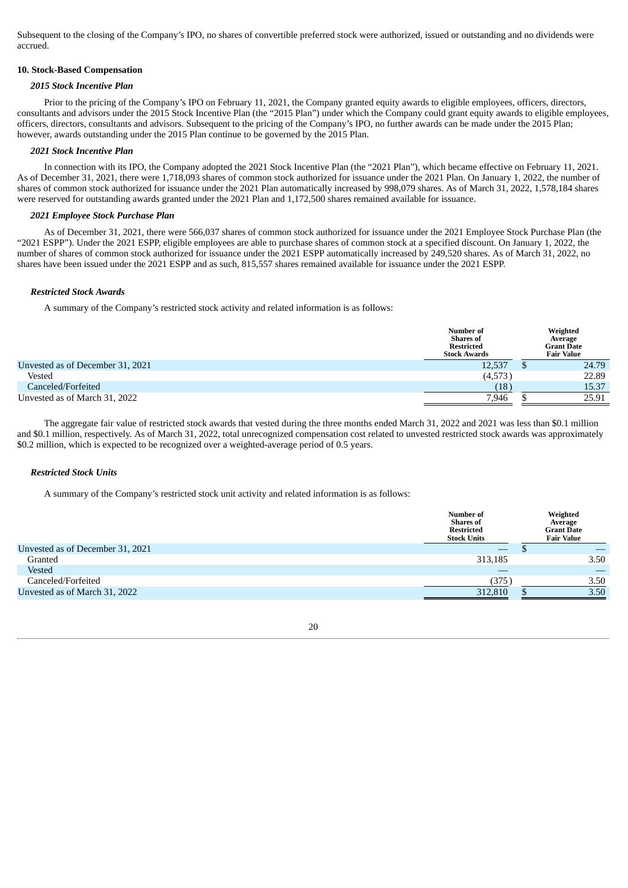Subsequent to the closing of the Company's IPO, no shares of convertible preferred stock were authorized, issued or outstanding and no dividends were accrued.

# **10. Stock-Based Compensation**

# *2015 Stock Incentive Plan*

Prior to the pricing of the Company's IPO on February 11, 2021, the Company granted equity awards to eligible employees, officers, directors, consultants and advisors under the 2015 Stock Incentive Plan (the "2015 Plan") under which the Company could grant equity awards to eligible employees, officers, directors, consultants and advisors. Subsequent to the pricing of the Company's IPO, no further awards can be made under the 2015 Plan; however, awards outstanding under the 2015 Plan continue to be governed by the 2015 Plan.

# *2021 Stock Incentive Plan*

In connection with its IPO, the Company adopted the 2021 Stock Incentive Plan (the "2021 Plan"), which became effective on February 11, 2021. As of December 31, 2021, there were 1,718,093 shares of common stock authorized for issuance under the 2021 Plan. On January 1, 2022, the number of shares of common stock authorized for issuance under the 2021 Plan automatically increased by 998,079 shares. As of March 31, 2022, 1,578,184 shares were reserved for outstanding awards granted under the 2021 Plan and 1,172,500 shares remained available for issuance.

# *2021 Employee Stock Purchase Plan*

As of December 31, 2021, there were 566,037 shares of common stock authorized for issuance under the 2021 Employee Stock Purchase Plan (the "2021 ESPP"). Under the 2021 ESPP, eligible employees are able to purchase shares of common stock at a specified discount. On January 1, 2022, the number of shares of common stock authorized for issuance under the 2021 ESPP automatically increased by 249,520 shares. As of March 31, 2022, no shares have been issued under the 2021 ESPP and as such, 815,557 shares remained available for issuance under the 2021 ESPP.

# *Restricted Stock Awards*

A summary of the Company's restricted stock activity and related information is as follows:

|                                  | <b>Number of</b><br><b>Shares of</b><br><b>Restricted</b><br><b>Stock Awards</b> | Weighted<br>Average<br><b>Grant Date</b><br><b>Fair Value</b> |       |  |
|----------------------------------|----------------------------------------------------------------------------------|---------------------------------------------------------------|-------|--|
| Unvested as of December 31, 2021 | 12,537                                                                           | w                                                             | 24.79 |  |
| Vested                           | (4,573)                                                                          |                                                               | 22.89 |  |
| Canceled/Forfeited               | (18)                                                                             |                                                               | 15.37 |  |
| Unvested as of March 31, 2022    | 7.946                                                                            |                                                               | 25.91 |  |

The aggregate fair value of restricted stock awards that vested during the three months ended March 31, 2022 and 2021 was less than \$0.1 million and \$0.1 million, respectively. As of March 31, 2022, total unrecognized compensation cost related to unvested restricted stock awards was approximately \$0.2 million, which is expected to be recognized over a weighted-average period of 0.5 years.

# *Restricted Stock Units*

A summary of the Company's restricted stock unit activity and related information is as follows:

|                                  | Number of<br><b>Shares of</b><br><b>Restricted</b><br><b>Stock Units</b> | Weighted<br>Average<br><b>Grant Date</b><br><b>Fair Value</b> |
|----------------------------------|--------------------------------------------------------------------------|---------------------------------------------------------------|
| Unvested as of December 31, 2021 |                                                                          |                                                               |
| Granted                          | 313,185                                                                  | 3.50                                                          |
| <b>Vested</b>                    |                                                                          |                                                               |
| Canceled/Forfeited               | (375)                                                                    | 3.50                                                          |
| Unvested as of March 31, 2022    | 312,810                                                                  | 3.50                                                          |

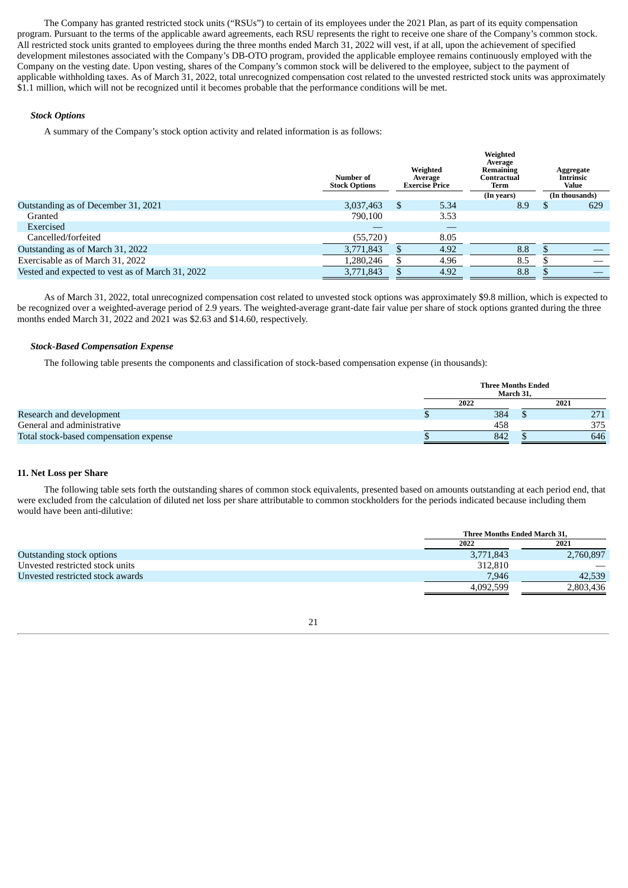The Company has granted restricted stock units ("RSUs") to certain of its employees under the 2021 Plan, as part of its equity compensation program. Pursuant to the terms of the applicable award agreements, each RSU represents the right to receive one share of the Company's common stock. All restricted stock units granted to employees during the three months ended March 31, 2022 will vest, if at all, upon the achievement of specified development milestones associated with the Company's DB-OTO program, provided the applicable employee remains continuously employed with the Company on the vesting date. Upon vesting, shares of the Company's common stock will be delivered to the employee, subject to the payment of applicable withholding taxes. As of March 31, 2022, total unrecognized compensation cost related to the unvested restricted stock units was approximately \$1.1 million, which will not be recognized until it becomes probable that the performance conditions will be met.

# *Stock Options*

A summary of the Company's stock option activity and related information is as follows:

|                                                  | Number of<br><b>Stock Options</b> |               | Weighted<br>Average<br><b>Exercise Price</b> | Weighted<br>Average<br>Remaining<br>Contractual<br>Term | <b>Aggregate</b><br><b>Intrinsic</b><br>Value |
|--------------------------------------------------|-----------------------------------|---------------|----------------------------------------------|---------------------------------------------------------|-----------------------------------------------|
|                                                  |                                   |               |                                              | (In years)                                              | (In thousands)                                |
| Outstanding as of December 31, 2021              | 3,037,463                         | <sup>\$</sup> | 5.34                                         | 8.9                                                     | 629                                           |
| Granted                                          | 790.100                           |               | 3.53                                         |                                                         |                                               |
| Exercised                                        |                                   |               |                                              |                                                         |                                               |
| Cancelled/forfeited                              | (55, 720)                         |               | 8.05                                         |                                                         |                                               |
| Outstanding as of March 31, 2022                 | 3,771,843                         |               | 4.92                                         | 8.8                                                     |                                               |
| Exercisable as of March 31, 2022                 | 1,280,246                         |               | 4.96                                         | 8.5                                                     |                                               |
| Vested and expected to vest as of March 31, 2022 | 3,771,843                         |               | 4.92                                         | 8.8                                                     |                                               |
|                                                  |                                   |               |                                              |                                                         |                                               |

As of March 31, 2022, total unrecognized compensation cost related to unvested stock options was approximately \$9.8 million, which is expected to be recognized over a weighted-average period of 2.9 years. The weighted-average grant-date fair value per share of stock options granted during the three months ended March 31, 2022 and 2021 was \$2.63 and \$14.60, respectively.

# *Stock-Based Compensation Expense*

The following table presents the components and classification of stock-based compensation expense (in thousands):

|                                        | <b>Three Months Ended</b><br>March 31. |      |
|----------------------------------------|----------------------------------------|------|
|                                        | 2022                                   | 2021 |
| Research and development               | 384                                    | 271  |
| General and administrative             | 458                                    | 375  |
| Total stock-based compensation expense | 842                                    | 646  |

# **11. Net Loss per Share**

The following table sets forth the outstanding shares of common stock equivalents, presented based on amounts outstanding at each period end, that were excluded from the calculation of diluted net loss per share attributable to common stockholders for the periods indicated because including them would have been anti-dilutive:

|                                  |           | <b>Three Months Ended March 31.</b> |  |  |
|----------------------------------|-----------|-------------------------------------|--|--|
|                                  | 2022      | 2021                                |  |  |
| <b>Outstanding stock options</b> | 3,771,843 | 2,760,897                           |  |  |
| Unvested restricted stock units  | 312,810   |                                     |  |  |
| Unvested restricted stock awards | 7.946     | 42.539                              |  |  |
|                                  | 4,092,599 | 2,803,436                           |  |  |

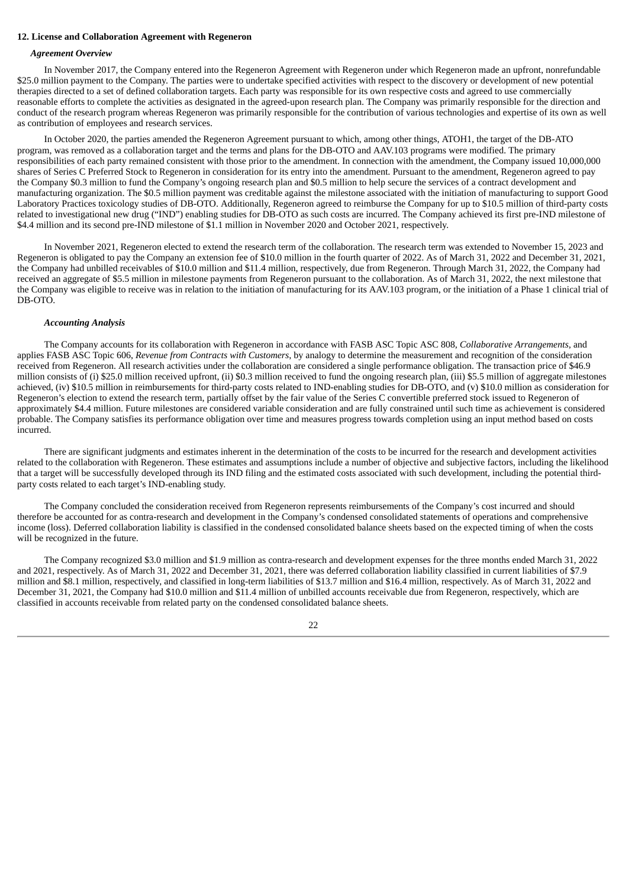# **12. License and Collaboration Agreement with Regeneron**

## *Agreement Overview*

In November 2017, the Company entered into the Regeneron Agreement with Regeneron under which Regeneron made an upfront, nonrefundable \$25.0 million payment to the Company. The parties were to undertake specified activities with respect to the discovery or development of new potential therapies directed to a set of defined collaboration targets. Each party was responsible for its own respective costs and agreed to use commercially reasonable efforts to complete the activities as designated in the agreed-upon research plan. The Company was primarily responsible for the direction and conduct of the research program whereas Regeneron was primarily responsible for the contribution of various technologies and expertise of its own as well as contribution of employees and research services.

In October 2020, the parties amended the Regeneron Agreement pursuant to which, among other things, ATOH1, the target of the DB-ATO program, was removed as a collaboration target and the terms and plans for the DB-OTO and AAV.103 programs were modified. The primary responsibilities of each party remained consistent with those prior to the amendment. In connection with the amendment, the Company issued 10,000,000 shares of Series C Preferred Stock to Regeneron in consideration for its entry into the amendment. Pursuant to the amendment, Regeneron agreed to pay the Company \$0.3 million to fund the Company's ongoing research plan and \$0.5 million to help secure the services of a contract development and manufacturing organization. The \$0.5 million payment was creditable against the milestone associated with the initiation of manufacturing to support Good Laboratory Practices toxicology studies of DB-OTO. Additionally, Regeneron agreed to reimburse the Company for up to \$10.5 million of third-party costs related to investigational new drug ("IND") enabling studies for DB-OTO as such costs are incurred. The Company achieved its first pre-IND milestone of \$4.4 million and its second pre-IND milestone of \$1.1 million in November 2020 and October 2021, respectively.

In November 2021, Regeneron elected to extend the research term of the collaboration. The research term was extended to November 15, 2023 and Regeneron is obligated to pay the Company an extension fee of \$10.0 million in the fourth quarter of 2022. As of March 31, 2022 and December 31, 2021, the Company had unbilled receivables of \$10.0 million and \$11.4 million, respectively, due from Regeneron. Through March 31, 2022, the Company had received an aggregate of \$5.5 million in milestone payments from Regeneron pursuant to the collaboration. As of March 31, 2022, the next milestone that the Company was eligible to receive was in relation to the initiation of manufacturing for its AAV.103 program, or the initiation of a Phase 1 clinical trial of DB-OTO.

# *Accounting Analysis*

The Company accounts for its collaboration with Regeneron in accordance with FASB ASC Topic ASC 808, *Collaborative Arrangements*, and applies FASB ASC Topic 606, *Revenue from Contracts with Customers*, by analogy to determine the measurement and recognition of the consideration received from Regeneron. All research activities under the collaboration are considered a single performance obligation. The transaction price of \$46.9 million consists of (i) \$25.0 million received upfront, (ii) \$0.3 million received to fund the ongoing research plan, (iii) \$5.5 million of aggregate milestones achieved, (iv) \$10.5 million in reimbursements for third-party costs related to IND-enabling studies for DB-OTO, and (v) \$10.0 million as consideration for Regeneron's election to extend the research term, partially offset by the fair value of the Series C convertible preferred stock issued to Regeneron of approximately \$4.4 million. Future milestones are considered variable consideration and are fully constrained until such time as achievement is considered probable. The Company satisfies its performance obligation over time and measures progress towards completion using an input method based on costs incurred.

There are significant judgments and estimates inherent in the determination of the costs to be incurred for the research and development activities related to the collaboration with Regeneron. These estimates and assumptions include a number of objective and subjective factors, including the likelihood that a target will be successfully developed through its IND filing and the estimated costs associated with such development, including the potential thirdparty costs related to each target's IND-enabling study.

The Company concluded the consideration received from Regeneron represents reimbursements of the Company's cost incurred and should therefore be accounted for as contra-research and development in the Company's condensed consolidated statements of operations and comprehensive income (loss). Deferred collaboration liability is classified in the condensed consolidated balance sheets based on the expected timing of when the costs will be recognized in the future.

The Company recognized \$3.0 million and \$1.9 million as contra-research and development expenses for the three months ended March 31, 2022 and 2021, respectively. As of March 31, 2022 and December 31, 2021, there was deferred collaboration liability classified in current liabilities of \$7.9 million and \$8.1 million, respectively, and classified in long-term liabilities of \$13.7 million and \$16.4 million, respectively. As of March 31, 2022 and December 31, 2021, the Company had \$10.0 million and \$11.4 million of unbilled accounts receivable due from Regeneron, respectively, which are classified in accounts receivable from related party on the condensed consolidated balance sheets.

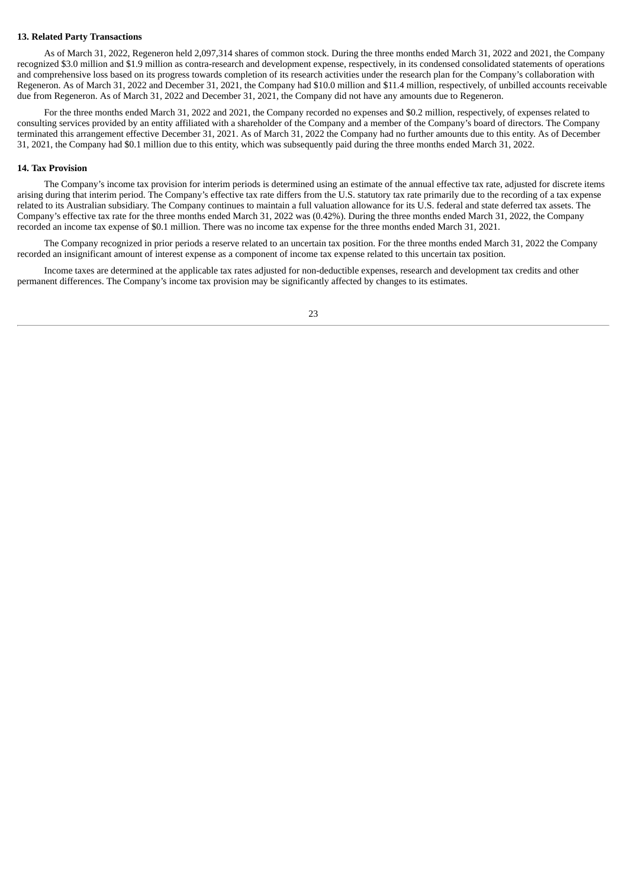# **13. Related Party Transactions**

As of March 31, 2022, Regeneron held 2,097,314 shares of common stock. During the three months ended March 31, 2022 and 2021, the Company recognized \$3.0 million and \$1.9 million as contra-research and development expense, respectively, in its condensed consolidated statements of operations and comprehensive loss based on its progress towards completion of its research activities under the research plan for the Company's collaboration with Regeneron. As of March 31, 2022 and December 31, 2021, the Company had \$10.0 million and \$11.4 million, respectively, of unbilled accounts receivable due from Regeneron. As of March 31, 2022 and December 31, 2021, the Company did not have any amounts due to Regeneron.

For the three months ended March 31, 2022 and 2021, the Company recorded no expenses and \$0.2 million, respectively, of expenses related to consulting services provided by an entity affiliated with a shareholder of the Company and a member of the Company's board of directors. The Company terminated this arrangement effective December 31, 2021. As of March 31, 2022 the Company had no further amounts due to this entity. As of December 31, 2021, the Company had \$0.1 million due to this entity, which was subsequently paid during the three months ended March 31, 2022.

# **14. Tax Provision**

The Company's income tax provision for interim periods is determined using an estimate of the annual effective tax rate, adjusted for discrete items arising during that interim period. The Company's effective tax rate differs from the U.S. statutory tax rate primarily due to the recording of a tax expense related to its Australian subsidiary. The Company continues to maintain a full valuation allowance for its U.S. federal and state deferred tax assets. The Company's effective tax rate for the three months ended March 31, 2022 was (0.42%). During the three months ended March 31, 2022, the Company recorded an income tax expense of \$0.1 million. There was no income tax expense for the three months ended March 31, 2021.

The Company recognized in prior periods a reserve related to an uncertain tax position. For the three months ended March 31, 2022 the Company recorded an insignificant amount of interest expense as a component of income tax expense related to this uncertain tax position.

Income taxes are determined at the applicable tax rates adjusted for non-deductible expenses, research and development tax credits and other permanent differences. The Company's income tax provision may be significantly affected by changes to its estimates.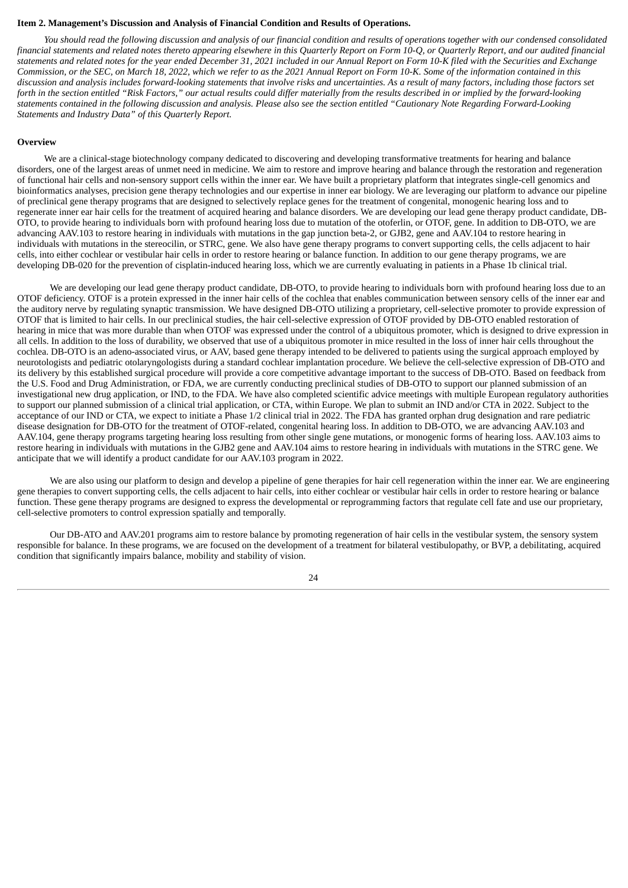# <span id="page-24-0"></span>**Item 2. Management's Discussion and Analysis of Financial Condition and Results of Operations.**

You should read the following discussion and analysis of our financial condition and results of operations together with our condensed consolidated financial statements and related notes thereto appearing elsewhere in this Quarterly Report on Form 10-O, or Quarterly Report, and our audited financial statements and related notes for the year ended December 31, 2021 included in our Annual Report on Form 10-K filed with the Securities and Exchange Commission, or the SEC, on March 18, 2022, which we refer to as the 2021 Annual Report on Form 10-K. Some of the information contained in this discussion and analysis includes forward-looking statements that involve risks and uncertainties. As a result of many factors, including those factors set forth in the section entitled "Risk Factors," our actual results could differ materially from the results described in or implied by the forward-looking statements contained in the following discussion and analysis. Please also see the section entitled "Cautionary Note Regarding Forward-Looking *Statements and Industry Data" of this Quarterly Report.*

#### **Overview**

We are a clinical-stage biotechnology company dedicated to discovering and developing transformative treatments for hearing and balance disorders, one of the largest areas of unmet need in medicine. We aim to restore and improve hearing and balance through the restoration and regeneration of functional hair cells and non-sensory support cells within the inner ear. We have built a proprietary platform that integrates single-cell genomics and bioinformatics analyses, precision gene therapy technologies and our expertise in inner ear biology. We are leveraging our platform to advance our pipeline of preclinical gene therapy programs that are designed to selectively replace genes for the treatment of congenital, monogenic hearing loss and to regenerate inner ear hair cells for the treatment of acquired hearing and balance disorders. We are developing our lead gene therapy product candidate, DB-OTO, to provide hearing to individuals born with profound hearing loss due to mutation of the otoferlin, or OTOF, gene. In addition to DB-OTO, we are advancing AAV.103 to restore hearing in individuals with mutations in the gap junction beta-2, or GJB2, gene and AAV.104 to restore hearing in individuals with mutations in the stereocilin, or STRC, gene. We also have gene therapy programs to convert supporting cells, the cells adjacent to hair cells, into either cochlear or vestibular hair cells in order to restore hearing or balance function. In addition to our gene therapy programs, we are developing DB-020 for the prevention of cisplatin-induced hearing loss, which we are currently evaluating in patients in a Phase 1b clinical trial.

We are developing our lead gene therapy product candidate, DB-OTO, to provide hearing to individuals born with profound hearing loss due to an OTOF deficiency. OTOF is a protein expressed in the inner hair cells of the cochlea that enables communication between sensory cells of the inner ear and the auditory nerve by regulating synaptic transmission. We have designed DB-OTO utilizing a proprietary, cell-selective promoter to provide expression of OTOF that is limited to hair cells. In our preclinical studies, the hair cell-selective expression of OTOF provided by DB-OTO enabled restoration of hearing in mice that was more durable than when OTOF was expressed under the control of a ubiquitous promoter, which is designed to drive expression in all cells. In addition to the loss of durability, we observed that use of a ubiquitous promoter in mice resulted in the loss of inner hair cells throughout the cochlea. DB-OTO is an adeno-associated virus, or AAV, based gene therapy intended to be delivered to patients using the surgical approach employed by neurotologists and pediatric otolaryngologists during a standard cochlear implantation procedure. We believe the cell-selective expression of DB-OTO and its delivery by this established surgical procedure will provide a core competitive advantage important to the success of DB-OTO. Based on feedback from the U.S. Food and Drug Administration, or FDA, we are currently conducting preclinical studies of DB-OTO to support our planned submission of an investigational new drug application, or IND, to the FDA. We have also completed scientific advice meetings with multiple European regulatory authorities to support our planned submission of a clinical trial application, or CTA, within Europe. We plan to submit an IND and/or CTA in 2022. Subject to the acceptance of our IND or CTA, we expect to initiate a Phase 1/2 clinical trial in 2022. The FDA has granted orphan drug designation and rare pediatric disease designation for DB-OTO for the treatment of OTOF-related, congenital hearing loss. In addition to DB-OTO, we are advancing AAV.103 and AAV.104, gene therapy programs targeting hearing loss resulting from other single gene mutations, or monogenic forms of hearing loss. AAV.103 aims to restore hearing in individuals with mutations in the GJB2 gene and AAV.104 aims to restore hearing in individuals with mutations in the STRC gene. We anticipate that we will identify a product candidate for our AAV.103 program in 2022.

We are also using our platform to design and develop a pipeline of gene therapies for hair cell regeneration within the inner ear. We are engineering gene therapies to convert supporting cells, the cells adjacent to hair cells, into either cochlear or vestibular hair cells in order to restore hearing or balance function. These gene therapy programs are designed to express the developmental or reprogramming factors that regulate cell fate and use our proprietary, cell-selective promoters to control expression spatially and temporally.

Our DB-ATO and AAV.201 programs aim to restore balance by promoting regeneration of hair cells in the vestibular system, the sensory system responsible for balance. In these programs, we are focused on the development of a treatment for bilateral vestibulopathy, or BVP, a debilitating, acquired condition that significantly impairs balance, mobility and stability of vision.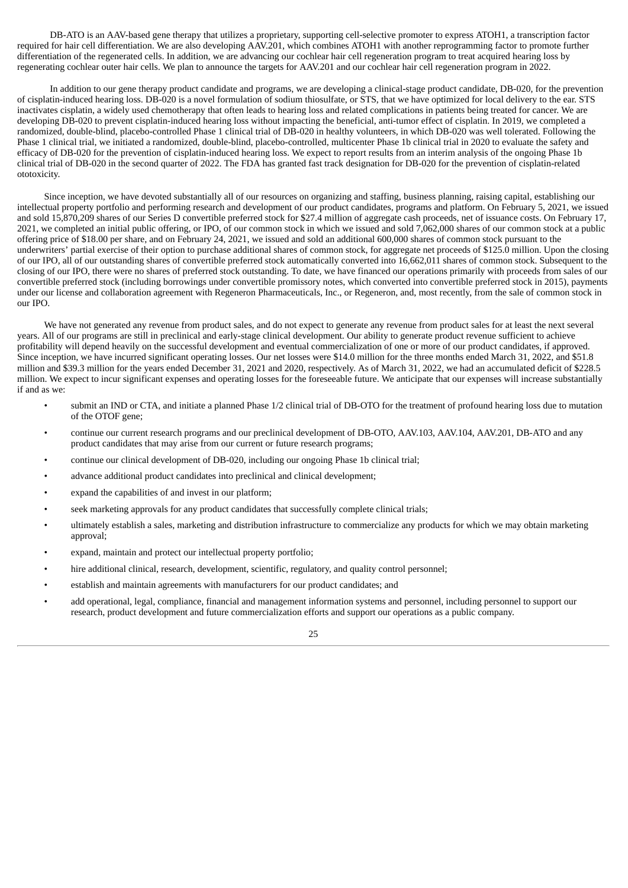DB-ATO is an AAV-based gene therapy that utilizes a proprietary, supporting cell-selective promoter to express ATOH1, a transcription factor required for hair cell differentiation. We are also developing AAV.201, which combines ATOH1 with another reprogramming factor to promote further differentiation of the regenerated cells. In addition, we are advancing our cochlear hair cell regeneration program to treat acquired hearing loss by regenerating cochlear outer hair cells. We plan to announce the targets for AAV.201 and our cochlear hair cell regeneration program in 2022.

In addition to our gene therapy product candidate and programs, we are developing a clinical-stage product candidate, DB-020, for the prevention of cisplatin-induced hearing loss. DB-020 is a novel formulation of sodium thiosulfate, or STS, that we have optimized for local delivery to the ear. STS inactivates cisplatin, a widely used chemotherapy that often leads to hearing loss and related complications in patients being treated for cancer. We are developing DB-020 to prevent cisplatin-induced hearing loss without impacting the beneficial, anti-tumor effect of cisplatin. In 2019, we completed a randomized, double-blind, placebo-controlled Phase 1 clinical trial of DB-020 in healthy volunteers, in which DB-020 was well tolerated. Following the Phase 1 clinical trial, we initiated a randomized, double-blind, placebo-controlled, multicenter Phase 1b clinical trial in 2020 to evaluate the safety and efficacy of DB-020 for the prevention of cisplatin-induced hearing loss. We expect to report results from an interim analysis of the ongoing Phase 1b clinical trial of DB-020 in the second quarter of 2022. The FDA has granted fast track designation for DB-020 for the prevention of cisplatin-related ototoxicity.

Since inception, we have devoted substantially all of our resources on organizing and staffing, business planning, raising capital, establishing our intellectual property portfolio and performing research and development of our product candidates, programs and platform. On February 5, 2021, we issued and sold 15,870,209 shares of our Series D convertible preferred stock for \$27.4 million of aggregate cash proceeds, net of issuance costs. On February 17, 2021, we completed an initial public offering, or IPO, of our common stock in which we issued and sold 7,062,000 shares of our common stock at a public offering price of \$18.00 per share, and on February 24, 2021, we issued and sold an additional 600,000 shares of common stock pursuant to the underwriters' partial exercise of their option to purchase additional shares of common stock, for aggregate net proceeds of \$125.0 million. Upon the closing of our IPO, all of our outstanding shares of convertible preferred stock automatically converted into 16,662,011 shares of common stock. Subsequent to the closing of our IPO, there were no shares of preferred stock outstanding. To date, we have financed our operations primarily with proceeds from sales of our convertible preferred stock (including borrowings under convertible promissory notes, which converted into convertible preferred stock in 2015), payments under our license and collaboration agreement with Regeneron Pharmaceuticals, Inc., or Regeneron, and, most recently, from the sale of common stock in our IPO.

We have not generated any revenue from product sales, and do not expect to generate any revenue from product sales for at least the next several years. All of our programs are still in preclinical and early-stage clinical development. Our ability to generate product revenue sufficient to achieve profitability will depend heavily on the successful development and eventual commercialization of one or more of our product candidates, if approved. Since inception, we have incurred significant operating losses. Our net losses were \$14.0 million for the three months ended March 31, 2022, and \$51.8 million and \$39.3 million for the years ended December 31, 2021 and 2020, respectively. As of March 31, 2022, we had an accumulated deficit of \$228.5 million. We expect to incur significant expenses and operating losses for the foreseeable future. We anticipate that our expenses will increase substantially if and as we:

- submit an IND or CTA, and initiate a planned Phase 1/2 clinical trial of DB-OTO for the treatment of profound hearing loss due to mutation of the OTOF gene;
- continue our current research programs and our preclinical development of DB-OTO, AAV.103, AAV.104, AAV.201, DB-ATO and any product candidates that may arise from our current or future research programs;
- continue our clinical development of DB-020, including our ongoing Phase 1b clinical trial;
- advance additional product candidates into preclinical and clinical development;
- expand the capabilities of and invest in our platform;
- seek marketing approvals for any product candidates that successfully complete clinical trials;
- ultimately establish a sales, marketing and distribution infrastructure to commercialize any products for which we may obtain marketing approval;
- expand, maintain and protect our intellectual property portfolio;
- hire additional clinical, research, development, scientific, regulatory, and quality control personnel;
- establish and maintain agreements with manufacturers for our product candidates; and
- add operational, legal, compliance, financial and management information systems and personnel, including personnel to support our research, product development and future commercialization efforts and support our operations as a public company.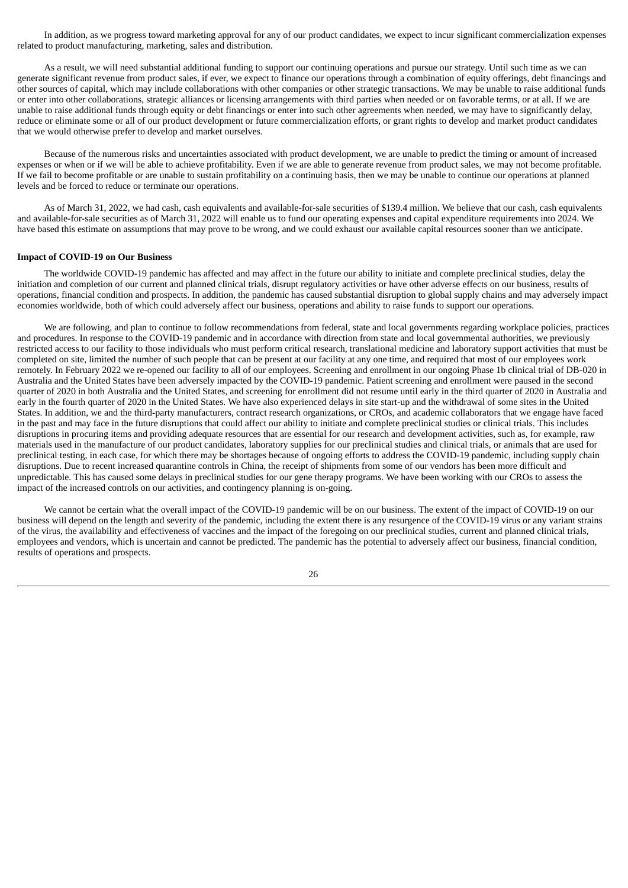In addition, as we progress toward marketing approval for any of our product candidates, we expect to incur significant commercialization expenses related to product manufacturing, marketing, sales and distribution.

As a result, we will need substantial additional funding to support our continuing operations and pursue our strategy. Until such time as we can generate significant revenue from product sales, if ever, we expect to finance our operations through a combination of equity offerings, debt financings and other sources of capital, which may include collaborations with other companies or other strategic transactions. We may be unable to raise additional funds or enter into other collaborations, strategic alliances or licensing arrangements with third parties when needed or on favorable terms, or at all. If we are unable to raise additional funds through equity or debt financings or enter into such other agreements when needed, we may have to significantly delay, reduce or eliminate some or all of our product development or future commercialization efforts, or grant rights to develop and market product candidates that we would otherwise prefer to develop and market ourselves.

Because of the numerous risks and uncertainties associated with product development, we are unable to predict the timing or amount of increased expenses or when or if we will be able to achieve profitability. Even if we are able to generate revenue from product sales, we may not become profitable. If we fail to become profitable or are unable to sustain profitability on a continuing basis, then we may be unable to continue our operations at planned levels and be forced to reduce or terminate our operations.

As of March 31, 2022, we had cash, cash equivalents and available-for-sale securities of \$139.4 million. We believe that our cash, cash equivalents and available-for-sale securities as of March 31, 2022 will enable us to fund our operating expenses and capital expenditure requirements into 2024. We have based this estimate on assumptions that may prove to be wrong, and we could exhaust our available capital resources sooner than we anticipate.

#### **Impact of COVID-19 on Our Business**

The worldwide COVID-19 pandemic has affected and may affect in the future our ability to initiate and complete preclinical studies, delay the initiation and completion of our current and planned clinical trials, disrupt regulatory activities or have other adverse effects on our business, results of operations, financial condition and prospects. In addition, the pandemic has caused substantial disruption to global supply chains and may adversely impact economies worldwide, both of which could adversely affect our business, operations and ability to raise funds to support our operations.

We are following, and plan to continue to follow recommendations from federal, state and local governments regarding workplace policies, practices and procedures. In response to the COVID-19 pandemic and in accordance with direction from state and local governmental authorities, we previously restricted access to our facility to those individuals who must perform critical research, translational medicine and laboratory support activities that must be completed on site, limited the number of such people that can be present at our facility at any one time, and required that most of our employees work remotely. In February 2022 we re-opened our facility to all of our employees. Screening and enrollment in our ongoing Phase 1b clinical trial of DB-020 in Australia and the United States have been adversely impacted by the COVID-19 pandemic. Patient screening and enrollment were paused in the second quarter of 2020 in both Australia and the United States, and screening for enrollment did not resume until early in the third quarter of 2020 in Australia and early in the fourth quarter of 2020 in the United States. We have also experienced delays in site start-up and the withdrawal of some sites in the United States. In addition, we and the third-party manufacturers, contract research organizations, or CROs, and academic collaborators that we engage have faced in the past and may face in the future disruptions that could affect our ability to initiate and complete preclinical studies or clinical trials. This includes disruptions in procuring items and providing adequate resources that are essential for our research and development activities, such as, for example, raw materials used in the manufacture of our product candidates, laboratory supplies for our preclinical studies and clinical trials, or animals that are used for preclinical testing, in each case, for which there may be shortages because of ongoing efforts to address the COVID-19 pandemic, including supply chain disruptions. Due to recent increased quarantine controls in China, the receipt of shipments from some of our vendors has been more difficult and unpredictable. This has caused some delays in preclinical studies for our gene therapy programs. We have been working with our CROs to assess the impact of the increased controls on our activities, and contingency planning is on-going.

We cannot be certain what the overall impact of the COVID-19 pandemic will be on our business. The extent of the impact of COVID-19 on our business will depend on the length and severity of the pandemic, including the extent there is any resurgence of the COVID-19 virus or any variant strains of the virus, the availability and effectiveness of vaccines and the impact of the foregoing on our preclinical studies, current and planned clinical trials, employees and vendors, which is uncertain and cannot be predicted. The pandemic has the potential to adversely affect our business, financial condition, results of operations and prospects.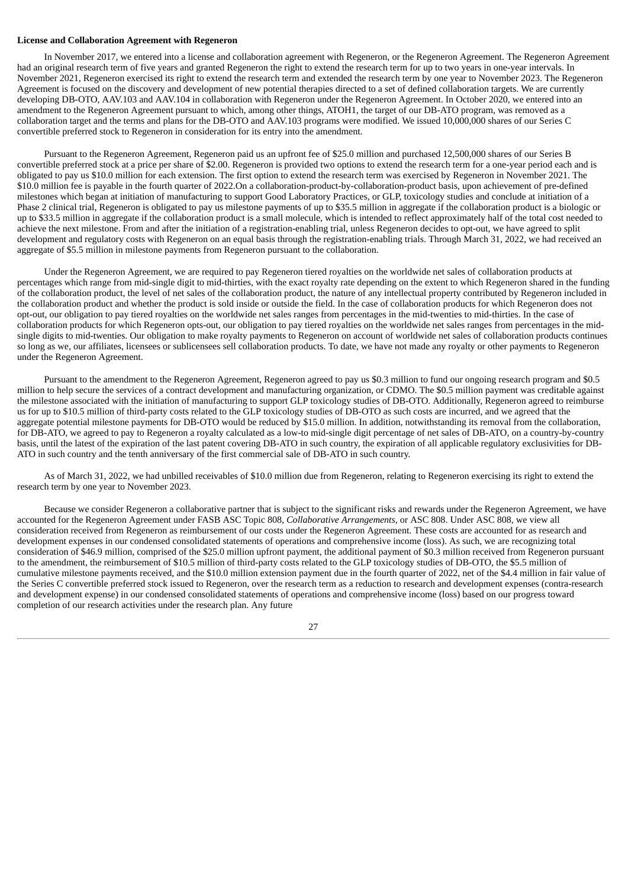# **License and Collaboration Agreement with Regeneron**

In November 2017, we entered into a license and collaboration agreement with Regeneron, or the Regeneron Agreement. The Regeneron Agreement had an original research term of five years and granted Regeneron the right to extend the research term for up to two years in one-year intervals. In November 2021, Regeneron exercised its right to extend the research term and extended the research term by one year to November 2023. The Regeneron Agreement is focused on the discovery and development of new potential therapies directed to a set of defined collaboration targets. We are currently developing DB-OTO, AAV.103 and AAV.104 in collaboration with Regeneron under the Regeneron Agreement. In October 2020, we entered into an amendment to the Regeneron Agreement pursuant to which, among other things, ATOH1, the target of our DB-ATO program, was removed as a collaboration target and the terms and plans for the DB-OTO and AAV.103 programs were modified. We issued 10,000,000 shares of our Series C convertible preferred stock to Regeneron in consideration for its entry into the amendment.

Pursuant to the Regeneron Agreement, Regeneron paid us an upfront fee of \$25.0 million and purchased 12,500,000 shares of our Series B convertible preferred stock at a price per share of \$2.00. Regeneron is provided two options to extend the research term for a one-year period each and is obligated to pay us \$10.0 million for each extension. The first option to extend the research term was exercised by Regeneron in November 2021. The \$10.0 million fee is payable in the fourth quarter of 2022.On a collaboration-product-by-collaboration-product basis, upon achievement of pre-defined milestones which began at initiation of manufacturing to support Good Laboratory Practices, or GLP, toxicology studies and conclude at initiation of a Phase 2 clinical trial, Regeneron is obligated to pay us milestone payments of up to \$35.5 million in aggregate if the collaboration product is a biologic or up to \$33.5 million in aggregate if the collaboration product is a small molecule, which is intended to reflect approximately half of the total cost needed to achieve the next milestone. From and after the initiation of a registration-enabling trial, unless Regeneron decides to opt-out, we have agreed to split development and regulatory costs with Regeneron on an equal basis through the registration-enabling trials. Through March 31, 2022, we had received an aggregate of \$5.5 million in milestone payments from Regeneron pursuant to the collaboration.

Under the Regeneron Agreement, we are required to pay Regeneron tiered royalties on the worldwide net sales of collaboration products at percentages which range from mid-single digit to mid-thirties, with the exact royalty rate depending on the extent to which Regeneron shared in the funding of the collaboration product, the level of net sales of the collaboration product, the nature of any intellectual property contributed by Regeneron included in the collaboration product and whether the product is sold inside or outside the field. In the case of collaboration products for which Regeneron does not opt-out, our obligation to pay tiered royalties on the worldwide net sales ranges from percentages in the mid-twenties to mid-thirties. In the case of collaboration products for which Regeneron opts-out, our obligation to pay tiered royalties on the worldwide net sales ranges from percentages in the midsingle digits to mid-twenties. Our obligation to make royalty payments to Regeneron on account of worldwide net sales of collaboration products continues so long as we, our affiliates, licensees or sublicensees sell collaboration products. To date, we have not made any royalty or other payments to Regeneron under the Regeneron Agreement.

Pursuant to the amendment to the Regeneron Agreement, Regeneron agreed to pay us \$0.3 million to fund our ongoing research program and \$0.5 million to help secure the services of a contract development and manufacturing organization, or CDMO. The \$0.5 million payment was creditable against the milestone associated with the initiation of manufacturing to support GLP toxicology studies of DB-OTO. Additionally, Regeneron agreed to reimburse us for up to \$10.5 million of third-party costs related to the GLP toxicology studies of DB-OTO as such costs are incurred, and we agreed that the aggregate potential milestone payments for DB-OTO would be reduced by \$15.0 million. In addition, notwithstanding its removal from the collaboration, for DB-ATO, we agreed to pay to Regeneron a royalty calculated as a low-to mid-single digit percentage of net sales of DB-ATO, on a country-by-country basis, until the latest of the expiration of the last patent covering DB-ATO in such country, the expiration of all applicable regulatory exclusivities for DB-ATO in such country and the tenth anniversary of the first commercial sale of DB-ATO in such country.

As of March 31, 2022, we had unbilled receivables of \$10.0 million due from Regeneron, relating to Regeneron exercising its right to extend the research term by one year to November 2023.

Because we consider Regeneron a collaborative partner that is subject to the significant risks and rewards under the Regeneron Agreement, we have accounted for the Regeneron Agreement under FASB ASC Topic 808, *Collaborative Arrangements*, or ASC 808. Under ASC 808, we view all consideration received from Regeneron as reimbursement of our costs under the Regeneron Agreement. These costs are accounted for as research and development expenses in our condensed consolidated statements of operations and comprehensive income (loss). As such, we are recognizing total consideration of \$46.9 million, comprised of the \$25.0 million upfront payment, the additional payment of \$0.3 million received from Regeneron pursuant to the amendment, the reimbursement of \$10.5 million of third-party costs related to the GLP toxicology studies of DB-OTO, the \$5.5 million of cumulative milestone payments received, and the \$10.0 million extension payment due in the fourth quarter of 2022, net of the \$4.4 million in fair value of the Series C convertible preferred stock issued to Regeneron, over the research term as a reduction to research and development expenses (contra-research and development expense) in our condensed consolidated statements of operations and comprehensive income (loss) based on our progress toward completion of our research activities under the research plan. Any future

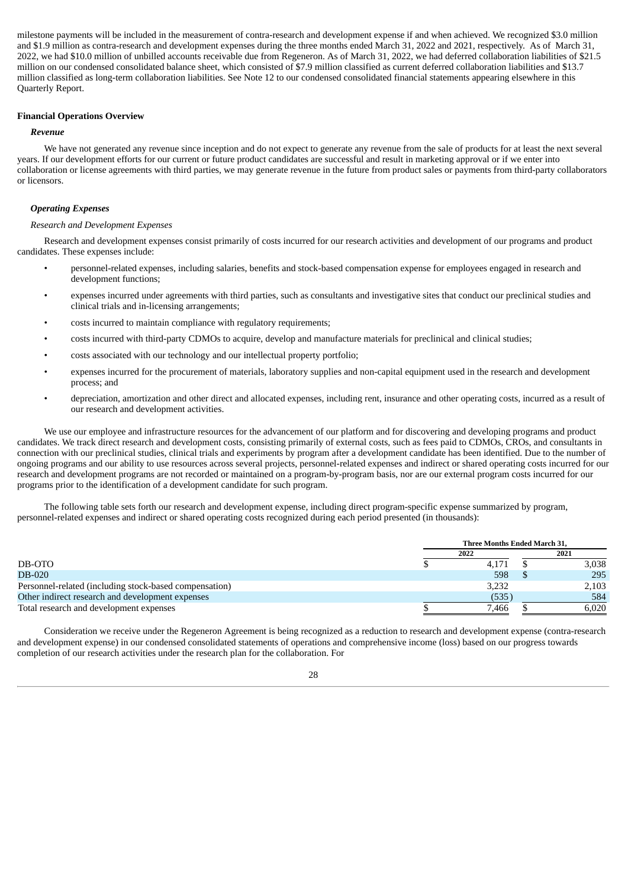milestone payments will be included in the measurement of contra-research and development expense if and when achieved. We recognized \$3.0 million and \$1.9 million as contra-research and development expenses during the three months ended March 31, 2022 and 2021, respectively. As of March 31, 2022, we had \$10.0 million of unbilled accounts receivable due from Regeneron. As of March 31, 2022, we had deferred collaboration liabilities of \$21.5 million on our condensed consolidated balance sheet, which consisted of \$7.9 million classified as current deferred collaboration liabilities and \$13.7 million classified as long-term collaboration liabilities. See Note 12 to our condensed consolidated financial statements appearing elsewhere in this Quarterly Report.

# **Financial Operations Overview**

# *Revenue*

We have not generated any revenue since inception and do not expect to generate any revenue from the sale of products for at least the next several years. If our development efforts for our current or future product candidates are successful and result in marketing approval or if we enter into collaboration or license agreements with third parties, we may generate revenue in the future from product sales or payments from third-party collaborators or licensors.

#### *Operating Expenses*

# *Research and Development Expenses*

Research and development expenses consist primarily of costs incurred for our research activities and development of our programs and product candidates. These expenses include:

- personnel-related expenses, including salaries, benefits and stock-based compensation expense for employees engaged in research and development functions;
- expenses incurred under agreements with third parties, such as consultants and investigative sites that conduct our preclinical studies and clinical trials and in-licensing arrangements;
- costs incurred to maintain compliance with regulatory requirements;
- costs incurred with third-party CDMOs to acquire, develop and manufacture materials for preclinical and clinical studies;
- costs associated with our technology and our intellectual property portfolio;
- expenses incurred for the procurement of materials, laboratory supplies and non-capital equipment used in the research and development process; and
- depreciation, amortization and other direct and allocated expenses, including rent, insurance and other operating costs, incurred as a result of our research and development activities.

We use our employee and infrastructure resources for the advancement of our platform and for discovering and developing programs and product candidates. We track direct research and development costs, consisting primarily of external costs, such as fees paid to CDMOs, CROs, and consultants in connection with our preclinical studies, clinical trials and experiments by program after a development candidate has been identified. Due to the number of ongoing programs and our ability to use resources across several projects, personnel-related expenses and indirect or shared operating costs incurred for our research and development programs are not recorded or maintained on a program-by-program basis, nor are our external program costs incurred for our programs prior to the identification of a development candidate for such program.

The following table sets forth our research and development expense, including direct program-specific expense summarized by program, personnel-related expenses and indirect or shared operating costs recognized during each period presented (in thousands):

|                                                        |      | Three Months Ended March 31. |  |       |  |
|--------------------------------------------------------|------|------------------------------|--|-------|--|
|                                                        | 2022 |                              |  | 2021  |  |
| DB-OTO                                                 |      | 4.171                        |  | 3,038 |  |
| DB-020                                                 |      | 598                          |  | 295   |  |
| Personnel-related (including stock-based compensation) |      | 3,232                        |  | 2.103 |  |
| Other indirect research and development expenses       |      | (535)                        |  | 584   |  |
| Total research and development expenses                |      | 7,466                        |  | 6.020 |  |

Consideration we receive under the Regeneron Agreement is being recognized as a reduction to research and development expense (contra-research and development expense) in our condensed consolidated statements of operations and comprehensive income (loss) based on our progress towards completion of our research activities under the research plan for the collaboration. For

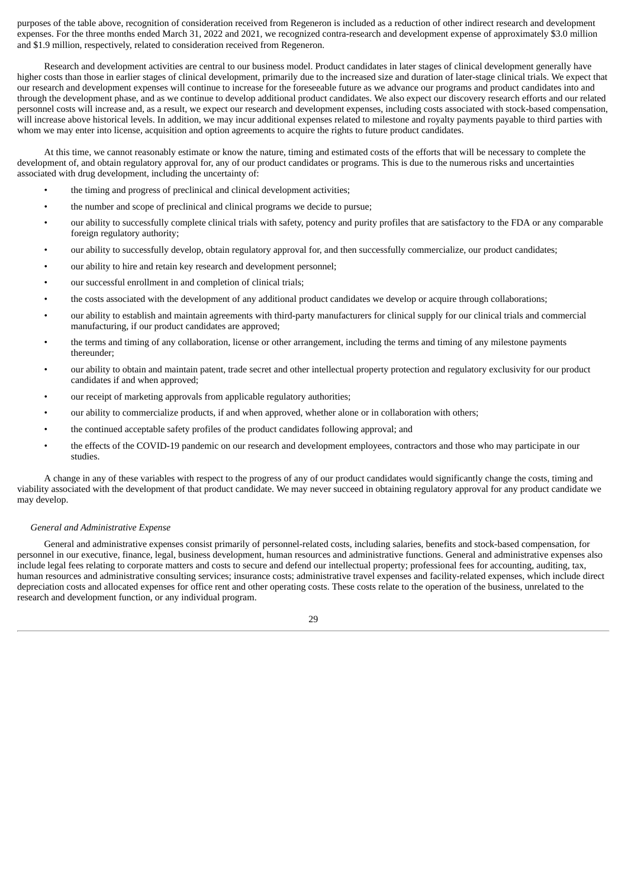purposes of the table above, recognition of consideration received from Regeneron is included as a reduction of other indirect research and development expenses. For the three months ended March 31, 2022 and 2021, we recognized contra-research and development expense of approximately \$3.0 million and \$1.9 million, respectively, related to consideration received from Regeneron.

Research and development activities are central to our business model. Product candidates in later stages of clinical development generally have higher costs than those in earlier stages of clinical development, primarily due to the increased size and duration of later-stage clinical trials. We expect that our research and development expenses will continue to increase for the foreseeable future as we advance our programs and product candidates into and through the development phase, and as we continue to develop additional product candidates. We also expect our discovery research efforts and our related personnel costs will increase and, as a result, we expect our research and development expenses, including costs associated with stock-based compensation, will increase above historical levels. In addition, we may incur additional expenses related to milestone and royalty payments payable to third parties with whom we may enter into license, acquisition and option agreements to acquire the rights to future product candidates.

At this time, we cannot reasonably estimate or know the nature, timing and estimated costs of the efforts that will be necessary to complete the development of, and obtain regulatory approval for, any of our product candidates or programs. This is due to the numerous risks and uncertainties associated with drug development, including the uncertainty of:

- the timing and progress of preclinical and clinical development activities;
- the number and scope of preclinical and clinical programs we decide to pursue;
- our ability to successfully complete clinical trials with safety, potency and purity profiles that are satisfactory to the FDA or any comparable foreign regulatory authority;
- our ability to successfully develop, obtain regulatory approval for, and then successfully commercialize, our product candidates;
- our ability to hire and retain key research and development personnel;
- our successful enrollment in and completion of clinical trials;
- the costs associated with the development of any additional product candidates we develop or acquire through collaborations;
- our ability to establish and maintain agreements with third-party manufacturers for clinical supply for our clinical trials and commercial manufacturing, if our product candidates are approved;
- the terms and timing of any collaboration, license or other arrangement, including the terms and timing of any milestone payments thereunder;
- our ability to obtain and maintain patent, trade secret and other intellectual property protection and regulatory exclusivity for our product candidates if and when approved;
- our receipt of marketing approvals from applicable regulatory authorities;
- our ability to commercialize products, if and when approved, whether alone or in collaboration with others;
- the continued acceptable safety profiles of the product candidates following approval; and
- the effects of the COVID-19 pandemic on our research and development employees, contractors and those who may participate in our studies.

A change in any of these variables with respect to the progress of any of our product candidates would significantly change the costs, timing and viability associated with the development of that product candidate. We may never succeed in obtaining regulatory approval for any product candidate we may develop.

# *General and Administrative Expense*

General and administrative expenses consist primarily of personnel-related costs, including salaries, benefits and stock-based compensation, for personnel in our executive, finance, legal, business development, human resources and administrative functions. General and administrative expenses also include legal fees relating to corporate matters and costs to secure and defend our intellectual property; professional fees for accounting, auditing, tax, human resources and administrative consulting services; insurance costs; administrative travel expenses and facility-related expenses, which include direct depreciation costs and allocated expenses for office rent and other operating costs. These costs relate to the operation of the business, unrelated to the research and development function, or any individual program.

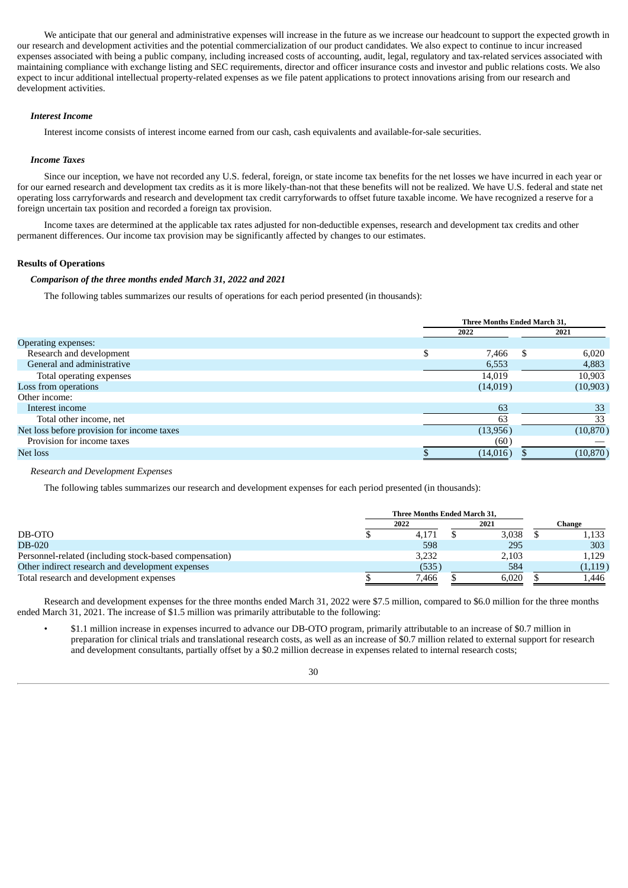We anticipate that our general and administrative expenses will increase in the future as we increase our headcount to support the expected growth in our research and development activities and the potential commercialization of our product candidates. We also expect to continue to incur increased expenses associated with being a public company, including increased costs of accounting, audit, legal, regulatory and tax-related services associated with maintaining compliance with exchange listing and SEC requirements, director and officer insurance costs and investor and public relations costs. We also expect to incur additional intellectual property-related expenses as we file patent applications to protect innovations arising from our research and development activities.

# *Interest Income*

Interest income consists of interest income earned from our cash, cash equivalents and available-for-sale securities.

# *Income Taxes*

Since our inception, we have not recorded any U.S. federal, foreign, or state income tax benefits for the net losses we have incurred in each year or for our earned research and development tax credits as it is more likely-than-not that these benefits will not be realized. We have U.S. federal and state net operating loss carryforwards and research and development tax credit carryforwards to offset future taxable income. We have recognized a reserve for a foreign uncertain tax position and recorded a foreign tax provision.

Income taxes are determined at the applicable tax rates adjusted for non-deductible expenses, research and development tax credits and other permanent differences. Our income tax provision may be significantly affected by changes to our estimates.

# **Results of Operations**

#### *Comparison of the three months ended March 31, 2022 and 2021*

The following tables summarizes our results of operations for each period presented (in thousands):

|                                            |  | <b>Three Months Ended March 31,</b> |     |           |  |  |
|--------------------------------------------|--|-------------------------------------|-----|-----------|--|--|
|                                            |  | 2022                                |     | 2021      |  |  |
| Operating expenses:                        |  |                                     |     |           |  |  |
| Research and development                   |  | 7,466                               | \$. | 6,020     |  |  |
| General and administrative                 |  | 6,553                               |     | 4,883     |  |  |
| Total operating expenses                   |  | 14,019                              |     | 10,903    |  |  |
| Loss from operations                       |  | (14, 019)                           |     | (10,903)  |  |  |
| Other income:                              |  |                                     |     |           |  |  |
| Interest income                            |  | 63                                  |     | 33        |  |  |
| Total other income, net                    |  | 63                                  |     | 33        |  |  |
| Net loss before provision for income taxes |  | (13,956)                            |     | (10, 870) |  |  |
| Provision for income taxes                 |  | (60)                                |     |           |  |  |
| Net loss                                   |  | (14, 016)                           |     | (10, 870) |  |  |

#### *Research and Development Expenses*

The following tables summarizes our research and development expenses for each period presented (in thousands):

|                                                        | <b>Three Months Ended March 31.</b> |  |       |          |
|--------------------------------------------------------|-------------------------------------|--|-------|----------|
|                                                        | 2022                                |  | 2021  | Change   |
| DB-OTO                                                 | 4.171                               |  | 3,038 | 1,133    |
| <b>DB-020</b>                                          | 598                                 |  | 295   | 303      |
| Personnel-related (including stock-based compensation) | 3.232                               |  | 2.103 | 1,129    |
| Other indirect research and development expenses       | (535)                               |  | 584   | (1, 119) |
| Total research and development expenses                | 466'                                |  | 6.020 | ,446     |

Research and development expenses for the three months ended March 31, 2022 were \$7.5 million, compared to \$6.0 million for the three months ended March 31, 2021. The increase of \$1.5 million was primarily attributable to the following:

• \$1.1 million increase in expenses incurred to advance our DB-OTO program, primarily attributable to an increase of \$0.7 million in preparation for clinical trials and translational research costs, as well as an increase of \$0.7 million related to external support for research and development consultants, partially offset by a \$0.2 million decrease in expenses related to internal research costs;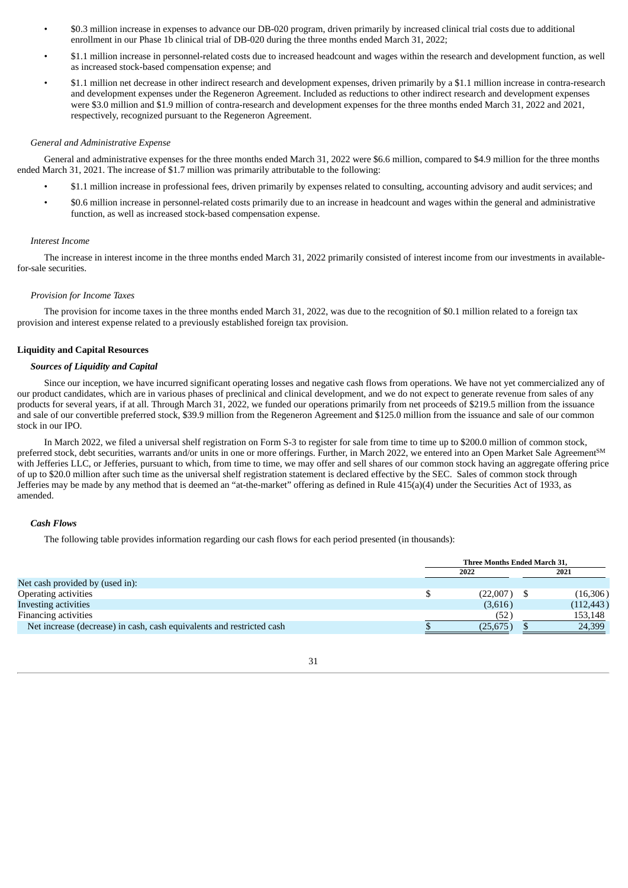- \$0.3 million increase in expenses to advance our DB-020 program, driven primarily by increased clinical trial costs due to additional enrollment in our Phase 1b clinical trial of DB-020 during the three months ended March 31, 2022;
- \$1.1 million increase in personnel-related costs due to increased headcount and wages within the research and development function, as well as increased stock-based compensation expense; and
- \$1.1 million net decrease in other indirect research and development expenses, driven primarily by a \$1.1 million increase in contra-research and development expenses under the Regeneron Agreement. Included as reductions to other indirect research and development expenses were \$3.0 million and \$1.9 million of contra-research and development expenses for the three months ended March 31, 2022 and 2021, respectively, recognized pursuant to the Regeneron Agreement.

# *General and Administrative Expense*

General and administrative expenses for the three months ended March 31, 2022 were \$6.6 million, compared to \$4.9 million for the three months ended March 31, 2021. The increase of \$1.7 million was primarily attributable to the following:

- \$1.1 million increase in professional fees, driven primarily by expenses related to consulting, accounting advisory and audit services; and
- \$0.6 million increase in personnel-related costs primarily due to an increase in headcount and wages within the general and administrative function, as well as increased stock-based compensation expense.

# *Interest Income*

The increase in interest income in the three months ended March 31, 2022 primarily consisted of interest income from our investments in availablefor-sale securities.

# *Provision for Income Taxes*

The provision for income taxes in the three months ended March 31, 2022, was due to the recognition of \$0.1 million related to a foreign tax provision and interest expense related to a previously established foreign tax provision.

# **Liquidity and Capital Resources**

# *Sources of Liquidity and Capital*

Since our inception, we have incurred significant operating losses and negative cash flows from operations. We have not yet commercialized any of our product candidates, which are in various phases of preclinical and clinical development, and we do not expect to generate revenue from sales of any products for several years, if at all. Through March 31, 2022, we funded our operations primarily from net proceeds of \$219.5 million from the issuance and sale of our convertible preferred stock, \$39.9 million from the Regeneron Agreement and \$125.0 million from the issuance and sale of our common stock in our IPO.

In March 2022, we filed a universal shelf registration on Form S-3 to register for sale from time to time up to \$200.0 million of common stock, preferred stock, debt securities, warrants and/or units in one or more offerings. Further, in March 2022, we entered into an Open Market Sale Agreement<sup>SM</sup> with Jefferies LLC, or Jefferies, pursuant to which, from time to time, we may offer and sell shares of our common stock having an aggregate offering price of up to \$20.0 million after such time as the universal shelf registration statement is declared effective by the SEC. Sales of common stock through Jefferies may be made by any method that is deemed an "at-the-market" offering as defined in Rule 415(a)(4) under the Securities Act of 1933, as amended.

# *Cash Flows*

The following table provides information regarding our cash flows for each period presented (in thousands):

|                                                                       | <b>Three Months Ended March 31.</b> |      |            |  |
|-----------------------------------------------------------------------|-------------------------------------|------|------------|--|
|                                                                       | 2022                                | 2021 |            |  |
| Net cash provided by (used in):                                       |                                     |      |            |  |
| Operating activities                                                  | (22,007)                            |      | (16,306)   |  |
| Investing activities                                                  | (3,616)                             |      | (112, 443) |  |
| <b>Financing activities</b>                                           | (52)                                |      | 153,148    |  |
| Net increase (decrease) in cash, cash equivalents and restricted cash | (25, 675)                           |      | 24,399     |  |

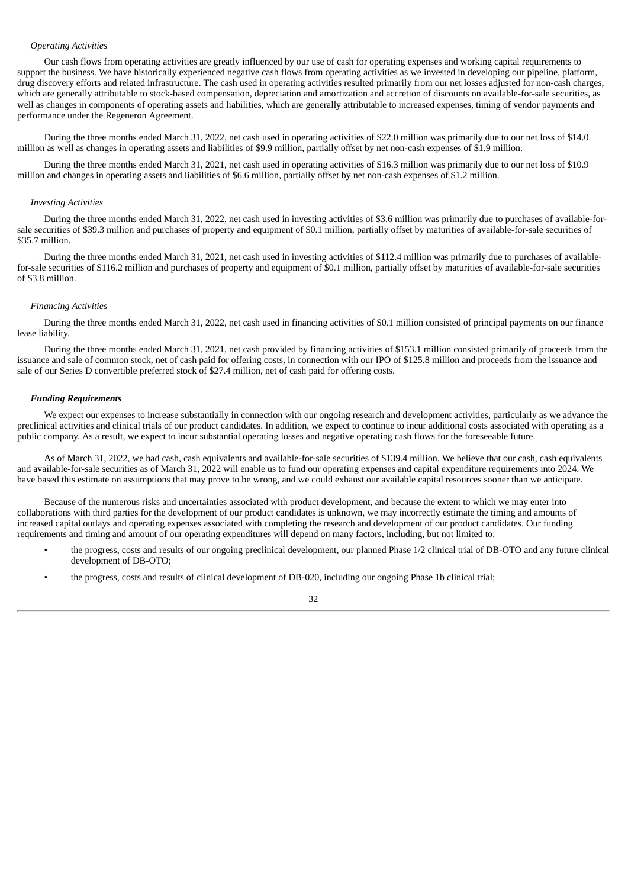# *Operating Activities*

Our cash flows from operating activities are greatly influenced by our use of cash for operating expenses and working capital requirements to support the business. We have historically experienced negative cash flows from operating activities as we invested in developing our pipeline, platform, drug discovery efforts and related infrastructure. The cash used in operating activities resulted primarily from our net losses adjusted for non-cash charges, which are generally attributable to stock-based compensation, depreciation and amortization and accretion of discounts on available-for-sale securities, as well as changes in components of operating assets and liabilities, which are generally attributable to increased expenses, timing of vendor payments and performance under the Regeneron Agreement.

During the three months ended March 31, 2022, net cash used in operating activities of \$22.0 million was primarily due to our net loss of \$14.0 million as well as changes in operating assets and liabilities of \$9.9 million, partially offset by net non-cash expenses of \$1.9 million.

During the three months ended March 31, 2021, net cash used in operating activities of \$16.3 million was primarily due to our net loss of \$10.9 million and changes in operating assets and liabilities of \$6.6 million, partially offset by net non-cash expenses of \$1.2 million.

## *Investing Activities*

During the three months ended March 31, 2022, net cash used in investing activities of \$3.6 million was primarily due to purchases of available-forsale securities of \$39.3 million and purchases of property and equipment of \$0.1 million, partially offset by maturities of available-for-sale securities of \$35.7 million.

During the three months ended March 31, 2021, net cash used in investing activities of \$112.4 million was primarily due to purchases of availablefor-sale securities of \$116.2 million and purchases of property and equipment of \$0.1 million, partially offset by maturities of available-for-sale securities of \$3.8 million.

# *Financing Activities*

During the three months ended March 31, 2022, net cash used in financing activities of \$0.1 million consisted of principal payments on our finance lease liability.

During the three months ended March 31, 2021, net cash provided by financing activities of \$153.1 million consisted primarily of proceeds from the issuance and sale of common stock, net of cash paid for offering costs, in connection with our IPO of \$125.8 million and proceeds from the issuance and sale of our Series D convertible preferred stock of \$27.4 million, net of cash paid for offering costs.

## *Funding Requirements*

We expect our expenses to increase substantially in connection with our ongoing research and development activities, particularly as we advance the preclinical activities and clinical trials of our product candidates. In addition, we expect to continue to incur additional costs associated with operating as a public company. As a result, we expect to incur substantial operating losses and negative operating cash flows for the foreseeable future.

As of March 31, 2022, we had cash, cash equivalents and available-for-sale securities of \$139.4 million. We believe that our cash, cash equivalents and available-for-sale securities as of March 31, 2022 will enable us to fund our operating expenses and capital expenditure requirements into 2024. We have based this estimate on assumptions that may prove to be wrong, and we could exhaust our available capital resources sooner than we anticipate.

Because of the numerous risks and uncertainties associated with product development, and because the extent to which we may enter into collaborations with third parties for the development of our product candidates is unknown, we may incorrectly estimate the timing and amounts of increased capital outlays and operating expenses associated with completing the research and development of our product candidates. Our funding requirements and timing and amount of our operating expenditures will depend on many factors, including, but not limited to:

- the progress, costs and results of our ongoing preclinical development, our planned Phase 1/2 clinical trial of DB-OTO and any future clinical development of DB-OTO;
- the progress, costs and results of clinical development of DB-020, including our ongoing Phase 1b clinical trial;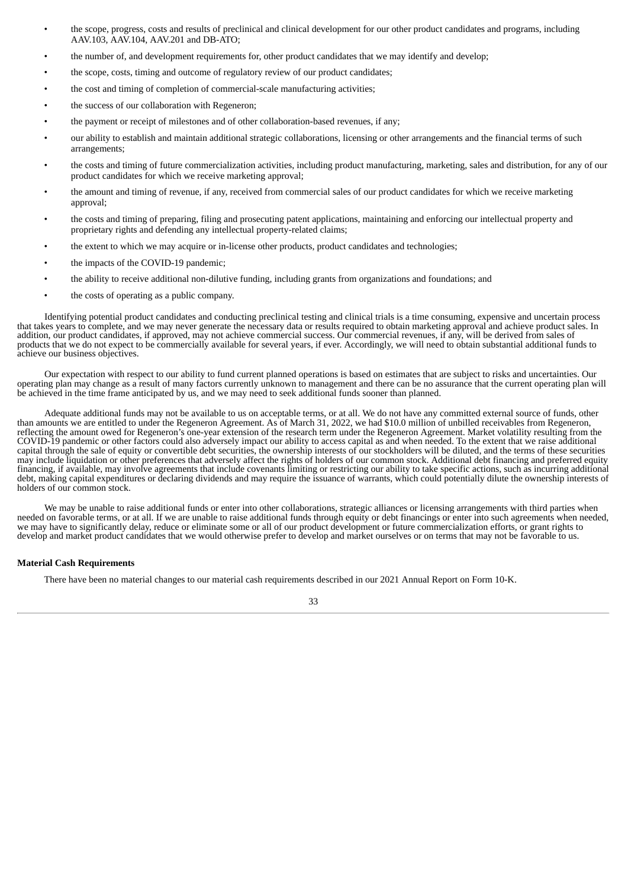- the scope, progress, costs and results of preclinical and clinical development for our other product candidates and programs, including AAV.103, AAV.104, AAV.201 and DB-ATO;
- the number of, and development requirements for, other product candidates that we may identify and develop;
- the scope, costs, timing and outcome of regulatory review of our product candidates;
- the cost and timing of completion of commercial-scale manufacturing activities;
- the success of our collaboration with Regeneron;
- the payment or receipt of milestones and of other collaboration-based revenues, if any;
- our ability to establish and maintain additional strategic collaborations, licensing or other arrangements and the financial terms of such arrangements;
- the costs and timing of future commercialization activities, including product manufacturing, marketing, sales and distribution, for any of our product candidates for which we receive marketing approval;
- the amount and timing of revenue, if any, received from commercial sales of our product candidates for which we receive marketing approval;
- the costs and timing of preparing, filing and prosecuting patent applications, maintaining and enforcing our intellectual property and proprietary rights and defending any intellectual property-related claims;
- the extent to which we may acquire or in-license other products, product candidates and technologies;
- the impacts of the COVID-19 pandemic;
- the ability to receive additional non-dilutive funding, including grants from organizations and foundations; and
- the costs of operating as a public company.

Identifying potential product candidates and conducting preclinical testing and clinical trials is a time consuming, expensive and uncertain process that takes years to complete, and we may never generate the necessary data or results required to obtain marketing approval and achieve product sales. In addition, our product candidates, if approved, may not achieve commercial success. Our commercial revenues, if any, will be derived from sales of products that we do not expect to be commercially available for several years, if ever. Accordingly, we will need to obtain substantial additional funds to achieve our business objectives.

Our expectation with respect to our ability to fund current planned operations is based on estimates that are subject to risks and uncertainties. Our operating plan may change as a result of many factors currently unknown to management and there can be no assurance that the current operating plan will be achieved in the time frame anticipated by us, and we may need to seek additional funds sooner than planned.

Adequate additional funds may not be available to us on acceptable terms, or at all. We do not have any committed external source of funds, other than amounts we are entitled to under the Regeneron Agreement. As of March 31, 2022, we had \$10.0 million of unbilled receivables from Regeneron, reflecting the amount owed for Regeneron's one-year extension of the research term under the Regeneron Agreement. Market volatility resulting from the COVID-19 pandemic or other factors could also adversely impact our ability to access capital as and when needed. To the extent that we raise additional capital through the sale of equity or convertible debt securities, the ownership interests of our stockholders will be diluted, and the terms of these securities may include liquidation or other preferences that adversely affect the rights of holders of our common stock. Additional debt financing and preferred equity financing, if available, may involve agreements that include covenants limiting or restricting our ability to take specific actions, such as incurring additional debt, making capital expenditures or declaring dividends and may require the issuance of warrants, which could potentially dilute the ownership interests of holders of our common stock.

We may be unable to raise additional funds or enter into other collaborations, strategic alliances or licensing arrangements with third parties when needed on favorable terms, or at all. If we are unable to raise additional funds through equity or debt financings or enter into such agreements when needed, we may have to significantly delay, reduce or eliminate some or all of our product development or future commercialization efforts, or grant rights to develop and market product candidates that we would otherwise prefer to develop and market ourselves or on terms that may not be favorable to us.

# **Material Cash Requirements**

There have been no material changes to our material cash requirements described in our 2021 Annual Report on Form 10-K.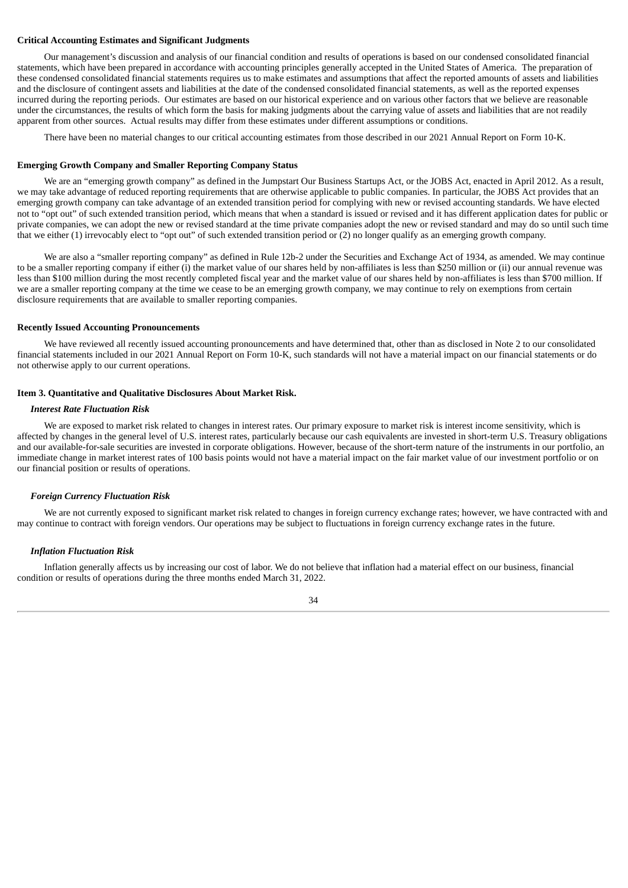# **Critical Accounting Estimates and Significant Judgments**

Our management's discussion and analysis of our financial condition and results of operations is based on our condensed consolidated financial statements, which have been prepared in accordance with accounting principles generally accepted in the United States of America. The preparation of these condensed consolidated financial statements requires us to make estimates and assumptions that affect the reported amounts of assets and liabilities and the disclosure of contingent assets and liabilities at the date of the condensed consolidated financial statements, as well as the reported expenses incurred during the reporting periods. Our estimates are based on our historical experience and on various other factors that we believe are reasonable under the circumstances, the results of which form the basis for making judgments about the carrying value of assets and liabilities that are not readily apparent from other sources. Actual results may differ from these estimates under different assumptions or conditions.

There have been no material changes to our critical accounting estimates from those described in our 2021 Annual Report on Form 10-K.

# **Emerging Growth Company and Smaller Reporting Company Status**

We are an "emerging growth company" as defined in the Jumpstart Our Business Startups Act, or the JOBS Act, enacted in April 2012. As a result, we may take advantage of reduced reporting requirements that are otherwise applicable to public companies. In particular, the JOBS Act provides that an emerging growth company can take advantage of an extended transition period for complying with new or revised accounting standards. We have elected not to "opt out" of such extended transition period, which means that when a standard is issued or revised and it has different application dates for public or private companies, we can adopt the new or revised standard at the time private companies adopt the new or revised standard and may do so until such time that we either (1) irrevocably elect to "opt out" of such extended transition period or (2) no longer qualify as an emerging growth company.

We are also a "smaller reporting company" as defined in Rule 12b-2 under the Securities and Exchange Act of 1934, as amended. We may continue to be a smaller reporting company if either (i) the market value of our shares held by non-affiliates is less than \$250 million or (ii) our annual revenue was less than \$100 million during the most recently completed fiscal year and the market value of our shares held by non-affiliates is less than \$700 million. If we are a smaller reporting company at the time we cease to be an emerging growth company, we may continue to rely on exemptions from certain disclosure requirements that are available to smaller reporting companies.

#### **Recently Issued Accounting Pronouncements**

We have reviewed all recently issued accounting pronouncements and have determined that, other than as disclosed in Note 2 to our consolidated financial statements included in our 2021 Annual Report on Form 10-K, such standards will not have a material impact on our financial statements or do not otherwise apply to our current operations.

# <span id="page-34-0"></span>**Item 3. Quantitative and Qualitative Disclosures About Market Risk.**

# *Interest Rate Fluctuation Risk*

We are exposed to market risk related to changes in interest rates. Our primary exposure to market risk is interest income sensitivity, which is affected by changes in the general level of U.S. interest rates, particularly because our cash equivalents are invested in short-term U.S. Treasury obligations and our available-for-sale securities are invested in corporate obligations. However, because of the short-term nature of the instruments in our portfolio, an immediate change in market interest rates of 100 basis points would not have a material impact on the fair market value of our investment portfolio or on our financial position or results of operations.

#### *Foreign Currency Fluctuation Risk*

We are not currently exposed to significant market risk related to changes in foreign currency exchange rates; however, we have contracted with and may continue to contract with foreign vendors. Our operations may be subject to fluctuations in foreign currency exchange rates in the future.

# *Inflation Fluctuation Risk*

Inflation generally affects us by increasing our cost of labor. We do not believe that inflation had a material effect on our business, financial condition or results of operations during the three months ended March 31, 2022.

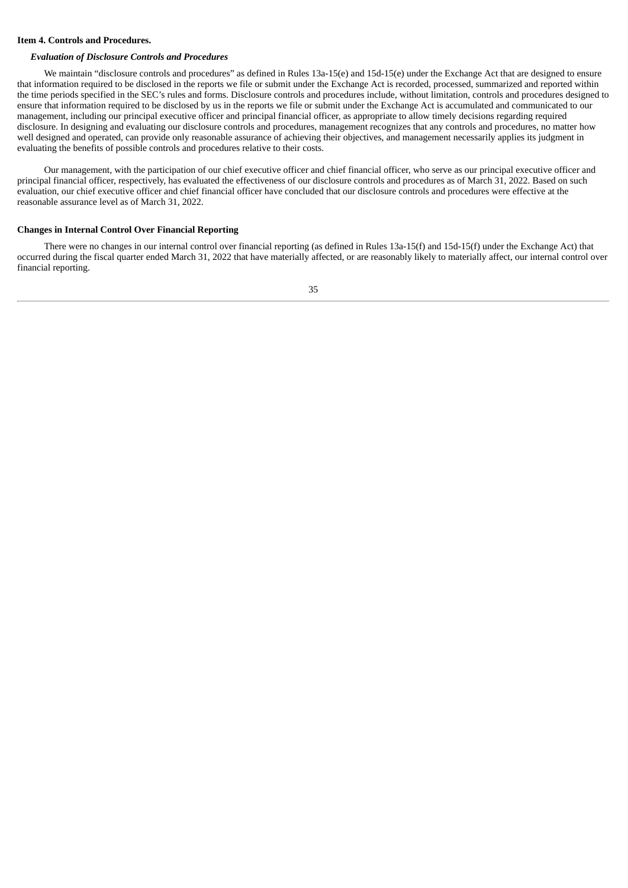# <span id="page-35-0"></span>**Item 4. Controls and Procedures.**

# *Evaluation of Disclosure Controls and Procedures*

We maintain "disclosure controls and procedures" as defined in Rules 13a-15(e) and 15d-15(e) under the Exchange Act that are designed to ensure that information required to be disclosed in the reports we file or submit under the Exchange Act is recorded, processed, summarized and reported within the time periods specified in the SEC's rules and forms. Disclosure controls and procedures include, without limitation, controls and procedures designed to ensure that information required to be disclosed by us in the reports we file or submit under the Exchange Act is accumulated and communicated to our management, including our principal executive officer and principal financial officer, as appropriate to allow timely decisions regarding required disclosure. In designing and evaluating our disclosure controls and procedures, management recognizes that any controls and procedures, no matter how well designed and operated, can provide only reasonable assurance of achieving their objectives, and management necessarily applies its judgment in evaluating the benefits of possible controls and procedures relative to their costs.

Our management, with the participation of our chief executive officer and chief financial officer, who serve as our principal executive officer and principal financial officer, respectively, has evaluated the effectiveness of our disclosure controls and procedures as of March 31, 2022. Based on such evaluation, our chief executive officer and chief financial officer have concluded that our disclosure controls and procedures were effective at the reasonable assurance level as of March 31, 2022.

# **Changes in Internal Control Over Financial Reporting**

There were no changes in our internal control over financial reporting (as defined in Rules 13a-15(f) and 15d-15(f) under the Exchange Act) that occurred during the fiscal quarter ended March 31, 2022 that have materially affected, or are reasonably likely to materially affect, our internal control over financial reporting.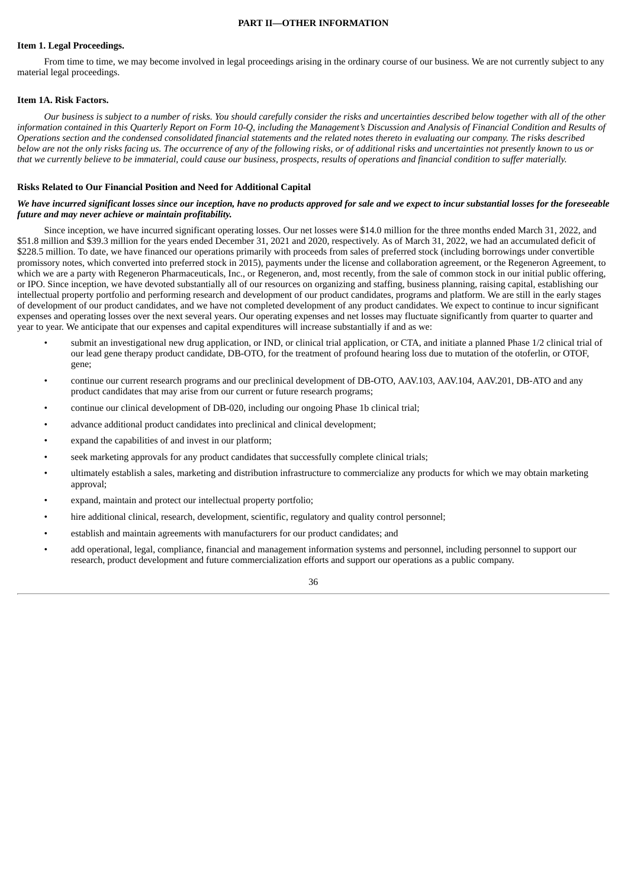### **PART II—OTHER INFORMATION**

#### **Item 1. Legal Proceedings.**

From time to time, we may become involved in legal proceedings arising in the ordinary course of our business. We are not currently subject to any material legal proceedings.

# **Item 1A. Risk Factors.**

Our business is subject to a number of risks. You should carefully consider the risks and uncertainties described below together with all of the other information contained in this Quarterly Report on Form 10-O, including the Management's Discussion and Analysis of Financial Condition and Results of Operations section and the condensed consolidated financial statements and the related notes thereto in evaluating our company. The risks described below are not the only risks facing us. The occurrence of any of the following risks, or of additional risks and uncertainties not presently known to us or that we currently believe to be immaterial, could cause our business, prospects, results of operations and financial condition to suffer materially.

# **Risks Related to Our Financial Position and Need for Additional Capital**

# We have incurred significant losses since our inception, have no products approved for sale and we expect to incur substantial losses for the foreseeable *future and may never achieve or maintain profitability.*

Since inception, we have incurred significant operating losses. Our net losses were \$14.0 million for the three months ended March 31, 2022, and \$51.8 million and \$39.3 million for the years ended December 31, 2021 and 2020, respectively. As of March 31, 2022, we had an accumulated deficit of \$228.5 million. To date, we have financed our operations primarily with proceeds from sales of preferred stock (including borrowings under convertible promissory notes, which converted into preferred stock in 2015), payments under the license and collaboration agreement, or the Regeneron Agreement, to which we are a party with Regeneron Pharmaceuticals, Inc., or Regeneron, and, most recently, from the sale of common stock in our initial public offering, or IPO. Since inception, we have devoted substantially all of our resources on organizing and staffing, business planning, raising capital, establishing our intellectual property portfolio and performing research and development of our product candidates, programs and platform. We are still in the early stages of development of our product candidates, and we have not completed development of any product candidates. We expect to continue to incur significant expenses and operating losses over the next several years. Our operating expenses and net losses may fluctuate significantly from quarter to quarter and year to year. We anticipate that our expenses and capital expenditures will increase substantially if and as we:

- submit an investigational new drug application, or IND, or clinical trial application, or CTA, and initiate a planned Phase 1/2 clinical trial of our lead gene therapy product candidate, DB-OTO, for the treatment of profound hearing loss due to mutation of the otoferlin, or OTOF, gene;
- continue our current research programs and our preclinical development of DB-OTO, AAV.103, AAV.104, AAV.201, DB-ATO and any product candidates that may arise from our current or future research programs;
- continue our clinical development of DB-020, including our ongoing Phase 1b clinical trial;
- advance additional product candidates into preclinical and clinical development;
- expand the capabilities of and invest in our platform;
- seek marketing approvals for any product candidates that successfully complete clinical trials;
- ultimately establish a sales, marketing and distribution infrastructure to commercialize any products for which we may obtain marketing approval;
- expand, maintain and protect our intellectual property portfolio;
- hire additional clinical, research, development, scientific, regulatory and quality control personnel;
- establish and maintain agreements with manufacturers for our product candidates; and
- add operational, legal, compliance, financial and management information systems and personnel, including personnel to support our research, product development and future commercialization efforts and support our operations as a public company.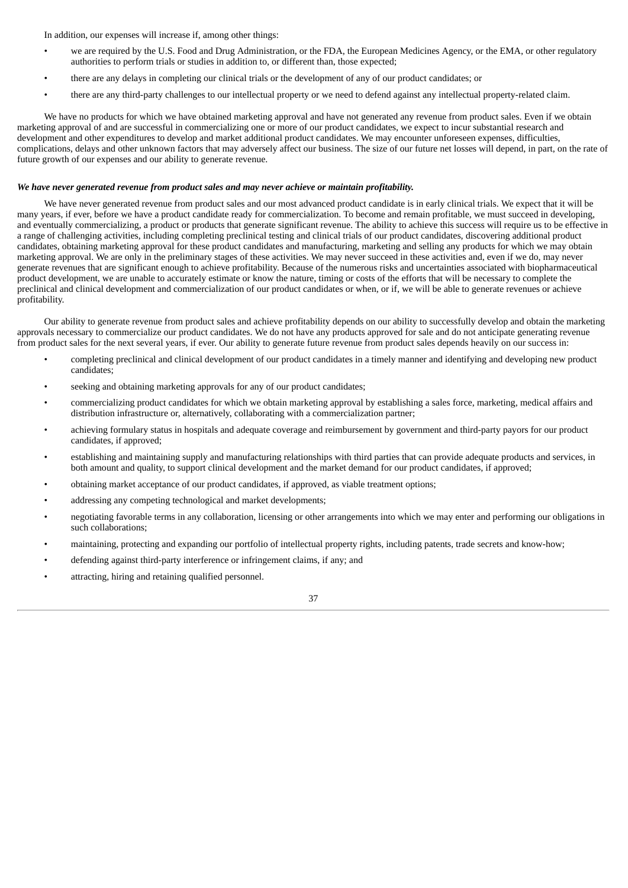In addition, our expenses will increase if, among other things:

- we are required by the U.S. Food and Drug Administration, or the FDA, the European Medicines Agency, or the EMA, or other regulatory authorities to perform trials or studies in addition to, or different than, those expected;
- there are any delays in completing our clinical trials or the development of any of our product candidates; or
- there are any third-party challenges to our intellectual property or we need to defend against any intellectual property-related claim.

We have no products for which we have obtained marketing approval and have not generated any revenue from product sales. Even if we obtain marketing approval of and are successful in commercializing one or more of our product candidates, we expect to incur substantial research and development and other expenditures to develop and market additional product candidates. We may encounter unforeseen expenses, difficulties, complications, delays and other unknown factors that may adversely affect our business. The size of our future net losses will depend, in part, on the rate of future growth of our expenses and our ability to generate revenue.

# *We have never generated revenue from product sales and may never achieve or maintain profitability.*

We have never generated revenue from product sales and our most advanced product candidate is in early clinical trials. We expect that it will be many years, if ever, before we have a product candidate ready for commercialization. To become and remain profitable, we must succeed in developing, and eventually commercializing, a product or products that generate significant revenue. The ability to achieve this success will require us to be effective in a range of challenging activities, including completing preclinical testing and clinical trials of our product candidates, discovering additional product candidates, obtaining marketing approval for these product candidates and manufacturing, marketing and selling any products for which we may obtain marketing approval. We are only in the preliminary stages of these activities. We may never succeed in these activities and, even if we do, may never generate revenues that are significant enough to achieve profitability. Because of the numerous risks and uncertainties associated with biopharmaceutical product development, we are unable to accurately estimate or know the nature, timing or costs of the efforts that will be necessary to complete the preclinical and clinical development and commercialization of our product candidates or when, or if, we will be able to generate revenues or achieve profitability.

Our ability to generate revenue from product sales and achieve profitability depends on our ability to successfully develop and obtain the marketing approvals necessary to commercialize our product candidates. We do not have any products approved for sale and do not anticipate generating revenue from product sales for the next several years, if ever. Our ability to generate future revenue from product sales depends heavily on our success in:

- completing preclinical and clinical development of our product candidates in a timely manner and identifying and developing new product candidates;
- seeking and obtaining marketing approvals for any of our product candidates;
- commercializing product candidates for which we obtain marketing approval by establishing a sales force, marketing, medical affairs and distribution infrastructure or, alternatively, collaborating with a commercialization partner;
- achieving formulary status in hospitals and adequate coverage and reimbursement by government and third-party payors for our product candidates, if approved;
- establishing and maintaining supply and manufacturing relationships with third parties that can provide adequate products and services, in both amount and quality, to support clinical development and the market demand for our product candidates, if approved;
- obtaining market acceptance of our product candidates, if approved, as viable treatment options;
- addressing any competing technological and market developments;
- negotiating favorable terms in any collaboration, licensing or other arrangements into which we may enter and performing our obligations in such collaborations;
- maintaining, protecting and expanding our portfolio of intellectual property rights, including patents, trade secrets and know-how;
- defending against third-party interference or infringement claims, if any; and
- attracting, hiring and retaining qualified personnel.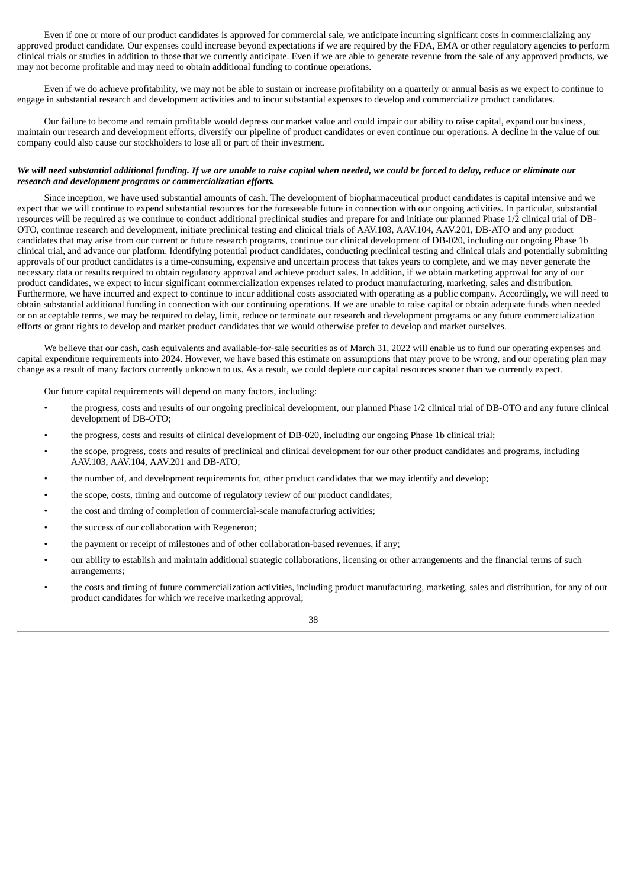Even if one or more of our product candidates is approved for commercial sale, we anticipate incurring significant costs in commercializing any approved product candidate. Our expenses could increase beyond expectations if we are required by the FDA, EMA or other regulatory agencies to perform clinical trials or studies in addition to those that we currently anticipate. Even if we are able to generate revenue from the sale of any approved products, we may not become profitable and may need to obtain additional funding to continue operations.

Even if we do achieve profitability, we may not be able to sustain or increase profitability on a quarterly or annual basis as we expect to continue to engage in substantial research and development activities and to incur substantial expenses to develop and commercialize product candidates.

Our failure to become and remain profitable would depress our market value and could impair our ability to raise capital, expand our business, maintain our research and development efforts, diversify our pipeline of product candidates or even continue our operations. A decline in the value of our company could also cause our stockholders to lose all or part of their investment.

### We will need substantial additional funding. If we are unable to raise capital when needed, we could be forced to delay, reduce or eliminate our *research and development programs or commercialization efforts.*

Since inception, we have used substantial amounts of cash. The development of biopharmaceutical product candidates is capital intensive and we expect that we will continue to expend substantial resources for the foreseeable future in connection with our ongoing activities. In particular, substantial resources will be required as we continue to conduct additional preclinical studies and prepare for and initiate our planned Phase 1/2 clinical trial of DB-OTO, continue research and development, initiate preclinical testing and clinical trials of AAV.103, AAV.104, AAV.201, DB-ATO and any product candidates that may arise from our current or future research programs, continue our clinical development of DB-020, including our ongoing Phase 1b clinical trial, and advance our platform. Identifying potential product candidates, conducting preclinical testing and clinical trials and potentially submitting approvals of our product candidates is a time-consuming, expensive and uncertain process that takes years to complete, and we may never generate the necessary data or results required to obtain regulatory approval and achieve product sales. In addition, if we obtain marketing approval for any of our product candidates, we expect to incur significant commercialization expenses related to product manufacturing, marketing, sales and distribution. Furthermore, we have incurred and expect to continue to incur additional costs associated with operating as a public company. Accordingly, we will need to obtain substantial additional funding in connection with our continuing operations. If we are unable to raise capital or obtain adequate funds when needed or on acceptable terms, we may be required to delay, limit, reduce or terminate our research and development programs or any future commercialization efforts or grant rights to develop and market product candidates that we would otherwise prefer to develop and market ourselves.

We believe that our cash, cash equivalents and available-for-sale securities as of March 31, 2022 will enable us to fund our operating expenses and capital expenditure requirements into 2024. However, we have based this estimate on assumptions that may prove to be wrong, and our operating plan may change as a result of many factors currently unknown to us. As a result, we could deplete our capital resources sooner than we currently expect.

Our future capital requirements will depend on many factors, including:

- the progress, costs and results of our ongoing preclinical development, our planned Phase 1/2 clinical trial of DB-OTO and any future clinical development of DB-OTO;
- the progress, costs and results of clinical development of DB-020, including our ongoing Phase 1b clinical trial;
- the scope, progress, costs and results of preclinical and clinical development for our other product candidates and programs, including AAV.103, AAV.104, AAV.201 and DB-ATO;
- the number of, and development requirements for, other product candidates that we may identify and develop;
- the scope, costs, timing and outcome of regulatory review of our product candidates;
- the cost and timing of completion of commercial-scale manufacturing activities;
- the success of our collaboration with Regeneron;
- the payment or receipt of milestones and of other collaboration-based revenues, if any;
- our ability to establish and maintain additional strategic collaborations, licensing or other arrangements and the financial terms of such arrangements;
- the costs and timing of future commercialization activities, including product manufacturing, marketing, sales and distribution, for any of our product candidates for which we receive marketing approval;

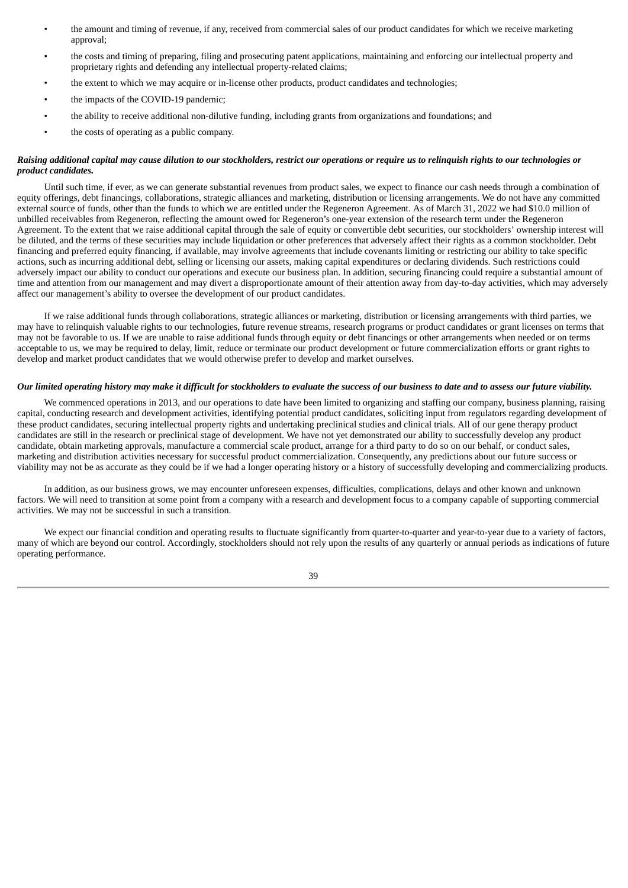- the amount and timing of revenue, if any, received from commercial sales of our product candidates for which we receive marketing approval;
- the costs and timing of preparing, filing and prosecuting patent applications, maintaining and enforcing our intellectual property and proprietary rights and defending any intellectual property-related claims;
- the extent to which we may acquire or in-license other products, product candidates and technologies;
- the impacts of the COVID-19 pandemic;
- the ability to receive additional non-dilutive funding, including grants from organizations and foundations; and
- the costs of operating as a public company.

# Raising additional capital may cause dilution to our stockholders, restrict our operations or require us to relinguish rights to our technologies or *product candidates.*

Until such time, if ever, as we can generate substantial revenues from product sales, we expect to finance our cash needs through a combination of equity offerings, debt financings, collaborations, strategic alliances and marketing, distribution or licensing arrangements. We do not have any committed external source of funds, other than the funds to which we are entitled under the Regeneron Agreement. As of March 31, 2022 we had \$10.0 million of unbilled receivables from Regeneron, reflecting the amount owed for Regeneron's one-year extension of the research term under the Regeneron Agreement. To the extent that we raise additional capital through the sale of equity or convertible debt securities, our stockholders' ownership interest will be diluted, and the terms of these securities may include liquidation or other preferences that adversely affect their rights as a common stockholder. Debt financing and preferred equity financing, if available, may involve agreements that include covenants limiting or restricting our ability to take specific actions, such as incurring additional debt, selling or licensing our assets, making capital expenditures or declaring dividends. Such restrictions could adversely impact our ability to conduct our operations and execute our business plan. In addition, securing financing could require a substantial amount of time and attention from our management and may divert a disproportionate amount of their attention away from day-to-day activities, which may adversely affect our management's ability to oversee the development of our product candidates.

If we raise additional funds through collaborations, strategic alliances or marketing, distribution or licensing arrangements with third parties, we may have to relinquish valuable rights to our technologies, future revenue streams, research programs or product candidates or grant licenses on terms that may not be favorable to us. If we are unable to raise additional funds through equity or debt financings or other arrangements when needed or on terms acceptable to us, we may be required to delay, limit, reduce or terminate our product development or future commercialization efforts or grant rights to develop and market product candidates that we would otherwise prefer to develop and market ourselves.

#### Our limited operating history may make it difficult for stockholders to evaluate the success of our business to date and to assess our future viability.

We commenced operations in 2013, and our operations to date have been limited to organizing and staffing our company, business planning, raising capital, conducting research and development activities, identifying potential product candidates, soliciting input from regulators regarding development of these product candidates, securing intellectual property rights and undertaking preclinical studies and clinical trials. All of our gene therapy product candidates are still in the research or preclinical stage of development. We have not yet demonstrated our ability to successfully develop any product candidate, obtain marketing approvals, manufacture a commercial scale product, arrange for a third party to do so on our behalf, or conduct sales, marketing and distribution activities necessary for successful product commercialization. Consequently, any predictions about our future success or viability may not be as accurate as they could be if we had a longer operating history or a history of successfully developing and commercializing products.

In addition, as our business grows, we may encounter unforeseen expenses, difficulties, complications, delays and other known and unknown factors. We will need to transition at some point from a company with a research and development focus to a company capable of supporting commercial activities. We may not be successful in such a transition.

We expect our financial condition and operating results to fluctuate significantly from quarter-to-quarter and year-to-year due to a variety of factors, many of which are beyond our control. Accordingly, stockholders should not rely upon the results of any quarterly or annual periods as indications of future operating performance.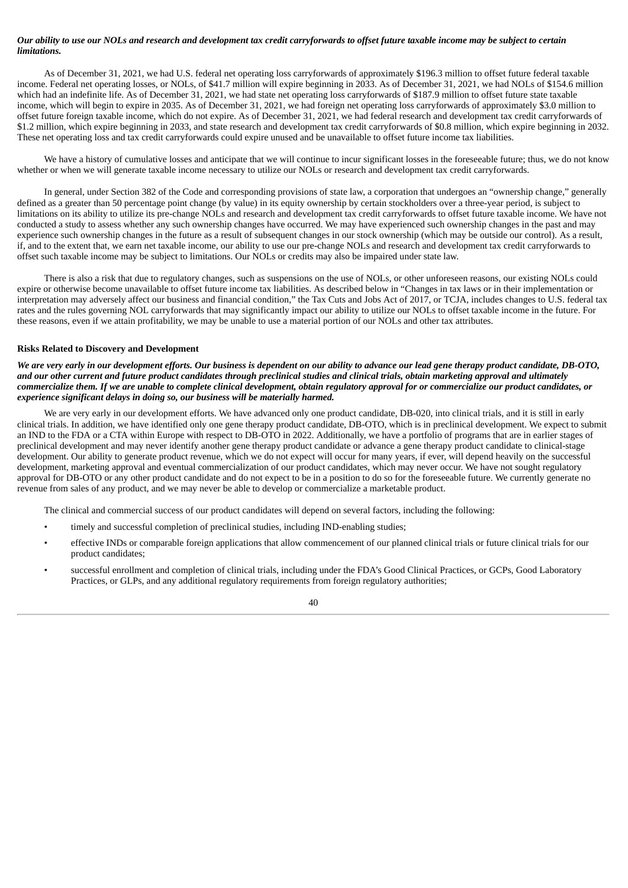# Our ability to use our NOLs and research and development tax credit carryforwards to offset future taxable income may be subject to certain *limitations.*

As of December 31, 2021, we had U.S. federal net operating loss carryforwards of approximately \$196.3 million to offset future federal taxable income. Federal net operating losses, or NOLs, of \$41.7 million will expire beginning in 2033. As of December 31, 2021, we had NOLs of \$154.6 million which had an indefinite life. As of December 31, 2021, we had state net operating loss carryforwards of \$187.9 million to offset future state taxable income, which will begin to expire in 2035. As of December 31, 2021, we had foreign net operating loss carryforwards of approximately \$3.0 million to offset future foreign taxable income, which do not expire. As of December 31, 2021, we had federal research and development tax credit carryforwards of \$1.2 million, which expire beginning in 2033, and state research and development tax credit carryforwards of \$0.8 million, which expire beginning in 2032. These net operating loss and tax credit carryforwards could expire unused and be unavailable to offset future income tax liabilities.

We have a history of cumulative losses and anticipate that we will continue to incur significant losses in the foreseeable future; thus, we do not know whether or when we will generate taxable income necessary to utilize our NOLs or research and development tax credit carryforwards.

In general, under Section 382 of the Code and corresponding provisions of state law, a corporation that undergoes an "ownership change," generally defined as a greater than 50 percentage point change (by value) in its equity ownership by certain stockholders over a three-year period, is subject to limitations on its ability to utilize its pre-change NOLs and research and development tax credit carryforwards to offset future taxable income. We have not conducted a study to assess whether any such ownership changes have occurred. We may have experienced such ownership changes in the past and may experience such ownership changes in the future as a result of subsequent changes in our stock ownership (which may be outside our control). As a result, if, and to the extent that, we earn net taxable income, our ability to use our pre-change NOLs and research and development tax credit carryforwards to offset such taxable income may be subject to limitations. Our NOLs or credits may also be impaired under state law.

There is also a risk that due to regulatory changes, such as suspensions on the use of NOLs, or other unforeseen reasons, our existing NOLs could expire or otherwise become unavailable to offset future income tax liabilities. As described below in "Changes in tax laws or in their implementation or interpretation may adversely affect our business and financial condition," the Tax Cuts and Jobs Act of 2017, or TCJA, includes changes to U.S. federal tax rates and the rules governing NOL carryforwards that may significantly impact our ability to utilize our NOLs to offset taxable income in the future. For these reasons, even if we attain profitability, we may be unable to use a material portion of our NOLs and other tax attributes.

# **Risks Related to Discovery and Development**

We are very early in our development efforts. Our business is dependent on our ability to advance our lead gene therapy product candidate, DB-OTO, and our other current and future product candidates through preclinical studies and clinical trials, obtain marketing approval and ultimately commercialize them. If we are unable to complete clinical development, obtain regulatory approval for or commercialize our product candidates, or *experience significant delays in doing so, our business will be materially harmed.*

We are very early in our development efforts. We have advanced only one product candidate, DB-020, into clinical trials, and it is still in early clinical trials. In addition, we have identified only one gene therapy product candidate, DB-OTO, which is in preclinical development. We expect to submit an IND to the FDA or a CTA within Europe with respect to DB-OTO in 2022. Additionally, we have a portfolio of programs that are in earlier stages of preclinical development and may never identify another gene therapy product candidate or advance a gene therapy product candidate to clinical-stage development. Our ability to generate product revenue, which we do not expect will occur for many years, if ever, will depend heavily on the successful development, marketing approval and eventual commercialization of our product candidates, which may never occur. We have not sought regulatory approval for DB-OTO or any other product candidate and do not expect to be in a position to do so for the foreseeable future. We currently generate no revenue from sales of any product, and we may never be able to develop or commercialize a marketable product.

The clinical and commercial success of our product candidates will depend on several factors, including the following:

- timely and successful completion of preclinical studies, including IND-enabling studies;
- effective INDs or comparable foreign applications that allow commencement of our planned clinical trials or future clinical trials for our product candidates;
- successful enrollment and completion of clinical trials, including under the FDA's Good Clinical Practices, or GCPs, Good Laboratory Practices, or GLPs, and any additional regulatory requirements from foreign regulatory authorities;

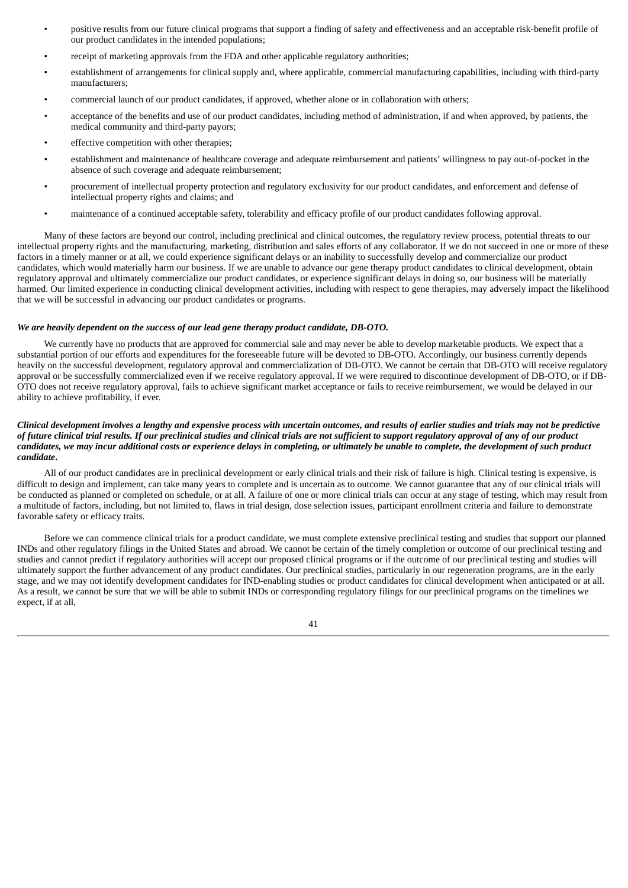- positive results from our future clinical programs that support a finding of safety and effectiveness and an acceptable risk-benefit profile of our product candidates in the intended populations;
- receipt of marketing approvals from the FDA and other applicable regulatory authorities;
- establishment of arrangements for clinical supply and, where applicable, commercial manufacturing capabilities, including with third-party manufacturers;
- commercial launch of our product candidates, if approved, whether alone or in collaboration with others;
- acceptance of the benefits and use of our product candidates, including method of administration, if and when approved, by patients, the medical community and third-party payors;
- effective competition with other therapies;
- establishment and maintenance of healthcare coverage and adequate reimbursement and patients' willingness to pay out-of-pocket in the absence of such coverage and adequate reimbursement;
- procurement of intellectual property protection and regulatory exclusivity for our product candidates, and enforcement and defense of intellectual property rights and claims; and
- maintenance of a continued acceptable safety, tolerability and efficacy profile of our product candidates following approval.

Many of these factors are beyond our control, including preclinical and clinical outcomes, the regulatory review process, potential threats to our intellectual property rights and the manufacturing, marketing, distribution and sales efforts of any collaborator. If we do not succeed in one or more of these factors in a timely manner or at all, we could experience significant delays or an inability to successfully develop and commercialize our product candidates, which would materially harm our business. If we are unable to advance our gene therapy product candidates to clinical development, obtain regulatory approval and ultimately commercialize our product candidates, or experience significant delays in doing so, our business will be materially harmed. Our limited experience in conducting clinical development activities, including with respect to gene therapies, may adversely impact the likelihood that we will be successful in advancing our product candidates or programs.

### *We are heavily dependent on the success of our lead gene therapy product candidate, DB-OTO.*

We currently have no products that are approved for commercial sale and may never be able to develop marketable products. We expect that a substantial portion of our efforts and expenditures for the foreseeable future will be devoted to DB-OTO. Accordingly, our business currently depends heavily on the successful development, regulatory approval and commercialization of DB-OTO. We cannot be certain that DB-OTO will receive regulatory approval or be successfully commercialized even if we receive regulatory approval. If we were required to discontinue development of DB-OTO, or if DB-OTO does not receive regulatory approval, fails to achieve significant market acceptance or fails to receive reimbursement, we would be delayed in our ability to achieve profitability, if ever.

## Clinical development involves a lengthy and expensive process with uncertain outcomes, and results of earlier studies and trials may not be predictive of future clinical trial results. If our preclinical studies and clinical trials are not sufficient to support regulatory approval of any of our product candidates, we may incur additional costs or experience delays in completing, or ultimately be unable to complete, the development of such product *candidate***.**

All of our product candidates are in preclinical development or early clinical trials and their risk of failure is high. Clinical testing is expensive, is difficult to design and implement, can take many years to complete and is uncertain as to outcome. We cannot guarantee that any of our clinical trials will be conducted as planned or completed on schedule, or at all. A failure of one or more clinical trials can occur at any stage of testing, which may result from a multitude of factors, including, but not limited to, flaws in trial design, dose selection issues, participant enrollment criteria and failure to demonstrate favorable safety or efficacy traits.

Before we can commence clinical trials for a product candidate, we must complete extensive preclinical testing and studies that support our planned INDs and other regulatory filings in the United States and abroad. We cannot be certain of the timely completion or outcome of our preclinical testing and studies and cannot predict if regulatory authorities will accept our proposed clinical programs or if the outcome of our preclinical testing and studies will ultimately support the further advancement of any product candidates. Our preclinical studies, particularly in our regeneration programs, are in the early stage, and we may not identify development candidates for IND-enabling studies or product candidates for clinical development when anticipated or at all. As a result, we cannot be sure that we will be able to submit INDs or corresponding regulatory filings for our preclinical programs on the timelines we expect, if at all,

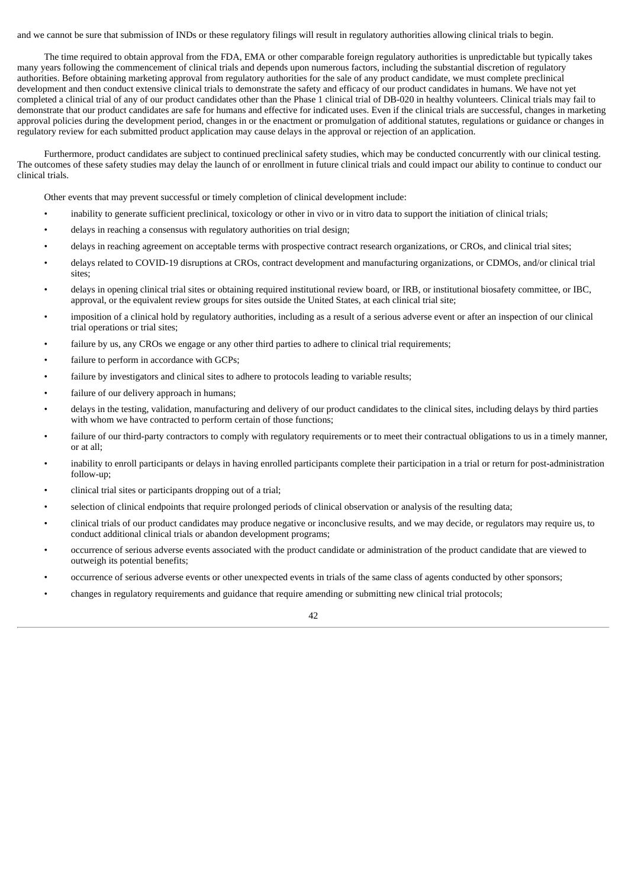and we cannot be sure that submission of INDs or these regulatory filings will result in regulatory authorities allowing clinical trials to begin.

The time required to obtain approval from the FDA, EMA or other comparable foreign regulatory authorities is unpredictable but typically takes many years following the commencement of clinical trials and depends upon numerous factors, including the substantial discretion of regulatory authorities. Before obtaining marketing approval from regulatory authorities for the sale of any product candidate, we must complete preclinical development and then conduct extensive clinical trials to demonstrate the safety and efficacy of our product candidates in humans. We have not yet completed a clinical trial of any of our product candidates other than the Phase 1 clinical trial of DB-020 in healthy volunteers. Clinical trials may fail to demonstrate that our product candidates are safe for humans and effective for indicated uses. Even if the clinical trials are successful, changes in marketing approval policies during the development period, changes in or the enactment or promulgation of additional statutes, regulations or guidance or changes in regulatory review for each submitted product application may cause delays in the approval or rejection of an application.

Furthermore, product candidates are subject to continued preclinical safety studies, which may be conducted concurrently with our clinical testing. The outcomes of these safety studies may delay the launch of or enrollment in future clinical trials and could impact our ability to continue to conduct our clinical trials.

Other events that may prevent successful or timely completion of clinical development include:

- inability to generate sufficient preclinical, toxicology or other in vivo or in vitro data to support the initiation of clinical trials;
- delays in reaching a consensus with regulatory authorities on trial design;
- delays in reaching agreement on acceptable terms with prospective contract research organizations, or CROs, and clinical trial sites;
- delays related to COVID-19 disruptions at CROs, contract development and manufacturing organizations, or CDMOs, and/or clinical trial sites;
- delays in opening clinical trial sites or obtaining required institutional review board, or IRB, or institutional biosafety committee, or IBC, approval, or the equivalent review groups for sites outside the United States, at each clinical trial site;
- imposition of a clinical hold by regulatory authorities, including as a result of a serious adverse event or after an inspection of our clinical trial operations or trial sites;
- failure by us, any CROs we engage or any other third parties to adhere to clinical trial requirements;
- failure to perform in accordance with GCPs;
- failure by investigators and clinical sites to adhere to protocols leading to variable results;
- failure of our delivery approach in humans;
- delays in the testing, validation, manufacturing and delivery of our product candidates to the clinical sites, including delays by third parties with whom we have contracted to perform certain of those functions;
- failure of our third-party contractors to comply with regulatory requirements or to meet their contractual obligations to us in a timely manner, or at all;
- inability to enroll participants or delays in having enrolled participants complete their participation in a trial or return for post-administration follow-up;
- clinical trial sites or participants dropping out of a trial;
- selection of clinical endpoints that require prolonged periods of clinical observation or analysis of the resulting data;
- clinical trials of our product candidates may produce negative or inconclusive results, and we may decide, or regulators may require us, to conduct additional clinical trials or abandon development programs;
- occurrence of serious adverse events associated with the product candidate or administration of the product candidate that are viewed to outweigh its potential benefits;
- occurrence of serious adverse events or other unexpected events in trials of the same class of agents conducted by other sponsors;
- changes in regulatory requirements and guidance that require amending or submitting new clinical trial protocols;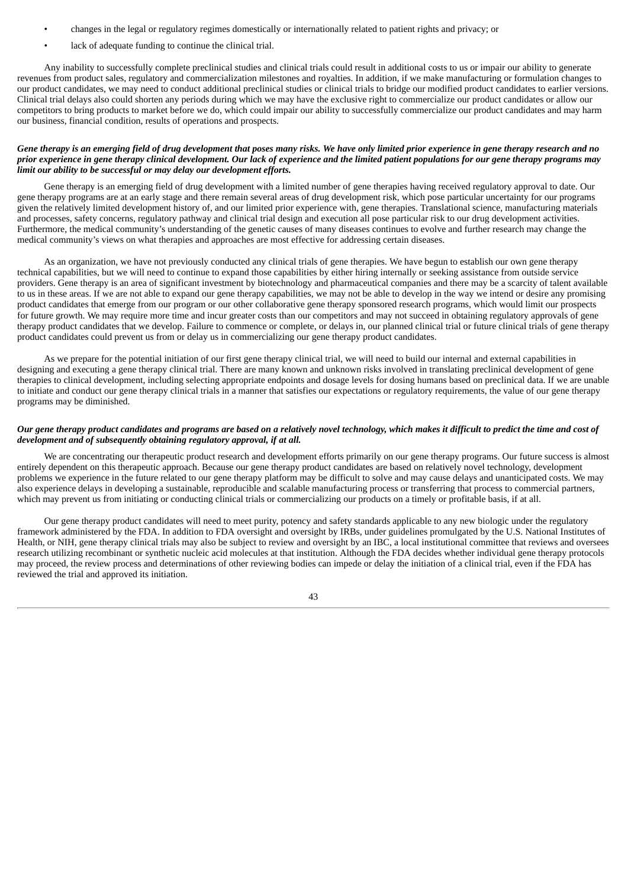- changes in the legal or regulatory regimes domestically or internationally related to patient rights and privacy; or
- lack of adequate funding to continue the clinical trial.

Any inability to successfully complete preclinical studies and clinical trials could result in additional costs to us or impair our ability to generate revenues from product sales, regulatory and commercialization milestones and royalties. In addition, if we make manufacturing or formulation changes to our product candidates, we may need to conduct additional preclinical studies or clinical trials to bridge our modified product candidates to earlier versions. Clinical trial delays also could shorten any periods during which we may have the exclusive right to commercialize our product candidates or allow our competitors to bring products to market before we do, which could impair our ability to successfully commercialize our product candidates and may harm our business, financial condition, results of operations and prospects.

# Gene therapy is an emerging field of drug development that poses many risks. We have only limited prior experience in gene therapy research and no prior experience in gene therapy clinical development. Our lack of experience and the limited patient populations for our gene therapy programs may *limit our ability to be successful or may delay our development efforts.*

Gene therapy is an emerging field of drug development with a limited number of gene therapies having received regulatory approval to date. Our gene therapy programs are at an early stage and there remain several areas of drug development risk, which pose particular uncertainty for our programs given the relatively limited development history of, and our limited prior experience with, gene therapies. Translational science, manufacturing materials and processes, safety concerns, regulatory pathway and clinical trial design and execution all pose particular risk to our drug development activities. Furthermore, the medical community's understanding of the genetic causes of many diseases continues to evolve and further research may change the medical community's views on what therapies and approaches are most effective for addressing certain diseases.

As an organization, we have not previously conducted any clinical trials of gene therapies. We have begun to establish our own gene therapy technical capabilities, but we will need to continue to expand those capabilities by either hiring internally or seeking assistance from outside service providers. Gene therapy is an area of significant investment by biotechnology and pharmaceutical companies and there may be a scarcity of talent available to us in these areas. If we are not able to expand our gene therapy capabilities, we may not be able to develop in the way we intend or desire any promising product candidates that emerge from our program or our other collaborative gene therapy sponsored research programs, which would limit our prospects for future growth. We may require more time and incur greater costs than our competitors and may not succeed in obtaining regulatory approvals of gene therapy product candidates that we develop. Failure to commence or complete, or delays in, our planned clinical trial or future clinical trials of gene therapy product candidates could prevent us from or delay us in commercializing our gene therapy product candidates.

As we prepare for the potential initiation of our first gene therapy clinical trial, we will need to build our internal and external capabilities in designing and executing a gene therapy clinical trial. There are many known and unknown risks involved in translating preclinical development of gene therapies to clinical development, including selecting appropriate endpoints and dosage levels for dosing humans based on preclinical data. If we are unable to initiate and conduct our gene therapy clinical trials in a manner that satisfies our expectations or regulatory requirements, the value of our gene therapy programs may be diminished.

### Our gene therapy product candidates and programs are based on a relatively novel technology, which makes it difficult to predict the time and cost of *development and of subsequently obtaining regulatory approval, if at all.*

We are concentrating our therapeutic product research and development efforts primarily on our gene therapy programs. Our future success is almost entirely dependent on this therapeutic approach. Because our gene therapy product candidates are based on relatively novel technology, development problems we experience in the future related to our gene therapy platform may be difficult to solve and may cause delays and unanticipated costs. We may also experience delays in developing a sustainable, reproducible and scalable manufacturing process or transferring that process to commercial partners, which may prevent us from initiating or conducting clinical trials or commercializing our products on a timely or profitable basis, if at all.

Our gene therapy product candidates will need to meet purity, potency and safety standards applicable to any new biologic under the regulatory framework administered by the FDA. In addition to FDA oversight and oversight by IRBs, under guidelines promulgated by the U.S. National Institutes of Health, or NIH, gene therapy clinical trials may also be subject to review and oversight by an IBC, a local institutional committee that reviews and oversees research utilizing recombinant or synthetic nucleic acid molecules at that institution. Although the FDA decides whether individual gene therapy protocols may proceed, the review process and determinations of other reviewing bodies can impede or delay the initiation of a clinical trial, even if the FDA has reviewed the trial and approved its initiation.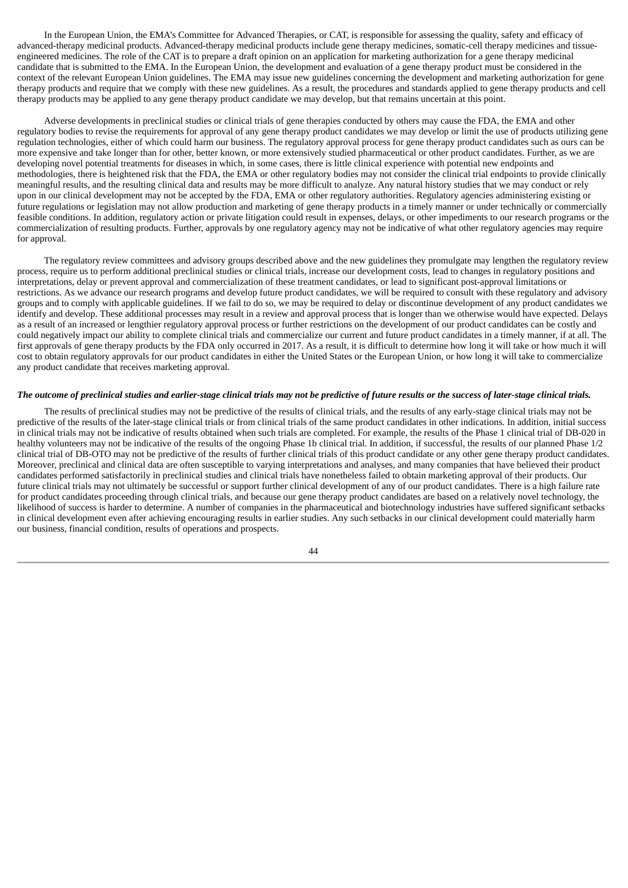In the European Union, the EMA's Committee for Advanced Therapies, or CAT, is responsible for assessing the quality, safety and efficacy of advanced-therapy medicinal products. Advanced-therapy medicinal products include gene therapy medicines, somatic-cell therapy medicines and tissueengineered medicines. The role of the CAT is to prepare a draft opinion on an application for marketing authorization for a gene therapy medicinal candidate that is submitted to the EMA. In the European Union, the development and evaluation of a gene therapy product must be considered in the context of the relevant European Union guidelines. The EMA may issue new guidelines concerning the development and marketing authorization for gene therapy products and require that we comply with these new guidelines. As a result, the procedures and standards applied to gene therapy products and cell therapy products may be applied to any gene therapy product candidate we may develop, but that remains uncertain at this point.

Adverse developments in preclinical studies or clinical trials of gene therapies conducted by others may cause the FDA, the EMA and other regulatory bodies to revise the requirements for approval of any gene therapy product candidates we may develop or limit the use of products utilizing gene regulation technologies, either of which could harm our business. The regulatory approval process for gene therapy product candidates such as ours can be more expensive and take longer than for other, better known, or more extensively studied pharmaceutical or other product candidates. Further, as we are developing novel potential treatments for diseases in which, in some cases, there is little clinical experience with potential new endpoints and methodologies, there is heightened risk that the FDA, the EMA or other regulatory bodies may not consider the clinical trial endpoints to provide clinically meaningful results, and the resulting clinical data and results may be more difficult to analyze. Any natural history studies that we may conduct or rely upon in our clinical development may not be accepted by the FDA, EMA or other regulatory authorities. Regulatory agencies administering existing or future regulations or legislation may not allow production and marketing of gene therapy products in a timely manner or under technically or commercially feasible conditions. In addition, regulatory action or private litigation could result in expenses, delays, or other impediments to our research programs or the commercialization of resulting products. Further, approvals by one regulatory agency may not be indicative of what other regulatory agencies may require for approval.

The regulatory review committees and advisory groups described above and the new guidelines they promulgate may lengthen the regulatory review process, require us to perform additional preclinical studies or clinical trials, increase our development costs, lead to changes in regulatory positions and interpretations, delay or prevent approval and commercialization of these treatment candidates, or lead to significant post-approval limitations or restrictions. As we advance our research programs and develop future product candidates, we will be required to consult with these regulatory and advisory groups and to comply with applicable guidelines. If we fail to do so, we may be required to delay or discontinue development of any product candidates we identify and develop. These additional processes may result in a review and approval process that is longer than we otherwise would have expected. Delays as a result of an increased or lengthier regulatory approval process or further restrictions on the development of our product candidates can be costly and could negatively impact our ability to complete clinical trials and commercialize our current and future product candidates in a timely manner, if at all. The first approvals of gene therapy products by the FDA only occurred in 2017. As a result, it is difficult to determine how long it will take or how much it will cost to obtain regulatory approvals for our product candidates in either the United States or the European Union, or how long it will take to commercialize any product candidate that receives marketing approval.

#### The outcome of preclinical studies and earlier-stage clinical trials may not be predictive of future results or the success of later-stage clinical trials.

The results of preclinical studies may not be predictive of the results of clinical trials, and the results of any early-stage clinical trials may not be predictive of the results of the later-stage clinical trials or from clinical trials of the same product candidates in other indications. In addition, initial success in clinical trials may not be indicative of results obtained when such trials are completed. For example, the results of the Phase 1 clinical trial of DB-020 in healthy volunteers may not be indicative of the results of the ongoing Phase 1b clinical trial. In addition, if successful, the results of our planned Phase 1/2 clinical trial of DB-OTO may not be predictive of the results of further clinical trials of this product candidate or any other gene therapy product candidates. Moreover, preclinical and clinical data are often susceptible to varying interpretations and analyses, and many companies that have believed their product candidates performed satisfactorily in preclinical studies and clinical trials have nonetheless failed to obtain marketing approval of their products. Our future clinical trials may not ultimately be successful or support further clinical development of any of our product candidates. There is a high failure rate for product candidates proceeding through clinical trials, and because our gene therapy product candidates are based on a relatively novel technology, the likelihood of success is harder to determine. A number of companies in the pharmaceutical and biotechnology industries have suffered significant setbacks in clinical development even after achieving encouraging results in earlier studies. Any such setbacks in our clinical development could materially harm our business, financial condition, results of operations and prospects.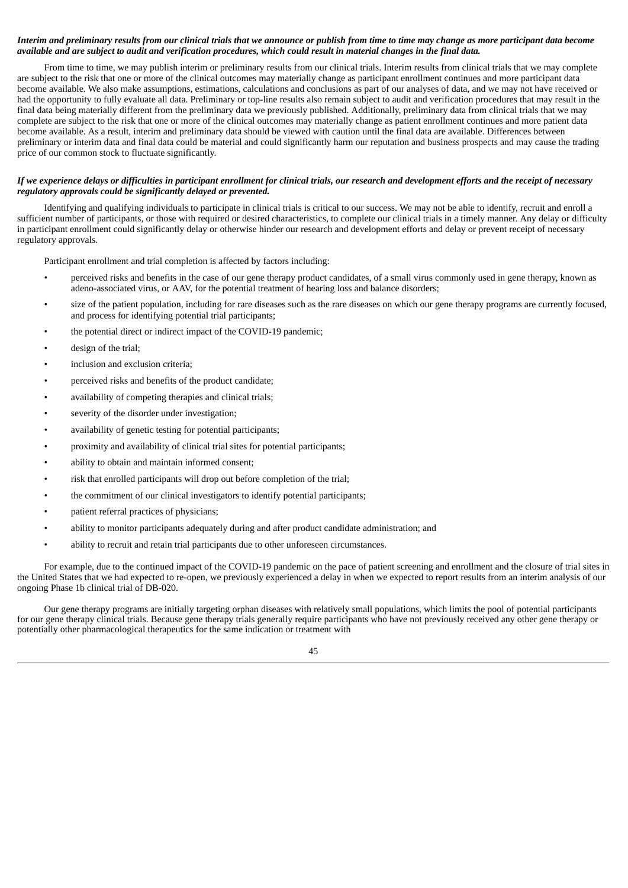# Interim and preliminary results from our clinical trials that we announce or publish from time to time may change as more participant data become available and are subject to audit and verification procedures, which could result in material changes in the final data.

From time to time, we may publish interim or preliminary results from our clinical trials. Interim results from clinical trials that we may complete are subject to the risk that one or more of the clinical outcomes may materially change as participant enrollment continues and more participant data become available. We also make assumptions, estimations, calculations and conclusions as part of our analyses of data, and we may not have received or had the opportunity to fully evaluate all data. Preliminary or top-line results also remain subject to audit and verification procedures that may result in the final data being materially different from the preliminary data we previously published. Additionally, preliminary data from clinical trials that we may complete are subject to the risk that one or more of the clinical outcomes may materially change as patient enrollment continues and more patient data become available. As a result, interim and preliminary data should be viewed with caution until the final data are available. Differences between preliminary or interim data and final data could be material and could significantly harm our reputation and business prospects and may cause the trading price of our common stock to fluctuate significantly.

# If we experience delays or difficulties in participant enrollment for clinical trials, our research and development efforts and the receipt of necessary *regulatory approvals could be significantly delayed or prevented.*

Identifying and qualifying individuals to participate in clinical trials is critical to our success. We may not be able to identify, recruit and enroll a sufficient number of participants, or those with required or desired characteristics, to complete our clinical trials in a timely manner. Any delay or difficulty in participant enrollment could significantly delay or otherwise hinder our research and development efforts and delay or prevent receipt of necessary regulatory approvals.

Participant enrollment and trial completion is affected by factors including:

- perceived risks and benefits in the case of our gene therapy product candidates, of a small virus commonly used in gene therapy, known as adeno-associated virus, or AAV, for the potential treatment of hearing loss and balance disorders;
- size of the patient population, including for rare diseases such as the rare diseases on which our gene therapy programs are currently focused, and process for identifying potential trial participants;
- the potential direct or indirect impact of the COVID-19 pandemic;
- design of the trial;
- inclusion and exclusion criteria;
- perceived risks and benefits of the product candidate;
- availability of competing therapies and clinical trials;
- severity of the disorder under investigation;
- availability of genetic testing for potential participants;
- proximity and availability of clinical trial sites for potential participants;
- ability to obtain and maintain informed consent;
- risk that enrolled participants will drop out before completion of the trial;
- the commitment of our clinical investigators to identify potential participants;
- patient referral practices of physicians;
- ability to monitor participants adequately during and after product candidate administration; and
- ability to recruit and retain trial participants due to other unforeseen circumstances.

For example, due to the continued impact of the COVID-19 pandemic on the pace of patient screening and enrollment and the closure of trial sites in the United States that we had expected to re-open, we previously experienced a delay in when we expected to report results from an interim analysis of our ongoing Phase 1b clinical trial of DB-020.

Our gene therapy programs are initially targeting orphan diseases with relatively small populations, which limits the pool of potential participants for our gene therapy clinical trials. Because gene therapy trials generally require participants who have not previously received any other gene therapy or potentially other pharmacological therapeutics for the same indication or treatment with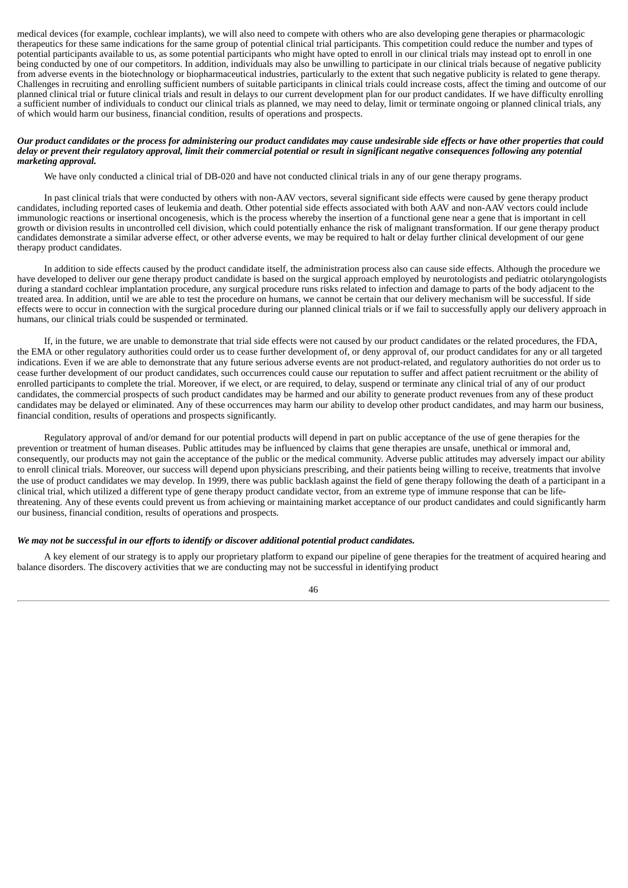medical devices (for example, cochlear implants), we will also need to compete with others who are also developing gene therapies or pharmacologic therapeutics for these same indications for the same group of potential clinical trial participants. This competition could reduce the number and types of potential participants available to us, as some potential participants who might have opted to enroll in our clinical trials may instead opt to enroll in one being conducted by one of our competitors. In addition, individuals may also be unwilling to participate in our clinical trials because of negative publicity from adverse events in the biotechnology or biopharmaceutical industries, particularly to the extent that such negative publicity is related to gene therapy. Challenges in recruiting and enrolling sufficient numbers of suitable participants in clinical trials could increase costs, affect the timing and outcome of our planned clinical trial or future clinical trials and result in delays to our current development plan for our product candidates. If we have difficulty enrolling a sufficient number of individuals to conduct our clinical trials as planned, we may need to delay, limit or terminate ongoing or planned clinical trials, any of which would harm our business, financial condition, results of operations and prospects.

### Our product candidates or the process for administering our product candidates may cause undesirable side effects or have other properties that could delay or prevent their regulatory approval, limit their commercial potential or result in significant negative consequences following any potential *marketing approval.*

We have only conducted a clinical trial of DB-020 and have not conducted clinical trials in any of our gene therapy programs.

In past clinical trials that were conducted by others with non-AAV vectors, several significant side effects were caused by gene therapy product candidates, including reported cases of leukemia and death. Other potential side effects associated with both AAV and non-AAV vectors could include immunologic reactions or insertional oncogenesis, which is the process whereby the insertion of a functional gene near a gene that is important in cell growth or division results in uncontrolled cell division, which could potentially enhance the risk of malignant transformation. If our gene therapy product candidates demonstrate a similar adverse effect, or other adverse events, we may be required to halt or delay further clinical development of our gene therapy product candidates.

In addition to side effects caused by the product candidate itself, the administration process also can cause side effects. Although the procedure we have developed to deliver our gene therapy product candidate is based on the surgical approach employed by neurotologists and pediatric otolaryngologists during a standard cochlear implantation procedure, any surgical procedure runs risks related to infection and damage to parts of the body adjacent to the treated area. In addition, until we are able to test the procedure on humans, we cannot be certain that our delivery mechanism will be successful. If side effects were to occur in connection with the surgical procedure during our planned clinical trials or if we fail to successfully apply our delivery approach in humans, our clinical trials could be suspended or terminated.

If, in the future, we are unable to demonstrate that trial side effects were not caused by our product candidates or the related procedures, the FDA, the EMA or other regulatory authorities could order us to cease further development of, or deny approval of, our product candidates for any or all targeted indications. Even if we are able to demonstrate that any future serious adverse events are not product-related, and regulatory authorities do not order us to cease further development of our product candidates, such occurrences could cause our reputation to suffer and affect patient recruitment or the ability of enrolled participants to complete the trial. Moreover, if we elect, or are required, to delay, suspend or terminate any clinical trial of any of our product candidates, the commercial prospects of such product candidates may be harmed and our ability to generate product revenues from any of these product candidates may be delayed or eliminated. Any of these occurrences may harm our ability to develop other product candidates, and may harm our business, financial condition, results of operations and prospects significantly.

Regulatory approval of and/or demand for our potential products will depend in part on public acceptance of the use of gene therapies for the prevention or treatment of human diseases. Public attitudes may be influenced by claims that gene therapies are unsafe, unethical or immoral and, consequently, our products may not gain the acceptance of the public or the medical community. Adverse public attitudes may adversely impact our ability to enroll clinical trials. Moreover, our success will depend upon physicians prescribing, and their patients being willing to receive, treatments that involve the use of product candidates we may develop. In 1999, there was public backlash against the field of gene therapy following the death of a participant in a clinical trial, which utilized a different type of gene therapy product candidate vector, from an extreme type of immune response that can be lifethreatening. Any of these events could prevent us from achieving or maintaining market acceptance of our product candidates and could significantly harm our business, financial condition, results of operations and prospects.

#### *We may not be successful in our efforts to identify or discover additional potential product candidates.*

A key element of our strategy is to apply our proprietary platform to expand our pipeline of gene therapies for the treatment of acquired hearing and balance disorders. The discovery activities that we are conducting may not be successful in identifying product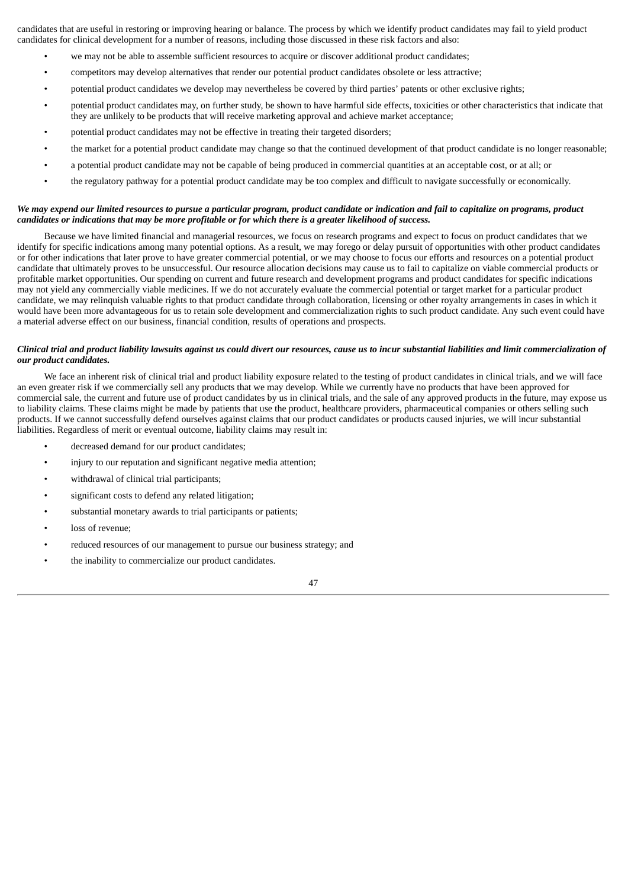candidates that are useful in restoring or improving hearing or balance. The process by which we identify product candidates may fail to yield product candidates for clinical development for a number of reasons, including those discussed in these risk factors and also:

- we may not be able to assemble sufficient resources to acquire or discover additional product candidates;
- competitors may develop alternatives that render our potential product candidates obsolete or less attractive;
- potential product candidates we develop may nevertheless be covered by third parties' patents or other exclusive rights;
- potential product candidates may, on further study, be shown to have harmful side effects, toxicities or other characteristics that indicate that they are unlikely to be products that will receive marketing approval and achieve market acceptance;
- potential product candidates may not be effective in treating their targeted disorders;
- the market for a potential product candidate may change so that the continued development of that product candidate is no longer reasonable;
- a potential product candidate may not be capable of being produced in commercial quantities at an acceptable cost, or at all; or
- the regulatory pathway for a potential product candidate may be too complex and difficult to navigate successfully or economically.

## We may expend our limited resources to pursue a particular program, product candidate or indication and fail to capitalize on programs, product candidates or indications that may be more profitable or for which there is a greater likelihood of success.

Because we have limited financial and managerial resources, we focus on research programs and expect to focus on product candidates that we identify for specific indications among many potential options. As a result, we may forego or delay pursuit of opportunities with other product candidates or for other indications that later prove to have greater commercial potential, or we may choose to focus our efforts and resources on a potential product candidate that ultimately proves to be unsuccessful. Our resource allocation decisions may cause us to fail to capitalize on viable commercial products or profitable market opportunities. Our spending on current and future research and development programs and product candidates for specific indications may not yield any commercially viable medicines. If we do not accurately evaluate the commercial potential or target market for a particular product candidate, we may relinquish valuable rights to that product candidate through collaboration, licensing or other royalty arrangements in cases in which it would have been more advantageous for us to retain sole development and commercialization rights to such product candidate. Any such event could have a material adverse effect on our business, financial condition, results of operations and prospects.

### Clinical trial and product liability lawsuits against us could divert our resources, cause us to incur substantial liabilities and limit commercialization of *our product candidates.*

We face an inherent risk of clinical trial and product liability exposure related to the testing of product candidates in clinical trials, and we will face an even greater risk if we commercially sell any products that we may develop. While we currently have no products that have been approved for commercial sale, the current and future use of product candidates by us in clinical trials, and the sale of any approved products in the future, may expose us to liability claims. These claims might be made by patients that use the product, healthcare providers, pharmaceutical companies or others selling such products. If we cannot successfully defend ourselves against claims that our product candidates or products caused injuries, we will incur substantial liabilities. Regardless of merit or eventual outcome, liability claims may result in:

- decreased demand for our product candidates;
- injury to our reputation and significant negative media attention;
- withdrawal of clinical trial participants;
- significant costs to defend any related litigation;
- substantial monetary awards to trial participants or patients;
- loss of revenue;
- reduced resources of our management to pursue our business strategy; and
- the inability to commercialize our product candidates.

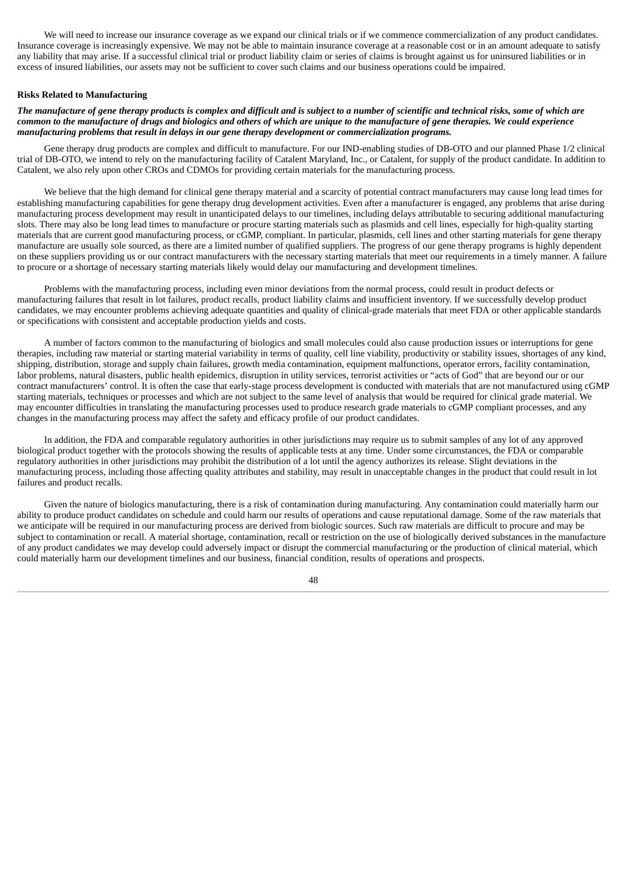We will need to increase our insurance coverage as we expand our clinical trials or if we commence commercialization of any product candidates. Insurance coverage is increasingly expensive. We may not be able to maintain insurance coverage at a reasonable cost or in an amount adequate to satisfy any liability that may arise. If a successful clinical trial or product liability claim or series of claims is brought against us for uninsured liabilities or in excess of insured liabilities, our assets may not be sufficient to cover such claims and our business operations could be impaired.

### **Risks Related to Manufacturing**

The manufacture of gene therapy products is complex and difficult and is subject to a number of scientific and technical risks, some of which are common to the manufacture of drugs and biologics and others of which are unique to the manufacture of gene therapies. We could experience *manufacturing problems that result in delays in our gene therapy development or commercialization programs.*

Gene therapy drug products are complex and difficult to manufacture. For our IND-enabling studies of DB-OTO and our planned Phase 1/2 clinical trial of DB-OTO, we intend to rely on the manufacturing facility of Catalent Maryland, Inc., or Catalent, for supply of the product candidate. In addition to Catalent, we also rely upon other CROs and CDMOs for providing certain materials for the manufacturing process.

We believe that the high demand for clinical gene therapy material and a scarcity of potential contract manufacturers may cause long lead times for establishing manufacturing capabilities for gene therapy drug development activities. Even after a manufacturer is engaged, any problems that arise during manufacturing process development may result in unanticipated delays to our timelines, including delays attributable to securing additional manufacturing slots. There may also be long lead times to manufacture or procure starting materials such as plasmids and cell lines, especially for high-quality starting materials that are current good manufacturing process, or cGMP, compliant. In particular, plasmids, cell lines and other starting materials for gene therapy manufacture are usually sole sourced, as there are a limited number of qualified suppliers. The progress of our gene therapy programs is highly dependent on these suppliers providing us or our contract manufacturers with the necessary starting materials that meet our requirements in a timely manner. A failure to procure or a shortage of necessary starting materials likely would delay our manufacturing and development timelines.

Problems with the manufacturing process, including even minor deviations from the normal process, could result in product defects or manufacturing failures that result in lot failures, product recalls, product liability claims and insufficient inventory. If we successfully develop product candidates, we may encounter problems achieving adequate quantities and quality of clinical-grade materials that meet FDA or other applicable standards or specifications with consistent and acceptable production yields and costs.

A number of factors common to the manufacturing of biologics and small molecules could also cause production issues or interruptions for gene therapies, including raw material or starting material variability in terms of quality, cell line viability, productivity or stability issues, shortages of any kind, shipping, distribution, storage and supply chain failures, growth media contamination, equipment malfunctions, operator errors, facility contamination, labor problems, natural disasters, public health epidemics, disruption in utility services, terrorist activities or "acts of God" that are beyond our or our contract manufacturers' control. It is often the case that early-stage process development is conducted with materials that are not manufactured using cGMP starting materials, techniques or processes and which are not subject to the same level of analysis that would be required for clinical grade material. We may encounter difficulties in translating the manufacturing processes used to produce research grade materials to cGMP compliant processes, and any changes in the manufacturing process may affect the safety and efficacy profile of our product candidates.

In addition, the FDA and comparable regulatory authorities in other jurisdictions may require us to submit samples of any lot of any approved biological product together with the protocols showing the results of applicable tests at any time. Under some circumstances, the FDA or comparable regulatory authorities in other jurisdictions may prohibit the distribution of a lot until the agency authorizes its release. Slight deviations in the manufacturing process, including those affecting quality attributes and stability, may result in unacceptable changes in the product that could result in lot failures and product recalls.

Given the nature of biologics manufacturing, there is a risk of contamination during manufacturing. Any contamination could materially harm our ability to produce product candidates on schedule and could harm our results of operations and cause reputational damage. Some of the raw materials that we anticipate will be required in our manufacturing process are derived from biologic sources. Such raw materials are difficult to procure and may be subject to contamination or recall. A material shortage, contamination, recall or restriction on the use of biologically derived substances in the manufacture of any product candidates we may develop could adversely impact or disrupt the commercial manufacturing or the production of clinical material, which could materially harm our development timelines and our business, financial condition, results of operations and prospects.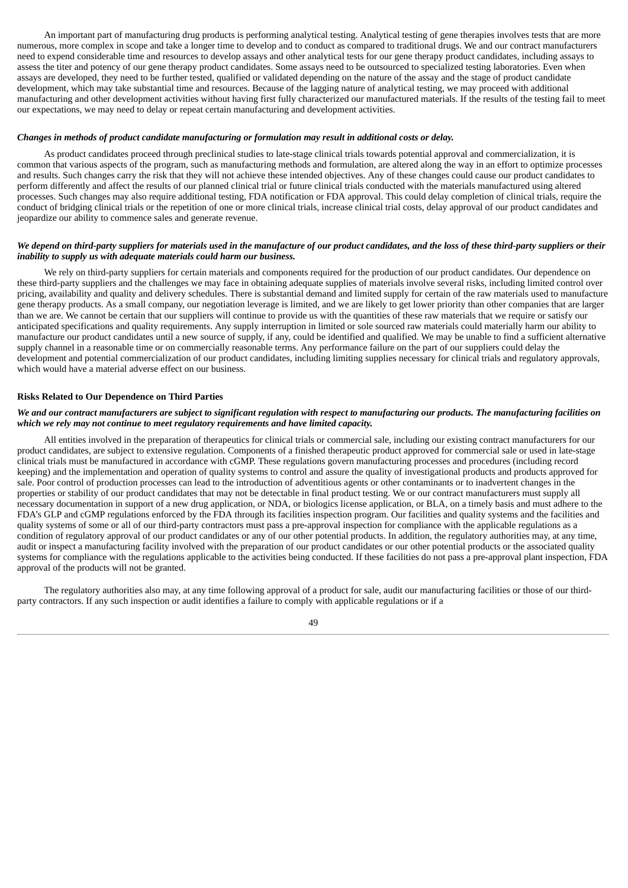An important part of manufacturing drug products is performing analytical testing. Analytical testing of gene therapies involves tests that are more numerous, more complex in scope and take a longer time to develop and to conduct as compared to traditional drugs. We and our contract manufacturers need to expend considerable time and resources to develop assays and other analytical tests for our gene therapy product candidates, including assays to assess the titer and potency of our gene therapy product candidates. Some assays need to be outsourced to specialized testing laboratories. Even when assays are developed, they need to be further tested, qualified or validated depending on the nature of the assay and the stage of product candidate development, which may take substantial time and resources. Because of the lagging nature of analytical testing, we may proceed with additional manufacturing and other development activities without having first fully characterized our manufactured materials. If the results of the testing fail to meet our expectations, we may need to delay or repeat certain manufacturing and development activities.

#### *Changes in methods of product candidate manufacturing or formulation may result in additional costs or delay.*

As product candidates proceed through preclinical studies to late-stage clinical trials towards potential approval and commercialization, it is common that various aspects of the program, such as manufacturing methods and formulation, are altered along the way in an effort to optimize processes and results. Such changes carry the risk that they will not achieve these intended objectives. Any of these changes could cause our product candidates to perform differently and affect the results of our planned clinical trial or future clinical trials conducted with the materials manufactured using altered processes. Such changes may also require additional testing, FDA notification or FDA approval. This could delay completion of clinical trials, require the conduct of bridging clinical trials or the repetition of one or more clinical trials, increase clinical trial costs, delay approval of our product candidates and jeopardize our ability to commence sales and generate revenue.

### We depend on third-party suppliers for materials used in the manufacture of our product candidates, and the loss of these third-party suppliers or their *inability to supply us with adequate materials could harm our business.*

We rely on third-party suppliers for certain materials and components required for the production of our product candidates. Our dependence on these third-party suppliers and the challenges we may face in obtaining adequate supplies of materials involve several risks, including limited control over pricing, availability and quality and delivery schedules. There is substantial demand and limited supply for certain of the raw materials used to manufacture gene therapy products. As a small company, our negotiation leverage is limited, and we are likely to get lower priority than other companies that are larger than we are. We cannot be certain that our suppliers will continue to provide us with the quantities of these raw materials that we require or satisfy our anticipated specifications and quality requirements. Any supply interruption in limited or sole sourced raw materials could materially harm our ability to manufacture our product candidates until a new source of supply, if any, could be identified and qualified. We may be unable to find a sufficient alternative supply channel in a reasonable time or on commercially reasonable terms. Any performance failure on the part of our suppliers could delay the development and potential commercialization of our product candidates, including limiting supplies necessary for clinical trials and regulatory approvals, which would have a material adverse effect on our business.

### **Risks Related to Our Dependence on Third Parties**

# We and our contract manufacturers are subject to significant regulation with respect to manufacturing our products. The manufacturing facilities on *which we rely may not continue to meet regulatory requirements and have limited capacity.*

All entities involved in the preparation of therapeutics for clinical trials or commercial sale, including our existing contract manufacturers for our product candidates, are subject to extensive regulation. Components of a finished therapeutic product approved for commercial sale or used in late-stage clinical trials must be manufactured in accordance with cGMP. These regulations govern manufacturing processes and procedures (including record keeping) and the implementation and operation of quality systems to control and assure the quality of investigational products and products approved for sale. Poor control of production processes can lead to the introduction of adventitious agents or other contaminants or to inadvertent changes in the properties or stability of our product candidates that may not be detectable in final product testing. We or our contract manufacturers must supply all necessary documentation in support of a new drug application, or NDA, or biologics license application, or BLA, on a timely basis and must adhere to the FDA's GLP and cGMP regulations enforced by the FDA through its facilities inspection program. Our facilities and quality systems and the facilities and quality systems of some or all of our third-party contractors must pass a pre-approval inspection for compliance with the applicable regulations as a condition of regulatory approval of our product candidates or any of our other potential products. In addition, the regulatory authorities may, at any time, audit or inspect a manufacturing facility involved with the preparation of our product candidates or our other potential products or the associated quality systems for compliance with the regulations applicable to the activities being conducted. If these facilities do not pass a pre-approval plant inspection, FDA approval of the products will not be granted.

The regulatory authorities also may, at any time following approval of a product for sale, audit our manufacturing facilities or those of our thirdparty contractors. If any such inspection or audit identifies a failure to comply with applicable regulations or if a

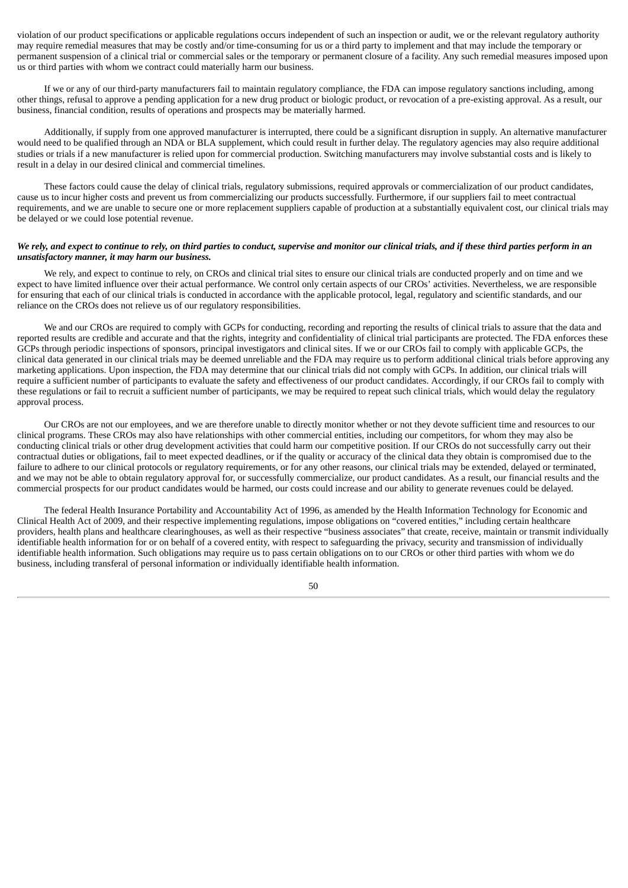violation of our product specifications or applicable regulations occurs independent of such an inspection or audit, we or the relevant regulatory authority may require remedial measures that may be costly and/or time-consuming for us or a third party to implement and that may include the temporary or permanent suspension of a clinical trial or commercial sales or the temporary or permanent closure of a facility. Any such remedial measures imposed upon us or third parties with whom we contract could materially harm our business.

If we or any of our third-party manufacturers fail to maintain regulatory compliance, the FDA can impose regulatory sanctions including, among other things, refusal to approve a pending application for a new drug product or biologic product, or revocation of a pre-existing approval. As a result, our business, financial condition, results of operations and prospects may be materially harmed.

Additionally, if supply from one approved manufacturer is interrupted, there could be a significant disruption in supply. An alternative manufacturer would need to be qualified through an NDA or BLA supplement, which could result in further delay. The regulatory agencies may also require additional studies or trials if a new manufacturer is relied upon for commercial production. Switching manufacturers may involve substantial costs and is likely to result in a delay in our desired clinical and commercial timelines.

These factors could cause the delay of clinical trials, regulatory submissions, required approvals or commercialization of our product candidates, cause us to incur higher costs and prevent us from commercializing our products successfully. Furthermore, if our suppliers fail to meet contractual requirements, and we are unable to secure one or more replacement suppliers capable of production at a substantially equivalent cost, our clinical trials may be delayed or we could lose potential revenue.

### We rely, and expect to continue to rely, on third parties to conduct, supervise and monitor our clinical trials, and if these third parties perform in an *unsatisfactory manner, it may harm our business.*

We rely, and expect to continue to rely, on CROs and clinical trial sites to ensure our clinical trials are conducted properly and on time and we expect to have limited influence over their actual performance. We control only certain aspects of our CROs' activities. Nevertheless, we are responsible for ensuring that each of our clinical trials is conducted in accordance with the applicable protocol, legal, regulatory and scientific standards, and our reliance on the CROs does not relieve us of our regulatory responsibilities.

We and our CROs are required to comply with GCPs for conducting, recording and reporting the results of clinical trials to assure that the data and reported results are credible and accurate and that the rights, integrity and confidentiality of clinical trial participants are protected. The FDA enforces these GCPs through periodic inspections of sponsors, principal investigators and clinical sites. If we or our CROs fail to comply with applicable GCPs, the clinical data generated in our clinical trials may be deemed unreliable and the FDA may require us to perform additional clinical trials before approving any marketing applications. Upon inspection, the FDA may determine that our clinical trials did not comply with GCPs. In addition, our clinical trials will require a sufficient number of participants to evaluate the safety and effectiveness of our product candidates. Accordingly, if our CROs fail to comply with these regulations or fail to recruit a sufficient number of participants, we may be required to repeat such clinical trials, which would delay the regulatory approval process.

Our CROs are not our employees, and we are therefore unable to directly monitor whether or not they devote sufficient time and resources to our clinical programs. These CROs may also have relationships with other commercial entities, including our competitors, for whom they may also be conducting clinical trials or other drug development activities that could harm our competitive position. If our CROs do not successfully carry out their contractual duties or obligations, fail to meet expected deadlines, or if the quality or accuracy of the clinical data they obtain is compromised due to the failure to adhere to our clinical protocols or regulatory requirements, or for any other reasons, our clinical trials may be extended, delayed or terminated, and we may not be able to obtain regulatory approval for, or successfully commercialize, our product candidates. As a result, our financial results and the commercial prospects for our product candidates would be harmed, our costs could increase and our ability to generate revenues could be delayed.

The federal Health Insurance Portability and Accountability Act of 1996, as amended by the Health Information Technology for Economic and Clinical Health Act of 2009, and their respective implementing regulations, impose obligations on "covered entities," including certain healthcare providers, health plans and healthcare clearinghouses, as well as their respective "business associates" that create, receive, maintain or transmit individually identifiable health information for or on behalf of a covered entity, with respect to safeguarding the privacy, security and transmission of individually identifiable health information. Such obligations may require us to pass certain obligations on to our CROs or other third parties with whom we do business, including transferal of personal information or individually identifiable health information.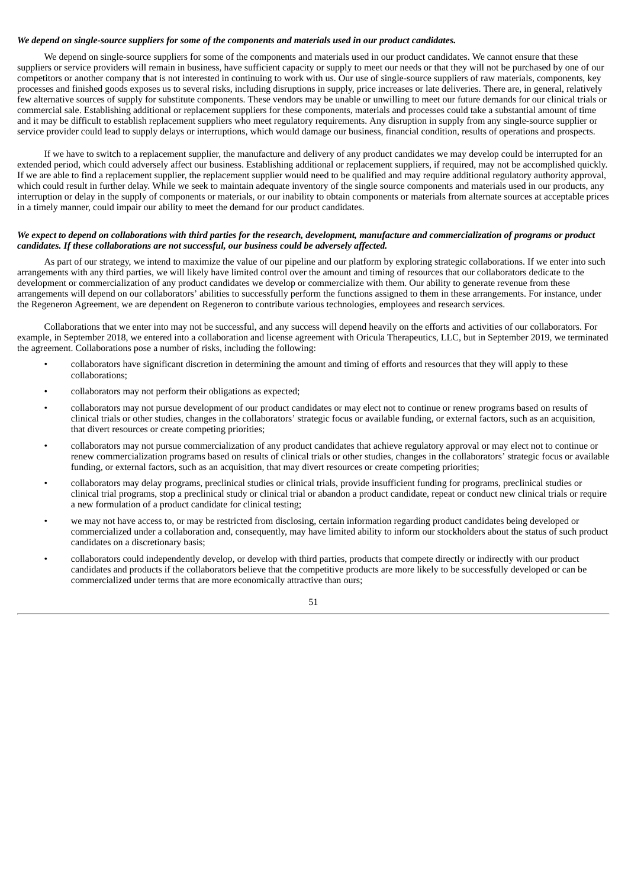### We depend on single-source suppliers for some of the components and materials used in our product candidates.

We depend on single-source suppliers for some of the components and materials used in our product candidates. We cannot ensure that these suppliers or service providers will remain in business, have sufficient capacity or supply to meet our needs or that they will not be purchased by one of our competitors or another company that is not interested in continuing to work with us. Our use of single-source suppliers of raw materials, components, key processes and finished goods exposes us to several risks, including disruptions in supply, price increases or late deliveries. There are, in general, relatively few alternative sources of supply for substitute components. These vendors may be unable or unwilling to meet our future demands for our clinical trials or commercial sale. Establishing additional or replacement suppliers for these components, materials and processes could take a substantial amount of time and it may be difficult to establish replacement suppliers who meet regulatory requirements. Any disruption in supply from any single-source supplier or service provider could lead to supply delays or interruptions, which would damage our business, financial condition, results of operations and prospects.

If we have to switch to a replacement supplier, the manufacture and delivery of any product candidates we may develop could be interrupted for an extended period, which could adversely affect our business. Establishing additional or replacement suppliers, if required, may not be accomplished quickly. If we are able to find a replacement supplier, the replacement supplier would need to be qualified and may require additional regulatory authority approval, which could result in further delay. While we seek to maintain adequate inventory of the single source components and materials used in our products, any interruption or delay in the supply of components or materials, or our inability to obtain components or materials from alternate sources at acceptable prices in a timely manner, could impair our ability to meet the demand for our product candidates.

# We expect to depend on collaborations with third parties for the research, development, manufacture and commercialization of programs or product *candidates. If these collaborations are not successful, our business could be adversely affected.*

As part of our strategy, we intend to maximize the value of our pipeline and our platform by exploring strategic collaborations. If we enter into such arrangements with any third parties, we will likely have limited control over the amount and timing of resources that our collaborators dedicate to the development or commercialization of any product candidates we develop or commercialize with them. Our ability to generate revenue from these arrangements will depend on our collaborators' abilities to successfully perform the functions assigned to them in these arrangements. For instance, under the Regeneron Agreement, we are dependent on Regeneron to contribute various technologies, employees and research services.

Collaborations that we enter into may not be successful, and any success will depend heavily on the efforts and activities of our collaborators. For example, in September 2018, we entered into a collaboration and license agreement with Oricula Therapeutics, LLC, but in September 2019, we terminated the agreement. Collaborations pose a number of risks, including the following:

- collaborators have significant discretion in determining the amount and timing of efforts and resources that they will apply to these collaborations;
- collaborators may not perform their obligations as expected;
- collaborators may not pursue development of our product candidates or may elect not to continue or renew programs based on results of clinical trials or other studies, changes in the collaborators' strategic focus or available funding, or external factors, such as an acquisition, that divert resources or create competing priorities;
- collaborators may not pursue commercialization of any product candidates that achieve regulatory approval or may elect not to continue or renew commercialization programs based on results of clinical trials or other studies, changes in the collaborators' strategic focus or available funding, or external factors, such as an acquisition, that may divert resources or create competing priorities;
- collaborators may delay programs, preclinical studies or clinical trials, provide insufficient funding for programs, preclinical studies or clinical trial programs, stop a preclinical study or clinical trial or abandon a product candidate, repeat or conduct new clinical trials or require a new formulation of a product candidate for clinical testing;
- we may not have access to, or may be restricted from disclosing, certain information regarding product candidates being developed or commercialized under a collaboration and, consequently, may have limited ability to inform our stockholders about the status of such product candidates on a discretionary basis;
- collaborators could independently develop, or develop with third parties, products that compete directly or indirectly with our product candidates and products if the collaborators believe that the competitive products are more likely to be successfully developed or can be commercialized under terms that are more economically attractive than ours;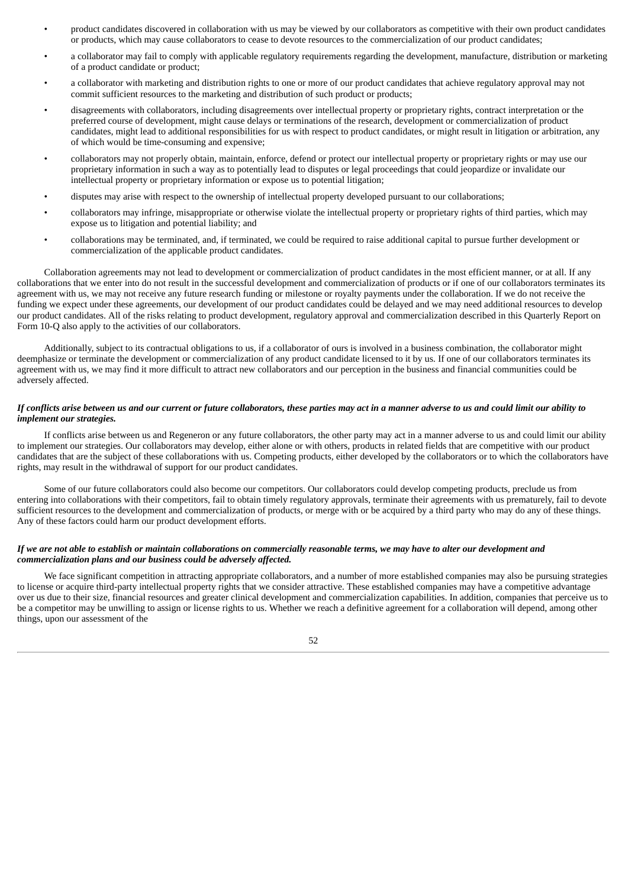- product candidates discovered in collaboration with us may be viewed by our collaborators as competitive with their own product candidates or products, which may cause collaborators to cease to devote resources to the commercialization of our product candidates;
- a collaborator may fail to comply with applicable regulatory requirements regarding the development, manufacture, distribution or marketing of a product candidate or product;
- a collaborator with marketing and distribution rights to one or more of our product candidates that achieve regulatory approval may not commit sufficient resources to the marketing and distribution of such product or products;
- disagreements with collaborators, including disagreements over intellectual property or proprietary rights, contract interpretation or the preferred course of development, might cause delays or terminations of the research, development or commercialization of product candidates, might lead to additional responsibilities for us with respect to product candidates, or might result in litigation or arbitration, any of which would be time-consuming and expensive;
- collaborators may not properly obtain, maintain, enforce, defend or protect our intellectual property or proprietary rights or may use our proprietary information in such a way as to potentially lead to disputes or legal proceedings that could jeopardize or invalidate our intellectual property or proprietary information or expose us to potential litigation;
- disputes may arise with respect to the ownership of intellectual property developed pursuant to our collaborations;
- collaborators may infringe, misappropriate or otherwise violate the intellectual property or proprietary rights of third parties, which may expose us to litigation and potential liability; and
- collaborations may be terminated, and, if terminated, we could be required to raise additional capital to pursue further development or commercialization of the applicable product candidates.

Collaboration agreements may not lead to development or commercialization of product candidates in the most efficient manner, or at all. If any collaborations that we enter into do not result in the successful development and commercialization of products or if one of our collaborators terminates its agreement with us, we may not receive any future research funding or milestone or royalty payments under the collaboration. If we do not receive the funding we expect under these agreements, our development of our product candidates could be delayed and we may need additional resources to develop our product candidates. All of the risks relating to product development, regulatory approval and commercialization described in this Quarterly Report on Form 10-Q also apply to the activities of our collaborators.

Additionally, subject to its contractual obligations to us, if a collaborator of ours is involved in a business combination, the collaborator might deemphasize or terminate the development or commercialization of any product candidate licensed to it by us. If one of our collaborators terminates its agreement with us, we may find it more difficult to attract new collaborators and our perception in the business and financial communities could be adversely affected.

# If conflicts arise between us and our current or future collaborators, these parties may act in a manner adverse to us and could limit our ability to *implement our strategies.*

If conflicts arise between us and Regeneron or any future collaborators, the other party may act in a manner adverse to us and could limit our ability to implement our strategies. Our collaborators may develop, either alone or with others, products in related fields that are competitive with our product candidates that are the subject of these collaborations with us. Competing products, either developed by the collaborators or to which the collaborators have rights, may result in the withdrawal of support for our product candidates.

Some of our future collaborators could also become our competitors. Our collaborators could develop competing products, preclude us from entering into collaborations with their competitors, fail to obtain timely regulatory approvals, terminate their agreements with us prematurely, fail to devote sufficient resources to the development and commercialization of products, or merge with or be acquired by a third party who may do any of these things. Any of these factors could harm our product development efforts.

# If we are not able to establish or maintain collaborations on commercially reasonable terms, we may have to alter our development and *commercialization plans and our business could be adversely affected.*

We face significant competition in attracting appropriate collaborators, and a number of more established companies may also be pursuing strategies to license or acquire third-party intellectual property rights that we consider attractive. These established companies may have a competitive advantage over us due to their size, financial resources and greater clinical development and commercialization capabilities. In addition, companies that perceive us to be a competitor may be unwilling to assign or license rights to us. Whether we reach a definitive agreement for a collaboration will depend, among other things, upon our assessment of the

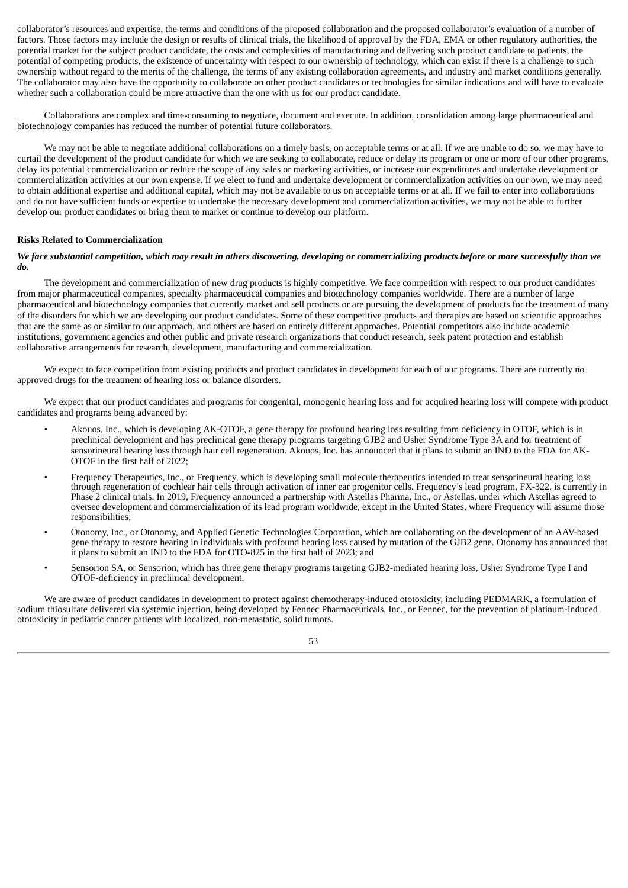collaborator's resources and expertise, the terms and conditions of the proposed collaboration and the proposed collaborator's evaluation of a number of factors. Those factors may include the design or results of clinical trials, the likelihood of approval by the FDA, EMA or other regulatory authorities, the potential market for the subject product candidate, the costs and complexities of manufacturing and delivering such product candidate to patients, the potential of competing products, the existence of uncertainty with respect to our ownership of technology, which can exist if there is a challenge to such ownership without regard to the merits of the challenge, the terms of any existing collaboration agreements, and industry and market conditions generally. The collaborator may also have the opportunity to collaborate on other product candidates or technologies for similar indications and will have to evaluate whether such a collaboration could be more attractive than the one with us for our product candidate.

Collaborations are complex and time-consuming to negotiate, document and execute. In addition, consolidation among large pharmaceutical and biotechnology companies has reduced the number of potential future collaborators.

We may not be able to negotiate additional collaborations on a timely basis, on acceptable terms or at all. If we are unable to do so, we may have to curtail the development of the product candidate for which we are seeking to collaborate, reduce or delay its program or one or more of our other programs, delay its potential commercialization or reduce the scope of any sales or marketing activities, or increase our expenditures and undertake development or commercialization activities at our own expense. If we elect to fund and undertake development or commercialization activities on our own, we may need to obtain additional expertise and additional capital, which may not be available to us on acceptable terms or at all. If we fail to enter into collaborations and do not have sufficient funds or expertise to undertake the necessary development and commercialization activities, we may not be able to further develop our product candidates or bring them to market or continue to develop our platform.

### **Risks Related to Commercialization**

### We face substantial competition, which may result in others discovering, developing or commercializing products before or more successfully than we *do.*

The development and commercialization of new drug products is highly competitive. We face competition with respect to our product candidates from major pharmaceutical companies, specialty pharmaceutical companies and biotechnology companies worldwide. There are a number of large pharmaceutical and biotechnology companies that currently market and sell products or are pursuing the development of products for the treatment of many of the disorders for which we are developing our product candidates. Some of these competitive products and therapies are based on scientific approaches that are the same as or similar to our approach, and others are based on entirely different approaches. Potential competitors also include academic institutions, government agencies and other public and private research organizations that conduct research, seek patent protection and establish collaborative arrangements for research, development, manufacturing and commercialization.

We expect to face competition from existing products and product candidates in development for each of our programs. There are currently no approved drugs for the treatment of hearing loss or balance disorders.

We expect that our product candidates and programs for congenital, monogenic hearing loss and for acquired hearing loss will compete with product candidates and programs being advanced by:

- Akouos, Inc., which is developing AK-OTOF, a gene therapy for profound hearing loss resulting from deficiency in OTOF, which is in preclinical development and has preclinical gene therapy programs targeting GJB2 and Usher Syndrome Type 3A and for treatment of sensorineural hearing loss through hair cell regeneration. Akouos, Inc. has announced that it plans to submit an IND to the FDA for AK-OTOF in the first half of 2022;
- Frequency Therapeutics, Inc., or Frequency, which is developing small molecule therapeutics intended to treat sensorineural hearing loss through regeneration of cochlear hair cells through activation of inner ear progenitor cells. Frequency's lead program, FX-322, is currently in Phase 2 clinical trials. In 2019, Frequency announced a partnership with Astellas Pharma, Inc., or Astellas, under which Astellas agreed to oversee development and commercialization of its lead program worldwide, except in the United States, where Frequency will assume those responsibilities;
- Otonomy, Inc., or Otonomy, and Applied Genetic Technologies Corporation, which are collaborating on the development of an AAV-based gene therapy to restore hearing in individuals with profound hearing loss caused by mutation of the GJB2 gene. Otonomy has announced that it plans to submit an IND to the FDA for OTO-825 in the first half of 2023; and
- Sensorion SA, or Sensorion, which has three gene therapy programs targeting GJB2-mediated hearing loss, Usher Syndrome Type I and OTOF-deficiency in preclinical development.

We are aware of product candidates in development to protect against chemotherapy-induced ototoxicity, including PEDMARK, a formulation of sodium thiosulfate delivered via systemic injection, being developed by Fennec Pharmaceuticals, Inc., or Fennec, for the prevention of platinum-induced ototoxicity in pediatric cancer patients with localized, non-metastatic, solid tumors.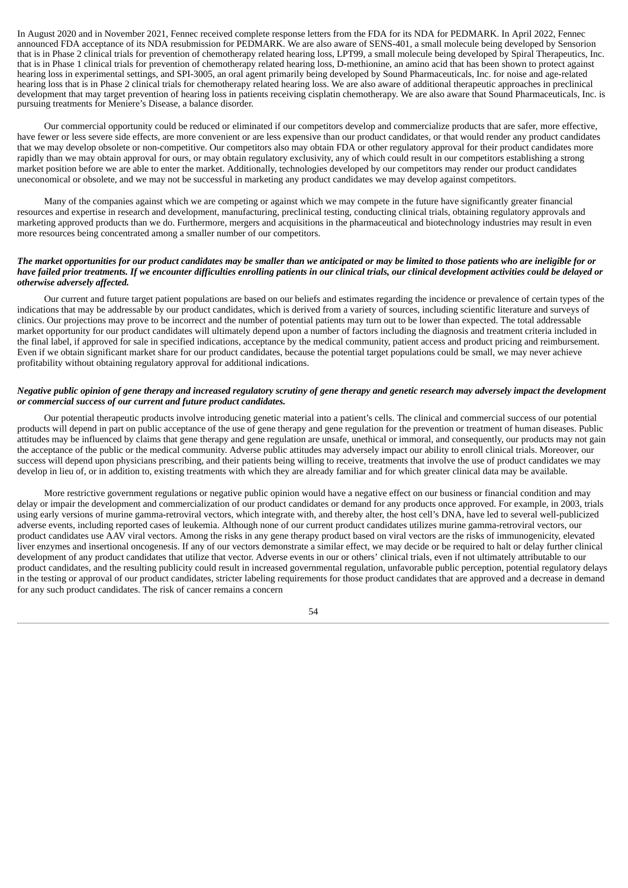In August 2020 and in November 2021, Fennec received complete response letters from the FDA for its NDA for PEDMARK. In April 2022, Fennec announced FDA acceptance of its NDA resubmission for PEDMARK. We are also aware of SENS-401, a small molecule being developed by Sensorion that is in Phase 2 clinical trials for prevention of chemotherapy related hearing loss, LPT99, a small molecule being developed by Spiral Therapeutics, Inc. that is in Phase 1 clinical trials for prevention of chemotherapy related hearing loss, D-methionine, an amino acid that has been shown to protect against hearing loss in experimental settings, and SPI-3005, an oral agent primarily being developed by Sound Pharmaceuticals, Inc. for noise and age-related hearing loss that is in Phase 2 clinical trials for chemotherapy related hearing loss. We are also aware of additional therapeutic approaches in preclinical development that may target prevention of hearing loss in patients receiving cisplatin chemotherapy. We are also aware that Sound Pharmaceuticals, Inc. is pursuing treatments for Meniere's Disease, a balance disorder.

Our commercial opportunity could be reduced or eliminated if our competitors develop and commercialize products that are safer, more effective, have fewer or less severe side effects, are more convenient or are less expensive than our product candidates, or that would render any product candidates that we may develop obsolete or non-competitive. Our competitors also may obtain FDA or other regulatory approval for their product candidates more rapidly than we may obtain approval for ours, or may obtain regulatory exclusivity, any of which could result in our competitors establishing a strong market position before we are able to enter the market. Additionally, technologies developed by our competitors may render our product candidates uneconomical or obsolete, and we may not be successful in marketing any product candidates we may develop against competitors.

Many of the companies against which we are competing or against which we may compete in the future have significantly greater financial resources and expertise in research and development, manufacturing, preclinical testing, conducting clinical trials, obtaining regulatory approvals and marketing approved products than we do. Furthermore, mergers and acquisitions in the pharmaceutical and biotechnology industries may result in even more resources being concentrated among a smaller number of our competitors.

# The market opportunities for our product candidates may be smaller than we anticipated or may be limited to those patients who are ineligible for or have failed prior treatments. If we encounter difficulties enrolling patients in our clinical trials, our clinical development activities could be delayed or *otherwise adversely affected.*

Our current and future target patient populations are based on our beliefs and estimates regarding the incidence or prevalence of certain types of the indications that may be addressable by our product candidates, which is derived from a variety of sources, including scientific literature and surveys of clinics. Our projections may prove to be incorrect and the number of potential patients may turn out to be lower than expected. The total addressable market opportunity for our product candidates will ultimately depend upon a number of factors including the diagnosis and treatment criteria included in the final label, if approved for sale in specified indications, acceptance by the medical community, patient access and product pricing and reimbursement. Even if we obtain significant market share for our product candidates, because the potential target populations could be small, we may never achieve profitability without obtaining regulatory approval for additional indications.

# Negative public opinion of gene therapy and increased regulatory scrutiny of gene therapy and genetic research may adversely impact the development *or commercial success of our current and future product candidates.*

Our potential therapeutic products involve introducing genetic material into a patient's cells. The clinical and commercial success of our potential products will depend in part on public acceptance of the use of gene therapy and gene regulation for the prevention or treatment of human diseases. Public attitudes may be influenced by claims that gene therapy and gene regulation are unsafe, unethical or immoral, and consequently, our products may not gain the acceptance of the public or the medical community. Adverse public attitudes may adversely impact our ability to enroll clinical trials. Moreover, our success will depend upon physicians prescribing, and their patients being willing to receive, treatments that involve the use of product candidates we may develop in lieu of, or in addition to, existing treatments with which they are already familiar and for which greater clinical data may be available.

More restrictive government regulations or negative public opinion would have a negative effect on our business or financial condition and may delay or impair the development and commercialization of our product candidates or demand for any products once approved. For example, in 2003, trials using early versions of murine gamma-retroviral vectors, which integrate with, and thereby alter, the host cell's DNA, have led to several well-publicized adverse events, including reported cases of leukemia. Although none of our current product candidates utilizes murine gamma-retroviral vectors, our product candidates use AAV viral vectors. Among the risks in any gene therapy product based on viral vectors are the risks of immunogenicity, elevated liver enzymes and insertional oncogenesis. If any of our vectors demonstrate a similar effect, we may decide or be required to halt or delay further clinical development of any product candidates that utilize that vector. Adverse events in our or others' clinical trials, even if not ultimately attributable to our product candidates, and the resulting publicity could result in increased governmental regulation, unfavorable public perception, potential regulatory delays in the testing or approval of our product candidates, stricter labeling requirements for those product candidates that are approved and a decrease in demand for any such product candidates. The risk of cancer remains a concern

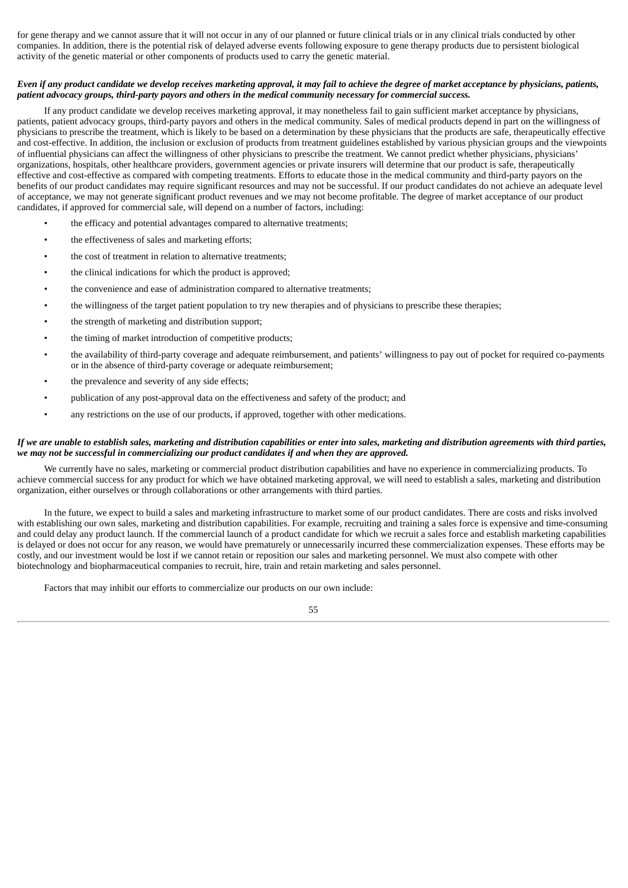for gene therapy and we cannot assure that it will not occur in any of our planned or future clinical trials or in any clinical trials conducted by other companies. In addition, there is the potential risk of delayed adverse events following exposure to gene therapy products due to persistent biological activity of the genetic material or other components of products used to carry the genetic material.

# Even if any product candidate we develop receives marketing approval, it may fail to achieve the degree of market acceptance by physicians, patients, *patient advocacy groups, third-party payors and others in the medical community necessary for commercial success.*

If any product candidate we develop receives marketing approval, it may nonetheless fail to gain sufficient market acceptance by physicians, patients, patient advocacy groups, third-party payors and others in the medical community. Sales of medical products depend in part on the willingness of physicians to prescribe the treatment, which is likely to be based on a determination by these physicians that the products are safe, therapeutically effective and cost-effective. In addition, the inclusion or exclusion of products from treatment guidelines established by various physician groups and the viewpoints of influential physicians can affect the willingness of other physicians to prescribe the treatment. We cannot predict whether physicians, physicians' organizations, hospitals, other healthcare providers, government agencies or private insurers will determine that our product is safe, therapeutically effective and cost-effective as compared with competing treatments. Efforts to educate those in the medical community and third-party payors on the benefits of our product candidates may require significant resources and may not be successful. If our product candidates do not achieve an adequate level of acceptance, we may not generate significant product revenues and we may not become profitable. The degree of market acceptance of our product candidates, if approved for commercial sale, will depend on a number of factors, including:

- the efficacy and potential advantages compared to alternative treatments;
- the effectiveness of sales and marketing efforts:
- the cost of treatment in relation to alternative treatments;
- the clinical indications for which the product is approved;
- the convenience and ease of administration compared to alternative treatments;
- the willingness of the target patient population to try new therapies and of physicians to prescribe these therapies;
- the strength of marketing and distribution support;
- the timing of market introduction of competitive products;
- the availability of third-party coverage and adequate reimbursement, and patients' willingness to pay out of pocket for required co-payments or in the absence of third-party coverage or adequate reimbursement;
- the prevalence and severity of any side effects;
- publication of any post-approval data on the effectiveness and safety of the product; and
- any restrictions on the use of our products, if approved, together with other medications.

### If we are unable to establish sales, marketing and distribution capabilities or enter into sales, marketing and distribution agreements with third parties, *we may not be successful in commercializing our product candidates if and when they are approved.*

We currently have no sales, marketing or commercial product distribution capabilities and have no experience in commercializing products. To achieve commercial success for any product for which we have obtained marketing approval, we will need to establish a sales, marketing and distribution organization, either ourselves or through collaborations or other arrangements with third parties.

In the future, we expect to build a sales and marketing infrastructure to market some of our product candidates. There are costs and risks involved with establishing our own sales, marketing and distribution capabilities. For example, recruiting and training a sales force is expensive and time-consuming and could delay any product launch. If the commercial launch of a product candidate for which we recruit a sales force and establish marketing capabilities is delayed or does not occur for any reason, we would have prematurely or unnecessarily incurred these commercialization expenses. These efforts may be costly, and our investment would be lost if we cannot retain or reposition our sales and marketing personnel. We must also compete with other biotechnology and biopharmaceutical companies to recruit, hire, train and retain marketing and sales personnel.

Factors that may inhibit our efforts to commercialize our products on our own include: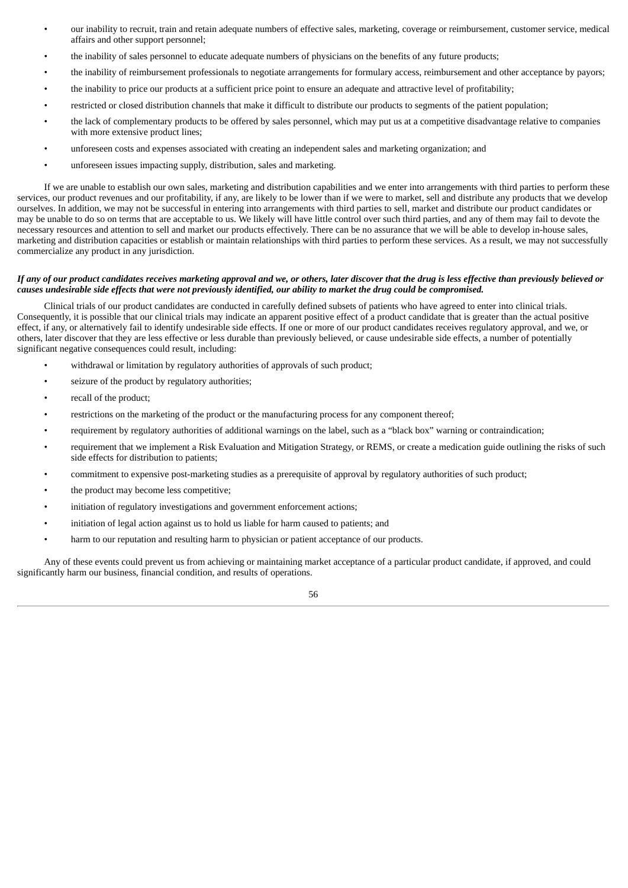- our inability to recruit, train and retain adequate numbers of effective sales, marketing, coverage or reimbursement, customer service, medical affairs and other support personnel;
- the inability of sales personnel to educate adequate numbers of physicians on the benefits of any future products;
- the inability of reimbursement professionals to negotiate arrangements for formulary access, reimbursement and other acceptance by payors;
- the inability to price our products at a sufficient price point to ensure an adequate and attractive level of profitability;
- restricted or closed distribution channels that make it difficult to distribute our products to segments of the patient population;
- the lack of complementary products to be offered by sales personnel, which may put us at a competitive disadvantage relative to companies with more extensive product lines;
- unforeseen costs and expenses associated with creating an independent sales and marketing organization; and
- unforeseen issues impacting supply, distribution, sales and marketing.

If we are unable to establish our own sales, marketing and distribution capabilities and we enter into arrangements with third parties to perform these services, our product revenues and our profitability, if any, are likely to be lower than if we were to market, sell and distribute any products that we develop ourselves. In addition, we may not be successful in entering into arrangements with third parties to sell, market and distribute our product candidates or may be unable to do so on terms that are acceptable to us. We likely will have little control over such third parties, and any of them may fail to devote the necessary resources and attention to sell and market our products effectively. There can be no assurance that we will be able to develop in-house sales, marketing and distribution capacities or establish or maintain relationships with third parties to perform these services. As a result, we may not successfully commercialize any product in any jurisdiction.

### If any of our product candidates receives marketing approval and we, or others, later discover that the drug is less effective than previously believed or causes undesirable side effects that were not previously identified, our ability to market the drug could be compromised.

Clinical trials of our product candidates are conducted in carefully defined subsets of patients who have agreed to enter into clinical trials. Consequently, it is possible that our clinical trials may indicate an apparent positive effect of a product candidate that is greater than the actual positive effect, if any, or alternatively fail to identify undesirable side effects. If one or more of our product candidates receives regulatory approval, and we, or others, later discover that they are less effective or less durable than previously believed, or cause undesirable side effects, a number of potentially significant negative consequences could result, including:

- withdrawal or limitation by regulatory authorities of approvals of such product;
- seizure of the product by regulatory authorities;
- recall of the product;
- restrictions on the marketing of the product or the manufacturing process for any component thereof;
- requirement by regulatory authorities of additional warnings on the label, such as a "black box" warning or contraindication;
- requirement that we implement a Risk Evaluation and Mitigation Strategy, or REMS, or create a medication guide outlining the risks of such side effects for distribution to patients;
- commitment to expensive post-marketing studies as a prerequisite of approval by regulatory authorities of such product;
- the product may become less competitive;
- initiation of regulatory investigations and government enforcement actions;
- initiation of legal action against us to hold us liable for harm caused to patients; and
- harm to our reputation and resulting harm to physician or patient acceptance of our products.

Any of these events could prevent us from achieving or maintaining market acceptance of a particular product candidate, if approved, and could significantly harm our business, financial condition, and results of operations.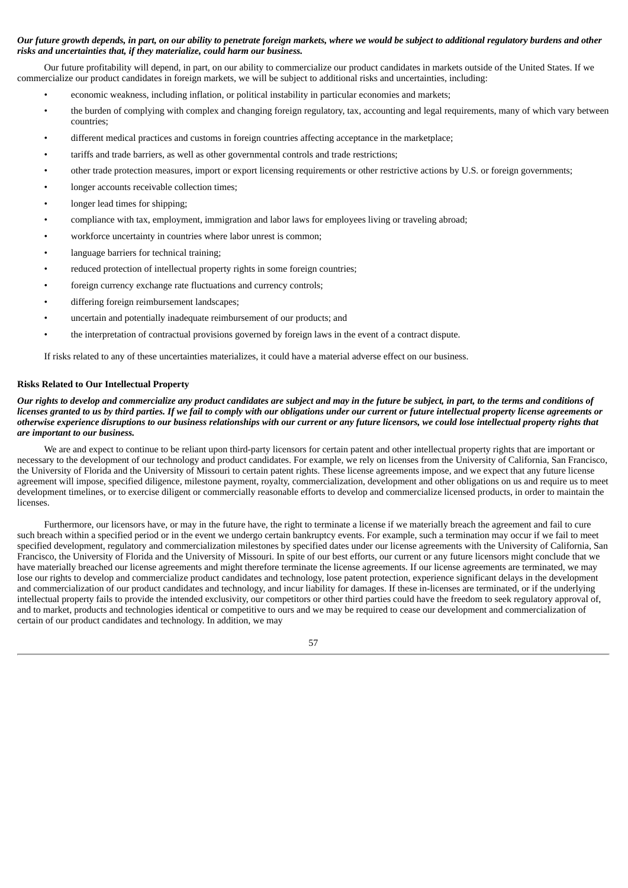# Our future growth depends, in part, on our ability to penetrate foreign markets, where we would be subject to additional regulatory burdens and other *risks and uncertainties that, if they materialize, could harm our business.*

Our future profitability will depend, in part, on our ability to commercialize our product candidates in markets outside of the United States. If we commercialize our product candidates in foreign markets, we will be subject to additional risks and uncertainties, including:

- economic weakness, including inflation, or political instability in particular economies and markets;
- the burden of complying with complex and changing foreign regulatory, tax, accounting and legal requirements, many of which vary between countries;
- different medical practices and customs in foreign countries affecting acceptance in the marketplace;
- tariffs and trade barriers, as well as other governmental controls and trade restrictions;
- other trade protection measures, import or export licensing requirements or other restrictive actions by U.S. or foreign governments;
- longer accounts receivable collection times;
- longer lead times for shipping;
- compliance with tax, employment, immigration and labor laws for employees living or traveling abroad;
- workforce uncertainty in countries where labor unrest is common;
- language barriers for technical training;
- reduced protection of intellectual property rights in some foreign countries;
- foreign currency exchange rate fluctuations and currency controls;
- differing foreign reimbursement landscapes;
- uncertain and potentially inadequate reimbursement of our products; and
- the interpretation of contractual provisions governed by foreign laws in the event of a contract dispute.

If risks related to any of these uncertainties materializes, it could have a material adverse effect on our business.

### **Risks Related to Our Intellectual Property**

Our rights to develop and commercialize any product candidates are subject and may in the future be subject, in part, to the terms and conditions of licenses aranted to us by third parties. If we fail to comply with our obligations under our current or future intellectual property license agreements or otherwise experience disruptions to our business relationships with our current or any future licensors, we could lose intellectual property rights that *are important to our business.*

We are and expect to continue to be reliant upon third-party licensors for certain patent and other intellectual property rights that are important or necessary to the development of our technology and product candidates. For example, we rely on licenses from the University of California, San Francisco, the University of Florida and the University of Missouri to certain patent rights. These license agreements impose, and we expect that any future license agreement will impose, specified diligence, milestone payment, royalty, commercialization, development and other obligations on us and require us to meet development timelines, or to exercise diligent or commercially reasonable efforts to develop and commercialize licensed products, in order to maintain the licenses.

Furthermore, our licensors have, or may in the future have, the right to terminate a license if we materially breach the agreement and fail to cure such breach within a specified period or in the event we undergo certain bankruptcy events. For example, such a termination may occur if we fail to meet specified development, regulatory and commercialization milestones by specified dates under our license agreements with the University of California, San Francisco, the University of Florida and the University of Missouri. In spite of our best efforts, our current or any future licensors might conclude that we have materially breached our license agreements and might therefore terminate the license agreements. If our license agreements are terminated, we may lose our rights to develop and commercialize product candidates and technology, lose patent protection, experience significant delays in the development and commercialization of our product candidates and technology, and incur liability for damages. If these in-licenses are terminated, or if the underlying intellectual property fails to provide the intended exclusivity, our competitors or other third parties could have the freedom to seek regulatory approval of, and to market, products and technologies identical or competitive to ours and we may be required to cease our development and commercialization of certain of our product candidates and technology. In addition, we may

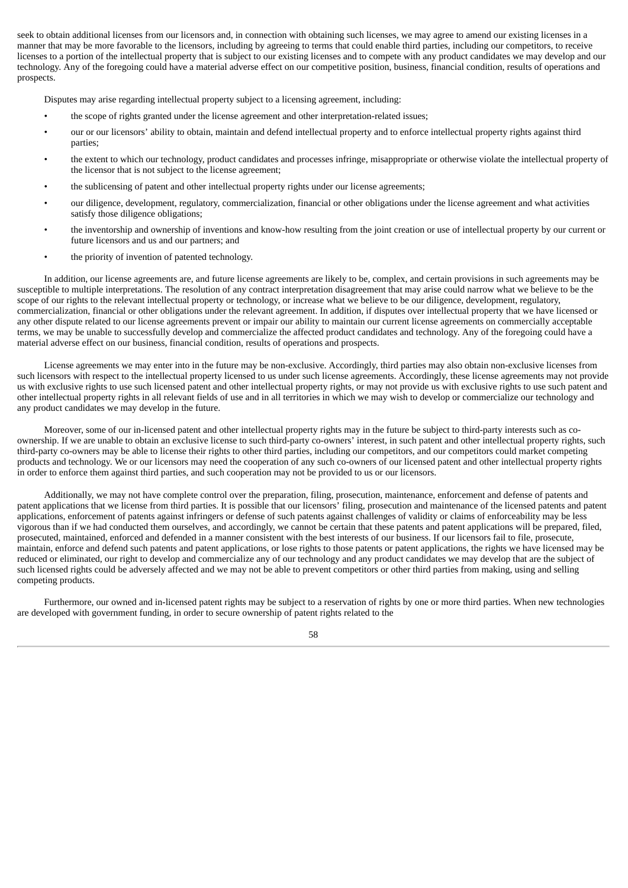seek to obtain additional licenses from our licensors and, in connection with obtaining such licenses, we may agree to amend our existing licenses in a manner that may be more favorable to the licensors, including by agreeing to terms that could enable third parties, including our competitors, to receive licenses to a portion of the intellectual property that is subject to our existing licenses and to compete with any product candidates we may develop and our technology. Any of the foregoing could have a material adverse effect on our competitive position, business, financial condition, results of operations and prospects.

Disputes may arise regarding intellectual property subject to a licensing agreement, including:

- the scope of rights granted under the license agreement and other interpretation-related issues;
- our or our licensors' ability to obtain, maintain and defend intellectual property and to enforce intellectual property rights against third parties;
- the extent to which our technology, product candidates and processes infringe, misappropriate or otherwise violate the intellectual property of the licensor that is not subject to the license agreement;
- the sublicensing of patent and other intellectual property rights under our license agreements;
- our diligence, development, regulatory, commercialization, financial or other obligations under the license agreement and what activities satisfy those diligence obligations;
- the inventorship and ownership of inventions and know-how resulting from the joint creation or use of intellectual property by our current or future licensors and us and our partners; and
- the priority of invention of patented technology.

In addition, our license agreements are, and future license agreements are likely to be, complex, and certain provisions in such agreements may be susceptible to multiple interpretations. The resolution of any contract interpretation disagreement that may arise could narrow what we believe to be the scope of our rights to the relevant intellectual property or technology, or increase what we believe to be our diligence, development, regulatory, commercialization, financial or other obligations under the relevant agreement. In addition, if disputes over intellectual property that we have licensed or any other dispute related to our license agreements prevent or impair our ability to maintain our current license agreements on commercially acceptable terms, we may be unable to successfully develop and commercialize the affected product candidates and technology. Any of the foregoing could have a material adverse effect on our business, financial condition, results of operations and prospects.

License agreements we may enter into in the future may be non-exclusive. Accordingly, third parties may also obtain non-exclusive licenses from such licensors with respect to the intellectual property licensed to us under such license agreements. Accordingly, these license agreements may not provide us with exclusive rights to use such licensed patent and other intellectual property rights, or may not provide us with exclusive rights to use such patent and other intellectual property rights in all relevant fields of use and in all territories in which we may wish to develop or commercialize our technology and any product candidates we may develop in the future.

Moreover, some of our in-licensed patent and other intellectual property rights may in the future be subject to third-party interests such as coownership. If we are unable to obtain an exclusive license to such third-party co-owners' interest, in such patent and other intellectual property rights, such third-party co-owners may be able to license their rights to other third parties, including our competitors, and our competitors could market competing products and technology. We or our licensors may need the cooperation of any such co-owners of our licensed patent and other intellectual property rights in order to enforce them against third parties, and such cooperation may not be provided to us or our licensors.

Additionally, we may not have complete control over the preparation, filing, prosecution, maintenance, enforcement and defense of patents and patent applications that we license from third parties. It is possible that our licensors' filing, prosecution and maintenance of the licensed patents and patent applications, enforcement of patents against infringers or defense of such patents against challenges of validity or claims of enforceability may be less vigorous than if we had conducted them ourselves, and accordingly, we cannot be certain that these patents and patent applications will be prepared, filed, prosecuted, maintained, enforced and defended in a manner consistent with the best interests of our business. If our licensors fail to file, prosecute, maintain, enforce and defend such patents and patent applications, or lose rights to those patents or patent applications, the rights we have licensed may be reduced or eliminated, our right to develop and commercialize any of our technology and any product candidates we may develop that are the subject of such licensed rights could be adversely affected and we may not be able to prevent competitors or other third parties from making, using and selling competing products.

Furthermore, our owned and in-licensed patent rights may be subject to a reservation of rights by one or more third parties. When new technologies are developed with government funding, in order to secure ownership of patent rights related to the

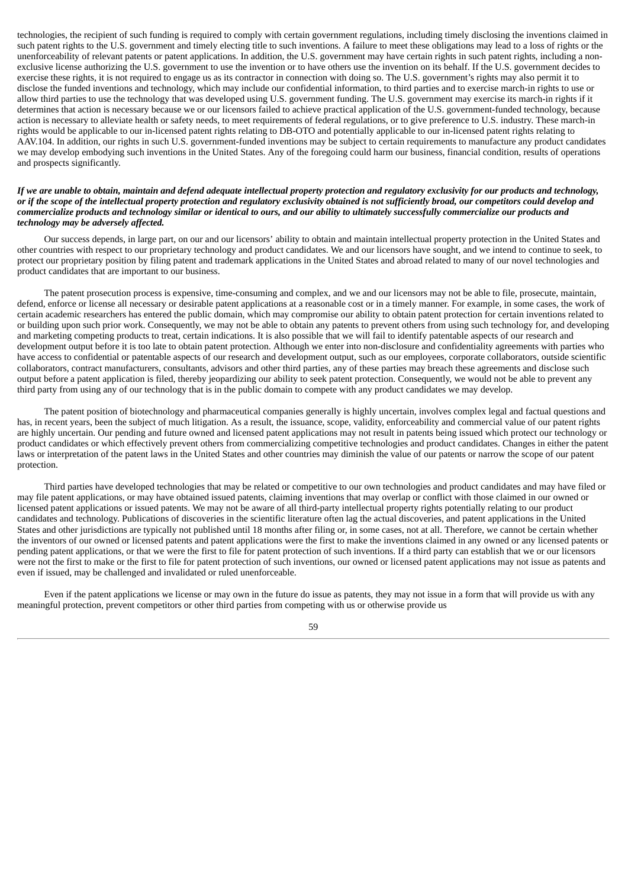technologies, the recipient of such funding is required to comply with certain government regulations, including timely disclosing the inventions claimed in such patent rights to the U.S. government and timely electing title to such inventions. A failure to meet these obligations may lead to a loss of rights or the unenforceability of relevant patents or patent applications. In addition, the U.S. government may have certain rights in such patent rights, including a nonexclusive license authorizing the U.S. government to use the invention or to have others use the invention on its behalf. If the U.S. government decides to exercise these rights, it is not required to engage us as its contractor in connection with doing so. The U.S. government's rights may also permit it to disclose the funded inventions and technology, which may include our confidential information, to third parties and to exercise march-in rights to use or allow third parties to use the technology that was developed using U.S. government funding. The U.S. government may exercise its march-in rights if it determines that action is necessary because we or our licensors failed to achieve practical application of the U.S. government-funded technology, because action is necessary to alleviate health or safety needs, to meet requirements of federal regulations, or to give preference to U.S. industry. These march-in rights would be applicable to our in-licensed patent rights relating to DB-OTO and potentially applicable to our in-licensed patent rights relating to AAV.104. In addition, our rights in such U.S. government-funded inventions may be subject to certain requirements to manufacture any product candidates we may develop embodying such inventions in the United States. Any of the foregoing could harm our business, financial condition, results of operations and prospects significantly.

# If we are unable to obtain, maintain and defend adequate intellectual property protection and regulatory exclusivity for our products and technology, or if the scope of the intellectual property protection and regulatory exclusivity obtained is not sufficiently broad, our competitors could develop and commercialize products and technology similar or identical to ours, and our ability to ultimately successfully commercialize our products and *technology may be adversely affected.*

Our success depends, in large part, on our and our licensors' ability to obtain and maintain intellectual property protection in the United States and other countries with respect to our proprietary technology and product candidates. We and our licensors have sought, and we intend to continue to seek, to protect our proprietary position by filing patent and trademark applications in the United States and abroad related to many of our novel technologies and product candidates that are important to our business.

The patent prosecution process is expensive, time-consuming and complex, and we and our licensors may not be able to file, prosecute, maintain, defend, enforce or license all necessary or desirable patent applications at a reasonable cost or in a timely manner. For example, in some cases, the work of certain academic researchers has entered the public domain, which may compromise our ability to obtain patent protection for certain inventions related to or building upon such prior work. Consequently, we may not be able to obtain any patents to prevent others from using such technology for, and developing and marketing competing products to treat, certain indications. It is also possible that we will fail to identify patentable aspects of our research and development output before it is too late to obtain patent protection. Although we enter into non-disclosure and confidentiality agreements with parties who have access to confidential or patentable aspects of our research and development output, such as our employees, corporate collaborators, outside scientific collaborators, contract manufacturers, consultants, advisors and other third parties, any of these parties may breach these agreements and disclose such output before a patent application is filed, thereby jeopardizing our ability to seek patent protection. Consequently, we would not be able to prevent any third party from using any of our technology that is in the public domain to compete with any product candidates we may develop.

The patent position of biotechnology and pharmaceutical companies generally is highly uncertain, involves complex legal and factual questions and has, in recent years, been the subject of much litigation. As a result, the issuance, scope, validity, enforceability and commercial value of our patent rights are highly uncertain. Our pending and future owned and licensed patent applications may not result in patents being issued which protect our technology or product candidates or which effectively prevent others from commercializing competitive technologies and product candidates. Changes in either the patent laws or interpretation of the patent laws in the United States and other countries may diminish the value of our patents or narrow the scope of our patent protection.

Third parties have developed technologies that may be related or competitive to our own technologies and product candidates and may have filed or may file patent applications, or may have obtained issued patents, claiming inventions that may overlap or conflict with those claimed in our owned or licensed patent applications or issued patents. We may not be aware of all third-party intellectual property rights potentially relating to our product candidates and technology. Publications of discoveries in the scientific literature often lag the actual discoveries, and patent applications in the United States and other jurisdictions are typically not published until 18 months after filing or, in some cases, not at all. Therefore, we cannot be certain whether the inventors of our owned or licensed patents and patent applications were the first to make the inventions claimed in any owned or any licensed patents or pending patent applications, or that we were the first to file for patent protection of such inventions. If a third party can establish that we or our licensors were not the first to make or the first to file for patent protection of such inventions, our owned or licensed patent applications may not issue as patents and even if issued, may be challenged and invalidated or ruled unenforceable.

Even if the patent applications we license or may own in the future do issue as patents, they may not issue in a form that will provide us with any meaningful protection, prevent competitors or other third parties from competing with us or otherwise provide us

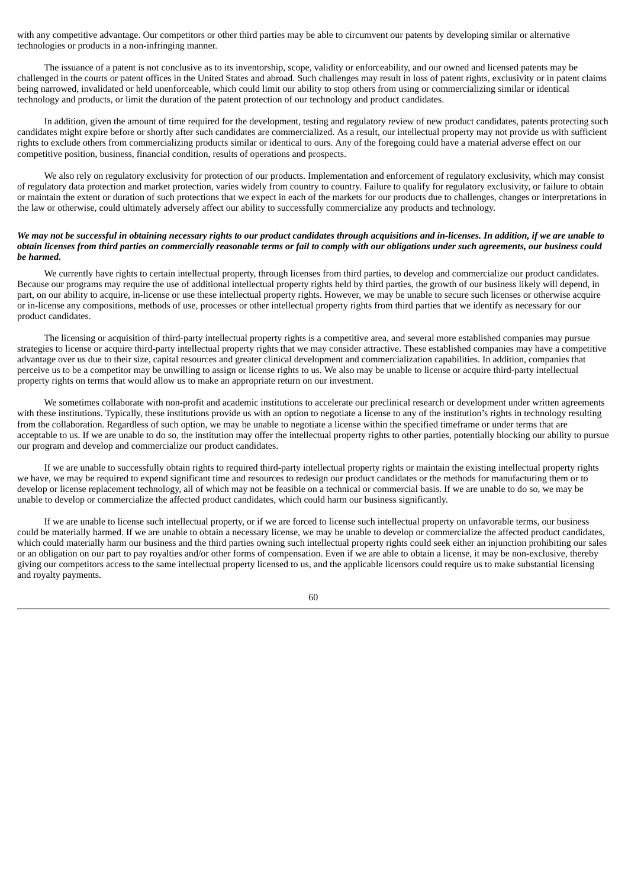with any competitive advantage. Our competitors or other third parties may be able to circumvent our patents by developing similar or alternative technologies or products in a non-infringing manner.

The issuance of a patent is not conclusive as to its inventorship, scope, validity or enforceability, and our owned and licensed patents may be challenged in the courts or patent offices in the United States and abroad. Such challenges may result in loss of patent rights, exclusivity or in patent claims being narrowed, invalidated or held unenforceable, which could limit our ability to stop others from using or commercializing similar or identical technology and products, or limit the duration of the patent protection of our technology and product candidates.

In addition, given the amount of time required for the development, testing and regulatory review of new product candidates, patents protecting such candidates might expire before or shortly after such candidates are commercialized. As a result, our intellectual property may not provide us with sufficient rights to exclude others from commercializing products similar or identical to ours. Any of the foregoing could have a material adverse effect on our competitive position, business, financial condition, results of operations and prospects.

We also rely on regulatory exclusivity for protection of our products. Implementation and enforcement of regulatory exclusivity, which may consist of regulatory data protection and market protection, varies widely from country to country. Failure to qualify for regulatory exclusivity, or failure to obtain or maintain the extent or duration of such protections that we expect in each of the markets for our products due to challenges, changes or interpretations in the law or otherwise, could ultimately adversely affect our ability to successfully commercialize any products and technology.

# We may not be successful in obtaining necessary rights to our product candidates through acquisitions and in-licenses. In addition, if we are unable to obtain licenses from third parties on commercially reasonable terms or fail to comply with our obligations under such agreements, our business could *be harmed.*

We currently have rights to certain intellectual property, through licenses from third parties, to develop and commercialize our product candidates. Because our programs may require the use of additional intellectual property rights held by third parties, the growth of our business likely will depend, in part, on our ability to acquire, in-license or use these intellectual property rights. However, we may be unable to secure such licenses or otherwise acquire or in-license any compositions, methods of use, processes or other intellectual property rights from third parties that we identify as necessary for our product candidates.

The licensing or acquisition of third-party intellectual property rights is a competitive area, and several more established companies may pursue strategies to license or acquire third-party intellectual property rights that we may consider attractive. These established companies may have a competitive advantage over us due to their size, capital resources and greater clinical development and commercialization capabilities. In addition, companies that perceive us to be a competitor may be unwilling to assign or license rights to us. We also may be unable to license or acquire third-party intellectual property rights on terms that would allow us to make an appropriate return on our investment.

We sometimes collaborate with non-profit and academic institutions to accelerate our preclinical research or development under written agreements with these institutions. Typically, these institutions provide us with an option to negotiate a license to any of the institution's rights in technology resulting from the collaboration. Regardless of such option, we may be unable to negotiate a license within the specified timeframe or under terms that are acceptable to us. If we are unable to do so, the institution may offer the intellectual property rights to other parties, potentially blocking our ability to pursue our program and develop and commercialize our product candidates.

If we are unable to successfully obtain rights to required third-party intellectual property rights or maintain the existing intellectual property rights we have, we may be required to expend significant time and resources to redesign our product candidates or the methods for manufacturing them or to develop or license replacement technology, all of which may not be feasible on a technical or commercial basis. If we are unable to do so, we may be unable to develop or commercialize the affected product candidates, which could harm our business significantly.

If we are unable to license such intellectual property, or if we are forced to license such intellectual property on unfavorable terms, our business could be materially harmed. If we are unable to obtain a necessary license, we may be unable to develop or commercialize the affected product candidates, which could materially harm our business and the third parties owning such intellectual property rights could seek either an injunction prohibiting our sales or an obligation on our part to pay royalties and/or other forms of compensation. Even if we are able to obtain a license, it may be non-exclusive, thereby giving our competitors access to the same intellectual property licensed to us, and the applicable licensors could require us to make substantial licensing and royalty payments.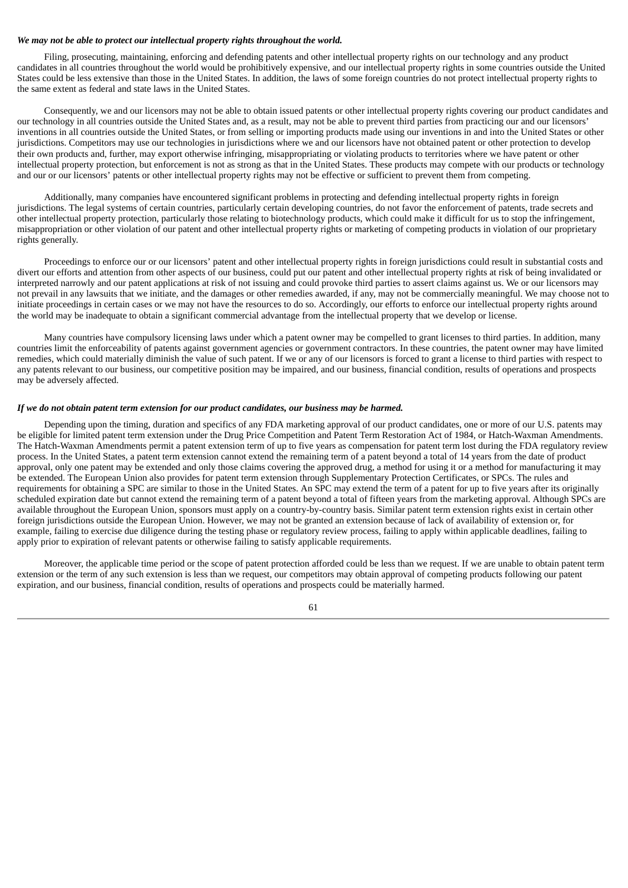#### *We may not be able to protect our intellectual property rights throughout the world.*

Filing, prosecuting, maintaining, enforcing and defending patents and other intellectual property rights on our technology and any product candidates in all countries throughout the world would be prohibitively expensive, and our intellectual property rights in some countries outside the United States could be less extensive than those in the United States. In addition, the laws of some foreign countries do not protect intellectual property rights to the same extent as federal and state laws in the United States.

Consequently, we and our licensors may not be able to obtain issued patents or other intellectual property rights covering our product candidates and our technology in all countries outside the United States and, as a result, may not be able to prevent third parties from practicing our and our licensors' inventions in all countries outside the United States, or from selling or importing products made using our inventions in and into the United States or other jurisdictions. Competitors may use our technologies in jurisdictions where we and our licensors have not obtained patent or other protection to develop their own products and, further, may export otherwise infringing, misappropriating or violating products to territories where we have patent or other intellectual property protection, but enforcement is not as strong as that in the United States. These products may compete with our products or technology and our or our licensors' patents or other intellectual property rights may not be effective or sufficient to prevent them from competing.

Additionally, many companies have encountered significant problems in protecting and defending intellectual property rights in foreign jurisdictions. The legal systems of certain countries, particularly certain developing countries, do not favor the enforcement of patents, trade secrets and other intellectual property protection, particularly those relating to biotechnology products, which could make it difficult for us to stop the infringement, misappropriation or other violation of our patent and other intellectual property rights or marketing of competing products in violation of our proprietary rights generally.

Proceedings to enforce our or our licensors' patent and other intellectual property rights in foreign jurisdictions could result in substantial costs and divert our efforts and attention from other aspects of our business, could put our patent and other intellectual property rights at risk of being invalidated or interpreted narrowly and our patent applications at risk of not issuing and could provoke third parties to assert claims against us. We or our licensors may not prevail in any lawsuits that we initiate, and the damages or other remedies awarded, if any, may not be commercially meaningful. We may choose not to initiate proceedings in certain cases or we may not have the resources to do so. Accordingly, our efforts to enforce our intellectual property rights around the world may be inadequate to obtain a significant commercial advantage from the intellectual property that we develop or license.

Many countries have compulsory licensing laws under which a patent owner may be compelled to grant licenses to third parties. In addition, many countries limit the enforceability of patents against government agencies or government contractors. In these countries, the patent owner may have limited remedies, which could materially diminish the value of such patent. If we or any of our licensors is forced to grant a license to third parties with respect to any patents relevant to our business, our competitive position may be impaired, and our business, financial condition, results of operations and prospects may be adversely affected.

### *If we do not obtain patent term extension for our product candidates, our business may be harmed.*

Depending upon the timing, duration and specifics of any FDA marketing approval of our product candidates, one or more of our U.S. patents may be eligible for limited patent term extension under the Drug Price Competition and Patent Term Restoration Act of 1984, or Hatch-Waxman Amendments. The Hatch-Waxman Amendments permit a patent extension term of up to five years as compensation for patent term lost during the FDA regulatory review process. In the United States, a patent term extension cannot extend the remaining term of a patent beyond a total of 14 years from the date of product approval, only one patent may be extended and only those claims covering the approved drug, a method for using it or a method for manufacturing it may be extended. The European Union also provides for patent term extension through Supplementary Protection Certificates, or SPCs. The rules and requirements for obtaining a SPC are similar to those in the United States. An SPC may extend the term of a patent for up to five years after its originally scheduled expiration date but cannot extend the remaining term of a patent beyond a total of fifteen years from the marketing approval. Although SPCs are available throughout the European Union, sponsors must apply on a country-by-country basis. Similar patent term extension rights exist in certain other foreign jurisdictions outside the European Union. However, we may not be granted an extension because of lack of availability of extension or, for example, failing to exercise due diligence during the testing phase or regulatory review process, failing to apply within applicable deadlines, failing to apply prior to expiration of relevant patents or otherwise failing to satisfy applicable requirements.

Moreover, the applicable time period or the scope of patent protection afforded could be less than we request. If we are unable to obtain patent term extension or the term of any such extension is less than we request, our competitors may obtain approval of competing products following our patent expiration, and our business, financial condition, results of operations and prospects could be materially harmed.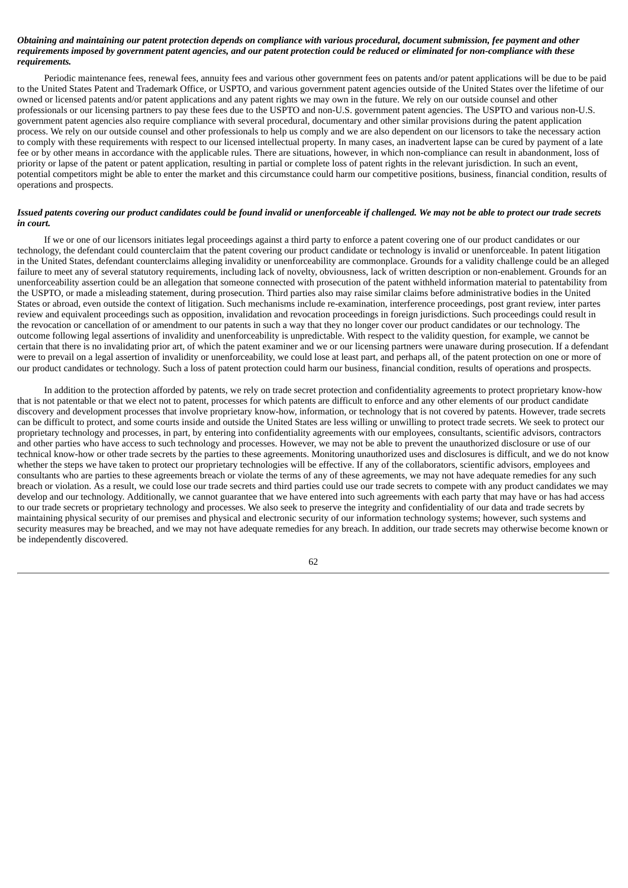#### Obtaining and maintaining our patent protection depends on compliance with various procedural, document submission, fee payment and other requirements imposed by government patent agencies, and our patent protection could be reduced or eliminated for non-compliance with these *requirements.*

Periodic maintenance fees, renewal fees, annuity fees and various other government fees on patents and/or patent applications will be due to be paid to the United States Patent and Trademark Office, or USPTO, and various government patent agencies outside of the United States over the lifetime of our owned or licensed patents and/or patent applications and any patent rights we may own in the future. We rely on our outside counsel and other professionals or our licensing partners to pay these fees due to the USPTO and non-U.S. government patent agencies. The USPTO and various non-U.S. government patent agencies also require compliance with several procedural, documentary and other similar provisions during the patent application process. We rely on our outside counsel and other professionals to help us comply and we are also dependent on our licensors to take the necessary action to comply with these requirements with respect to our licensed intellectual property. In many cases, an inadvertent lapse can be cured by payment of a late fee or by other means in accordance with the applicable rules. There are situations, however, in which non-compliance can result in abandonment, loss of priority or lapse of the patent or patent application, resulting in partial or complete loss of patent rights in the relevant jurisdiction. In such an event, potential competitors might be able to enter the market and this circumstance could harm our competitive positions, business, financial condition, results of operations and prospects.

# Issued patents covering our product candidates could be found invalid or unenforceable if challenged. We may not be able to protect our trade secrets *in court.*

If we or one of our licensors initiates legal proceedings against a third party to enforce a patent covering one of our product candidates or our technology, the defendant could counterclaim that the patent covering our product candidate or technology is invalid or unenforceable. In patent litigation in the United States, defendant counterclaims alleging invalidity or unenforceability are commonplace. Grounds for a validity challenge could be an alleged failure to meet any of several statutory requirements, including lack of novelty, obviousness, lack of written description or non-enablement. Grounds for an unenforceability assertion could be an allegation that someone connected with prosecution of the patent withheld information material to patentability from the USPTO, or made a misleading statement, during prosecution. Third parties also may raise similar claims before administrative bodies in the United States or abroad, even outside the context of litigation. Such mechanisms include re-examination, interference proceedings, post grant review, inter partes review and equivalent proceedings such as opposition, invalidation and revocation proceedings in foreign jurisdictions. Such proceedings could result in the revocation or cancellation of or amendment to our patents in such a way that they no longer cover our product candidates or our technology. The outcome following legal assertions of invalidity and unenforceability is unpredictable. With respect to the validity question, for example, we cannot be certain that there is no invalidating prior art, of which the patent examiner and we or our licensing partners were unaware during prosecution. If a defendant were to prevail on a legal assertion of invalidity or unenforceability, we could lose at least part, and perhaps all, of the patent protection on one or more of our product candidates or technology. Such a loss of patent protection could harm our business, financial condition, results of operations and prospects.

In addition to the protection afforded by patents, we rely on trade secret protection and confidentiality agreements to protect proprietary know-how that is not patentable or that we elect not to patent, processes for which patents are difficult to enforce and any other elements of our product candidate discovery and development processes that involve proprietary know-how, information, or technology that is not covered by patents. However, trade secrets can be difficult to protect, and some courts inside and outside the United States are less willing or unwilling to protect trade secrets. We seek to protect our proprietary technology and processes, in part, by entering into confidentiality agreements with our employees, consultants, scientific advisors, contractors and other parties who have access to such technology and processes. However, we may not be able to prevent the unauthorized disclosure or use of our technical know-how or other trade secrets by the parties to these agreements. Monitoring unauthorized uses and disclosures is difficult, and we do not know whether the steps we have taken to protect our proprietary technologies will be effective. If any of the collaborators, scientific advisors, employees and consultants who are parties to these agreements breach or violate the terms of any of these agreements, we may not have adequate remedies for any such breach or violation. As a result, we could lose our trade secrets and third parties could use our trade secrets to compete with any product candidates we may develop and our technology. Additionally, we cannot guarantee that we have entered into such agreements with each party that may have or has had access to our trade secrets or proprietary technology and processes. We also seek to preserve the integrity and confidentiality of our data and trade secrets by maintaining physical security of our premises and physical and electronic security of our information technology systems; however, such systems and security measures may be breached, and we may not have adequate remedies for any breach. In addition, our trade secrets may otherwise become known or be independently discovered.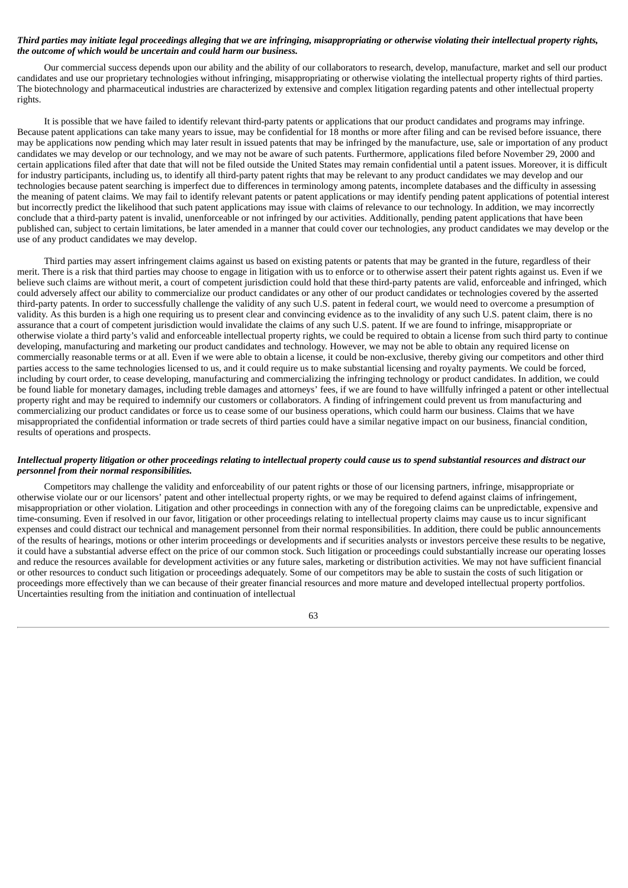# Third parties may initiate legal proceedings alleging that we are infringing, misappropriating or otherwise violating their intellectual property rights, *the outcome of which would be uncertain and could harm our business.*

Our commercial success depends upon our ability and the ability of our collaborators to research, develop, manufacture, market and sell our product candidates and use our proprietary technologies without infringing, misappropriating or otherwise violating the intellectual property rights of third parties. The biotechnology and pharmaceutical industries are characterized by extensive and complex litigation regarding patents and other intellectual property rights.

It is possible that we have failed to identify relevant third-party patents or applications that our product candidates and programs may infringe. Because patent applications can take many years to issue, may be confidential for 18 months or more after filing and can be revised before issuance, there may be applications now pending which may later result in issued patents that may be infringed by the manufacture, use, sale or importation of any product candidates we may develop or our technology, and we may not be aware of such patents. Furthermore, applications filed before November 29, 2000 and certain applications filed after that date that will not be filed outside the United States may remain confidential until a patent issues. Moreover, it is difficult for industry participants, including us, to identify all third-party patent rights that may be relevant to any product candidates we may develop and our technologies because patent searching is imperfect due to differences in terminology among patents, incomplete databases and the difficulty in assessing the meaning of patent claims. We may fail to identify relevant patents or patent applications or may identify pending patent applications of potential interest but incorrectly predict the likelihood that such patent applications may issue with claims of relevance to our technology. In addition, we may incorrectly conclude that a third-party patent is invalid, unenforceable or not infringed by our activities. Additionally, pending patent applications that have been published can, subject to certain limitations, be later amended in a manner that could cover our technologies, any product candidates we may develop or the use of any product candidates we may develop.

Third parties may assert infringement claims against us based on existing patents or patents that may be granted in the future, regardless of their merit. There is a risk that third parties may choose to engage in litigation with us to enforce or to otherwise assert their patent rights against us. Even if we believe such claims are without merit, a court of competent jurisdiction could hold that these third-party patents are valid, enforceable and infringed, which could adversely affect our ability to commercialize our product candidates or any other of our product candidates or technologies covered by the asserted third-party patents. In order to successfully challenge the validity of any such U.S. patent in federal court, we would need to overcome a presumption of validity. As this burden is a high one requiring us to present clear and convincing evidence as to the invalidity of any such U.S. patent claim, there is no assurance that a court of competent jurisdiction would invalidate the claims of any such U.S. patent. If we are found to infringe, misappropriate or otherwise violate a third party's valid and enforceable intellectual property rights, we could be required to obtain a license from such third party to continue developing, manufacturing and marketing our product candidates and technology. However, we may not be able to obtain any required license on commercially reasonable terms or at all. Even if we were able to obtain a license, it could be non-exclusive, thereby giving our competitors and other third parties access to the same technologies licensed to us, and it could require us to make substantial licensing and royalty payments. We could be forced, including by court order, to cease developing, manufacturing and commercializing the infringing technology or product candidates. In addition, we could be found liable for monetary damages, including treble damages and attorneys' fees, if we are found to have willfully infringed a patent or other intellectual property right and may be required to indemnify our customers or collaborators. A finding of infringement could prevent us from manufacturing and commercializing our product candidates or force us to cease some of our business operations, which could harm our business. Claims that we have misappropriated the confidential information or trade secrets of third parties could have a similar negative impact on our business, financial condition, results of operations and prospects.

# Intellectual property litigation or other proceedings relating to intellectual property could cause us to spend substantial resources and distract our *personnel from their normal responsibilities.*

Competitors may challenge the validity and enforceability of our patent rights or those of our licensing partners, infringe, misappropriate or otherwise violate our or our licensors' patent and other intellectual property rights, or we may be required to defend against claims of infringement, misappropriation or other violation. Litigation and other proceedings in connection with any of the foregoing claims can be unpredictable, expensive and time-consuming. Even if resolved in our favor, litigation or other proceedings relating to intellectual property claims may cause us to incur significant expenses and could distract our technical and management personnel from their normal responsibilities. In addition, there could be public announcements of the results of hearings, motions or other interim proceedings or developments and if securities analysts or investors perceive these results to be negative, it could have a substantial adverse effect on the price of our common stock. Such litigation or proceedings could substantially increase our operating losses and reduce the resources available for development activities or any future sales, marketing or distribution activities. We may not have sufficient financial or other resources to conduct such litigation or proceedings adequately. Some of our competitors may be able to sustain the costs of such litigation or proceedings more effectively than we can because of their greater financial resources and more mature and developed intellectual property portfolios. Uncertainties resulting from the initiation and continuation of intellectual

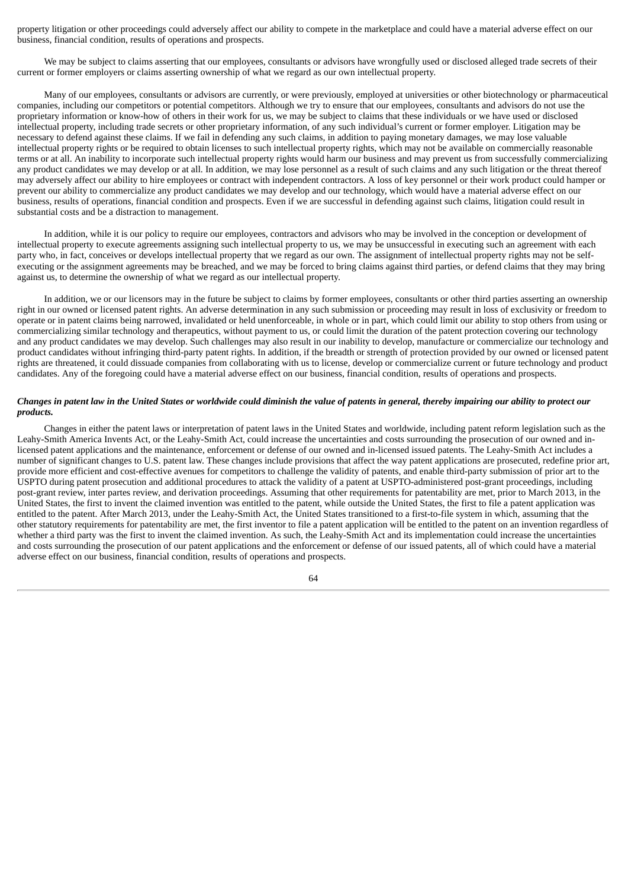property litigation or other proceedings could adversely affect our ability to compete in the marketplace and could have a material adverse effect on our business, financial condition, results of operations and prospects.

We may be subject to claims asserting that our employees, consultants or advisors have wrongfully used or disclosed alleged trade secrets of their current or former employers or claims asserting ownership of what we regard as our own intellectual property.

Many of our employees, consultants or advisors are currently, or were previously, employed at universities or other biotechnology or pharmaceutical companies, including our competitors or potential competitors. Although we try to ensure that our employees, consultants and advisors do not use the proprietary information or know-how of others in their work for us, we may be subject to claims that these individuals or we have used or disclosed intellectual property, including trade secrets or other proprietary information, of any such individual's current or former employer. Litigation may be necessary to defend against these claims. If we fail in defending any such claims, in addition to paying monetary damages, we may lose valuable intellectual property rights or be required to obtain licenses to such intellectual property rights, which may not be available on commercially reasonable terms or at all. An inability to incorporate such intellectual property rights would harm our business and may prevent us from successfully commercializing any product candidates we may develop or at all. In addition, we may lose personnel as a result of such claims and any such litigation or the threat thereof may adversely affect our ability to hire employees or contract with independent contractors. A loss of key personnel or their work product could hamper or prevent our ability to commercialize any product candidates we may develop and our technology, which would have a material adverse effect on our business, results of operations, financial condition and prospects. Even if we are successful in defending against such claims, litigation could result in substantial costs and be a distraction to management.

In addition, while it is our policy to require our employees, contractors and advisors who may be involved in the conception or development of intellectual property to execute agreements assigning such intellectual property to us, we may be unsuccessful in executing such an agreement with each party who, in fact, conceives or develops intellectual property that we regard as our own. The assignment of intellectual property rights may not be selfexecuting or the assignment agreements may be breached, and we may be forced to bring claims against third parties, or defend claims that they may bring against us, to determine the ownership of what we regard as our intellectual property.

In addition, we or our licensors may in the future be subject to claims by former employees, consultants or other third parties asserting an ownership right in our owned or licensed patent rights. An adverse determination in any such submission or proceeding may result in loss of exclusivity or freedom to operate or in patent claims being narrowed, invalidated or held unenforceable, in whole or in part, which could limit our ability to stop others from using or commercializing similar technology and therapeutics, without payment to us, or could limit the duration of the patent protection covering our technology and any product candidates we may develop. Such challenges may also result in our inability to develop, manufacture or commercialize our technology and product candidates without infringing third-party patent rights. In addition, if the breadth or strength of protection provided by our owned or licensed patent rights are threatened, it could dissuade companies from collaborating with us to license, develop or commercialize current or future technology and product candidates. Any of the foregoing could have a material adverse effect on our business, financial condition, results of operations and prospects.

### Changes in patent law in the United States or worldwide could diminish the value of patents in general, thereby impairing our ability to protect our *products.*

Changes in either the patent laws or interpretation of patent laws in the United States and worldwide, including patent reform legislation such as the Leahy-Smith America Invents Act, or the Leahy-Smith Act, could increase the uncertainties and costs surrounding the prosecution of our owned and inlicensed patent applications and the maintenance, enforcement or defense of our owned and in-licensed issued patents. The Leahy-Smith Act includes a number of significant changes to U.S. patent law. These changes include provisions that affect the way patent applications are prosecuted, redefine prior art, provide more efficient and cost-effective avenues for competitors to challenge the validity of patents, and enable third-party submission of prior art to the USPTO during patent prosecution and additional procedures to attack the validity of a patent at USPTO-administered post-grant proceedings, including post-grant review, inter partes review, and derivation proceedings. Assuming that other requirements for patentability are met, prior to March 2013, in the United States, the first to invent the claimed invention was entitled to the patent, while outside the United States, the first to file a patent application was entitled to the patent. After March 2013, under the Leahy-Smith Act, the United States transitioned to a first-to-file system in which, assuming that the other statutory requirements for patentability are met, the first inventor to file a patent application will be entitled to the patent on an invention regardless of whether a third party was the first to invent the claimed invention. As such, the Leahy-Smith Act and its implementation could increase the uncertainties and costs surrounding the prosecution of our patent applications and the enforcement or defense of our issued patents, all of which could have a material adverse effect on our business, financial condition, results of operations and prospects.

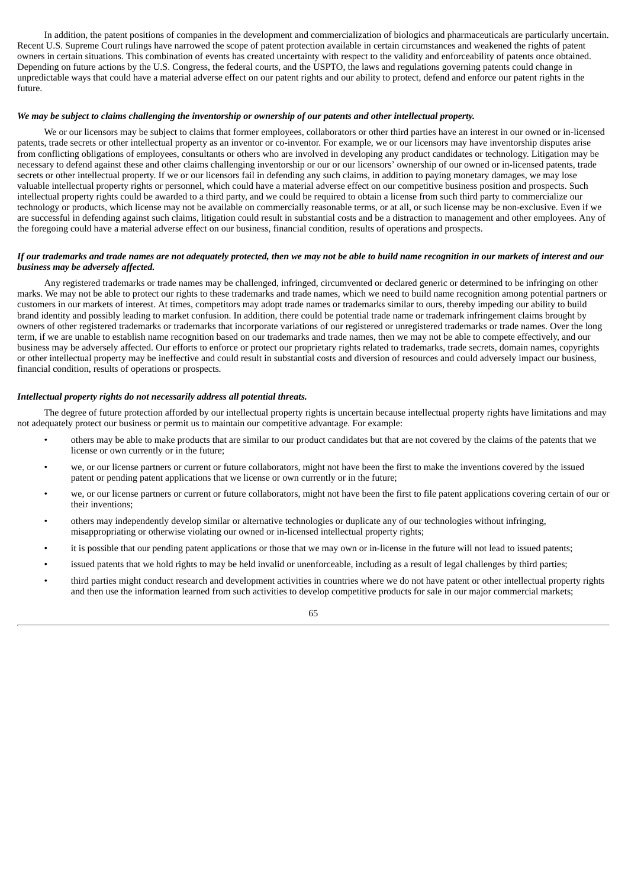In addition, the patent positions of companies in the development and commercialization of biologics and pharmaceuticals are particularly uncertain. Recent U.S. Supreme Court rulings have narrowed the scope of patent protection available in certain circumstances and weakened the rights of patent owners in certain situations. This combination of events has created uncertainty with respect to the validity and enforceability of patents once obtained. Depending on future actions by the U.S. Congress, the federal courts, and the USPTO, the laws and regulations governing patents could change in unpredictable ways that could have a material adverse effect on our patent rights and our ability to protect, defend and enforce our patent rights in the future.

#### We may be subject to claims challenging the inventorship or ownership of our patents and other intellectual property.

We or our licensors may be subject to claims that former employees, collaborators or other third parties have an interest in our owned or in-licensed patents, trade secrets or other intellectual property as an inventor or co-inventor. For example, we or our licensors may have inventorship disputes arise from conflicting obligations of employees, consultants or others who are involved in developing any product candidates or technology. Litigation may be necessary to defend against these and other claims challenging inventorship or our or our licensors' ownership of our owned or in-licensed patents, trade secrets or other intellectual property. If we or our licensors fail in defending any such claims, in addition to paying monetary damages, we may lose valuable intellectual property rights or personnel, which could have a material adverse effect on our competitive business position and prospects. Such intellectual property rights could be awarded to a third party, and we could be required to obtain a license from such third party to commercialize our technology or products, which license may not be available on commercially reasonable terms, or at all, or such license may be non-exclusive. Even if we are successful in defending against such claims, litigation could result in substantial costs and be a distraction to management and other employees. Any of the foregoing could have a material adverse effect on our business, financial condition, results of operations and prospects.

# If our trademarks and trade names are not adequately protected, then we may not be able to build name recognition in our markets of interest and our *business may be adversely affected.*

Any registered trademarks or trade names may be challenged, infringed, circumvented or declared generic or determined to be infringing on other marks. We may not be able to protect our rights to these trademarks and trade names, which we need to build name recognition among potential partners or customers in our markets of interest. At times, competitors may adopt trade names or trademarks similar to ours, thereby impeding our ability to build brand identity and possibly leading to market confusion. In addition, there could be potential trade name or trademark infringement claims brought by owners of other registered trademarks or trademarks that incorporate variations of our registered or unregistered trademarks or trade names. Over the long term, if we are unable to establish name recognition based on our trademarks and trade names, then we may not be able to compete effectively, and our business may be adversely affected. Our efforts to enforce or protect our proprietary rights related to trademarks, trade secrets, domain names, copyrights or other intellectual property may be ineffective and could result in substantial costs and diversion of resources and could adversely impact our business, financial condition, results of operations or prospects.

# *Intellectual property rights do not necessarily address all potential threats.*

The degree of future protection afforded by our intellectual property rights is uncertain because intellectual property rights have limitations and may not adequately protect our business or permit us to maintain our competitive advantage. For example:

- others may be able to make products that are similar to our product candidates but that are not covered by the claims of the patents that we license or own currently or in the future;
- we, or our license partners or current or future collaborators, might not have been the first to make the inventions covered by the issued patent or pending patent applications that we license or own currently or in the future;
- we, or our license partners or current or future collaborators, might not have been the first to file patent applications covering certain of our or their inventions;
- others may independently develop similar or alternative technologies or duplicate any of our technologies without infringing, misappropriating or otherwise violating our owned or in-licensed intellectual property rights;
- it is possible that our pending patent applications or those that we may own or in-license in the future will not lead to issued patents;
- issued patents that we hold rights to may be held invalid or unenforceable, including as a result of legal challenges by third parties;
- third parties might conduct research and development activities in countries where we do not have patent or other intellectual property rights and then use the information learned from such activities to develop competitive products for sale in our major commercial markets;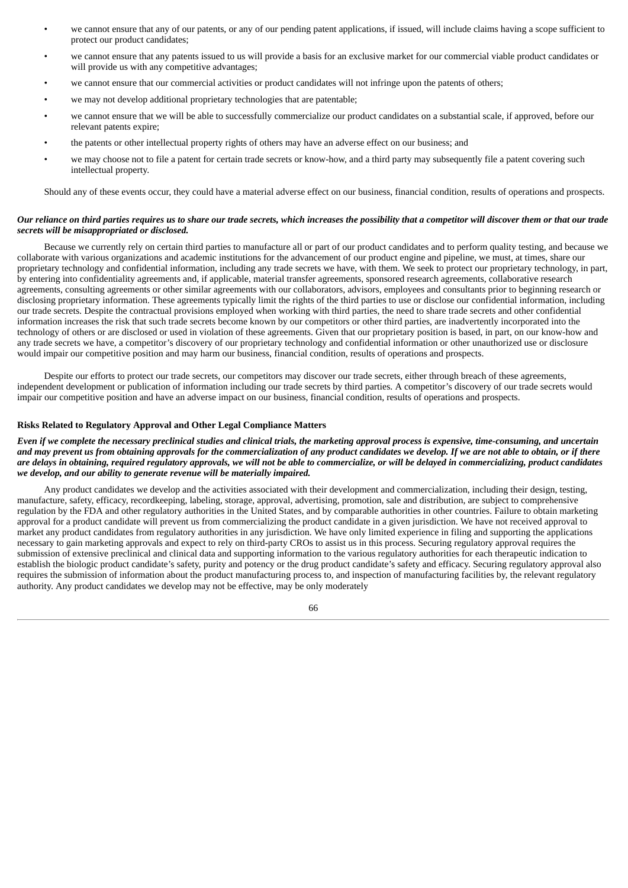- we cannot ensure that any of our patents, or any of our pending patent applications, if issued, will include claims having a scope sufficient to protect our product candidates;
- we cannot ensure that any patents issued to us will provide a basis for an exclusive market for our commercial viable product candidates or will provide us with any competitive advantages;
- we cannot ensure that our commercial activities or product candidates will not infringe upon the patents of others;
- we may not develop additional proprietary technologies that are patentable;
- we cannot ensure that we will be able to successfully commercialize our product candidates on a substantial scale, if approved, before our relevant patents expire;
- the patents or other intellectual property rights of others may have an adverse effect on our business; and
- we may choose not to file a patent for certain trade secrets or know-how, and a third party may subsequently file a patent covering such intellectual property.

Should any of these events occur, they could have a material adverse effect on our business, financial condition, results of operations and prospects.

# Our reliance on third parties requires us to share our trade secrets, which increases the possibility that a competitor will discover them or that our trade *secrets will be misappropriated or disclosed.*

Because we currently rely on certain third parties to manufacture all or part of our product candidates and to perform quality testing, and because we collaborate with various organizations and academic institutions for the advancement of our product engine and pipeline, we must, at times, share our proprietary technology and confidential information, including any trade secrets we have, with them. We seek to protect our proprietary technology, in part, by entering into confidentiality agreements and, if applicable, material transfer agreements, sponsored research agreements, collaborative research agreements, consulting agreements or other similar agreements with our collaborators, advisors, employees and consultants prior to beginning research or disclosing proprietary information. These agreements typically limit the rights of the third parties to use or disclose our confidential information, including our trade secrets. Despite the contractual provisions employed when working with third parties, the need to share trade secrets and other confidential information increases the risk that such trade secrets become known by our competitors or other third parties, are inadvertently incorporated into the technology of others or are disclosed or used in violation of these agreements. Given that our proprietary position is based, in part, on our know-how and any trade secrets we have, a competitor's discovery of our proprietary technology and confidential information or other unauthorized use or disclosure would impair our competitive position and may harm our business, financial condition, results of operations and prospects.

Despite our efforts to protect our trade secrets, our competitors may discover our trade secrets, either through breach of these agreements, independent development or publication of information including our trade secrets by third parties. A competitor's discovery of our trade secrets would impair our competitive position and have an adverse impact on our business, financial condition, results of operations and prospects.

# **Risks Related to Regulatory Approval and Other Legal Compliance Matters**

### Even if we complete the necessary preclinical studies and clinical trials, the marketing approval process is expensive, time-consuming, and uncertain and may prevent us from obtaining approvals for the commercialization of any product candidates we develop. If we are not able to obtain, or if there are delays in obtaining, required regulatory approvals, we will not be able to commercialize, or will be delayed in commercializing, product candidates *we develop, and our ability to generate revenue will be materially impaired.*

Any product candidates we develop and the activities associated with their development and commercialization, including their design, testing, manufacture, safety, efficacy, recordkeeping, labeling, storage, approval, advertising, promotion, sale and distribution, are subject to comprehensive regulation by the FDA and other regulatory authorities in the United States, and by comparable authorities in other countries. Failure to obtain marketing approval for a product candidate will prevent us from commercializing the product candidate in a given jurisdiction. We have not received approval to market any product candidates from regulatory authorities in any jurisdiction. We have only limited experience in filing and supporting the applications necessary to gain marketing approvals and expect to rely on third-party CROs to assist us in this process. Securing regulatory approval requires the submission of extensive preclinical and clinical data and supporting information to the various regulatory authorities for each therapeutic indication to establish the biologic product candidate's safety, purity and potency or the drug product candidate's safety and efficacy. Securing regulatory approval also requires the submission of information about the product manufacturing process to, and inspection of manufacturing facilities by, the relevant regulatory authority. Any product candidates we develop may not be effective, may be only moderately

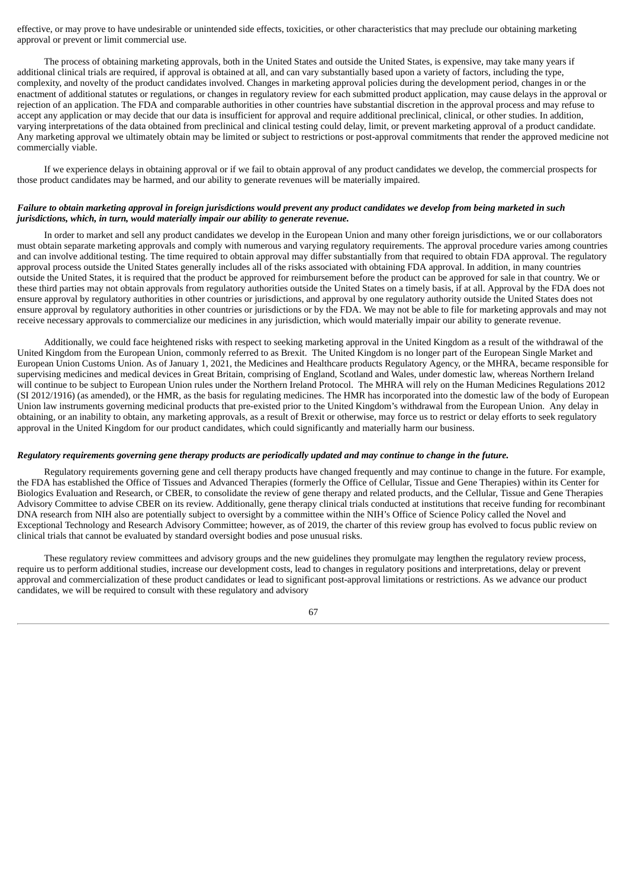effective, or may prove to have undesirable or unintended side effects, toxicities, or other characteristics that may preclude our obtaining marketing approval or prevent or limit commercial use.

The process of obtaining marketing approvals, both in the United States and outside the United States, is expensive, may take many years if additional clinical trials are required, if approval is obtained at all, and can vary substantially based upon a variety of factors, including the type, complexity, and novelty of the product candidates involved. Changes in marketing approval policies during the development period, changes in or the enactment of additional statutes or regulations, or changes in regulatory review for each submitted product application, may cause delays in the approval or rejection of an application. The FDA and comparable authorities in other countries have substantial discretion in the approval process and may refuse to accept any application or may decide that our data is insufficient for approval and require additional preclinical, clinical, or other studies. In addition, varying interpretations of the data obtained from preclinical and clinical testing could delay, limit, or prevent marketing approval of a product candidate. Any marketing approval we ultimately obtain may be limited or subject to restrictions or post-approval commitments that render the approved medicine not commercially viable.

If we experience delays in obtaining approval or if we fail to obtain approval of any product candidates we develop, the commercial prospects for those product candidates may be harmed, and our ability to generate revenues will be materially impaired.

### Failure to obtain marketing approval in foreign jurisdictions would prevent any product candidates we develop from being marketed in such *jurisdictions, which, in turn, would materially impair our ability to generate revenue.*

In order to market and sell any product candidates we develop in the European Union and many other foreign jurisdictions, we or our collaborators must obtain separate marketing approvals and comply with numerous and varying regulatory requirements. The approval procedure varies among countries and can involve additional testing. The time required to obtain approval may differ substantially from that required to obtain FDA approval. The regulatory approval process outside the United States generally includes all of the risks associated with obtaining FDA approval. In addition, in many countries outside the United States, it is required that the product be approved for reimbursement before the product can be approved for sale in that country. We or these third parties may not obtain approvals from regulatory authorities outside the United States on a timely basis, if at all. Approval by the FDA does not ensure approval by regulatory authorities in other countries or jurisdictions, and approval by one regulatory authority outside the United States does not ensure approval by regulatory authorities in other countries or jurisdictions or by the FDA. We may not be able to file for marketing approvals and may not receive necessary approvals to commercialize our medicines in any jurisdiction, which would materially impair our ability to generate revenue.

Additionally, we could face heightened risks with respect to seeking marketing approval in the United Kingdom as a result of the withdrawal of the United Kingdom from the European Union, commonly referred to as Brexit. The United Kingdom is no longer part of the European Single Market and European Union Customs Union. As of January 1, 2021, the Medicines and Healthcare products Regulatory Agency, or the MHRA, became responsible for supervising medicines and medical devices in Great Britain, comprising of England, Scotland and Wales, under domestic law, whereas Northern Ireland will continue to be subject to European Union rules under the Northern Ireland Protocol. The MHRA will rely on the Human Medicines Regulations 2012 (SI 2012/1916) (as amended), or the HMR, as the basis for regulating medicines. The HMR has incorporated into the domestic law of the body of European Union law instruments governing medicinal products that pre-existed prior to the United Kingdom's withdrawal from the European Union. Any delay in obtaining, or an inability to obtain, any marketing approvals, as a result of Brexit or otherwise, may force us to restrict or delay efforts to seek regulatory approval in the United Kingdom for our product candidates, which could significantly and materially harm our business.

### Regulatory requirements governing gene therapy products are periodically updated and may continue to change in the future.

Regulatory requirements governing gene and cell therapy products have changed frequently and may continue to change in the future. For example, the FDA has established the Office of Tissues and Advanced Therapies (formerly the Office of Cellular, Tissue and Gene Therapies) within its Center for Biologics Evaluation and Research, or CBER, to consolidate the review of gene therapy and related products, and the Cellular, Tissue and Gene Therapies Advisory Committee to advise CBER on its review. Additionally, gene therapy clinical trials conducted at institutions that receive funding for recombinant DNA research from NIH also are potentially subject to oversight by a committee within the NIH's Office of Science Policy called the Novel and Exceptional Technology and Research Advisory Committee; however, as of 2019, the charter of this review group has evolved to focus public review on clinical trials that cannot be evaluated by standard oversight bodies and pose unusual risks.

These regulatory review committees and advisory groups and the new guidelines they promulgate may lengthen the regulatory review process, require us to perform additional studies, increase our development costs, lead to changes in regulatory positions and interpretations, delay or prevent approval and commercialization of these product candidates or lead to significant post-approval limitations or restrictions. As we advance our product candidates, we will be required to consult with these regulatory and advisory

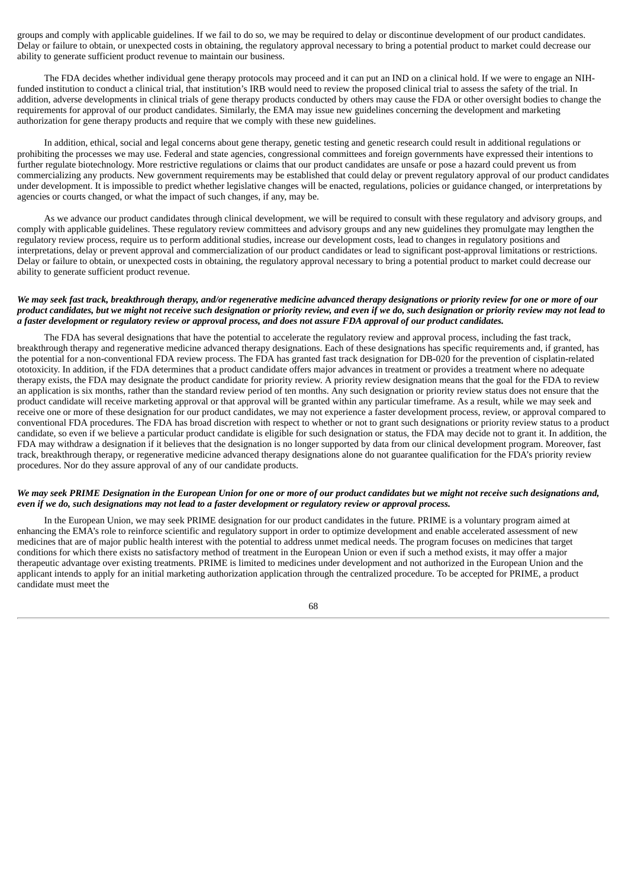groups and comply with applicable guidelines. If we fail to do so, we may be required to delay or discontinue development of our product candidates. Delay or failure to obtain, or unexpected costs in obtaining, the regulatory approval necessary to bring a potential product to market could decrease our ability to generate sufficient product revenue to maintain our business.

The FDA decides whether individual gene therapy protocols may proceed and it can put an IND on a clinical hold. If we were to engage an NIHfunded institution to conduct a clinical trial, that institution's IRB would need to review the proposed clinical trial to assess the safety of the trial. In addition, adverse developments in clinical trials of gene therapy products conducted by others may cause the FDA or other oversight bodies to change the requirements for approval of our product candidates. Similarly, the EMA may issue new guidelines concerning the development and marketing authorization for gene therapy products and require that we comply with these new guidelines.

In addition, ethical, social and legal concerns about gene therapy, genetic testing and genetic research could result in additional regulations or prohibiting the processes we may use. Federal and state agencies, congressional committees and foreign governments have expressed their intentions to further regulate biotechnology. More restrictive regulations or claims that our product candidates are unsafe or pose a hazard could prevent us from commercializing any products. New government requirements may be established that could delay or prevent regulatory approval of our product candidates under development. It is impossible to predict whether legislative changes will be enacted, regulations, policies or guidance changed, or interpretations by agencies or courts changed, or what the impact of such changes, if any, may be.

As we advance our product candidates through clinical development, we will be required to consult with these regulatory and advisory groups, and comply with applicable guidelines. These regulatory review committees and advisory groups and any new guidelines they promulgate may lengthen the regulatory review process, require us to perform additional studies, increase our development costs, lead to changes in regulatory positions and interpretations, delay or prevent approval and commercialization of our product candidates or lead to significant post-approval limitations or restrictions. Delay or failure to obtain, or unexpected costs in obtaining, the regulatory approval necessary to bring a potential product to market could decrease our ability to generate sufficient product revenue.

# We may seek fast track, breakthrough therapy, and/or regenerative medicine advanced therapy designations or priority review for one or more of our product candidates, but we might not receive such designation or priority review, and even if we do, such designation or priority review may not lead to a faster development or regulatory review or approval process, and does not assure FDA approval of our product candidates.

The FDA has several designations that have the potential to accelerate the regulatory review and approval process, including the fast track, breakthrough therapy and regenerative medicine advanced therapy designations. Each of these designations has specific requirements and, if granted, has the potential for a non-conventional FDA review process. The FDA has granted fast track designation for DB-020 for the prevention of cisplatin-related ototoxicity. In addition, if the FDA determines that a product candidate offers major advances in treatment or provides a treatment where no adequate therapy exists, the FDA may designate the product candidate for priority review. A priority review designation means that the goal for the FDA to review an application is six months, rather than the standard review period of ten months. Any such designation or priority review status does not ensure that the product candidate will receive marketing approval or that approval will be granted within any particular timeframe. As a result, while we may seek and receive one or more of these designation for our product candidates, we may not experience a faster development process, review, or approval compared to conventional FDA procedures. The FDA has broad discretion with respect to whether or not to grant such designations or priority review status to a product candidate, so even if we believe a particular product candidate is eligible for such designation or status, the FDA may decide not to grant it. In addition, the FDA may withdraw a designation if it believes that the designation is no longer supported by data from our clinical development program. Moreover, fast track, breakthrough therapy, or regenerative medicine advanced therapy designations alone do not guarantee qualification for the FDA's priority review procedures. Nor do they assure approval of any of our candidate products.

### We may seek PRIME Designation in the European Union for one or more of our product candidates but we might not receive such designations and, even if we do, such designations may not lead to a faster development or regulatory review or approval process.

In the European Union, we may seek PRIME designation for our product candidates in the future. PRIME is a voluntary program aimed at enhancing the EMA's role to reinforce scientific and regulatory support in order to optimize development and enable accelerated assessment of new medicines that are of major public health interest with the potential to address unmet medical needs. The program focuses on medicines that target conditions for which there exists no satisfactory method of treatment in the European Union or even if such a method exists, it may offer a major therapeutic advantage over existing treatments. PRIME is limited to medicines under development and not authorized in the European Union and the applicant intends to apply for an initial marketing authorization application through the centralized procedure. To be accepted for PRIME, a product candidate must meet the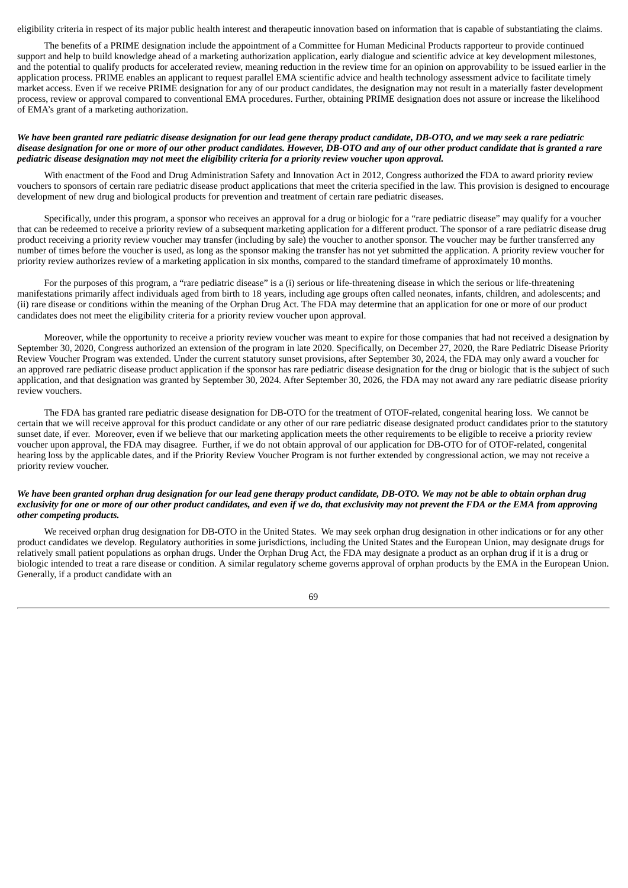eligibility criteria in respect of its major public health interest and therapeutic innovation based on information that is capable of substantiating the claims.

The benefits of a PRIME designation include the appointment of a Committee for Human Medicinal Products rapporteur to provide continued support and help to build knowledge ahead of a marketing authorization application, early dialogue and scientific advice at key development milestones, and the potential to qualify products for accelerated review, meaning reduction in the review time for an opinion on approvability to be issued earlier in the application process. PRIME enables an applicant to request parallel EMA scientific advice and health technology assessment advice to facilitate timely market access. Even if we receive PRIME designation for any of our product candidates, the designation may not result in a materially faster development process, review or approval compared to conventional EMA procedures. Further, obtaining PRIME designation does not assure or increase the likelihood of EMA's grant of a marketing authorization.

### We have been granted rare pediatric disease designation for our lead gene therapy product candidate, DB-OTO, and we may seek a rare pediatric disease designation for one or more of our other product candidates. However, DB-OTO and any of our other product candidate that is granted a rare *pediatric disease designation may not meet the eligibility criteria for a priority review voucher upon approval.*

With enactment of the Food and Drug Administration Safety and Innovation Act in 2012, Congress authorized the FDA to award priority review vouchers to sponsors of certain rare pediatric disease product applications that meet the criteria specified in the law. This provision is designed to encourage development of new drug and biological products for prevention and treatment of certain rare pediatric diseases.

Specifically, under this program, a sponsor who receives an approval for a drug or biologic for a "rare pediatric disease" may qualify for a voucher that can be redeemed to receive a priority review of a subsequent marketing application for a different product. The sponsor of a rare pediatric disease drug product receiving a priority review voucher may transfer (including by sale) the voucher to another sponsor. The voucher may be further transferred any number of times before the voucher is used, as long as the sponsor making the transfer has not yet submitted the application. A priority review voucher for priority review authorizes review of a marketing application in six months, compared to the standard timeframe of approximately 10 months.

For the purposes of this program, a "rare pediatric disease" is a (i) serious or life-threatening disease in which the serious or life-threatening manifestations primarily affect individuals aged from birth to 18 years, including age groups often called neonates, infants, children, and adolescents; and (ii) rare disease or conditions within the meaning of the Orphan Drug Act. The FDA may determine that an application for one or more of our product candidates does not meet the eligibility criteria for a priority review voucher upon approval.

Moreover, while the opportunity to receive a priority review voucher was meant to expire for those companies that had not received a designation by September 30, 2020, Congress authorized an extension of the program in late 2020. Specifically, on December 27, 2020, the Rare Pediatric Disease Priority Review Voucher Program was extended. Under the current statutory sunset provisions, after September 30, 2024, the FDA may only award a voucher for an approved rare pediatric disease product application if the sponsor has rare pediatric disease designation for the drug or biologic that is the subject of such application, and that designation was granted by September 30, 2024. After September 30, 2026, the FDA may not award any rare pediatric disease priority review vouchers.

The FDA has granted rare pediatric disease designation for DB-OTO for the treatment of OTOF-related, congenital hearing loss. We cannot be certain that we will receive approval for this product candidate or any other of our rare pediatric disease designated product candidates prior to the statutory sunset date, if ever. Moreover, even if we believe that our marketing application meets the other requirements to be eligible to receive a priority review voucher upon approval, the FDA may disagree. Further, if we do not obtain approval of our application for DB-OTO for of OTOF-related, congenital hearing loss by the applicable dates, and if the Priority Review Voucher Program is not further extended by congressional action, we may not receive a priority review voucher.

# We have been granted orphan drug designation for our lead gene therapy product candidate, DB-OTO. We may not be able to obtain orphan drug exclusivity for one or more of our other product candidates, and even if we do, that exclusivity may not prevent the FDA or the EMA from approving *other competing products.*

We received orphan drug designation for DB-OTO in the United States. We may seek orphan drug designation in other indications or for any other product candidates we develop. Regulatory authorities in some jurisdictions, including the United States and the European Union, may designate drugs for relatively small patient populations as orphan drugs. Under the Orphan Drug Act, the FDA may designate a product as an orphan drug if it is a drug or biologic intended to treat a rare disease or condition. A similar regulatory scheme governs approval of orphan products by the EMA in the European Union. Generally, if a product candidate with an

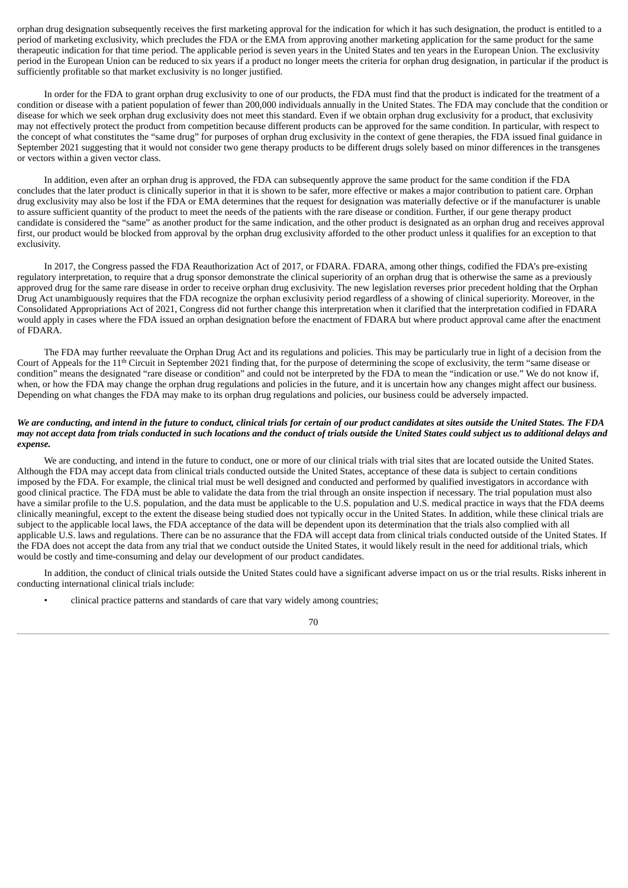orphan drug designation subsequently receives the first marketing approval for the indication for which it has such designation, the product is entitled to a period of marketing exclusivity, which precludes the FDA or the EMA from approving another marketing application for the same product for the same therapeutic indication for that time period. The applicable period is seven years in the United States and ten years in the European Union. The exclusivity period in the European Union can be reduced to six years if a product no longer meets the criteria for orphan drug designation, in particular if the product is sufficiently profitable so that market exclusivity is no longer justified.

In order for the FDA to grant orphan drug exclusivity to one of our products, the FDA must find that the product is indicated for the treatment of a condition or disease with a patient population of fewer than 200,000 individuals annually in the United States. The FDA may conclude that the condition or disease for which we seek orphan drug exclusivity does not meet this standard. Even if we obtain orphan drug exclusivity for a product, that exclusivity may not effectively protect the product from competition because different products can be approved for the same condition. In particular, with respect to the concept of what constitutes the "same drug" for purposes of orphan drug exclusivity in the context of gene therapies, the FDA issued final guidance in September 2021 suggesting that it would not consider two gene therapy products to be different drugs solely based on minor differences in the transgenes or vectors within a given vector class.

In addition, even after an orphan drug is approved, the FDA can subsequently approve the same product for the same condition if the FDA concludes that the later product is clinically superior in that it is shown to be safer, more effective or makes a major contribution to patient care. Orphan drug exclusivity may also be lost if the FDA or EMA determines that the request for designation was materially defective or if the manufacturer is unable to assure sufficient quantity of the product to meet the needs of the patients with the rare disease or condition. Further, if our gene therapy product candidate is considered the "same" as another product for the same indication, and the other product is designated as an orphan drug and receives approval first, our product would be blocked from approval by the orphan drug exclusivity afforded to the other product unless it qualifies for an exception to that exclusivity.

In 2017, the Congress passed the FDA Reauthorization Act of 2017, or FDARA. FDARA, among other things, codified the FDA's pre-existing regulatory interpretation, to require that a drug sponsor demonstrate the clinical superiority of an orphan drug that is otherwise the same as a previously approved drug for the same rare disease in order to receive orphan drug exclusivity. The new legislation reverses prior precedent holding that the Orphan Drug Act unambiguously requires that the FDA recognize the orphan exclusivity period regardless of a showing of clinical superiority. Moreover, in the Consolidated Appropriations Act of 2021, Congress did not further change this interpretation when it clarified that the interpretation codified in FDARA would apply in cases where the FDA issued an orphan designation before the enactment of FDARA but where product approval came after the enactment of FDARA.

The FDA may further reevaluate the Orphan Drug Act and its regulations and policies. This may be particularly true in light of a decision from the Court of Appeals for the 11<sup>th</sup> Circuit in September 2021 finding that, for the purpose of determining the scope of exclusivity, the term "same disease or condition" means the designated "rare disease or condition" and could not be interpreted by the FDA to mean the "indication or use." We do not know if, when, or how the FDA may change the orphan drug regulations and policies in the future, and it is uncertain how any changes might affect our business. Depending on what changes the FDA may make to its orphan drug regulations and policies, our business could be adversely impacted.

# We are conducting, and intend in the future to conduct, clinical trials for certain of our product candidates at sites outside the United States. The FDA may not accept data from trials conducted in such locations and the conduct of trials outside the United States could subject us to additional delays and *expense.*

We are conducting, and intend in the future to conduct, one or more of our clinical trials with trial sites that are located outside the United States. Although the FDA may accept data from clinical trials conducted outside the United States, acceptance of these data is subject to certain conditions imposed by the FDA. For example, the clinical trial must be well designed and conducted and performed by qualified investigators in accordance with good clinical practice. The FDA must be able to validate the data from the trial through an onsite inspection if necessary. The trial population must also have a similar profile to the U.S. population, and the data must be applicable to the U.S. population and U.S. medical practice in ways that the FDA deems clinically meaningful, except to the extent the disease being studied does not typically occur in the United States. In addition, while these clinical trials are subject to the applicable local laws, the FDA acceptance of the data will be dependent upon its determination that the trials also complied with all applicable U.S. laws and regulations. There can be no assurance that the FDA will accept data from clinical trials conducted outside of the United States. If the FDA does not accept the data from any trial that we conduct outside the United States, it would likely result in the need for additional trials, which would be costly and time-consuming and delay our development of our product candidates.

In addition, the conduct of clinical trials outside the United States could have a significant adverse impact on us or the trial results. Risks inherent in conducting international clinical trials include:

• clinical practice patterns and standards of care that vary widely among countries;

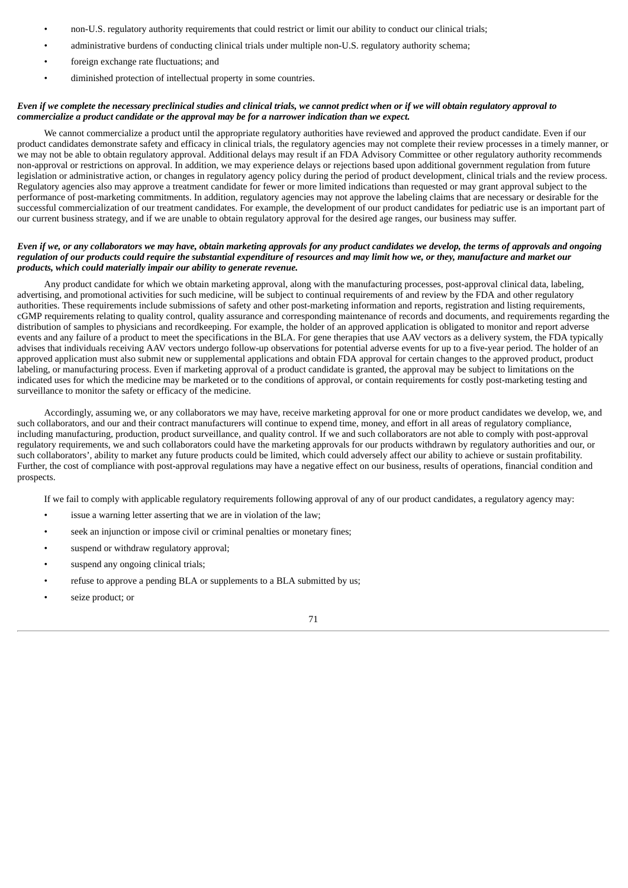- non-U.S. regulatory authority requirements that could restrict or limit our ability to conduct our clinical trials;
- administrative burdens of conducting clinical trials under multiple non-U.S. regulatory authority schema;
- foreign exchange rate fluctuations; and
- diminished protection of intellectual property in some countries.

### Even if we complete the necessary preclinical studies and clinical trials, we cannot predict when or if we will obtain regulatory approval to *commercialize a product candidate or the approval may be for a narrower indication than we expect.*

We cannot commercialize a product until the appropriate regulatory authorities have reviewed and approved the product candidate. Even if our product candidates demonstrate safety and efficacy in clinical trials, the regulatory agencies may not complete their review processes in a timely manner, or we may not be able to obtain regulatory approval. Additional delays may result if an FDA Advisory Committee or other regulatory authority recommends non-approval or restrictions on approval. In addition, we may experience delays or rejections based upon additional government regulation from future legislation or administrative action, or changes in regulatory agency policy during the period of product development, clinical trials and the review process. Regulatory agencies also may approve a treatment candidate for fewer or more limited indications than requested or may grant approval subject to the performance of post-marketing commitments. In addition, regulatory agencies may not approve the labeling claims that are necessary or desirable for the successful commercialization of our treatment candidates. For example, the development of our product candidates for pediatric use is an important part of our current business strategy, and if we are unable to obtain regulatory approval for the desired age ranges, our business may suffer.

### Even if we, or any collaborators we may have, obtain marketing approvals for any product candidates we develop, the terms of approvals and ongoing regulation of our products could require the substantial expenditure of resources and may limit how we, or they, manufacture and market our *products, which could materially impair our ability to generate revenue.*

Any product candidate for which we obtain marketing approval, along with the manufacturing processes, post-approval clinical data, labeling, advertising, and promotional activities for such medicine, will be subject to continual requirements of and review by the FDA and other regulatory authorities. These requirements include submissions of safety and other post-marketing information and reports, registration and listing requirements, cGMP requirements relating to quality control, quality assurance and corresponding maintenance of records and documents, and requirements regarding the distribution of samples to physicians and recordkeeping. For example, the holder of an approved application is obligated to monitor and report adverse events and any failure of a product to meet the specifications in the BLA. For gene therapies that use AAV vectors as a delivery system, the FDA typically advises that individuals receiving AAV vectors undergo follow-up observations for potential adverse events for up to a five-year period. The holder of an approved application must also submit new or supplemental applications and obtain FDA approval for certain changes to the approved product, product labeling, or manufacturing process. Even if marketing approval of a product candidate is granted, the approval may be subject to limitations on the indicated uses for which the medicine may be marketed or to the conditions of approval, or contain requirements for costly post-marketing testing and surveillance to monitor the safety or efficacy of the medicine.

Accordingly, assuming we, or any collaborators we may have, receive marketing approval for one or more product candidates we develop, we, and such collaborators, and our and their contract manufacturers will continue to expend time, money, and effort in all areas of regulatory compliance, including manufacturing, production, product surveillance, and quality control. If we and such collaborators are not able to comply with post-approval regulatory requirements, we and such collaborators could have the marketing approvals for our products withdrawn by regulatory authorities and our, or such collaborators', ability to market any future products could be limited, which could adversely affect our ability to achieve or sustain profitability. Further, the cost of compliance with post-approval regulations may have a negative effect on our business, results of operations, financial condition and prospects.

If we fail to comply with applicable regulatory requirements following approval of any of our product candidates, a regulatory agency may:

- issue a warning letter asserting that we are in violation of the law;
- seek an injunction or impose civil or criminal penalties or monetary fines;
- suspend or withdraw regulatory approval;
- suspend any ongoing clinical trials;
- refuse to approve a pending BLA or supplements to a BLA submitted by us;
- seize product: or

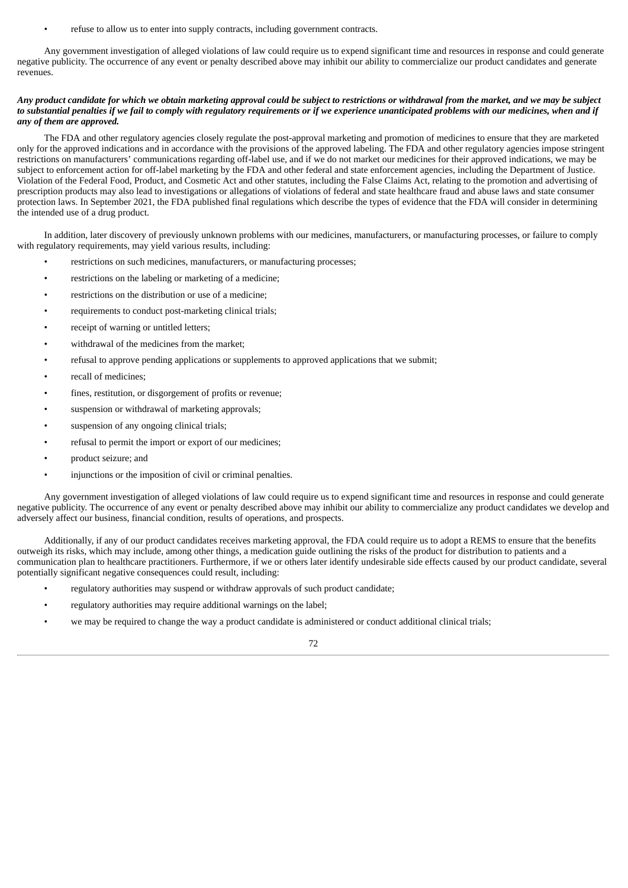• refuse to allow us to enter into supply contracts, including government contracts.

Any government investigation of alleged violations of law could require us to expend significant time and resources in response and could generate negative publicity. The occurrence of any event or penalty described above may inhibit our ability to commercialize our product candidates and generate revenues.

## Any product candidate for which we obtain marketing approval could be subject to restrictions or withdrawal from the market, and we may be subject to substantial penalties if we fail to comply with requiatory requirements or if we experience unanticipated problems with our medicines, when and if *any of them are approved.*

The FDA and other regulatory agencies closely regulate the post-approval marketing and promotion of medicines to ensure that they are marketed only for the approved indications and in accordance with the provisions of the approved labeling. The FDA and other regulatory agencies impose stringent restrictions on manufacturers' communications regarding off-label use, and if we do not market our medicines for their approved indications, we may be subject to enforcement action for off-label marketing by the FDA and other federal and state enforcement agencies, including the Department of Justice. Violation of the Federal Food, Product, and Cosmetic Act and other statutes, including the False Claims Act, relating to the promotion and advertising of prescription products may also lead to investigations or allegations of violations of federal and state healthcare fraud and abuse laws and state consumer protection laws. In September 2021, the FDA published final regulations which describe the types of evidence that the FDA will consider in determining the intended use of a drug product.

In addition, later discovery of previously unknown problems with our medicines, manufacturers, or manufacturing processes, or failure to comply with regulatory requirements, may yield various results, including:

- restrictions on such medicines, manufacturers, or manufacturing processes;
- restrictions on the labeling or marketing of a medicine;
- restrictions on the distribution or use of a medicine;
- requirements to conduct post-marketing clinical trials;
- receipt of warning or untitled letters;
- withdrawal of the medicines from the market;
- refusal to approve pending applications or supplements to approved applications that we submit;
- recall of medicines;
- fines, restitution, or disgorgement of profits or revenue;
- suspension or withdrawal of marketing approvals;
- suspension of any ongoing clinical trials;
- refusal to permit the import or export of our medicines;
- product seizure; and
- injunctions or the imposition of civil or criminal penalties.

Any government investigation of alleged violations of law could require us to expend significant time and resources in response and could generate negative publicity. The occurrence of any event or penalty described above may inhibit our ability to commercialize any product candidates we develop and adversely affect our business, financial condition, results of operations, and prospects.

Additionally, if any of our product candidates receives marketing approval, the FDA could require us to adopt a REMS to ensure that the benefits outweigh its risks, which may include, among other things, a medication guide outlining the risks of the product for distribution to patients and a communication plan to healthcare practitioners. Furthermore, if we or others later identify undesirable side effects caused by our product candidate, several potentially significant negative consequences could result, including:

- regulatory authorities may suspend or withdraw approvals of such product candidate;
- regulatory authorities may require additional warnings on the label;
- we may be required to change the way a product candidate is administered or conduct additional clinical trials;

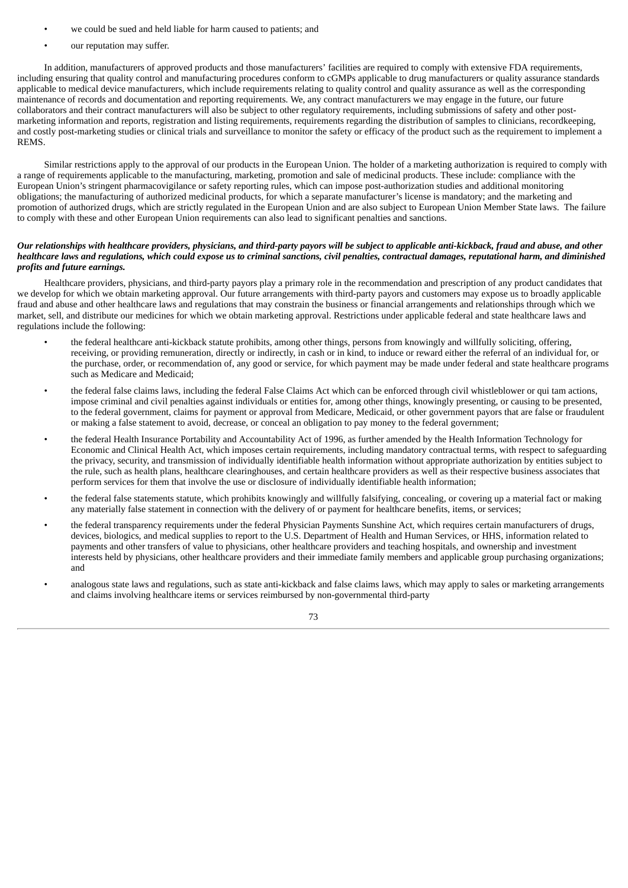- we could be sued and held liable for harm caused to patients; and
- our reputation may suffer.

In addition, manufacturers of approved products and those manufacturers' facilities are required to comply with extensive FDA requirements, including ensuring that quality control and manufacturing procedures conform to cGMPs applicable to drug manufacturers or quality assurance standards applicable to medical device manufacturers, which include requirements relating to quality control and quality assurance as well as the corresponding maintenance of records and documentation and reporting requirements. We, any contract manufacturers we may engage in the future, our future collaborators and their contract manufacturers will also be subject to other regulatory requirements, including submissions of safety and other postmarketing information and reports, registration and listing requirements, requirements regarding the distribution of samples to clinicians, recordkeeping, and costly post-marketing studies or clinical trials and surveillance to monitor the safety or efficacy of the product such as the requirement to implement a REMS.

Similar restrictions apply to the approval of our products in the European Union. The holder of a marketing authorization is required to comply with a range of requirements applicable to the manufacturing, marketing, promotion and sale of medicinal products. These include: compliance with the European Union's stringent pharmacovigilance or safety reporting rules, which can impose post-authorization studies and additional monitoring obligations; the manufacturing of authorized medicinal products, for which a separate manufacturer's license is mandatory; and the marketing and promotion of authorized drugs, which are strictly regulated in the European Union and are also subject to European Union Member State laws. The failure to comply with these and other European Union requirements can also lead to significant penalties and sanctions.

## Our relationships with healthcare providers, physicians, and third-party payors will be subject to applicable anti-kickback, fraud and abuse, and other healthcare laws and regulations, which could expose us to criminal sanctions, civil penalties, contractual damages, reputational harm, and diminished *profits and future earnings.*

Healthcare providers, physicians, and third-party payors play a primary role in the recommendation and prescription of any product candidates that we develop for which we obtain marketing approval. Our future arrangements with third-party payors and customers may expose us to broadly applicable fraud and abuse and other healthcare laws and regulations that may constrain the business or financial arrangements and relationships through which we market, sell, and distribute our medicines for which we obtain marketing approval. Restrictions under applicable federal and state healthcare laws and regulations include the following:

- the federal healthcare anti-kickback statute prohibits, among other things, persons from knowingly and willfully soliciting, offering, receiving, or providing remuneration, directly or indirectly, in cash or in kind, to induce or reward either the referral of an individual for, or the purchase, order, or recommendation of, any good or service, for which payment may be made under federal and state healthcare programs such as Medicare and Medicaid;
- the federal false claims laws, including the federal False Claims Act which can be enforced through civil whistleblower or qui tam actions, impose criminal and civil penalties against individuals or entities for, among other things, knowingly presenting, or causing to be presented, to the federal government, claims for payment or approval from Medicare, Medicaid, or other government payors that are false or fraudulent or making a false statement to avoid, decrease, or conceal an obligation to pay money to the federal government;
- the federal Health Insurance Portability and Accountability Act of 1996, as further amended by the Health Information Technology for Economic and Clinical Health Act, which imposes certain requirements, including mandatory contractual terms, with respect to safeguarding the privacy, security, and transmission of individually identifiable health information without appropriate authorization by entities subject to the rule, such as health plans, healthcare clearinghouses, and certain healthcare providers as well as their respective business associates that perform services for them that involve the use or disclosure of individually identifiable health information;
- the federal false statements statute, which prohibits knowingly and willfully falsifying, concealing, or covering up a material fact or making any materially false statement in connection with the delivery of or payment for healthcare benefits, items, or services;
- the federal transparency requirements under the federal Physician Payments Sunshine Act, which requires certain manufacturers of drugs, devices, biologics, and medical supplies to report to the U.S. Department of Health and Human Services, or HHS, information related to payments and other transfers of value to physicians, other healthcare providers and teaching hospitals, and ownership and investment interests held by physicians, other healthcare providers and their immediate family members and applicable group purchasing organizations; and
- analogous state laws and regulations, such as state anti-kickback and false claims laws, which may apply to sales or marketing arrangements and claims involving healthcare items or services reimbursed by non-governmental third-party

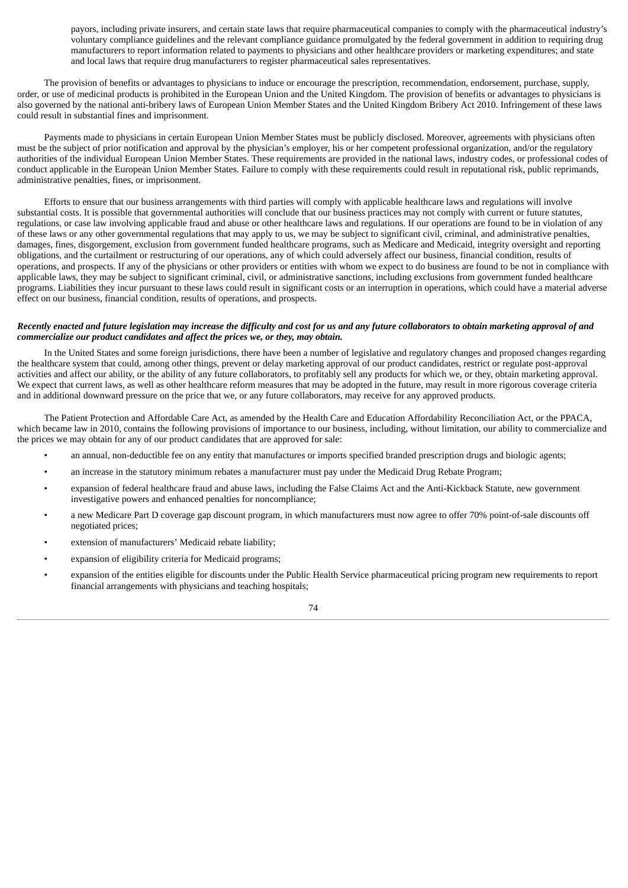payors, including private insurers, and certain state laws that require pharmaceutical companies to comply with the pharmaceutical industry's voluntary compliance guidelines and the relevant compliance guidance promulgated by the federal government in addition to requiring drug manufacturers to report information related to payments to physicians and other healthcare providers or marketing expenditures; and state and local laws that require drug manufacturers to register pharmaceutical sales representatives.

The provision of benefits or advantages to physicians to induce or encourage the prescription, recommendation, endorsement, purchase, supply, order, or use of medicinal products is prohibited in the European Union and the United Kingdom. The provision of benefits or advantages to physicians is also governed by the national anti-bribery laws of European Union Member States and the United Kingdom Bribery Act 2010. Infringement of these laws could result in substantial fines and imprisonment.

Payments made to physicians in certain European Union Member States must be publicly disclosed. Moreover, agreements with physicians often must be the subject of prior notification and approval by the physician's employer, his or her competent professional organization, and/or the regulatory authorities of the individual European Union Member States. These requirements are provided in the national laws, industry codes, or professional codes of conduct applicable in the European Union Member States. Failure to comply with these requirements could result in reputational risk, public reprimands, administrative penalties, fines, or imprisonment.

Efforts to ensure that our business arrangements with third parties will comply with applicable healthcare laws and regulations will involve substantial costs. It is possible that governmental authorities will conclude that our business practices may not comply with current or future statutes, regulations, or case law involving applicable fraud and abuse or other healthcare laws and regulations. If our operations are found to be in violation of any of these laws or any other governmental regulations that may apply to us, we may be subject to significant civil, criminal, and administrative penalties, damages, fines, disgorgement, exclusion from government funded healthcare programs, such as Medicare and Medicaid, integrity oversight and reporting obligations, and the curtailment or restructuring of our operations, any of which could adversely affect our business, financial condition, results of operations, and prospects. If any of the physicians or other providers or entities with whom we expect to do business are found to be not in compliance with applicable laws, they may be subject to significant criminal, civil, or administrative sanctions, including exclusions from government funded healthcare programs. Liabilities they incur pursuant to these laws could result in significant costs or an interruption in operations, which could have a material adverse effect on our business, financial condition, results of operations, and prospects.

## Recently enacted and future legislation may increase the difficulty and cost for us and any future collaborators to obtain marketing approval of and *commercialize our product candidates and affect the prices we, or they, may obtain.*

In the United States and some foreign jurisdictions, there have been a number of legislative and regulatory changes and proposed changes regarding the healthcare system that could, among other things, prevent or delay marketing approval of our product candidates, restrict or regulate post-approval activities and affect our ability, or the ability of any future collaborators, to profitably sell any products for which we, or they, obtain marketing approval. We expect that current laws, as well as other healthcare reform measures that may be adopted in the future, may result in more rigorous coverage criteria and in additional downward pressure on the price that we, or any future collaborators, may receive for any approved products.

The Patient Protection and Affordable Care Act, as amended by the Health Care and Education Affordability Reconciliation Act, or the PPACA, which became law in 2010, contains the following provisions of importance to our business, including, without limitation, our ability to commercialize and the prices we may obtain for any of our product candidates that are approved for sale:

- an annual, non-deductible fee on any entity that manufactures or imports specified branded prescription drugs and biologic agents;
- an increase in the statutory minimum rebates a manufacturer must pay under the Medicaid Drug Rebate Program;
- expansion of federal healthcare fraud and abuse laws, including the False Claims Act and the Anti-Kickback Statute, new government investigative powers and enhanced penalties for noncompliance;
- a new Medicare Part D coverage gap discount program, in which manufacturers must now agree to offer 70% point-of-sale discounts off negotiated prices;
- extension of manufacturers' Medicaid rebate liability;
- expansion of eligibility criteria for Medicaid programs;
- expansion of the entities eligible for discounts under the Public Health Service pharmaceutical pricing program new requirements to report financial arrangements with physicians and teaching hospitals;

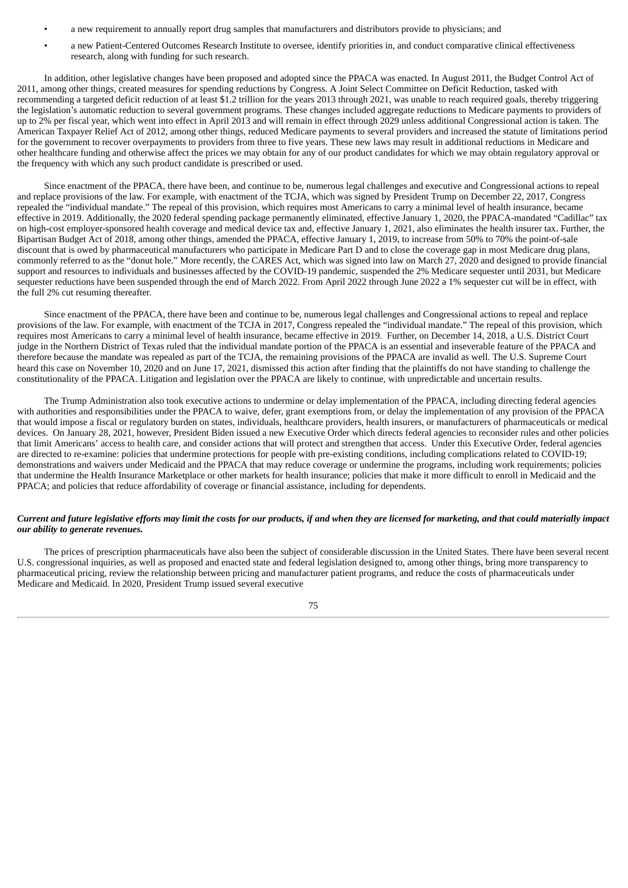- a new requirement to annually report drug samples that manufacturers and distributors provide to physicians; and
- a new Patient-Centered Outcomes Research Institute to oversee, identify priorities in, and conduct comparative clinical effectiveness research, along with funding for such research.

In addition, other legislative changes have been proposed and adopted since the PPACA was enacted. In August 2011, the Budget Control Act of 2011, among other things, created measures for spending reductions by Congress. A Joint Select Committee on Deficit Reduction, tasked with recommending a targeted deficit reduction of at least \$1.2 trillion for the years 2013 through 2021, was unable to reach required goals, thereby triggering the legislation's automatic reduction to several government programs. These changes included aggregate reductions to Medicare payments to providers of up to 2% per fiscal year, which went into effect in April 2013 and will remain in effect through 2029 unless additional Congressional action is taken. The American Taxpayer Relief Act of 2012, among other things, reduced Medicare payments to several providers and increased the statute of limitations period for the government to recover overpayments to providers from three to five years. These new laws may result in additional reductions in Medicare and other healthcare funding and otherwise affect the prices we may obtain for any of our product candidates for which we may obtain regulatory approval or the frequency with which any such product candidate is prescribed or used.

Since enactment of the PPACA, there have been, and continue to be, numerous legal challenges and executive and Congressional actions to repeal and replace provisions of the law. For example, with enactment of the TCJA, which was signed by President Trump on December 22, 2017, Congress repealed the "individual mandate." The repeal of this provision, which requires most Americans to carry a minimal level of health insurance, became effective in 2019. Additionally, the 2020 federal spending package permanently eliminated, effective January 1, 2020, the PPACA-mandated "Cadillac" tax on high-cost employer-sponsored health coverage and medical device tax and, effective January 1, 2021, also eliminates the health insurer tax. Further, the Bipartisan Budget Act of 2018, among other things, amended the PPACA, effective January 1, 2019, to increase from 50% to 70% the point-of-sale discount that is owed by pharmaceutical manufacturers who participate in Medicare Part D and to close the coverage gap in most Medicare drug plans, commonly referred to as the "donut hole." More recently, the CARES Act, which was signed into law on March 27, 2020 and designed to provide financial support and resources to individuals and businesses affected by the COVID-19 pandemic, suspended the 2% Medicare sequester until 2031, but Medicare sequester reductions have been suspended through the end of March 2022. From April 2022 through June 2022 a 1% sequester cut will be in effect, with the full 2% cut resuming thereafter.

Since enactment of the PPACA, there have been and continue to be, numerous legal challenges and Congressional actions to repeal and replace provisions of the law. For example, with enactment of the TCJA in 2017, Congress repealed the "individual mandate." The repeal of this provision, which requires most Americans to carry a minimal level of health insurance, became effective in 2019. Further, on December 14, 2018, a U.S. District Court judge in the Northern District of Texas ruled that the individual mandate portion of the PPACA is an essential and inseverable feature of the PPACA and therefore because the mandate was repealed as part of the TCJA, the remaining provisions of the PPACA are invalid as well. The U.S. Supreme Court heard this case on November 10, 2020 and on June 17, 2021, dismissed this action after finding that the plaintiffs do not have standing to challenge the constitutionality of the PPACA. Litigation and legislation over the PPACA are likely to continue, with unpredictable and uncertain results.

The Trump Administration also took executive actions to undermine or delay implementation of the PPACA, including directing federal agencies with authorities and responsibilities under the PPACA to waive, defer, grant exemptions from, or delay the implementation of any provision of the PPACA that would impose a fiscal or regulatory burden on states, individuals, healthcare providers, health insurers, or manufacturers of pharmaceuticals or medical devices. On January 28, 2021, however, President Biden issued a new Executive Order which directs federal agencies to reconsider rules and other policies that limit Americans' access to health care, and consider actions that will protect and strengthen that access. Under this Executive Order, federal agencies are directed to re-examine: policies that undermine protections for people with pre-existing conditions, including complications related to COVID-19; demonstrations and waivers under Medicaid and the PPACA that may reduce coverage or undermine the programs, including work requirements; policies that undermine the Health Insurance Marketplace or other markets for health insurance; policies that make it more difficult to enroll in Medicaid and the PPACA; and policies that reduce affordability of coverage or financial assistance, including for dependents.

## Current and future legislative efforts may limit the costs for our products, if and when they are licensed for marketing, and that could materially impact *our ability to generate revenues.*

The prices of prescription pharmaceuticals have also been the subject of considerable discussion in the United States. There have been several recent U.S. congressional inquiries, as well as proposed and enacted state and federal legislation designed to, among other things, bring more transparency to pharmaceutical pricing, review the relationship between pricing and manufacturer patient programs, and reduce the costs of pharmaceuticals under Medicare and Medicaid. In 2020, President Trump issued several executive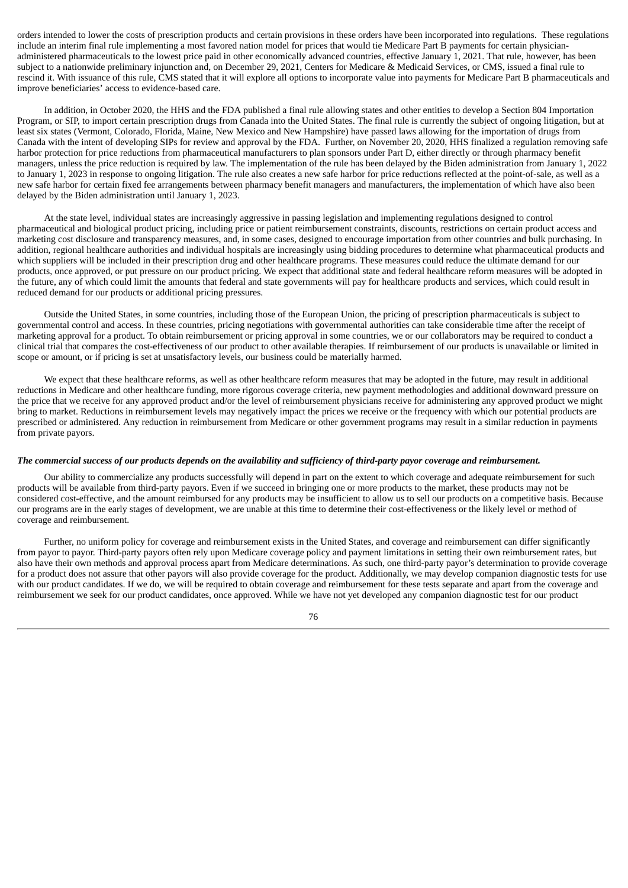orders intended to lower the costs of prescription products and certain provisions in these orders have been incorporated into regulations. These regulations include an interim final rule implementing a most favored nation model for prices that would tie Medicare Part B payments for certain physicianadministered pharmaceuticals to the lowest price paid in other economically advanced countries, effective January 1, 2021. That rule, however, has been subject to a nationwide preliminary injunction and, on December 29, 2021, Centers for Medicare & Medicaid Services, or CMS, issued a final rule to rescind it. With issuance of this rule, CMS stated that it will explore all options to incorporate value into payments for Medicare Part B pharmaceuticals and improve beneficiaries' access to evidence-based care.

In addition, in October 2020, the HHS and the FDA published a final rule allowing states and other entities to develop a Section 804 Importation Program, or SIP, to import certain prescription drugs from Canada into the United States. The final rule is currently the subject of ongoing litigation, but at least six states (Vermont, Colorado, Florida, Maine, New Mexico and New Hampshire) have passed laws allowing for the importation of drugs from Canada with the intent of developing SIPs for review and approval by the FDA. Further, on November 20, 2020, HHS finalized a regulation removing safe harbor protection for price reductions from pharmaceutical manufacturers to plan sponsors under Part D, either directly or through pharmacy benefit managers, unless the price reduction is required by law. The implementation of the rule has been delayed by the Biden administration from January 1, 2022 to January 1, 2023 in response to ongoing litigation. The rule also creates a new safe harbor for price reductions reflected at the point-of-sale, as well as a new safe harbor for certain fixed fee arrangements between pharmacy benefit managers and manufacturers, the implementation of which have also been delayed by the Biden administration until January 1, 2023.

At the state level, individual states are increasingly aggressive in passing legislation and implementing regulations designed to control pharmaceutical and biological product pricing, including price or patient reimbursement constraints, discounts, restrictions on certain product access and marketing cost disclosure and transparency measures, and, in some cases, designed to encourage importation from other countries and bulk purchasing. In addition, regional healthcare authorities and individual hospitals are increasingly using bidding procedures to determine what pharmaceutical products and which suppliers will be included in their prescription drug and other healthcare programs. These measures could reduce the ultimate demand for our products, once approved, or put pressure on our product pricing. We expect that additional state and federal healthcare reform measures will be adopted in the future, any of which could limit the amounts that federal and state governments will pay for healthcare products and services, which could result in reduced demand for our products or additional pricing pressures.

Outside the United States, in some countries, including those of the European Union, the pricing of prescription pharmaceuticals is subject to governmental control and access. In these countries, pricing negotiations with governmental authorities can take considerable time after the receipt of marketing approval for a product. To obtain reimbursement or pricing approval in some countries, we or our collaborators may be required to conduct a clinical trial that compares the cost-effectiveness of our product to other available therapies. If reimbursement of our products is unavailable or limited in scope or amount, or if pricing is set at unsatisfactory levels, our business could be materially harmed.

We expect that these healthcare reforms, as well as other healthcare reform measures that may be adopted in the future, may result in additional reductions in Medicare and other healthcare funding, more rigorous coverage criteria, new payment methodologies and additional downward pressure on the price that we receive for any approved product and/or the level of reimbursement physicians receive for administering any approved product we might bring to market. Reductions in reimbursement levels may negatively impact the prices we receive or the frequency with which our potential products are prescribed or administered. Any reduction in reimbursement from Medicare or other government programs may result in a similar reduction in payments from private payors.

## The commercial success of our products depends on the availability and sufficiency of third-party payor coverage and reimbursement.

Our ability to commercialize any products successfully will depend in part on the extent to which coverage and adequate reimbursement for such products will be available from third-party payors. Even if we succeed in bringing one or more products to the market, these products may not be considered cost-effective, and the amount reimbursed for any products may be insufficient to allow us to sell our products on a competitive basis. Because our programs are in the early stages of development, we are unable at this time to determine their cost-effectiveness or the likely level or method of coverage and reimbursement.

Further, no uniform policy for coverage and reimbursement exists in the United States, and coverage and reimbursement can differ significantly from payor to payor. Third-party payors often rely upon Medicare coverage policy and payment limitations in setting their own reimbursement rates, but also have their own methods and approval process apart from Medicare determinations. As such, one third-party payor's determination to provide coverage for a product does not assure that other payors will also provide coverage for the product. Additionally, we may develop companion diagnostic tests for use with our product candidates. If we do, we will be required to obtain coverage and reimbursement for these tests separate and apart from the coverage and reimbursement we seek for our product candidates, once approved. While we have not yet developed any companion diagnostic test for our product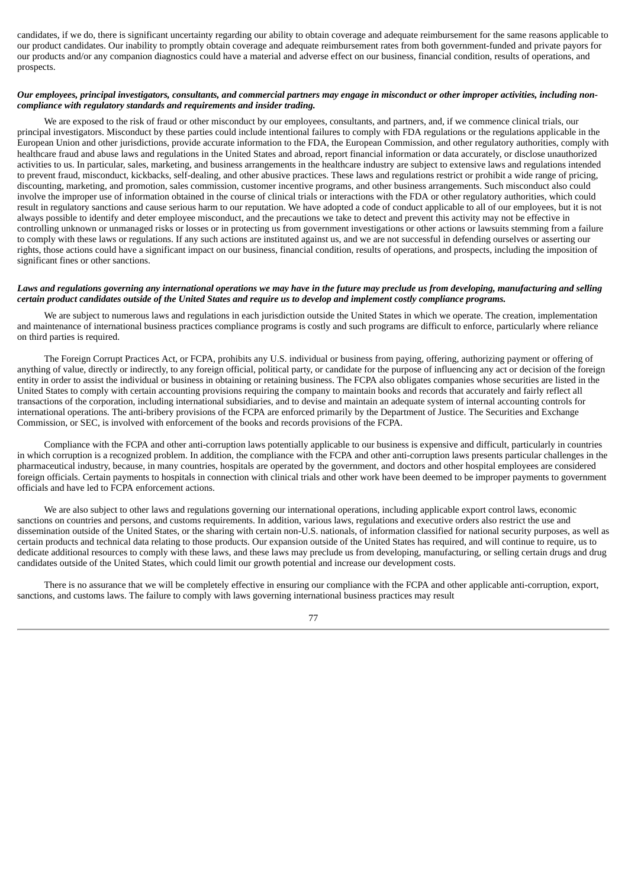candidates, if we do, there is significant uncertainty regarding our ability to obtain coverage and adequate reimbursement for the same reasons applicable to our product candidates. Our inability to promptly obtain coverage and adequate reimbursement rates from both government-funded and private payors for our products and/or any companion diagnostics could have a material and adverse effect on our business, financial condition, results of operations, and prospects.

### Our employees, principal investigators, consultants, and commercial partners may engage in misconduct or other improper activities, including non*compliance with regulatory standards and requirements and insider trading.*

We are exposed to the risk of fraud or other misconduct by our employees, consultants, and partners, and, if we commence clinical trials, our principal investigators. Misconduct by these parties could include intentional failures to comply with FDA regulations or the regulations applicable in the European Union and other jurisdictions, provide accurate information to the FDA, the European Commission, and other regulatory authorities, comply with healthcare fraud and abuse laws and regulations in the United States and abroad, report financial information or data accurately, or disclose unauthorized activities to us. In particular, sales, marketing, and business arrangements in the healthcare industry are subject to extensive laws and regulations intended to prevent fraud, misconduct, kickbacks, self-dealing, and other abusive practices. These laws and regulations restrict or prohibit a wide range of pricing, discounting, marketing, and promotion, sales commission, customer incentive programs, and other business arrangements. Such misconduct also could involve the improper use of information obtained in the course of clinical trials or interactions with the FDA or other regulatory authorities, which could result in regulatory sanctions and cause serious harm to our reputation. We have adopted a code of conduct applicable to all of our employees, but it is not always possible to identify and deter employee misconduct, and the precautions we take to detect and prevent this activity may not be effective in controlling unknown or unmanaged risks or losses or in protecting us from government investigations or other actions or lawsuits stemming from a failure to comply with these laws or regulations. If any such actions are instituted against us, and we are not successful in defending ourselves or asserting our rights, those actions could have a significant impact on our business, financial condition, results of operations, and prospects, including the imposition of significant fines or other sanctions.

#### Laws and regulations governing any international operations we may have in the future may preclude us from developing, manufacturing and selling certain product candidates outside of the United States and require us to develop and implement costly compliance programs.

We are subject to numerous laws and regulations in each jurisdiction outside the United States in which we operate. The creation, implementation and maintenance of international business practices compliance programs is costly and such programs are difficult to enforce, particularly where reliance on third parties is required.

The Foreign Corrupt Practices Act, or FCPA, prohibits any U.S. individual or business from paying, offering, authorizing payment or offering of anything of value, directly or indirectly, to any foreign official, political party, or candidate for the purpose of influencing any act or decision of the foreign entity in order to assist the individual or business in obtaining or retaining business. The FCPA also obligates companies whose securities are listed in the United States to comply with certain accounting provisions requiring the company to maintain books and records that accurately and fairly reflect all transactions of the corporation, including international subsidiaries, and to devise and maintain an adequate system of internal accounting controls for international operations. The anti-bribery provisions of the FCPA are enforced primarily by the Department of Justice. The Securities and Exchange Commission, or SEC, is involved with enforcement of the books and records provisions of the FCPA.

Compliance with the FCPA and other anti-corruption laws potentially applicable to our business is expensive and difficult, particularly in countries in which corruption is a recognized problem. In addition, the compliance with the FCPA and other anti-corruption laws presents particular challenges in the pharmaceutical industry, because, in many countries, hospitals are operated by the government, and doctors and other hospital employees are considered foreign officials. Certain payments to hospitals in connection with clinical trials and other work have been deemed to be improper payments to government officials and have led to FCPA enforcement actions.

We are also subject to other laws and regulations governing our international operations, including applicable export control laws, economic sanctions on countries and persons, and customs requirements. In addition, various laws, regulations and executive orders also restrict the use and dissemination outside of the United States, or the sharing with certain non-U.S. nationals, of information classified for national security purposes, as well as certain products and technical data relating to those products. Our expansion outside of the United States has required, and will continue to require, us to dedicate additional resources to comply with these laws, and these laws may preclude us from developing, manufacturing, or selling certain drugs and drug candidates outside of the United States, which could limit our growth potential and increase our development costs.

There is no assurance that we will be completely effective in ensuring our compliance with the FCPA and other applicable anti-corruption, export, sanctions, and customs laws. The failure to comply with laws governing international business practices may result

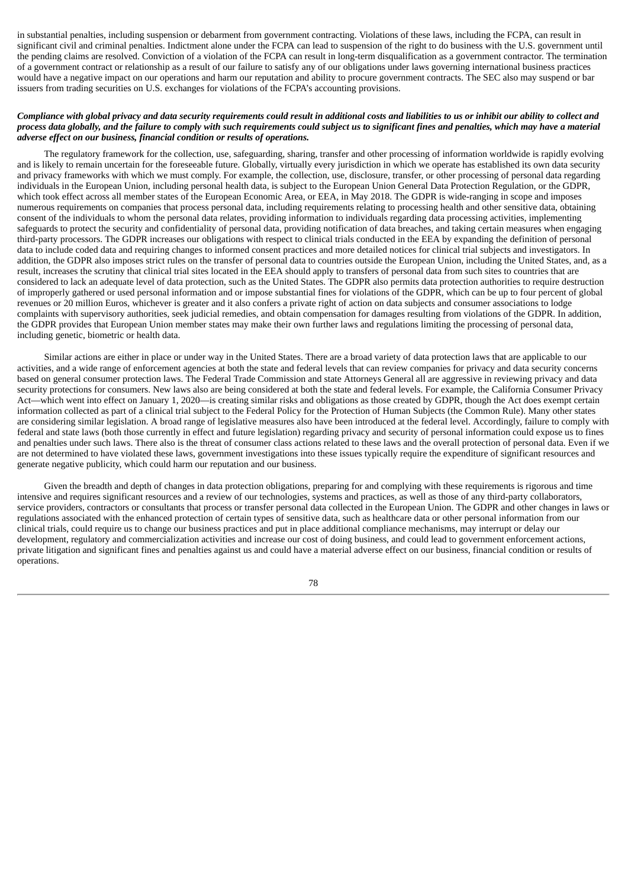in substantial penalties, including suspension or debarment from government contracting. Violations of these laws, including the FCPA, can result in significant civil and criminal penalties. Indictment alone under the FCPA can lead to suspension of the right to do business with the U.S. government until the pending claims are resolved. Conviction of a violation of the FCPA can result in long-term disqualification as a government contractor. The termination of a government contract or relationship as a result of our failure to satisfy any of our obligations under laws governing international business practices would have a negative impact on our operations and harm our reputation and ability to procure government contracts. The SEC also may suspend or bar issuers from trading securities on U.S. exchanges for violations of the FCPA's accounting provisions.

## Compliance with global privacy and data security requirements could result in additional costs and liabilities to us or inhibit our ability to collect and process data globally, and the failure to comply with such requirements could subject us to significant fines and penalties, which may have a material *adverse effect on our business, financial condition or results of operations.*

The regulatory framework for the collection, use, safeguarding, sharing, transfer and other processing of information worldwide is rapidly evolving and is likely to remain uncertain for the foreseeable future. Globally, virtually every jurisdiction in which we operate has established its own data security and privacy frameworks with which we must comply. For example, the collection, use, disclosure, transfer, or other processing of personal data regarding individuals in the European Union, including personal health data, is subject to the European Union General Data Protection Regulation, or the GDPR, which took effect across all member states of the European Economic Area, or EEA, in May 2018. The GDPR is wide-ranging in scope and imposes numerous requirements on companies that process personal data, including requirements relating to processing health and other sensitive data, obtaining consent of the individuals to whom the personal data relates, providing information to individuals regarding data processing activities, implementing safeguards to protect the security and confidentiality of personal data, providing notification of data breaches, and taking certain measures when engaging third-party processors. The GDPR increases our obligations with respect to clinical trials conducted in the EEA by expanding the definition of personal data to include coded data and requiring changes to informed consent practices and more detailed notices for clinical trial subjects and investigators. In addition, the GDPR also imposes strict rules on the transfer of personal data to countries outside the European Union, including the United States, and, as a result, increases the scrutiny that clinical trial sites located in the EEA should apply to transfers of personal data from such sites to countries that are considered to lack an adequate level of data protection, such as the United States. The GDPR also permits data protection authorities to require destruction of improperly gathered or used personal information and or impose substantial fines for violations of the GDPR, which can be up to four percent of global revenues or 20 million Euros, whichever is greater and it also confers a private right of action on data subjects and consumer associations to lodge complaints with supervisory authorities, seek judicial remedies, and obtain compensation for damages resulting from violations of the GDPR. In addition, the GDPR provides that European Union member states may make their own further laws and regulations limiting the processing of personal data, including genetic, biometric or health data.

Similar actions are either in place or under way in the United States. There are a broad variety of data protection laws that are applicable to our activities, and a wide range of enforcement agencies at both the state and federal levels that can review companies for privacy and data security concerns based on general consumer protection laws. The Federal Trade Commission and state Attorneys General all are aggressive in reviewing privacy and data security protections for consumers. New laws also are being considered at both the state and federal levels. For example, the California Consumer Privacy Act—which went into effect on January 1, 2020—is creating similar risks and obligations as those created by GDPR, though the Act does exempt certain information collected as part of a clinical trial subject to the Federal Policy for the Protection of Human Subjects (the Common Rule). Many other states are considering similar legislation. A broad range of legislative measures also have been introduced at the federal level. Accordingly, failure to comply with federal and state laws (both those currently in effect and future legislation) regarding privacy and security of personal information could expose us to fines and penalties under such laws. There also is the threat of consumer class actions related to these laws and the overall protection of personal data. Even if we are not determined to have violated these laws, government investigations into these issues typically require the expenditure of significant resources and generate negative publicity, which could harm our reputation and our business.

Given the breadth and depth of changes in data protection obligations, preparing for and complying with these requirements is rigorous and time intensive and requires significant resources and a review of our technologies, systems and practices, as well as those of any third-party collaborators, service providers, contractors or consultants that process or transfer personal data collected in the European Union. The GDPR and other changes in laws or regulations associated with the enhanced protection of certain types of sensitive data, such as healthcare data or other personal information from our clinical trials, could require us to change our business practices and put in place additional compliance mechanisms, may interrupt or delay our development, regulatory and commercialization activities and increase our cost of doing business, and could lead to government enforcement actions, private litigation and significant fines and penalties against us and could have a material adverse effect on our business, financial condition or results of operations.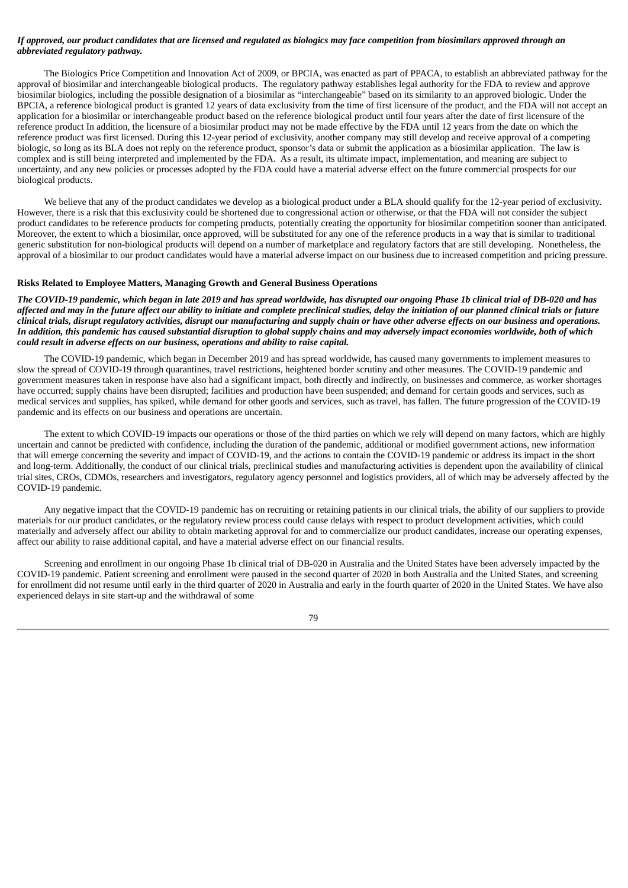## If approved, our product candidates that are licensed and regulated as biologics may face competition from biosimilars approved through an *abbreviated regulatory pathway.*

The Biologics Price Competition and Innovation Act of 2009, or BPCIA, was enacted as part of PPACA, to establish an abbreviated pathway for the approval of biosimilar and interchangeable biological products. The regulatory pathway establishes legal authority for the FDA to review and approve biosimilar biologics, including the possible designation of a biosimilar as "interchangeable" based on its similarity to an approved biologic. Under the BPCIA, a reference biological product is granted 12 years of data exclusivity from the time of first licensure of the product, and the FDA will not accept an application for a biosimilar or interchangeable product based on the reference biological product until four years after the date of first licensure of the reference product In addition, the licensure of a biosimilar product may not be made effective by the FDA until 12 years from the date on which the reference product was first licensed. During this 12-year period of exclusivity, another company may still develop and receive approval of a competing biologic, so long as its BLA does not reply on the reference product, sponsor's data or submit the application as a biosimilar application. The law is complex and is still being interpreted and implemented by the FDA. As a result, its ultimate impact, implementation, and meaning are subject to uncertainty, and any new policies or processes adopted by the FDA could have a material adverse effect on the future commercial prospects for our biological products.

We believe that any of the product candidates we develop as a biological product under a BLA should qualify for the 12-year period of exclusivity. However, there is a risk that this exclusivity could be shortened due to congressional action or otherwise, or that the FDA will not consider the subject product candidates to be reference products for competing products, potentially creating the opportunity for biosimilar competition sooner than anticipated. Moreover, the extent to which a biosimilar, once approved, will be substituted for any one of the reference products in a way that is similar to traditional generic substitution for non-biological products will depend on a number of marketplace and regulatory factors that are still developing. Nonetheless, the approval of a biosimilar to our product candidates would have a material adverse impact on our business due to increased competition and pricing pressure.

### **Risks Related to Employee Matters, Managing Growth and General Business Operations**

The COVID-19 pandemic, which began in late 2019 and has spread worldwide, has disrupted our ongoing Phase 1b clinical trial of DB-020 and has affected and may in the future affect our ability to initiate and complete preclinical studies, delay the initiation of our planned clinical trials or future clinical trials, disrupt regulatory activities, disrupt our manufacturing and supply chain or have other adverse effects on our business and operations. In addition, this pandemic has caused substantial disruption to alobal supply chains and may adversely impact economies worldwide, both of which *could result in adverse effects on our business, operations and ability to raise capital.*

The COVID-19 pandemic, which began in December 2019 and has spread worldwide, has caused many governments to implement measures to slow the spread of COVID-19 through quarantines, travel restrictions, heightened border scrutiny and other measures. The COVID-19 pandemic and government measures taken in response have also had a significant impact, both directly and indirectly, on businesses and commerce, as worker shortages have occurred; supply chains have been disrupted; facilities and production have been suspended; and demand for certain goods and services, such as medical services and supplies, has spiked, while demand for other goods and services, such as travel, has fallen. The future progression of the COVID-19 pandemic and its effects on our business and operations are uncertain.

The extent to which COVID-19 impacts our operations or those of the third parties on which we rely will depend on many factors, which are highly uncertain and cannot be predicted with confidence, including the duration of the pandemic, additional or modified government actions, new information that will emerge concerning the severity and impact of COVID-19, and the actions to contain the COVID-19 pandemic or address its impact in the short and long-term. Additionally, the conduct of our clinical trials, preclinical studies and manufacturing activities is dependent upon the availability of clinical trial sites, CROs, CDMOs, researchers and investigators, regulatory agency personnel and logistics providers, all of which may be adversely affected by the COVID-19 pandemic.

Any negative impact that the COVID-19 pandemic has on recruiting or retaining patients in our clinical trials, the ability of our suppliers to provide materials for our product candidates, or the regulatory review process could cause delays with respect to product development activities, which could materially and adversely affect our ability to obtain marketing approval for and to commercialize our product candidates, increase our operating expenses, affect our ability to raise additional capital, and have a material adverse effect on our financial results.

Screening and enrollment in our ongoing Phase 1b clinical trial of DB-020 in Australia and the United States have been adversely impacted by the COVID-19 pandemic. Patient screening and enrollment were paused in the second quarter of 2020 in both Australia and the United States, and screening for enrollment did not resume until early in the third quarter of 2020 in Australia and early in the fourth quarter of 2020 in the United States. We have also experienced delays in site start-up and the withdrawal of some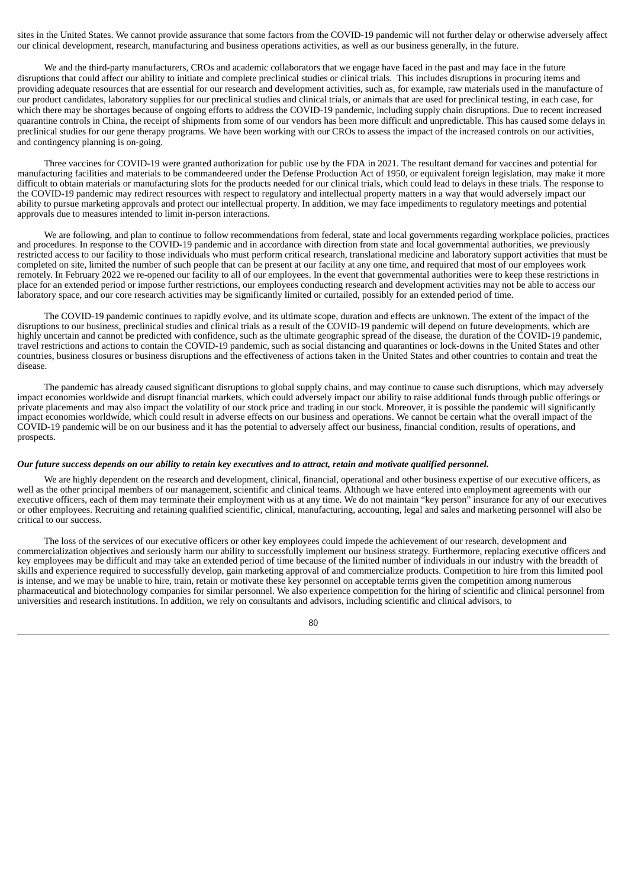sites in the United States. We cannot provide assurance that some factors from the COVID-19 pandemic will not further delay or otherwise adversely affect our clinical development, research, manufacturing and business operations activities, as well as our business generally, in the future.

We and the third-party manufacturers, CROs and academic collaborators that we engage have faced in the past and may face in the future disruptions that could affect our ability to initiate and complete preclinical studies or clinical trials. This includes disruptions in procuring items and providing adequate resources that are essential for our research and development activities, such as, for example, raw materials used in the manufacture of our product candidates, laboratory supplies for our preclinical studies and clinical trials, or animals that are used for preclinical testing, in each case, for which there may be shortages because of ongoing efforts to address the COVID-19 pandemic, including supply chain disruptions. Due to recent increased quarantine controls in China, the receipt of shipments from some of our vendors has been more difficult and unpredictable. This has caused some delays in preclinical studies for our gene therapy programs. We have been working with our CROs to assess the impact of the increased controls on our activities, and contingency planning is on-going.

Three vaccines for COVID-19 were granted authorization for public use by the FDA in 2021. The resultant demand for vaccines and potential for manufacturing facilities and materials to be commandeered under the Defense Production Act of 1950, or equivalent foreign legislation, may make it more difficult to obtain materials or manufacturing slots for the products needed for our clinical trials, which could lead to delays in these trials. The response to the COVID-19 pandemic may redirect resources with respect to regulatory and intellectual property matters in a way that would adversely impact our ability to pursue marketing approvals and protect our intellectual property. In addition, we may face impediments to regulatory meetings and potential approvals due to measures intended to limit in-person interactions.

We are following, and plan to continue to follow recommendations from federal, state and local governments regarding workplace policies, practices and procedures. In response to the COVID-19 pandemic and in accordance with direction from state and local governmental authorities, we previously restricted access to our facility to those individuals who must perform critical research, translational medicine and laboratory support activities that must be completed on site, limited the number of such people that can be present at our facility at any one time, and required that most of our employees work remotely. In February 2022 we re-opened our facility to all of our employees. In the event that governmental authorities were to keep these restrictions in place for an extended period or impose further restrictions, our employees conducting research and development activities may not be able to access our laboratory space, and our core research activities may be significantly limited or curtailed, possibly for an extended period of time.

The COVID-19 pandemic continues to rapidly evolve, and its ultimate scope, duration and effects are unknown. The extent of the impact of the disruptions to our business, preclinical studies and clinical trials as a result of the COVID-19 pandemic will depend on future developments, which are highly uncertain and cannot be predicted with confidence, such as the ultimate geographic spread of the disease, the duration of the COVID-19 pandemic, travel restrictions and actions to contain the COVID-19 pandemic, such as social distancing and quarantines or lock-downs in the United States and other countries, business closures or business disruptions and the effectiveness of actions taken in the United States and other countries to contain and treat the disease.

The pandemic has already caused significant disruptions to global supply chains, and may continue to cause such disruptions, which may adversely impact economies worldwide and disrupt financial markets, which could adversely impact our ability to raise additional funds through public offerings or private placements and may also impact the volatility of our stock price and trading in our stock. Moreover, it is possible the pandemic will significantly impact economies worldwide, which could result in adverse effects on our business and operations. We cannot be certain what the overall impact of the COVID-19 pandemic will be on our business and it has the potential to adversely affect our business, financial condition, results of operations, and prospects.

#### Our future success depends on our ability to retain key executives and to attract, retain and motivate qualified personnel.

We are highly dependent on the research and development, clinical, financial, operational and other business expertise of our executive officers, as well as the other principal members of our management, scientific and clinical teams. Although we have entered into employment agreements with our executive officers, each of them may terminate their employment with us at any time. We do not maintain "key person" insurance for any of our executives or other employees. Recruiting and retaining qualified scientific, clinical, manufacturing, accounting, legal and sales and marketing personnel will also be critical to our success.

The loss of the services of our executive officers or other key employees could impede the achievement of our research, development and commercialization objectives and seriously harm our ability to successfully implement our business strategy. Furthermore, replacing executive officers and key employees may be difficult and may take an extended period of time because of the limited number of individuals in our industry with the breadth of skills and experience required to successfully develop, gain marketing approval of and commercialize products. Competition to hire from this limited pool is intense, and we may be unable to hire, train, retain or motivate these key personnel on acceptable terms given the competition among numerous pharmaceutical and biotechnology companies for similar personnel. We also experience competition for the hiring of scientific and clinical personnel from universities and research institutions. In addition, we rely on consultants and advisors, including scientific and clinical advisors, to

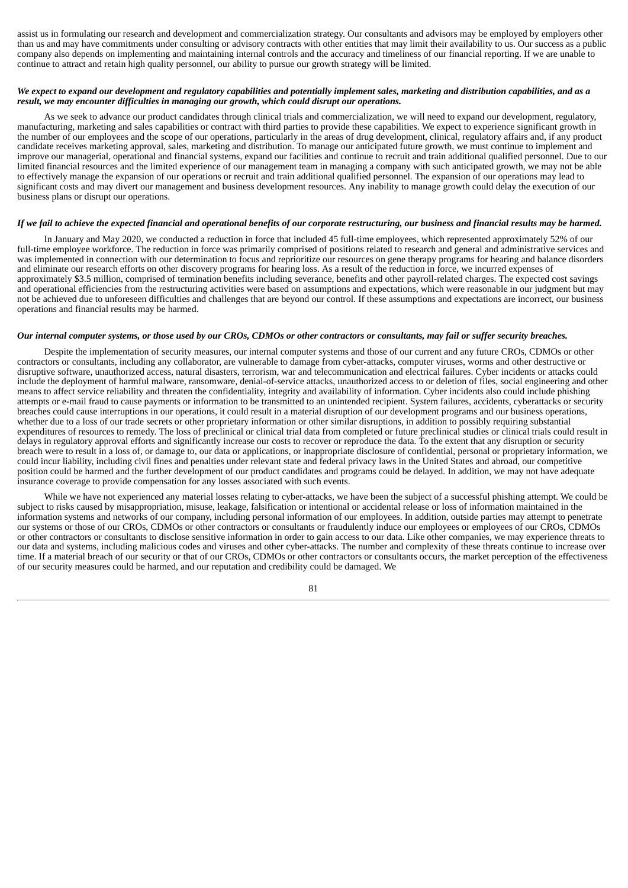assist us in formulating our research and development and commercialization strategy. Our consultants and advisors may be employed by employers other than us and may have commitments under consulting or advisory contracts with other entities that may limit their availability to us. Our success as a public company also depends on implementing and maintaining internal controls and the accuracy and timeliness of our financial reporting. If we are unable to continue to attract and retain high quality personnel, our ability to pursue our growth strategy will be limited.

#### We expect to expand our development and regulatory capabilities and potentially implement sales, marketing and distribution capabilities, and as a *result, we may encounter difficulties in managing our growth, which could disrupt our operations.*

As we seek to advance our product candidates through clinical trials and commercialization, we will need to expand our development, regulatory, manufacturing, marketing and sales capabilities or contract with third parties to provide these capabilities. We expect to experience significant growth in the number of our employees and the scope of our operations, particularly in the areas of drug development, clinical, regulatory affairs and, if any product candidate receives marketing approval, sales, marketing and distribution. To manage our anticipated future growth, we must continue to implement and improve our managerial, operational and financial systems, expand our facilities and continue to recruit and train additional qualified personnel. Due to our limited financial resources and the limited experience of our management team in managing a company with such anticipated growth, we may not be able to effectively manage the expansion of our operations or recruit and train additional qualified personnel. The expansion of our operations may lead to significant costs and may divert our management and business development resources. Any inability to manage growth could delay the execution of our business plans or disrupt our operations.

#### If we fail to achieve the expected financial and operational benefits of our corporate restructuring, our business and financial results may be harmed.

In January and May 2020, we conducted a reduction in force that included 45 full-time employees, which represented approximately 52% of our full-time employee workforce. The reduction in force was primarily comprised of positions related to research and general and administrative services and was implemented in connection with our determination to focus and reprioritize our resources on gene therapy programs for hearing and balance disorders and eliminate our research efforts on other discovery programs for hearing loss. As a result of the reduction in force, we incurred expenses of approximately \$3.5 million, comprised of termination benefits including severance, benefits and other payroll-related charges. The expected cost savings and operational efficiencies from the restructuring activities were based on assumptions and expectations, which were reasonable in our judgment but may not be achieved due to unforeseen difficulties and challenges that are beyond our control. If these assumptions and expectations are incorrect, our business operations and financial results may be harmed.

#### Our internal computer systems, or those used by our CROs, CDMOs or other contractors or consultants, may fail or suffer security breaches.

Despite the implementation of security measures, our internal computer systems and those of our current and any future CROs, CDMOs or other contractors or consultants, including any collaborator, are vulnerable to damage from cyber-attacks, computer viruses, worms and other destructive or disruptive software, unauthorized access, natural disasters, terrorism, war and telecommunication and electrical failures. Cyber incidents or attacks could include the deployment of harmful malware, ransomware, denial-of-service attacks, unauthorized access to or deletion of files, social engineering and other means to affect service reliability and threaten the confidentiality, integrity and availability of information. Cyber incidents also could include phishing attempts or e-mail fraud to cause payments or information to be transmitted to an unintended recipient. System failures, accidents, cyberattacks or security breaches could cause interruptions in our operations, it could result in a material disruption of our development programs and our business operations, whether due to a loss of our trade secrets or other proprietary information or other similar disruptions, in addition to possibly requiring substantial expenditures of resources to remedy. The loss of preclinical or clinical trial data from completed or future preclinical studies or clinical trials could result in delays in regulatory approval efforts and significantly increase our costs to recover or reproduce the data. To the extent that any disruption or security breach were to result in a loss of, or damage to, our data or applications, or inappropriate disclosure of confidential, personal or proprietary information, we could incur liability, including civil fines and penalties under relevant state and federal privacy laws in the United States and abroad, our competitive position could be harmed and the further development of our product candidates and programs could be delayed. In addition, we may not have adequate insurance coverage to provide compensation for any losses associated with such events.

While we have not experienced any material losses relating to cyber-attacks, we have been the subject of a successful phishing attempt. We could be subject to risks caused by misappropriation, misuse, leakage, falsification or intentional or accidental release or loss of information maintained in the information systems and networks of our company, including personal information of our employees. In addition, outside parties may attempt to penetrate our systems or those of our CROs, CDMOs or other contractors or consultants or fraudulently induce our employees or employees of our CROs, CDMOs or other contractors or consultants to disclose sensitive information in order to gain access to our data. Like other companies, we may experience threats to our data and systems, including malicious codes and viruses and other cyber-attacks. The number and complexity of these threats continue to increase over time. If a material breach of our security or that of our CROs, CDMOs or other contractors or consultants occurs, the market perception of the effectiveness of our security measures could be harmed, and our reputation and credibility could be damaged. We

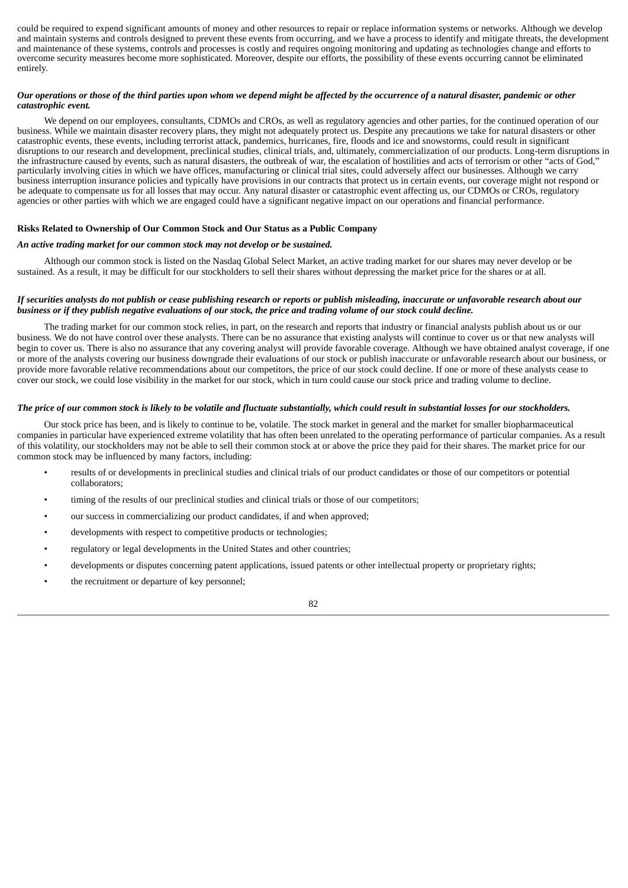could be required to expend significant amounts of money and other resources to repair or replace information systems or networks. Although we develop and maintain systems and controls designed to prevent these events from occurring, and we have a process to identify and mitigate threats, the development and maintenance of these systems, controls and processes is costly and requires ongoing monitoring and updating as technologies change and efforts to overcome security measures become more sophisticated. Moreover, despite our efforts, the possibility of these events occurring cannot be eliminated entirely.

### Our operations or those of the third parties upon whom we depend might be affected by the occurrence of a natural disaster, pandemic or other *catastrophic event.*

We depend on our employees, consultants, CDMOs and CROs, as well as regulatory agencies and other parties, for the continued operation of our business. While we maintain disaster recovery plans, they might not adequately protect us. Despite any precautions we take for natural disasters or other catastrophic events, these events, including terrorist attack, pandemics, hurricanes, fire, floods and ice and snowstorms, could result in significant disruptions to our research and development, preclinical studies, clinical trials, and, ultimately, commercialization of our products. Long-term disruptions in the infrastructure caused by events, such as natural disasters, the outbreak of war, the escalation of hostilities and acts of terrorism or other "acts of God," particularly involving cities in which we have offices, manufacturing or clinical trial sites, could adversely affect our businesses. Although we carry business interruption insurance policies and typically have provisions in our contracts that protect us in certain events, our coverage might not respond or be adequate to compensate us for all losses that may occur. Any natural disaster or catastrophic event affecting us, our CDMOs or CROs, regulatory agencies or other parties with which we are engaged could have a significant negative impact on our operations and financial performance.

## **Risks Related to Ownership of Our Common Stock and Our Status as a Public Company**

### *An active trading market for our common stock may not develop or be sustained.*

Although our common stock is listed on the Nasdaq Global Select Market, an active trading market for our shares may never develop or be sustained. As a result, it may be difficult for our stockholders to sell their shares without depressing the market price for the shares or at all.

## If securities analysts do not publish or cease publishing research or reports or publish misleading, inaccurate or unfavorable research about our business or if they publish negative evaluations of our stock, the price and trading volume of our stock could decline.

The trading market for our common stock relies, in part, on the research and reports that industry or financial analysts publish about us or our business. We do not have control over these analysts. There can be no assurance that existing analysts will continue to cover us or that new analysts will begin to cover us. There is also no assurance that any covering analyst will provide favorable coverage. Although we have obtained analyst coverage, if one or more of the analysts covering our business downgrade their evaluations of our stock or publish inaccurate or unfavorable research about our business, or provide more favorable relative recommendations about our competitors, the price of our stock could decline. If one or more of these analysts cease to cover our stock, we could lose visibility in the market for our stock, which in turn could cause our stock price and trading volume to decline.

## The price of our common stock is likely to be volatile and fluctuate substantially, which could result in substantial losses for our stockholders.

Our stock price has been, and is likely to continue to be, volatile. The stock market in general and the market for smaller biopharmaceutical companies in particular have experienced extreme volatility that has often been unrelated to the operating performance of particular companies. As a result of this volatility, our stockholders may not be able to sell their common stock at or above the price they paid for their shares. The market price for our common stock may be influenced by many factors, including:

- results of or developments in preclinical studies and clinical trials of our product candidates or those of our competitors or potential collaborators;
- timing of the results of our preclinical studies and clinical trials or those of our competitors;
- our success in commercializing our product candidates, if and when approved;
- developments with respect to competitive products or technologies;
- regulatory or legal developments in the United States and other countries;
- developments or disputes concerning patent applications, issued patents or other intellectual property or proprietary rights;
- the recruitment or departure of key personnel;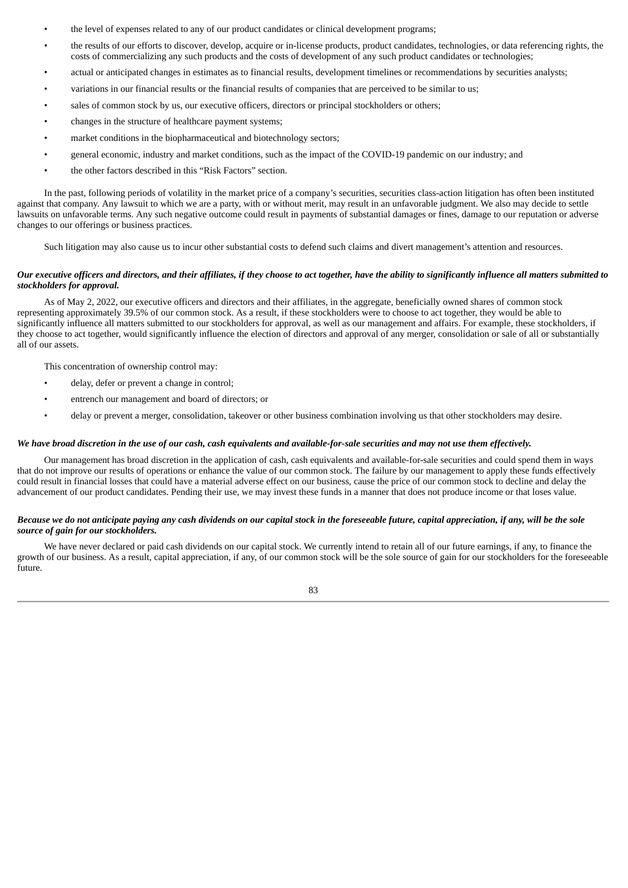- the level of expenses related to any of our product candidates or clinical development programs;
- the results of our efforts to discover, develop, acquire or in-license products, product candidates, technologies, or data referencing rights, the costs of commercializing any such products and the costs of development of any such product candidates or technologies;
- actual or anticipated changes in estimates as to financial results, development timelines or recommendations by securities analysts;
- variations in our financial results or the financial results of companies that are perceived to be similar to us;
- sales of common stock by us, our executive officers, directors or principal stockholders or others;
- changes in the structure of healthcare payment systems;
- market conditions in the biopharmaceutical and biotechnology sectors;
- general economic, industry and market conditions, such as the impact of the COVID-19 pandemic on our industry; and
- the other factors described in this "Risk Factors" section.

In the past, following periods of volatility in the market price of a company's securities, securities class-action litigation has often been instituted against that company. Any lawsuit to which we are a party, with or without merit, may result in an unfavorable judgment. We also may decide to settle lawsuits on unfavorable terms. Any such negative outcome could result in payments of substantial damages or fines, damage to our reputation or adverse changes to our offerings or business practices.

Such litigation may also cause us to incur other substantial costs to defend such claims and divert management's attention and resources.

## Our executive officers and directors, and their affiliates, if they choose to act together, have the ability to significantly influence all matters submitted to *stockholders for approval.*

As of May 2, 2022, our executive officers and directors and their affiliates, in the aggregate, beneficially owned shares of common stock representing approximately 39.5% of our common stock. As a result, if these stockholders were to choose to act together, they would be able to significantly influence all matters submitted to our stockholders for approval, as well as our management and affairs. For example, these stockholders, if they choose to act together, would significantly influence the election of directors and approval of any merger, consolidation or sale of all or substantially all of our assets.

This concentration of ownership control may:

- delay, defer or prevent a change in control:
- entrench our management and board of directors; or
- delay or prevent a merger, consolidation, takeover or other business combination involving us that other stockholders may desire.

### We have broad discretion in the use of our cash, cash equivalents and available-for-sale securities and may not use them effectively.

Our management has broad discretion in the application of cash, cash equivalents and available-for-sale securities and could spend them in ways that do not improve our results of operations or enhance the value of our common stock. The failure by our management to apply these funds effectively could result in financial losses that could have a material adverse effect on our business, cause the price of our common stock to decline and delay the advancement of our product candidates. Pending their use, we may invest these funds in a manner that does not produce income or that loses value.

### Because we do not anticipate paying any cash dividends on our capital stock in the foreseeable future, capital appreciation, if any, will be the sole *source of gain for our stockholders.*

We have never declared or paid cash dividends on our capital stock. We currently intend to retain all of our future earnings, if any, to finance the growth of our business. As a result, capital appreciation, if any, of our common stock will be the sole source of gain for our stockholders for the foreseeable future.

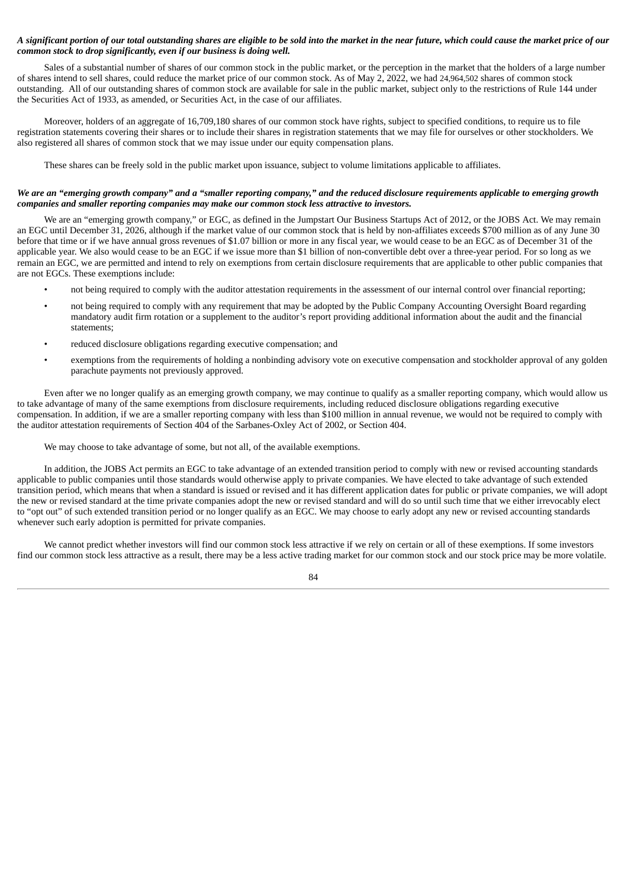# A significant portion of our total outstanding shares are eligible to be sold into the market in the near future, which could cause the market price of our *common stock to drop significantly, even if our business is doing well.*

Sales of a substantial number of shares of our common stock in the public market, or the perception in the market that the holders of a large number of shares intend to sell shares, could reduce the market price of our common stock. As of May 2, 2022, we had 24,964,502 shares of common stock outstanding. All of our outstanding shares of common stock are available for sale in the public market, subject only to the restrictions of Rule 144 under the Securities Act of 1933, as amended, or Securities Act, in the case of our affiliates.

Moreover, holders of an aggregate of 16,709,180 shares of our common stock have rights, subject to specified conditions, to require us to file registration statements covering their shares or to include their shares in registration statements that we may file for ourselves or other stockholders. We also registered all shares of common stock that we may issue under our equity compensation plans.

These shares can be freely sold in the public market upon issuance, subject to volume limitations applicable to affiliates.

## We are an "emerging growth company" and a "smaller reporting company," and the reduced disclosure requirements applicable to emerging growth *companies and smaller reporting companies may make our common stock less attractive to investors.*

We are an "emerging growth company," or EGC, as defined in the Jumpstart Our Business Startups Act of 2012, or the JOBS Act. We may remain an EGC until December 31, 2026, although if the market value of our common stock that is held by non-affiliates exceeds \$700 million as of any June 30 before that time or if we have annual gross revenues of \$1.07 billion or more in any fiscal year, we would cease to be an EGC as of December 31 of the applicable year. We also would cease to be an EGC if we issue more than \$1 billion of non-convertible debt over a three-year period. For so long as we remain an EGC, we are permitted and intend to rely on exemptions from certain disclosure requirements that are applicable to other public companies that are not EGCs. These exemptions include:

- not being required to comply with the auditor attestation requirements in the assessment of our internal control over financial reporting;
- not being required to comply with any requirement that may be adopted by the Public Company Accounting Oversight Board regarding mandatory audit firm rotation or a supplement to the auditor's report providing additional information about the audit and the financial statements;
- reduced disclosure obligations regarding executive compensation; and
- exemptions from the requirements of holding a nonbinding advisory vote on executive compensation and stockholder approval of any golden parachute payments not previously approved.

Even after we no longer qualify as an emerging growth company, we may continue to qualify as a smaller reporting company, which would allow us to take advantage of many of the same exemptions from disclosure requirements, including reduced disclosure obligations regarding executive compensation. In addition, if we are a smaller reporting company with less than \$100 million in annual revenue, we would not be required to comply with the auditor attestation requirements of Section 404 of the Sarbanes-Oxley Act of 2002, or Section 404.

We may choose to take advantage of some, but not all, of the available exemptions.

In addition, the JOBS Act permits an EGC to take advantage of an extended transition period to comply with new or revised accounting standards applicable to public companies until those standards would otherwise apply to private companies. We have elected to take advantage of such extended transition period, which means that when a standard is issued or revised and it has different application dates for public or private companies, we will adopt the new or revised standard at the time private companies adopt the new or revised standard and will do so until such time that we either irrevocably elect to "opt out" of such extended transition period or no longer qualify as an EGC. We may choose to early adopt any new or revised accounting standards whenever such early adoption is permitted for private companies.

We cannot predict whether investors will find our common stock less attractive if we rely on certain or all of these exemptions. If some investors find our common stock less attractive as a result, there may be a less active trading market for our common stock and our stock price may be more volatile.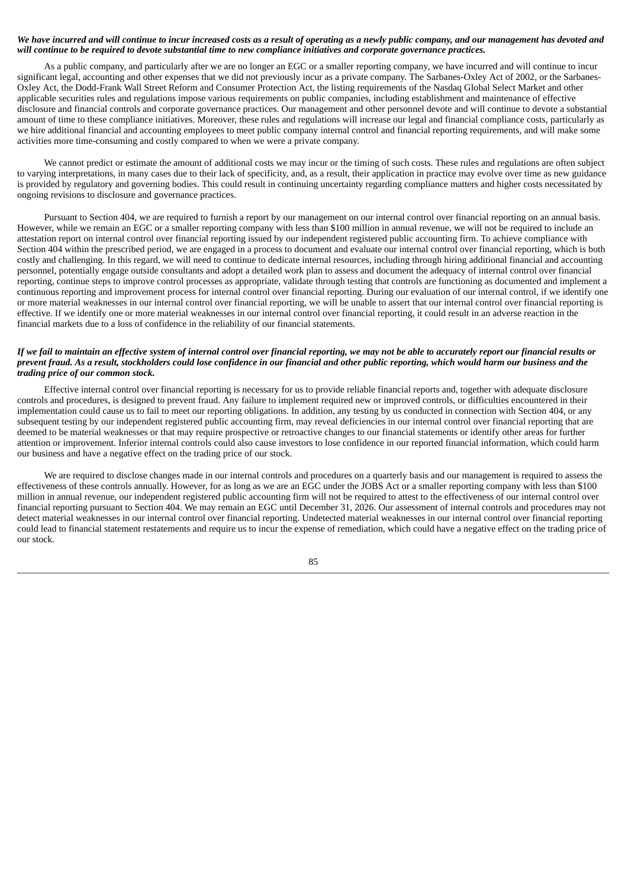### We have incurred and will continue to incur increased costs as a result of operating as a newly public company, and our management has devoted and will continue to be required to devote substantial time to new compliance initiatives and corporate governance practices.

As a public company, and particularly after we are no longer an EGC or a smaller reporting company, we have incurred and will continue to incur significant legal, accounting and other expenses that we did not previously incur as a private company. The Sarbanes-Oxley Act of 2002, or the Sarbanes-Oxley Act, the Dodd-Frank Wall Street Reform and Consumer Protection Act, the listing requirements of the Nasdaq Global Select Market and other applicable securities rules and regulations impose various requirements on public companies, including establishment and maintenance of effective disclosure and financial controls and corporate governance practices. Our management and other personnel devote and will continue to devote a substantial amount of time to these compliance initiatives. Moreover, these rules and regulations will increase our legal and financial compliance costs, particularly as we hire additional financial and accounting employees to meet public company internal control and financial reporting requirements, and will make some activities more time-consuming and costly compared to when we were a private company.

We cannot predict or estimate the amount of additional costs we may incur or the timing of such costs. These rules and regulations are often subject to varying interpretations, in many cases due to their lack of specificity, and, as a result, their application in practice may evolve over time as new guidance is provided by regulatory and governing bodies. This could result in continuing uncertainty regarding compliance matters and higher costs necessitated by ongoing revisions to disclosure and governance practices.

Pursuant to Section 404, we are required to furnish a report by our management on our internal control over financial reporting on an annual basis. However, while we remain an EGC or a smaller reporting company with less than \$100 million in annual revenue, we will not be required to include an attestation report on internal control over financial reporting issued by our independent registered public accounting firm. To achieve compliance with Section 404 within the prescribed period, we are engaged in a process to document and evaluate our internal control over financial reporting, which is both costly and challenging. In this regard, we will need to continue to dedicate internal resources, including through hiring additional financial and accounting personnel, potentially engage outside consultants and adopt a detailed work plan to assess and document the adequacy of internal control over financial reporting, continue steps to improve control processes as appropriate, validate through testing that controls are functioning as documented and implement a continuous reporting and improvement process for internal control over financial reporting. During our evaluation of our internal control, if we identify one or more material weaknesses in our internal control over financial reporting, we will be unable to assert that our internal control over financial reporting is effective. If we identify one or more material weaknesses in our internal control over financial reporting, it could result in an adverse reaction in the financial markets due to a loss of confidence in the reliability of our financial statements.

## If we fail to maintain an effective system of internal control over financial reporting, we may not be able to accurately report our financial results or prevent fraud. As a result, stockholders could lose confidence in our financial and other public reporting, which would harm our business and the *trading price of our common stock.*

Effective internal control over financial reporting is necessary for us to provide reliable financial reports and, together with adequate disclosure controls and procedures, is designed to prevent fraud. Any failure to implement required new or improved controls, or difficulties encountered in their implementation could cause us to fail to meet our reporting obligations. In addition, any testing by us conducted in connection with Section 404, or any subsequent testing by our independent registered public accounting firm, may reveal deficiencies in our internal control over financial reporting that are deemed to be material weaknesses or that may require prospective or retroactive changes to our financial statements or identify other areas for further attention or improvement. Inferior internal controls could also cause investors to lose confidence in our reported financial information, which could harm our business and have a negative effect on the trading price of our stock.

We are required to disclose changes made in our internal controls and procedures on a quarterly basis and our management is required to assess the effectiveness of these controls annually. However, for as long as we are an EGC under the JOBS Act or a smaller reporting company with less than \$100 million in annual revenue, our independent registered public accounting firm will not be required to attest to the effectiveness of our internal control over financial reporting pursuant to Section 404. We may remain an EGC until December 31, 2026. Our assessment of internal controls and procedures may not detect material weaknesses in our internal control over financial reporting. Undetected material weaknesses in our internal control over financial reporting could lead to financial statement restatements and require us to incur the expense of remediation, which could have a negative effect on the trading price of our stock.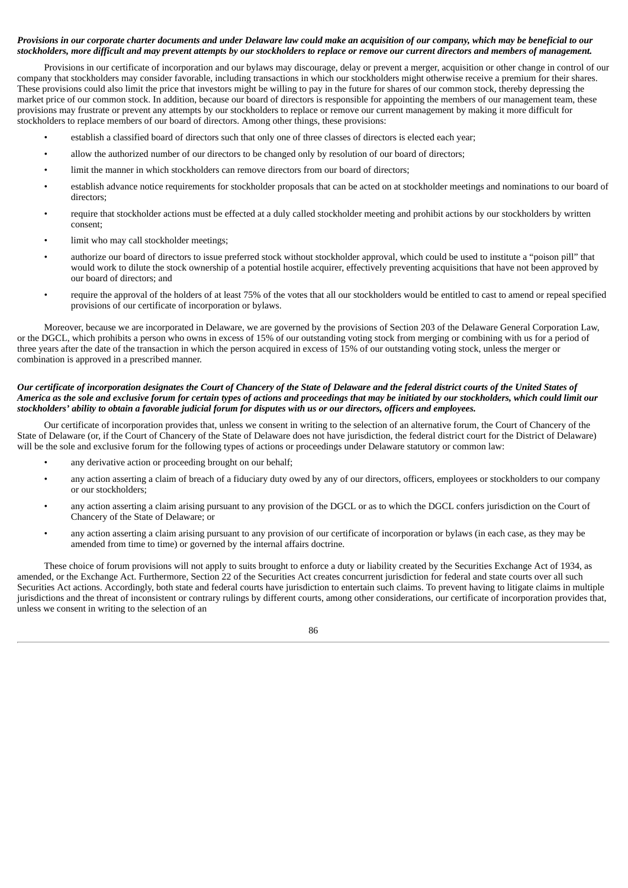# Provisions in our corporate charter documents and under Delaware law could make an acquisition of our company, which may be beneficial to our stockholders, more difficult and may prevent attempts by our stockholders to replace or remove our current directors and members of management.

Provisions in our certificate of incorporation and our bylaws may discourage, delay or prevent a merger, acquisition or other change in control of our company that stockholders may consider favorable, including transactions in which our stockholders might otherwise receive a premium for their shares. These provisions could also limit the price that investors might be willing to pay in the future for shares of our common stock, thereby depressing the market price of our common stock. In addition, because our board of directors is responsible for appointing the members of our management team, these provisions may frustrate or prevent any attempts by our stockholders to replace or remove our current management by making it more difficult for stockholders to replace members of our board of directors. Among other things, these provisions:

- establish a classified board of directors such that only one of three classes of directors is elected each year;
- allow the authorized number of our directors to be changed only by resolution of our board of directors;
- limit the manner in which stockholders can remove directors from our board of directors;
- establish advance notice requirements for stockholder proposals that can be acted on at stockholder meetings and nominations to our board of directors;
- require that stockholder actions must be effected at a duly called stockholder meeting and prohibit actions by our stockholders by written consent;
- limit who may call stockholder meetings;
- authorize our board of directors to issue preferred stock without stockholder approval, which could be used to institute a "poison pill" that would work to dilute the stock ownership of a potential hostile acquirer, effectively preventing acquisitions that have not been approved by our board of directors; and
- require the approval of the holders of at least 75% of the votes that all our stockholders would be entitled to cast to amend or repeal specified provisions of our certificate of incorporation or bylaws.

Moreover, because we are incorporated in Delaware, we are governed by the provisions of Section 203 of the Delaware General Corporation Law, or the DGCL, which prohibits a person who owns in excess of 15% of our outstanding voting stock from merging or combining with us for a period of three years after the date of the transaction in which the person acquired in excess of 15% of our outstanding voting stock, unless the merger or combination is approved in a prescribed manner.

## Our certificate of incorporation designates the Court of Chancery of the State of Delaware and the federal district courts of the United States of America as the sole and exclusive forum for certain types of actions and proceedings that may be initiated by our stockholders, which could limit our stockholders' ability to obtain a favorable judicial forum for disputes with us or our directors, officers and employees.

Our certificate of incorporation provides that, unless we consent in writing to the selection of an alternative forum, the Court of Chancery of the State of Delaware (or, if the Court of Chancery of the State of Delaware does not have jurisdiction, the federal district court for the District of Delaware) will be the sole and exclusive forum for the following types of actions or proceedings under Delaware statutory or common law:

- any derivative action or proceeding brought on our behalf;
- any action asserting a claim of breach of a fiduciary duty owed by any of our directors, officers, employees or stockholders to our company or our stockholders;
- any action asserting a claim arising pursuant to any provision of the DGCL or as to which the DGCL confers jurisdiction on the Court of Chancery of the State of Delaware; or
- any action asserting a claim arising pursuant to any provision of our certificate of incorporation or bylaws (in each case, as they may be amended from time to time) or governed by the internal affairs doctrine.

These choice of forum provisions will not apply to suits brought to enforce a duty or liability created by the Securities Exchange Act of 1934, as amended, or the Exchange Act. Furthermore, Section 22 of the Securities Act creates concurrent jurisdiction for federal and state courts over all such Securities Act actions. Accordingly, both state and federal courts have jurisdiction to entertain such claims. To prevent having to litigate claims in multiple jurisdictions and the threat of inconsistent or contrary rulings by different courts, among other considerations, our certificate of incorporation provides that, unless we consent in writing to the selection of an

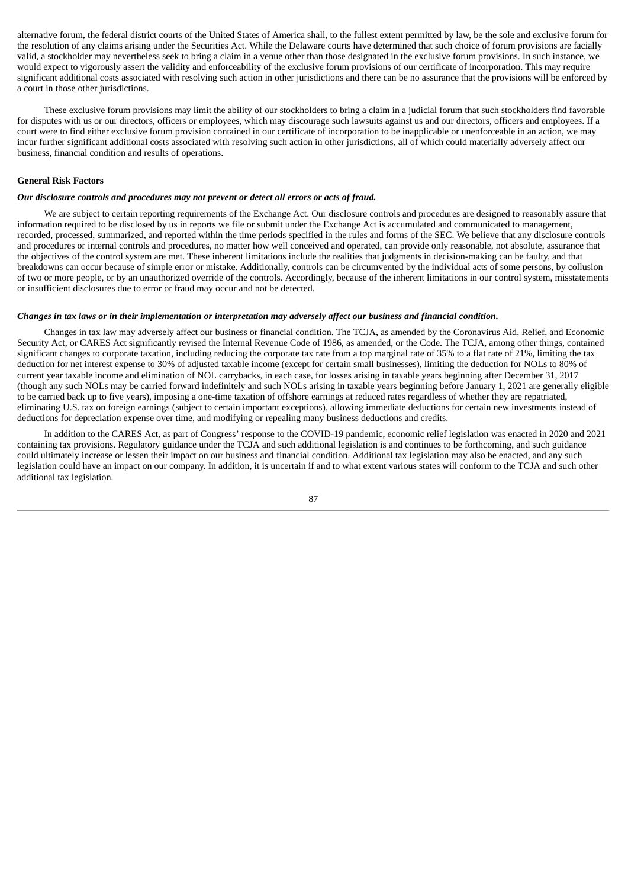alternative forum, the federal district courts of the United States of America shall, to the fullest extent permitted by law, be the sole and exclusive forum for the resolution of any claims arising under the Securities Act. While the Delaware courts have determined that such choice of forum provisions are facially valid, a stockholder may nevertheless seek to bring a claim in a venue other than those designated in the exclusive forum provisions. In such instance, we would expect to vigorously assert the validity and enforceability of the exclusive forum provisions of our certificate of incorporation. This may require significant additional costs associated with resolving such action in other jurisdictions and there can be no assurance that the provisions will be enforced by a court in those other jurisdictions.

These exclusive forum provisions may limit the ability of our stockholders to bring a claim in a judicial forum that such stockholders find favorable for disputes with us or our directors, officers or employees, which may discourage such lawsuits against us and our directors, officers and employees. If a court were to find either exclusive forum provision contained in our certificate of incorporation to be inapplicable or unenforceable in an action, we may incur further significant additional costs associated with resolving such action in other jurisdictions, all of which could materially adversely affect our business, financial condition and results of operations.

## **General Risk Factors**

#### *Our disclosure controls and procedures may not prevent or detect all errors or acts of fraud.*

We are subject to certain reporting requirements of the Exchange Act. Our disclosure controls and procedures are designed to reasonably assure that information required to be disclosed by us in reports we file or submit under the Exchange Act is accumulated and communicated to management, recorded, processed, summarized, and reported within the time periods specified in the rules and forms of the SEC. We believe that any disclosure controls and procedures or internal controls and procedures, no matter how well conceived and operated, can provide only reasonable, not absolute, assurance that the objectives of the control system are met. These inherent limitations include the realities that judgments in decision-making can be faulty, and that breakdowns can occur because of simple error or mistake. Additionally, controls can be circumvented by the individual acts of some persons, by collusion of two or more people, or by an unauthorized override of the controls. Accordingly, because of the inherent limitations in our control system, misstatements or insufficient disclosures due to error or fraud may occur and not be detected.

### Changes in tax laws or in their implementation or interpretation may adversely affect our business and financial condition.

Changes in tax law may adversely affect our business or financial condition. The TCJA, as amended by the Coronavirus Aid, Relief, and Economic Security Act, or CARES Act significantly revised the Internal Revenue Code of 1986, as amended, or the Code. The TCJA, among other things, contained significant changes to corporate taxation, including reducing the corporate tax rate from a top marginal rate of 35% to a flat rate of 21%, limiting the tax deduction for net interest expense to 30% of adjusted taxable income (except for certain small businesses), limiting the deduction for NOLs to 80% of current year taxable income and elimination of NOL carrybacks, in each case, for losses arising in taxable years beginning after December 31, 2017 (though any such NOLs may be carried forward indefinitely and such NOLs arising in taxable years beginning before January 1, 2021 are generally eligible to be carried back up to five years), imposing a one-time taxation of offshore earnings at reduced rates regardless of whether they are repatriated, eliminating U.S. tax on foreign earnings (subject to certain important exceptions), allowing immediate deductions for certain new investments instead of deductions for depreciation expense over time, and modifying or repealing many business deductions and credits.

In addition to the CARES Act, as part of Congress' response to the COVID-19 pandemic, economic relief legislation was enacted in 2020 and 2021 containing tax provisions. Regulatory guidance under the TCJA and such additional legislation is and continues to be forthcoming, and such guidance could ultimately increase or lessen their impact on our business and financial condition. Additional tax legislation may also be enacted, and any such legislation could have an impact on our company. In addition, it is uncertain if and to what extent various states will conform to the TCJA and such other additional tax legislation.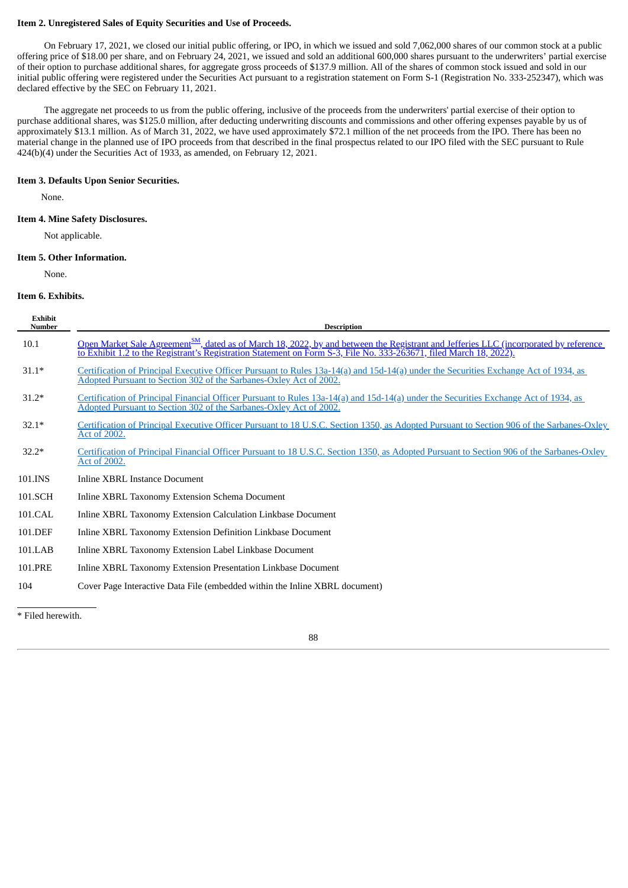## **Item 2. Unregistered Sales of Equity Securities and Use of Proceeds.**

On February 17, 2021, we closed our initial public offering, or IPO, in which we issued and sold 7,062,000 shares of our common stock at a public offering price of \$18.00 per share, and on February 24, 2021, we issued and sold an additional 600,000 shares pursuant to the underwriters' partial exercise of their option to purchase additional shares, for aggregate gross proceeds of \$137.9 million. All of the shares of common stock issued and sold in our initial public offering were registered under the Securities Act pursuant to a registration statement on Form S-1 (Registration No. 333-252347), which was declared effective by the SEC on February 11, 2021.

The aggregate net proceeds to us from the public offering, inclusive of the proceeds from the underwriters' partial exercise of their option to purchase additional shares, was \$125.0 million, after deducting underwriting discounts and commissions and other offering expenses payable by us of approximately \$13.1 million. As of March 31, 2022, we have used approximately \$72.1 million of the net proceeds from the IPO. There has been no material change in the planned use of IPO proceeds from that described in the final prospectus related to our IPO filed with the SEC pursuant to Rule 424(b)(4) under the Securities Act of 1933, as amended, on February 12, 2021.

# **Item 3. Defaults Upon Senior Securities.**

None.

## **Item 4. Mine Safety Disclosures.**

Not applicable.

# **Item 5. Other Information.**

None.

### **Item 6. Exhibits.**

| <b>Exhibit</b><br><b>Number</b> | <b>Description</b>                                                                                                                                                                                                                                                      |
|---------------------------------|-------------------------------------------------------------------------------------------------------------------------------------------------------------------------------------------------------------------------------------------------------------------------|
| 10.1                            | Open Market Sale Agreement <sup>SM</sup> , dated as of March 18, 2022, by and between the Registrant and Jefferies LLC (incorporated by reference<br>to Exhibit 1.2 to the Registrant's Registration Statement on Form S-3, File No. 333-263671, filed March 18, 2022). |
| $31.1*$                         | Certification of Principal Executive Officer Pursuant to Rules 13a-14(a) and 15d-14(a) under the Securities Exchange Act of 1934, as<br>Adopted Pursuant to Section 302 of the Sarbanes-Oxley Act of 2002.                                                              |
| $31.2*$                         | Certification of Principal Financial Officer Pursuant to Rules 13a-14(a) and 15d-14(a) under the Securities Exchange Act of 1934, as<br>Adopted Pursuant to Section 302 of the Sarbanes-Oxley Act of 2002.                                                              |
| $32.1*$                         | Certification of Principal Executive Officer Pursuant to 18 U.S.C. Section 1350, as Adopted Pursuant to Section 906 of the Sarbanes-Oxley<br>Act of 2002.                                                                                                               |
| $32.2*$                         | Certification of Principal Financial Officer Pursuant to 18 U.S.C. Section 1350, as Adopted Pursuant to Section 906 of the Sarbanes-Oxley<br>Act of 2002.                                                                                                               |
| 101.INS                         | Inline XBRL Instance Document                                                                                                                                                                                                                                           |
| 101.SCH                         | Inline XBRL Taxonomy Extension Schema Document                                                                                                                                                                                                                          |
| 101.CAL                         | Inline XBRL Taxonomy Extension Calculation Linkbase Document                                                                                                                                                                                                            |
| 101.DEF                         | Inline XBRL Taxonomy Extension Definition Linkbase Document                                                                                                                                                                                                             |
| 101.LAB                         | Inline XBRL Taxonomy Extension Label Linkbase Document                                                                                                                                                                                                                  |
| 101.PRE                         | Inline XBRL Taxonomy Extension Presentation Linkbase Document                                                                                                                                                                                                           |
| 104                             | Cover Page Interactive Data File (embedded within the Inline XBRL document)                                                                                                                                                                                             |

\* Filed herewith.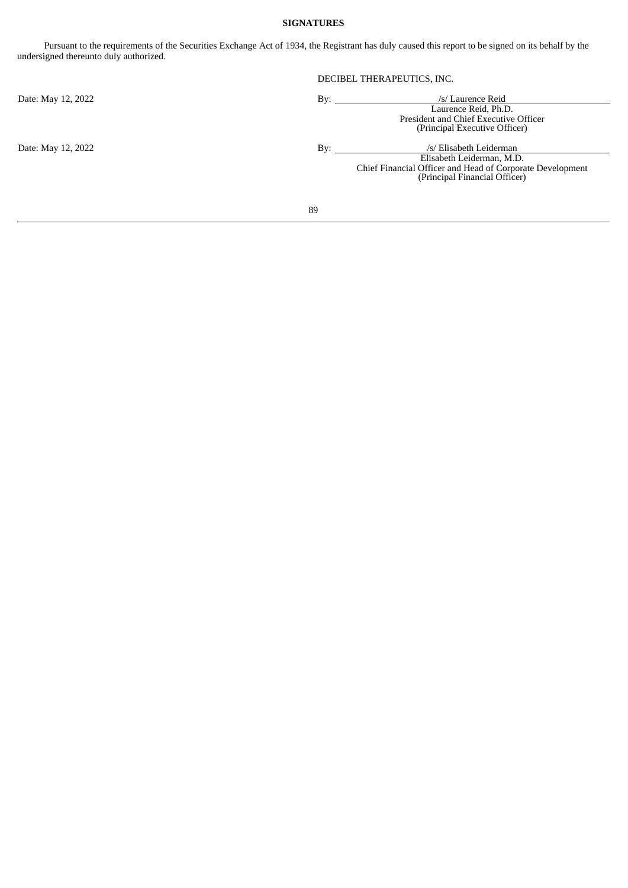# **SIGNATURES**

Pursuant to the requirements of the Securities Exchange Act of 1934, the Registrant has duly caused this report to be signed on its behalf by the undersigned thereunto duly authorized.

|                    | DECIBEL THERAPEUTICS, INC. |                                                                                                                                                    |
|--------------------|----------------------------|----------------------------------------------------------------------------------------------------------------------------------------------------|
| Date: May 12, 2022 | $\rm\,By:$                 | /s/ Laurence Reid<br>Laurence Reid, Ph.D.<br>President and Chief Executive Officer<br>(Principal Executive Officer)                                |
| Date: May 12, 2022 | By:                        | /s/ Elisabeth Leiderman<br>Elisabeth Leiderman, M.D.<br>Chief Financial Officer and Head of Corporate Development<br>(Principal Financial Officer) |
|                    | 89                         |                                                                                                                                                    |
|                    |                            |                                                                                                                                                    |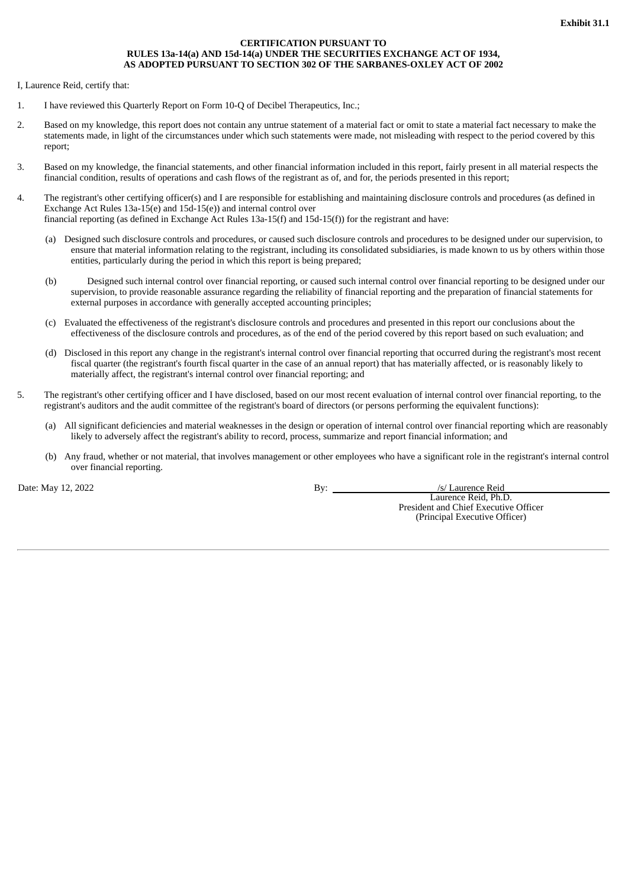# **CERTIFICATION PURSUANT TO RULES 13a-14(a) AND 15d-14(a) UNDER THE SECURITIES EXCHANGE ACT OF 1934, AS ADOPTED PURSUANT TO SECTION 302 OF THE SARBANES-OXLEY ACT OF 2002**

<span id="page-90-0"></span>I, Laurence Reid, certify that:

- 1. I have reviewed this Quarterly Report on Form 10-Q of Decibel Therapeutics, Inc.;
- 2. Based on my knowledge, this report does not contain any untrue statement of a material fact or omit to state a material fact necessary to make the statements made, in light of the circumstances under which such statements were made, not misleading with respect to the period covered by this report;
- 3. Based on my knowledge, the financial statements, and other financial information included in this report, fairly present in all material respects the financial condition, results of operations and cash flows of the registrant as of, and for, the periods presented in this report;
- 4. The registrant's other certifying officer(s) and I are responsible for establishing and maintaining disclosure controls and procedures (as defined in Exchange Act Rules 13a-15(e) and 15d-15(e)) and internal control over financial reporting (as defined in Exchange Act Rules 13a-15(f) and 15d-15(f)) for the registrant and have:
	- (a) Designed such disclosure controls and procedures, or caused such disclosure controls and procedures to be designed under our supervision, to ensure that material information relating to the registrant, including its consolidated subsidiaries, is made known to us by others within those entities, particularly during the period in which this report is being prepared;
	- (b) Designed such internal control over financial reporting, or caused such internal control over financial reporting to be designed under our supervision, to provide reasonable assurance regarding the reliability of financial reporting and the preparation of financial statements for external purposes in accordance with generally accepted accounting principles;
	- (c) Evaluated the effectiveness of the registrant's disclosure controls and procedures and presented in this report our conclusions about the effectiveness of the disclosure controls and procedures, as of the end of the period covered by this report based on such evaluation; and
	- (d) Disclosed in this report any change in the registrant's internal control over financial reporting that occurred during the registrant's most recent fiscal quarter (the registrant's fourth fiscal quarter in the case of an annual report) that has materially affected, or is reasonably likely to materially affect, the registrant's internal control over financial reporting; and
- 5. The registrant's other certifying officer and I have disclosed, based on our most recent evaluation of internal control over financial reporting, to the registrant's auditors and the audit committee of the registrant's board of directors (or persons performing the equivalent functions):
	- (a) All significant deficiencies and material weaknesses in the design or operation of internal control over financial reporting which are reasonably likely to adversely affect the registrant's ability to record, process, summarize and report financial information; and
	- (b) Any fraud, whether or not material, that involves management or other employees who have a significant role in the registrant's internal control over financial reporting.

Date: May 12, 2022 <br>
By: /s/ Laurence Reid Laurence Reid, Ph.D. President and Chief Executive Officer (Principal Executive Officer)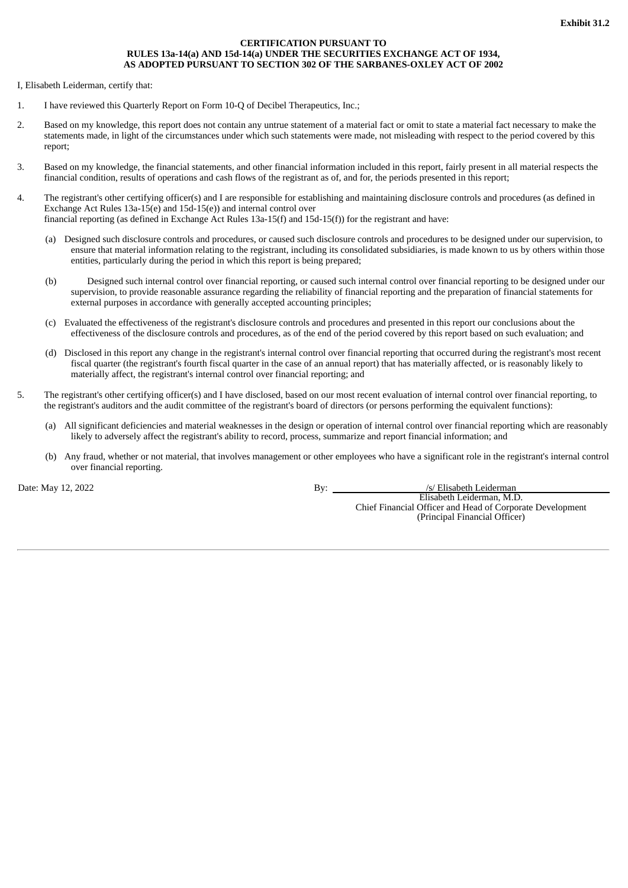# **CERTIFICATION PURSUANT TO RULES 13a-14(a) AND 15d-14(a) UNDER THE SECURITIES EXCHANGE ACT OF 1934, AS ADOPTED PURSUANT TO SECTION 302 OF THE SARBANES-OXLEY ACT OF 2002**

<span id="page-91-0"></span>I, Elisabeth Leiderman, certify that:

- 1. I have reviewed this Quarterly Report on Form 10-Q of Decibel Therapeutics, Inc.;
- 2. Based on my knowledge, this report does not contain any untrue statement of a material fact or omit to state a material fact necessary to make the statements made, in light of the circumstances under which such statements were made, not misleading with respect to the period covered by this report;
- 3. Based on my knowledge, the financial statements, and other financial information included in this report, fairly present in all material respects the financial condition, results of operations and cash flows of the registrant as of, and for, the periods presented in this report;
- 4. The registrant's other certifying officer(s) and I are responsible for establishing and maintaining disclosure controls and procedures (as defined in Exchange Act Rules 13a-15(e) and 15d-15(e)) and internal control over financial reporting (as defined in Exchange Act Rules 13a-15(f) and 15d-15(f)) for the registrant and have:
	- (a) Designed such disclosure controls and procedures, or caused such disclosure controls and procedures to be designed under our supervision, to ensure that material information relating to the registrant, including its consolidated subsidiaries, is made known to us by others within those entities, particularly during the period in which this report is being prepared;
	- (b) Designed such internal control over financial reporting, or caused such internal control over financial reporting to be designed under our supervision, to provide reasonable assurance regarding the reliability of financial reporting and the preparation of financial statements for external purposes in accordance with generally accepted accounting principles;
	- (c) Evaluated the effectiveness of the registrant's disclosure controls and procedures and presented in this report our conclusions about the effectiveness of the disclosure controls and procedures, as of the end of the period covered by this report based on such evaluation; and
	- (d) Disclosed in this report any change in the registrant's internal control over financial reporting that occurred during the registrant's most recent fiscal quarter (the registrant's fourth fiscal quarter in the case of an annual report) that has materially affected, or is reasonably likely to materially affect, the registrant's internal control over financial reporting; and
- 5. The registrant's other certifying officer(s) and I have disclosed, based on our most recent evaluation of internal control over financial reporting, to the registrant's auditors and the audit committee of the registrant's board of directors (or persons performing the equivalent functions):
	- (a) All significant deficiencies and material weaknesses in the design or operation of internal control over financial reporting which are reasonably likely to adversely affect the registrant's ability to record, process, summarize and report financial information; and
	- (b) Any fraud, whether or not material, that involves management or other employees who have a significant role in the registrant's internal control over financial reporting.

Date: May 12, 2022 **By:** *By: Solutional By: Solutional By: Solutional By: Solutional* By: *Solutional* By: *Solutional* By: *Solutional* By: *Solutional* By: *Solutional* By: *Solutional* By: *Solutional* By: *Sol* Elisabeth Leiderman, M.D. Chief Financial Officer and Head of Corporate Development (Principal Financial Officer)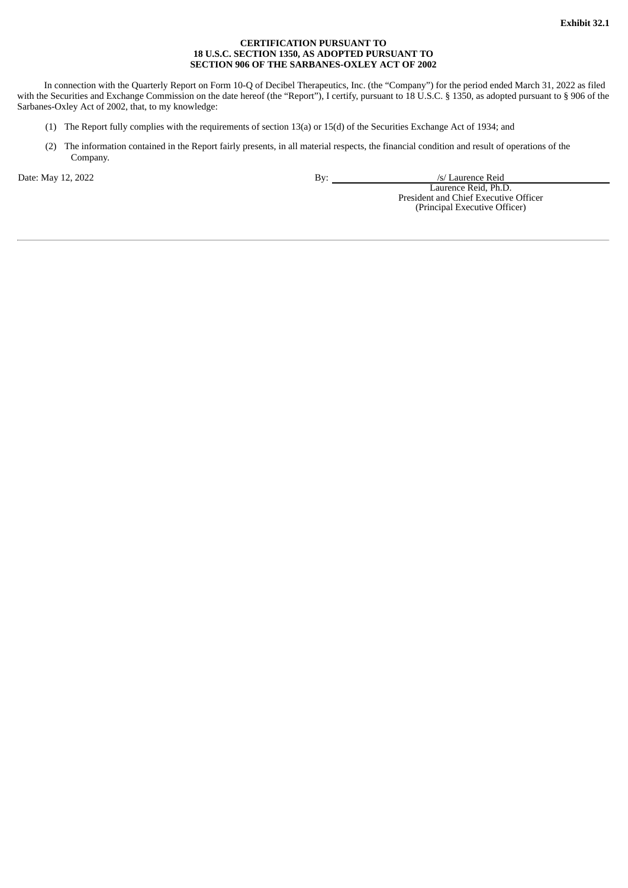## **CERTIFICATION PURSUANT TO 18 U.S.C. SECTION 1350, AS ADOPTED PURSUANT TO SECTION 906 OF THE SARBANES-OXLEY ACT OF 2002**

<span id="page-93-0"></span>In connection with the Quarterly Report on Form 10-Q of Decibel Therapeutics, Inc. (the "Company") for the period ended March 31, 2022 as filed with the Securities and Exchange Commission on the date hereof (the "Report"), I certify, pursuant to 18 U.S.C. § 1350, as adopted pursuant to § 906 of the Sarbanes-Oxley Act of 2002, that, to my knowledge:

- (1) The Report fully complies with the requirements of section 13(a) or 15(d) of the Securities Exchange Act of 1934; and
- (2) The information contained in the Report fairly presents, in all material respects, the financial condition and result of operations of the Company.

Date: May 12, 2022 By: /s/ Laurence Reid

Laurence Reid, Ph.D. President and Chief Executive Officer (Principal Executive Officer)